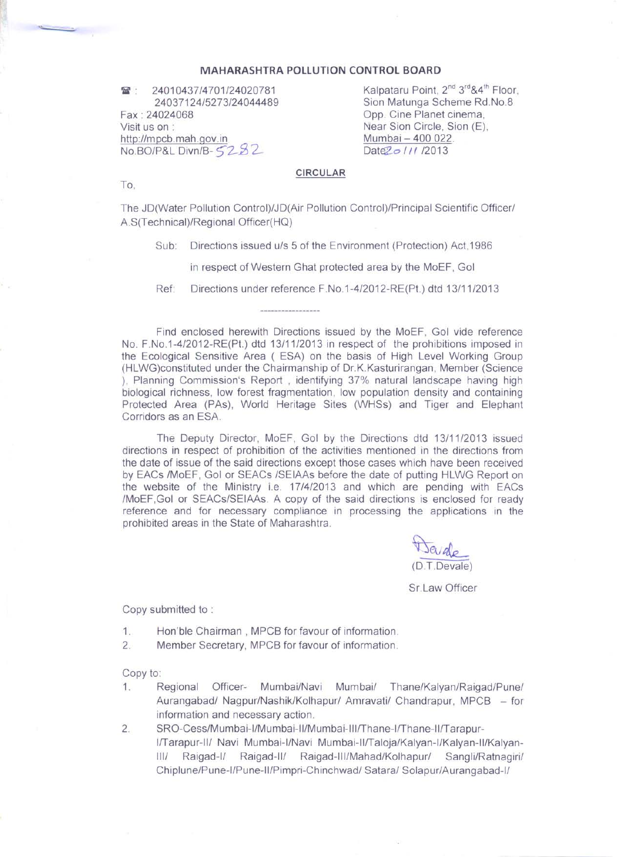## **MAHARASHTRA POLLUTION CONTROL BOARD**

24010437/4701/24020781  $\mathbb{R}$ 24037124/5273/24044489 Fax: 24024068 Visit us on : http://mpcb.mah.gov.in No.BO/P&L Divn/B-5282

Kalpataru Point, 2<sup>nd</sup> 3<sup>rd</sup> & 4<sup>th</sup> Floor, Sion Matunga Scheme Rd.No.8 Opp. Cine Planet cinema. Near Sion Circle, Sion (E). Mumbai - 400 022. Date 2011/2013

## CIRCULAR

To,

The JD(Water Pollution Control)/JD(Air Pollution Control)/Principal Scientific Officer/ A.S(Technical)/Regional Officer(HQ)

Directions issued u/s 5 of the Environment (Protection) Act.1986  $Sub:$ 

in respect of Western Ghat protected area by the MoEF, Gol

Directions under reference F.No.1-4/2012-RE(Pt.) dtd 13/11/2013 Ref:

Find enclosed herewith Directions issued by the MoEF, Gol vide reference No. F.No.1-4/2012-RE(Pt.) dtd 13/11/2013 in respect of the prohibitions imposed in the Ecological Sensitive Area (ESA) on the basis of High Level Working Group (HLWG)constituted under the Chairmanship of Dr.K.Kasturirangan, Member (Science ). Planning Commission's Report, identifying 37% natural landscape having high biological richness, low forest fragmentation, low population density and containing Protected Area (PAs), World Heritage Sites (WHSs) and Tiger and Elephant Corridors as an ESA.

The Deputy Director, MoEF, Gol by the Directions dtd 13/11/2013 issued directions in respect of prohibition of the activities mentioned in the directions from the date of issue of the said directions except those cases which have been received by EACs /MoEF, Gol or SEACs /SEIAAs before the date of putting HLWG Report on the website of the Ministry i.e. 17/4/2013 and which are pending with EACs /MoEF, GoI or SEACs/SEIAAs. A copy of the said directions is enclosed for ready reference and for necessary compliance in processing the applications in the prohibited areas in the State of Maharashtra.

(D.T.Devale)

Sr.Law Officer

Copy submitted to:

- Hon'ble Chairman, MPCB for favour of information.  $1$ .
- $2.$ Member Secretary, MPCB for favour of information.

Copy to:

- Regional Officer- Mumbai/Navi Mumbai/ Thane/Kalyan/Raigad/Pune/  $1$ . Aurangabad/ Nagpur/Nashik/Kolhapur/ Amravati/ Chandrapur, MPCB - for information and necessary action.
- $2.$ SRO-Cess/Mumbai-I/Mumbai-II/Mumbai-III/Thane-I/Thane-II/Tarapur-I/Tarapur-II/ Navi Mumbai-I/Navi Mumbai-II/Taloja/Kalyan-I/Kalyan-II/Kalyan-Raigad-II/ Raigad-III/Mahad/Kolhapur/ Sangli/Ratnagiri/  $111/$ Raigad-I/ Chiplune/Pune-I/Pune-II/Pimpri-Chinchwad/ Satara/ Solapur/Aurangabad-I/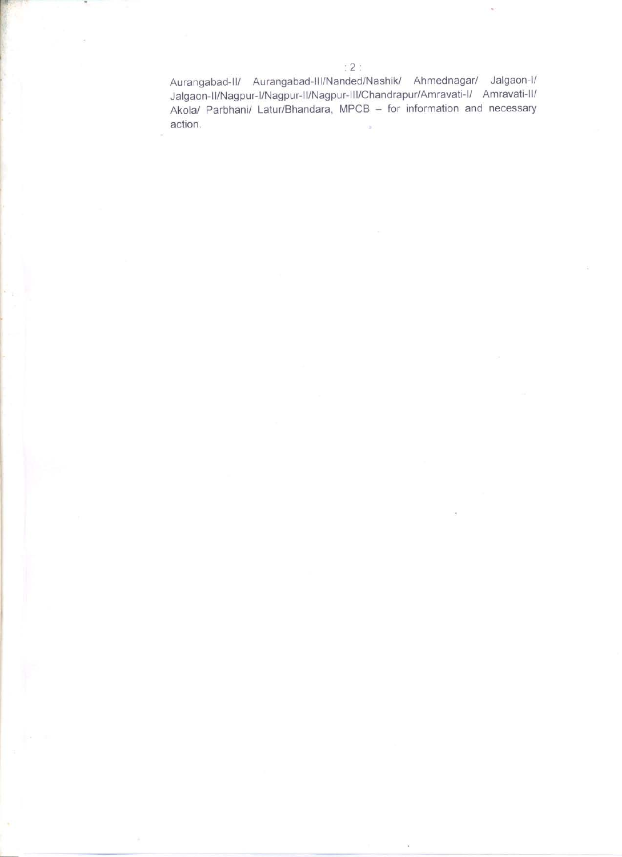Aurangabad-II/ Aurangabad-III/Nanded/Nashik/ Ahmednagar/ Jalgaon-I/ Jalgaon-II/Nagpur-I/Nagpur-II/Nagpur-III/Chandrapur/Amravati-I/ Amravati-II/ Akola/ Parbhani/ Latur/Bhandara, MPCB - for information and necessary action.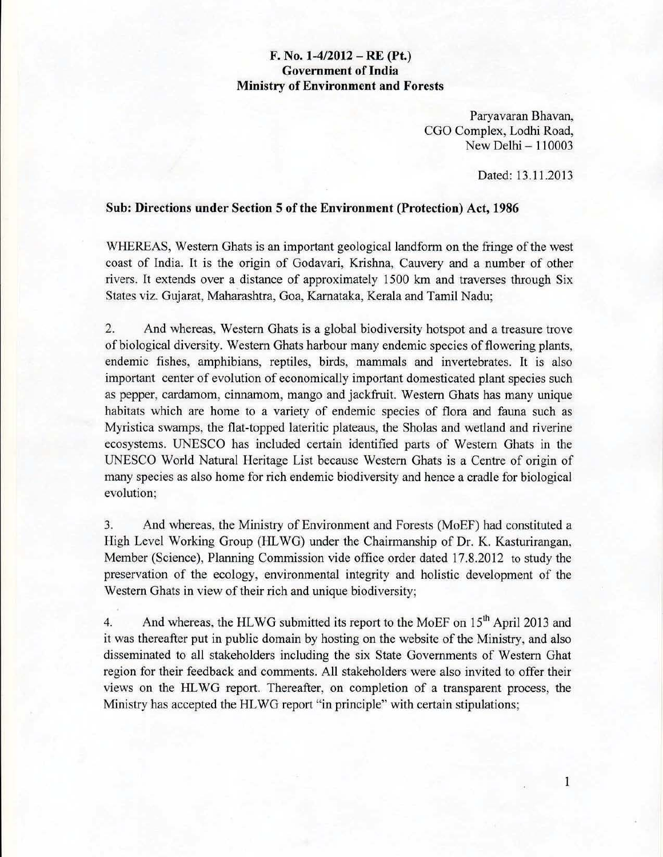## F. No. *1-4/2012* - RE (Pt.) Government of India Ministry of Environment and Forests

Paryavaran Bhavan, CGO Complex, Lodhi Road, New Delhi - 110003

Dated: 13.11.2013

## Sub: Directions under Section 5 of the Environment (Protection) Act, 1986

WHEREAS, Western Ghats is an important geological landform on the fringe of the west coast of India. It is the origin of Godavari, Krishna, Cauvery and a number of other rivers. It extends over a distance of approximately 1500 km and traverses through Six States viz. Gujarat, Maharashtra, Goa, Karnataka, Kerala and Tamil Nadu;

2. And whereas, Western Ghats is a global biodiversity hotspot and a treasure trove of biological diversity. Western Ghats harbour many endemic species of flowering plants, endemic fishes, amphibians, reptiles, birds, mammals and invertebrates. It is also important center of evolution of economically important domesticated plant species such as pepper, cardamom, cinnamom, mango and jackfruit. Western Ghats has many unique habitats which are home to a variety of endemic species of flora and fauna such as Myristica swamps, the flat-topped lateritic plateaus, the Sholas and wetland and riverine ecosystems. UNESCO has included certain identified parts of Western Ghats in the UNESCO World Natural Heritage List because Western Ghats is a Centre of origin of many species as also home for rich endemic biodiversity and hence a cradle for biological evolution;

3. And whereas, the Ministry of Environment and Forests (MoEF) had constituted a High Level Working Group (HLWG) under the Chairmanship of Dr. K. Kasturirangan, Member (Science), Planning Commission vide office order dated 17.8.2012 to study the preservation of the ecology. environmental integrity and holistic development of the Western Ghats in view of their rich and unique biodiversity;

4. And whereas, the HLWG submitted its report to the MoEF on 15<sup>th</sup> April 2013 and it was thereafter put in public domain by hosting on the website of the Ministry, and also disseminated to all stakeholders including the six State Governments of Western Ghat region for their feedback and comments. All stakeholders were also invited to offer their views on the HL WG report. Thereafter, on completion of a transparent process, the Ministry has accepted the HLWG report "in principle" with certain stipulations;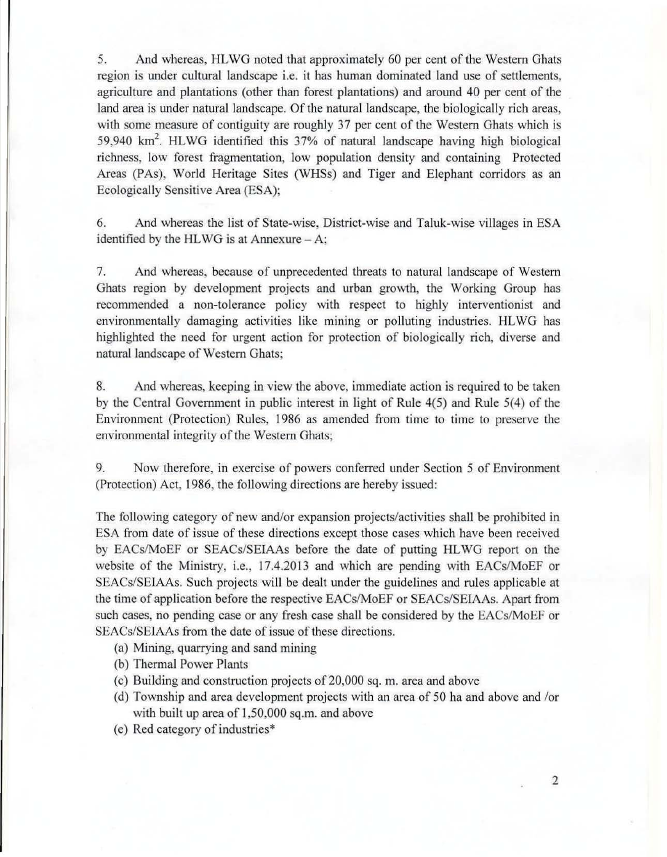5. And whereas, HL WG noted that approximately 60 per cent of the Western Ghats region is under cultural landscape i.e. it has human dominated land use of settlements, agriculture and plantations (other than forest plantations) and around 40 per cent of the land area is under natural landscape. Of the natural landscape, the biologically rich areas, with some measure of contiguity are roughly 37 per cent of the Western Ghats which is 59,940 km<sup>2</sup>. HLWG identified this 37% of natural landscape having high biological richness, low forest fragmentation, low population density and containing Protected Areas (PAs), World Heritage Sites (WHSs) and Tiger and Elephant corridors as an Ecologically Sensitive Area (ESA);

6. And whereas the list of State-wise, District-wise and Taluk-wise villages in ESA identified by the HLWG is at Annexure  $-$  A;

7. And whereas, because of unprecedented threats to natural landscape of Western Ghats region by development projects and urban growth, the Working Group has recommended a non-tolerance policy with respect to highly interventionist and environmentally damaging activities like mining or polluting industries. HLWG has highlighted the need for urgent action for protection of biologically rich, diverse and natural landscape of Western Ghats;

8. And whereas, keeping in view the above, immediate action is required to be taken by the Central Government in public interest in light of Rule  $4(5)$  and Rule  $5(4)$  of the Environment (Protection) Rules, 1986 as amended from time to time to preserve the environmental integrity of the Western Ghats;

9. Now therefore, in exercise of powers conferred under Section 5 of Environment (Protection) Act, 1986, the following directions are hereby issued:

The following category of new and/or expansion projects/activities shall be prohibited in ESA from date of issue of these directions except those cases which have been received by EACs/MoEF or SEACs/SEIAAs before the date of putting HLWG report on the website of the Ministry, i.e., 17.4.2013 and which are pending with EACs/MoEF or SEACs/SEIAAs. Such projects will be dealt under the guidelines and rules applicable at the time of application before the respective EACs/MoEF or SEACs/SEIAAs. Apart from such cases, no pending case or any fresh case shall be considered by the EACs/MoEF or SEACs/SEIAAs from the date of issue of these directions.

- (a) Mining, quarrying and sand mining
- (b) Thermal Power Plants
- (c) Building and construction projects of 20,000 sq. m. area and above
- (d) Township and area development projects with an area of 50 ha and above and *lor*  with built up area of 1,50,000 sq.m. and above
- (e) Red category of industries·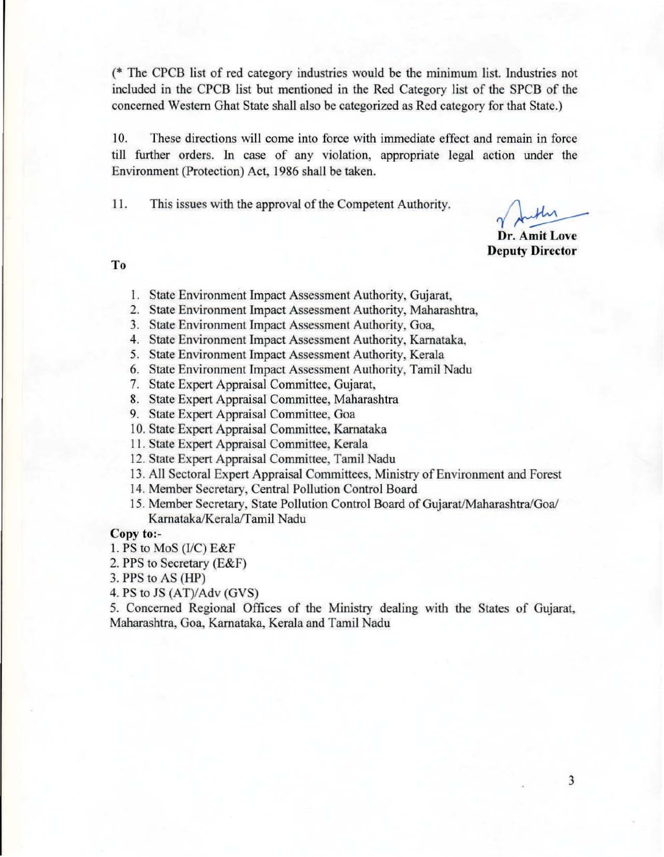(\* The CPCS list of red category industries would be the minimum list. Industries not included in the CPCB list but mentioned in the Red Category list of the SPCS of the concerned Western Ghat State shall also be categorized as Red category for that State,)

10. These directions will come into force with immediate effect and remain in force till further orders. In case of any violation, appropriate legal action under the Environment (Protection) Act, 1986 shall be taken.

II. This issues with the approval of the Competent Authority.

Dr. Amit Love Deputy Director

To

- I. State Environment Impact Assessment Authority, Gujarat,
- 2. State Environment Impact Assessment Authority, Maharashtra.
- 3. State Environment Impact Assessment Authority, Goa,
- 4. State Environment Impact Assessment Authority, Karnataka.
- 5. State Environment Impact Assessment Authority, Kerala
- 6. State Environment Impact Assessment Authority, Tamil Nadu
- 7. State Expert Appraisal Committee, Gujarat,
- 8. State Expert Appraisal Committee, Maharashtra
- 9. State Expert Appraisal Committee, Goa
- 10. State Expert Appraisal Committee, Karnataka
- 11. State Expert Appraisal Committee, Kerala
- 12. State Expert Appraisal Committee, Tamil Nadu
- 13. All Sectoral Expert Appraisal Committees, Ministry of Environment and Forest
- 14. Member Secretary, Central Pollution Control Board
- 15. Member Secretary, State Pollution Control Board of Gujarat/Maharashtra/Goa/ Karnataka/Kerala/Tamil Nadu

Copy to:-

- I. PS to MoS (I/C) E&F
- 2. PPS to Secretary (E&F)
- 3. PPS to AS (HP)
- 4. PS to JS (AT)/Adv (GYS)

5. Concerned Regional Offices of the Ministry dealing with the States of Gujarat, Maharashtra, Goa, Karnataka, Kerala and Tamil Nadu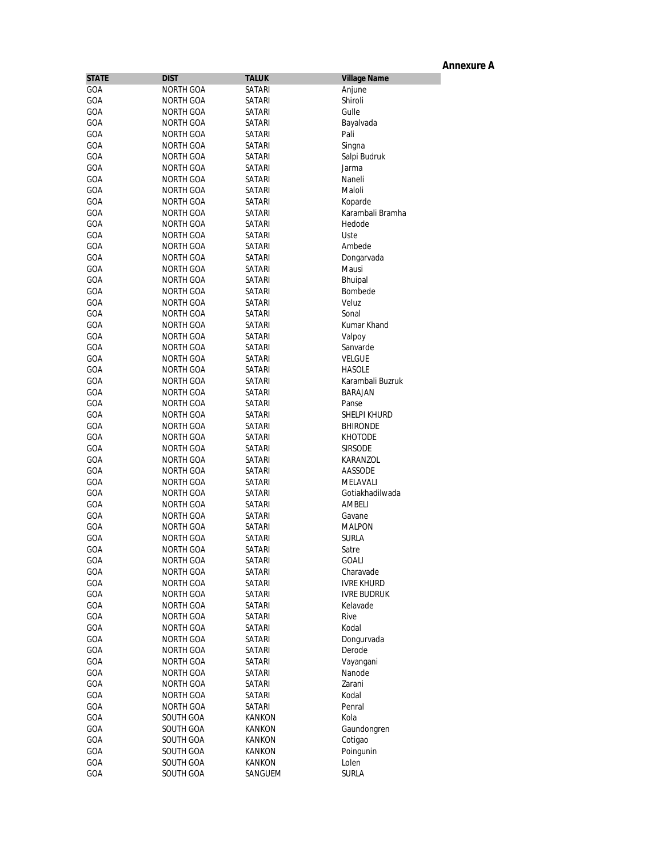|              |                        |                  |                           | <b>Annexure A</b> |
|--------------|------------------------|------------------|---------------------------|-------------------|
| <b>STATE</b> | <b>DIST</b>            | <b>TALUK</b>     | <b>Village Name</b>       |                   |
| GOA          | NORTH GOA              | SATARI           | Anjune                    |                   |
| GOA          | NORTH GOA              | SATARI           | Shiroli                   |                   |
| GOA          | NORTH GOA              | SATARI           | Gulle                     |                   |
| GOA          | NORTH GOA              | SATARI           | Bayalvada                 |                   |
| GOA          | NORTH GOA              | <b>SATARI</b>    | Pali                      |                   |
| GOA          | NORTH GOA              | SATARI           | Singna                    |                   |
| GOA          | NORTH GOA              | SATARI           | Salpi Budruk              |                   |
| GOA          | NORTH GOA              | SATARI           | Jarma                     |                   |
| GOA          | NORTH GOA              | SATARI           | Naneli                    |                   |
| GOA          | NORTH GOA              | SATARI           | Maloli                    |                   |
| GOA          | NORTH GOA              | SATARI           | Koparde                   |                   |
| GOA          | <b>NORTH GOA</b>       | SATARI           | Karambali Bramha          |                   |
| GOA          | NORTH GOA              | SATARI           | Hedode                    |                   |
| GOA<br>GOA   | NORTH GOA<br>NORTH GOA | SATARI<br>SATARI | Uste<br>Ambede            |                   |
| GOA          | NORTH GOA              | SATARI           | Dongarvada                |                   |
| GOA          | NORTH GOA              | SATARI           | Mausi                     |                   |
| GOA          | NORTH GOA              | SATARI           | Bhuipal                   |                   |
| GOA          | NORTH GOA              | SATARI           | Bombede                   |                   |
| GOA          | NORTH GOA              | SATARI           | Veluz                     |                   |
| GOA          | NORTH GOA              | <b>SATARI</b>    | Sonal                     |                   |
| GOA          | NORTH GOA              | SATARI           | Kumar Khand               |                   |
| GOA          | NORTH GOA              | SATARI           | Valpoy                    |                   |
| GOA          | NORTH GOA              | SATARI           | Sanvarde                  |                   |
| GOA          | NORTH GOA              | <b>SATARI</b>    | <b>VELGUE</b>             |                   |
| GOA          | NORTH GOA              | SATARI           | <b>HASOLE</b>             |                   |
| GOA          | NORTH GOA              | SATARI           | Karambali Buzruk          |                   |
| GOA          | NORTH GOA              | SATARI           | <b>BARAJAN</b>            |                   |
| GOA          | NORTH GOA              | SATARI           | Panse                     |                   |
| GOA          | NORTH GOA              | SATARI           | SHELPI KHURD              |                   |
| GOA          | NORTH GOA              | <b>SATARI</b>    | <b>BHIRONDE</b>           |                   |
| GOA          | NORTH GOA              | SATARI           | <b>KHOTODE</b>            |                   |
| GOA          | NORTH GOA              | SATARI           | <b>SIRSODE</b>            |                   |
| GOA          | NORTH GOA              | SATARI           | KARANZOL                  |                   |
| GOA          | NORTH GOA              | SATARI           | AASSODE                   |                   |
| GOA          | NORTH GOA              | SATARI           | MELAVALI                  |                   |
| GOA          | NORTH GOA              | SATARI           | Gotiakhadilwada<br>AMBELI |                   |
| GOA<br>GOA   | NORTH GOA<br>NORTH GOA | SATARI<br>SATARI |                           |                   |
| GOA          | NORTH GOA              | SATARI           | Gavane<br><b>MALPON</b>   |                   |
| GOA          | NORTH GOA              | SATARI           | <b>SURLA</b>              |                   |
| GOA          | NORTH GOA              | SATARI           | Satre                     |                   |
| GOA          | NORTH GOA              | SATARI           | GOALI                     |                   |
| GOA          | NORTH GOA              | SATARI           | Charavade                 |                   |
| GOA          | NORTH GOA              | SATARI           | <b>IVRE KHURD</b>         |                   |
| GOA          | NORTH GOA              | SATARI           | <b>IVRE BUDRUK</b>        |                   |
| GOA          | NORTH GOA              | SATARI           | Kelavade                  |                   |
| GOA          | NORTH GOA              | SATARI           | Rive                      |                   |
| GOA          | NORTH GOA              | SATARI           | Kodal                     |                   |
| GOA          | <b>NORTH GOA</b>       | SATARI           | Dongurvada                |                   |
| GOA          | NORTH GOA              | SATARI           | Derode                    |                   |
| GOA          | NORTH GOA              | SATARI           | Vayangani                 |                   |
| GOA          | NORTH GOA              | SATARI           | Nanode                    |                   |
| GOA          | NORTH GOA              | SATARI           | Zarani                    |                   |
| GOA          | NORTH GOA              | SATARI           | Kodal                     |                   |
| GOA          | NORTH GOA              | SATARI           | Penral                    |                   |
| GOA          | SOUTH GOA              | KANKON           | Kola                      |                   |
| GOA          | SOUTH GOA              | KANKON           | Gaundongren               |                   |
| GOA          | SOUTH GOA              | KANKON           | Cotigao                   |                   |
| GOA          | SOUTH GOA              | KANKON           | Poingunin                 |                   |
| GOA          | SOUTH GOA              | KANKON           | Lolen                     |                   |
| GOA          | SOUTH GOA              | SANGUEM          | <b>SURLA</b>              |                   |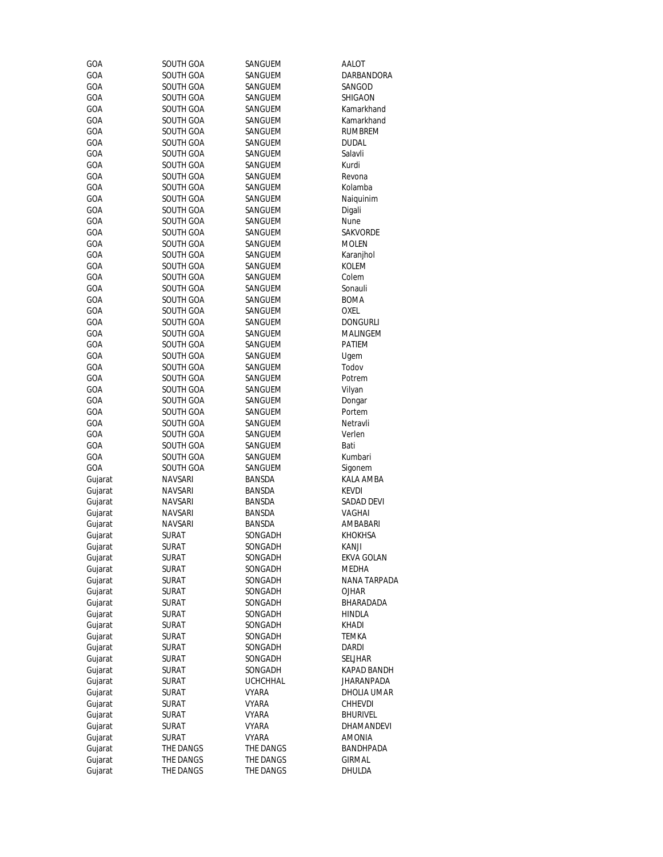| GOA        | SOUTH GOA              | SANGUEM            | AALOT           |
|------------|------------------------|--------------------|-----------------|
| GOA        | SOUTH GOA              | SANGUEM            | DARBANDORA      |
| GOA        | SOUTH GOA              | SANGUEM            | SANGOD          |
| GOA        | SOUTH GOA              | SANGUEM            | SHIGAON         |
| GOA        | SOUTH GOA              | SANGUEM            | Kamarkhand      |
| GOA        | SOUTH GOA              | SANGUEM            | Kamarkhand      |
| GOA        | SOUTH GOA              | SANGUEM            | <b>RUMBREM</b>  |
| GOA        | SOUTH GOA              | SANGUEM            | <b>DUDAL</b>    |
| GOA        | SOUTH GOA              | SANGUEM            | Salavli         |
| GOA        | SOUTH GOA              | SANGUEM            | Kurdi           |
| GOA        | SOUTH GOA              | SANGUEM            | Revona          |
| GOA        | SOUTH GOA              | SANGUEM            | Kolamba         |
| GOA        | SOUTH GOA              | SANGUEM            | Naiquinim       |
| GOA        | SOUTH GOA              | SANGUEM            | Digali          |
| GOA        | SOUTH GOA              | SANGUEM            | Nune            |
| GOA        | SOUTH GOA              | SANGUEM            | SAKVORDE        |
| GOA        | SOUTH GOA              | SANGUEM            | <b>MOLEN</b>    |
| GOA        | SOUTH GOA              | SANGUEM            | Karanjhol       |
| GOA        | SOUTH GOA              | SANGUEM            | <b>KOLEM</b>    |
| GOA        | SOUTH GOA              | SANGUEM            | Colem           |
| GOA        | SOUTH GOA              | SANGUEM            | Sonauli         |
| GOA        | SOUTH GOA              | SANGUEM            | <b>BOMA</b>     |
| GOA        | SOUTH GOA              | SANGUEM            | <b>OXEL</b>     |
| GOA        | SOUTH GOA              | SANGUEM            | <b>DONGURLI</b> |
| GOA        | SOUTH GOA              | SANGUEM            | MALINGEM        |
| GOA        | SOUTH GOA              | SANGUEM            | PATIEM          |
| GOA        | SOUTH GOA              | SANGUEM            | Ugem            |
| GOA        | SOUTH GOA              | SANGUEM            | Todov           |
| GOA        | SOUTH GOA              | SANGUEM            | Potrem          |
| GOA        | SOUTH GOA              | SANGUEM            | Vilyan          |
| GOA        | SOUTH GOA              | SANGUEM            | Dongar          |
| GOA        | SOUTH GOA              | SANGUEM            | Portem          |
| GOA        | SOUTH GOA              | SANGUEM            | Netravli        |
| GOA<br>GOA | SOUTH GOA<br>SOUTH GOA | SANGUEM            | Verlen<br>Bati  |
| GOA        | SOUTH GOA              | SANGUEM            | Kumbari         |
| GOA        | SOUTH GOA              | SANGUEM<br>SANGUEM | Sigonem         |
| Gujarat    | NAVSARI                | BANSDA             | KALA AMBA       |
| Gujarat    | <b>NAVSARI</b>         | BANSDA             | <b>KEVDI</b>    |
| Gujarat    | NAVSARI                | BANSDA             | SADAD DEVI      |
| Gujarat    | NAVSARI                | BANSDA             | <b>VAGHAI</b>   |
| Gujarat    | NAVSARI                | <b>BANSDA</b>      | AMBABARI        |
| Gujarat    | SURAT                  | SONGADH            | <b>KHOKHSA</b>  |
| Gujarat    | SURAT                  | SONGADH            | Kanji           |
| Gujarat    | <b>SURAT</b>           | SONGADH            | EKVA GOLAN      |
| Gujarat    | SURAT                  | SONGADH            | MEDHA           |
| Gujarat    | SURAT                  | SONGADH            | NANA TARPADA    |
| Gujarat    | <b>SURAT</b>           | SONGADH            | OJHAR           |
| Gujarat    | SURAT                  | SONGADH            | BHARADADA       |
| Gujarat    | SURAT                  | SONGADH            | <b>HINDLA</b>   |
| Gujarat    | <b>SURAT</b>           | SONGADH            | KHADI           |
| Gujarat    | SURAT                  | SONGADH            | TEMKA           |
| Gujarat    | SURAT                  | SONGADH            | Dardi           |
| Gujarat    | SURAT                  | SONGADH            | SELJHAR         |
| Gujarat    | SURAT                  | SONGADH            | KAPAD BANDH     |
| Gujarat    | SURAT                  | <b>UCHCHHAL</b>    | JHARANPADA      |
| Gujarat    | SURAT                  | VYARA              | DHOLIA UMAR     |
| Gujarat    | SURAT                  | VYARA              | CHHEVDI         |
| Gujarat    | <b>SURAT</b>           | VYARA              | <b>BHURIVEL</b> |
| Gujarat    | SURAT                  | VYARA              | DHAMANDEVI      |
| Gujarat    | SURAT                  | VYARA              | AMONIA          |
| Gujarat    | THE DANGS              | THE DANGS          | BANDHPADA       |
| Gujarat    | THE DANGS              | THE DANGS          | <b>GIRMAL</b>   |
| Gujarat    | THE DANGS              | THE DANGS          | DHULDA          |
|            |                        |                    |                 |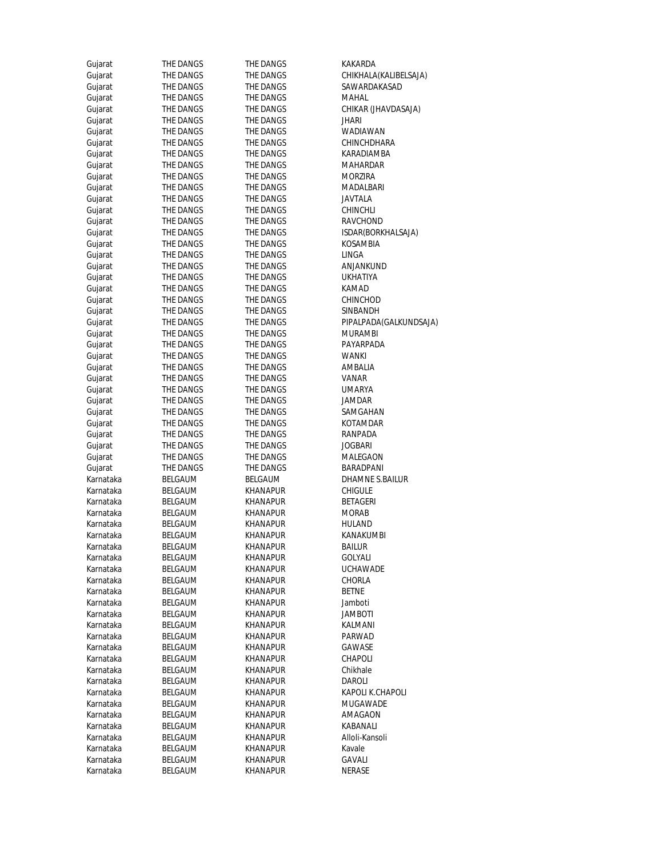| Gujarat   | THE DANGS      | THE DANGS                   | KAKARDA                |
|-----------|----------------|-----------------------------|------------------------|
| Gujarat   | THE DANGS      | THE DANGS                   | CHIKHALA(KALIBELSAJA)  |
| Gujarat   | THE DANGS      | THE DANGS                   | SAWARDAKASAD           |
| Gujarat   | THE DANGS      | THE DANGS                   | MAHAL                  |
| Gujarat   | THE DANGS      | THE DANGS                   | CHIKAR (JHAVDASAJA)    |
| Gujarat   | THE DANGS      | THE DANGS                   | jhari                  |
| Gujarat   | THE DANGS      | THE DANGS                   | WADIAWAN               |
| Gujarat   | THE DANGS      | THE DANGS                   | CHINCHDHARA            |
| Gujarat   | THE DANGS      | THE DANGS                   | KARADIAMBA             |
| Gujarat   | THE DANGS      | THE DANGS                   | MAHARDAR               |
| Gujarat   | THE DANGS      | THE DANGS                   | <b>MORZIRA</b>         |
| Gujarat   | THE DANGS      | THE DANGS                   | MADALBARI              |
| Gujarat   | THE DANGS      | THE DANGS                   | JAVTALA                |
| Gujarat   | THE DANGS      | THE DANGS                   | CHINCHLI               |
| Gujarat   | THE DANGS      | THE DANGS                   | RAVCHOND               |
|           |                |                             |                        |
| Gujarat   | THE DANGS      | THE DANGS                   | ISDAR(BORKHALSAJA)     |
| Gujarat   | THE DANGS      | THE DANGS                   | KOSAMBIA               |
| Gujarat   | THE DANGS      | THE DANGS                   | LINGA                  |
| Gujarat   | THE DANGS      | THE DANGS                   | ANJANKUND              |
| Gujarat   | THE DANGS      | THE DANGS                   | UKHATIYA               |
| Gujarat   | THE DANGS      | THE DANGS                   | KAMAD                  |
| Gujarat   | THE DANGS      | THE DANGS                   | CHINCHOD               |
| Gujarat   | THE DANGS      | THE DANGS                   | SINBANDH               |
| Gujarat   | THE DANGS      | THE DANGS                   | PIPALPADA(GALKUNDSAJA) |
| Gujarat   | THE DANGS      | THE DANGS                   | <b>MURAMBI</b>         |
| Gujarat   | THE DANGS      | THE DANGS                   | PAYARPADA              |
| Gujarat   | THE DANGS      | THE DANGS                   | WANKI                  |
| Gujarat   | THE DANGS      | THE DANGS                   | AMBALIA                |
| Gujarat   | THE DANGS      | THE DANGS                   | VANAR                  |
| Gujarat   | THE DANGS      | THE DANGS                   | <b>UMARYA</b>          |
| Gujarat   | THE DANGS      | THE DANGS                   | JAMDAR                 |
| Gujarat   | THE DANGS      | THE DANGS                   | SAMGAHAN               |
| Gujarat   | THE DANGS      | THE DANGS                   | KOTAMDAR               |
| Gujarat   | THE DANGS      | THE DANGS                   | RANPADA                |
| Gujarat   | THE DANGS      | THE DANGS                   | JOGBARI                |
| Gujarat   | THE DANGS      | THE DANGS                   | MALEGAON               |
| Gujarat   | THE DANGS      | THE DANGS                   | BARADPANI              |
| Karnataka | BELGAUM        | BELGAUM                     | DHAMNE S.BAILUR        |
| Karnataka | BELGAUM        | KHANAPUR                    | CHIGULE                |
| Karnataka | BELGAUM        | KHANAPUR                    | <b>BETAGERI</b>        |
| Karnataka | <b>BELGAUM</b> | KHANAPUR                    | <b>MORAB</b>           |
| Karnataka | BELGAUM        | KHANAPUR                    | HULAND                 |
| Karnataka | BELGAUM        | KHANAPUR                    | KANAKUMBI              |
| Karnataka | BELGAUM        | <b>KHANAPUR</b>             | <b>BAILUR</b>          |
| Karnataka | BELGAUM        | KHANAPUR                    | GOLYALI                |
| Karnataka | BELGAUM        | KHANAPUR                    | <b>UCHAWADE</b>        |
| Karnataka | BELGAUM        | KHANAPUR                    | CHORLA                 |
| Karnataka | <b>BELGAUM</b> | KHANAPUR                    | <b>BETNE</b>           |
| Karnataka | BELGAUM        | KHANAPUR                    | Jamboti                |
|           |                |                             |                        |
| Karnataka | BELGAUM        | KHANAPUR<br><b>KHANAPUR</b> | JAMBOTI                |
| Karnataka | BELGAUM        |                             | KALMANI                |
| Karnataka | <b>BELGAUM</b> | KHANAPUR                    | PARWAD                 |
| Karnataka | BELGAUM        | KHANAPUR                    | GAWASE                 |
| Karnataka | BELGAUM        | KHANAPUR                    | CHAPOLI                |
| Karnataka | BELGAUM        | KHANAPUR                    | Chikhale               |
| Karnataka | <b>BELGAUM</b> | KHANAPUR                    | <b>DAROLI</b>          |
| Karnataka | BELGAUM        | KHANAPUR                    | KAPOLI K.CHAPOLI       |
| Karnataka | BELGAUM        | KHANAPUR                    | MUGAWADE               |
| Karnataka | BELGAUM        | KHANAPUR                    | AMAGAON                |
| Karnataka | BELGAUM        | KHANAPUR                    | KABANALI               |
| Karnataka | BELGAUM        | KHANAPUR                    | Alloli-Kansoli         |
| Karnataka | BELGAUM        | KHANAPUR                    | Kavale                 |
| Karnataka | BELGAUM        | KHANAPUR                    | GAVALI                 |
| Karnataka | BELGAUM        | KHANAPUR                    | <b>NERASE</b>          |
|           |                |                             |                        |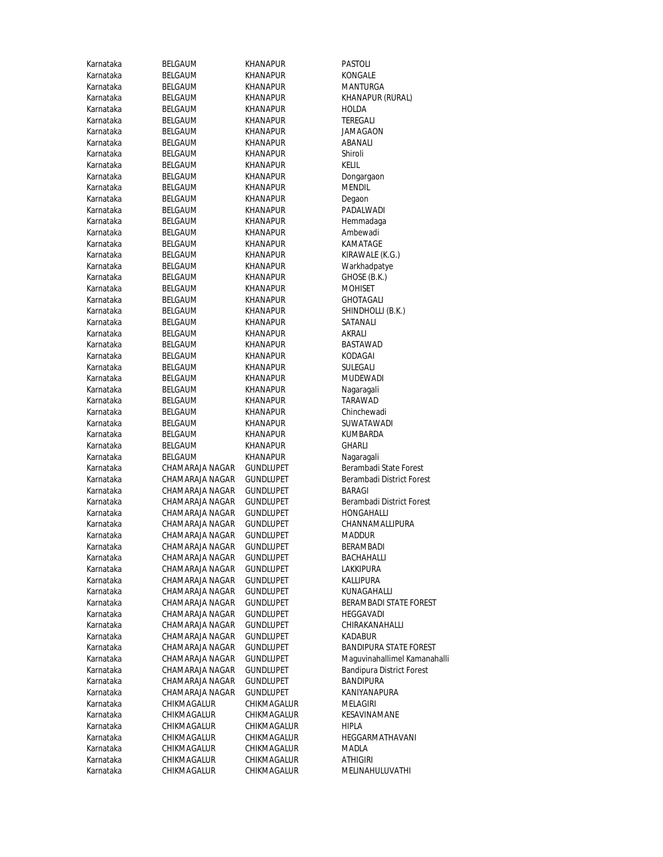| Karnataka | <b>BELGAUM</b>  | KHANAPUR         | PASTOLI           |
|-----------|-----------------|------------------|-------------------|
| Karnataka | BELGAUM         | KHANAPUR         | KONGALE           |
| Karnataka | BELGAUM         | KHANAPUR         | MANTURGA          |
| Karnataka | BELGAUM         | KHANAPUR         | KHANAPUR          |
| Karnataka | BELGAUM         | KHANAPUR         | HOLDA             |
| Karnataka | BELGAUM         | KHANAPUR         | TEREGALI          |
| Karnataka | BELGAUM         | KHANAPUR         | JAMAGAON          |
| Karnataka | BELGAUM         | KHANAPUR         | ABANALI           |
| Karnataka | BELGAUM         | KHANAPUR         | Shiroli           |
| Karnataka | BELGAUM         | KHANAPUR         | KELIL             |
| Karnataka | <b>BELGAUM</b>  | KHANAPUR         | Dongargaon        |
| Karnataka | BELGAUM         | KHANAPUR         | <b>MENDIL</b>     |
| Karnataka | BELGAUM         | KHANAPUR         | Degaon            |
| Karnataka | BELGAUM         | KHANAPUR         | PADALWADI         |
| Karnataka | BELGAUM         | KHANAPUR         | Hemmadaga         |
| Karnataka | BELGAUM         | KHANAPUR         | Ambewadi          |
| Karnataka | BELGAUM         | KHANAPUR         | KAMATAGE          |
| Karnataka | BELGAUM         | KHANAPUR         | KIRAWALE (I       |
| Karnataka | BELGAUM         | KHANAPUR         |                   |
| Karnataka | BELGAUM         | <b>KHANAPUR</b>  | Warkhadpat        |
|           | <b>BELGAUM</b>  |                  | GHOSE (B.K.       |
| Karnataka | <b>BELGAUM</b>  | KHANAPUR         | <b>MOHISET</b>    |
| Karnataka |                 | KHANAPUR         | <b>GHOTAGALI</b>  |
| Karnataka | BELGAUM         | KHANAPUR         | <b>SHINDHOLLI</b> |
| Karnataka | <b>BELGAUM</b>  | KHANAPUR         | SATANALI          |
| Karnataka | <b>BELGAUM</b>  | KHANAPUR         | akralı            |
| Karnataka | BELGAUM         | KHANAPUR         | <b>BASTAWAD</b>   |
| Karnataka | BELGAUM         | KHANAPUR         | KODAGAI           |
| Karnataka | BELGAUM         | KHANAPUR         | SULEGALI          |
| Karnataka | BELGAUM         | KHANAPUR         | <b>MUDEWADI</b>   |
| Karnataka | BELGAUM         | KHANAPUR         | Nagaragali        |
| Karnataka | BELGAUM         | KHANAPUR         | TARAWAD           |
| Karnataka | BELGAUM         | KHANAPUR         | Chinchewad        |
| Karnataka | BELGAUM         | KHANAPUR         | SUWATAWA          |
| Karnataka | BELGAUM         | KHANAPUR         | KUMBARDA          |
| Karnataka | BELGAUM         | KHANAPUR         | <b>GHARLI</b>     |
| Karnataka | <b>BELGAUM</b>  | KHANAPUR         | Nagaragali        |
| Karnataka | CHAMARAJA NAGAR | GUNDLUPET        | Berambadi S       |
| Karnataka | CHAMARAJA NAGAR | <b>GUNDLUPET</b> | Berambadi D       |
| Karnataka | CHAMARAJA NAGAR | GUNDLUPET        | <b>BARAGI</b>     |
| Karnataka | CHAMARAJA NAGAR | <b>GUNDLUPET</b> | Berambadi D       |
| Karnataka | CHAMARAJA NAGAR | GUNDLUPET        | HONGAHALI         |
| Karnataka | CHAMARAJA NAGAR | GUNDLUPET        | CHANNAMA          |
| Karnataka | CHAMARAJA NAGAR | GUNDLUPET        | <b>MADDUR</b>     |
| Karnataka | CHAMARAJA NAGAR | <b>GUNDLUPET</b> | BERAMBADI         |
| Karnataka | CHAMARAJA NAGAR | GUNDLUPET        | BACHAHALL         |
| Karnataka | CHAMARAJA NAGAR | GUNDLUPET        | LAKKIPURA         |
| Karnataka | CHAMARAJA NAGAR | GUNDLUPET        | KALLIPURA         |
| Karnataka | CHAMARAJA NAGAR | <b>GUNDLUPET</b> | KUNAGAHAI         |
| Karnataka | CHAMARAJA NAGAR | <b>GUNDLUPET</b> | BERAMBADI         |
| Karnataka | CHAMARAJA NAGAR | GUNDLUPET        | <b>HEGGAVADI</b>  |
| Karnataka | CHAMARAJA NAGAR | GUNDLUPET        | CHIRAKANA         |
| Karnataka | CHAMARAJA NAGAR | GUNDLUPET        | KADABUR           |
| Karnataka | CHAMARAJA NAGAR | GUNDLUPET        | <b>BANDIPURA</b>  |
| Karnataka | CHAMARAJA NAGAR | GUNDLUPET        | Maguvinaha        |
| Karnataka | CHAMARAJA NAGAR | GUNDLUPET        | Bandipura D       |
| Karnataka | CHAMARAJA NAGAR | GUNDLUPET        | <b>BANDIPURA</b>  |
| Karnataka | CHAMARAJA NAGAR | GUNDLUPET        | KANIYANAPI        |
| Karnataka | CHIKMAGALUR     | CHIKMAGALUR      | MELAGIRI          |
| Karnataka | CHIKMAGALUR     | CHIKMAGALUR      | KESAVINAM         |
| Karnataka | CHIKMAGALUR     | CHIKMAGALUR      | HIPLA             |
| Karnataka | CHIKMAGALUR     | CHIKMAGALUR      | HEGGARMA          |
| Karnataka | CHIKMAGALUR     | CHIKMAGALUR      | MADLA             |
| Karnataka | CHIKMAGALUR     | CHIKMAGALUR      | ATHIGIRI          |
| Karnataka | CHIKMAGALUR     | CHIKMAGALUR      | MELINAHUL         |
|           |                 |                  |                   |

ANTURGA HANAPUR (RURAL<mark>)</mark><br>OLDA MAGAON ongargaon<br>IENDIL  $\overline{A}$ DALWADI emmadaga<br>mbewadi RAWALE (K.G.) 'arkhadpatye HOSE (B.K.)<br>Ohiset **HINDHOLLI (B.K.)** ASTAWAD<br>DDAGAI UDEWADI hinchewadi JWATAWADI<br>JMBARDA erambadi State Forest erambadi District Forest<br>ARAGI erambadi District Forest ONGAHALLI HANNAMALLIPURA<br>IADDUR **ACHAHALLI** JNAGAHALLI **ERAMBADI STATE FOREST GGAVADI** HIRAKANAHALLI<br>ADABUR ANDIPURA STATE FOREST aguvinahallimel Kamanahalli andipura District Forest<br>ANDIPURA ANIYANAPURA<br>ELAGIRI ESAVINAMAN<mark>E</mark><br>IPLA EGGARMATHAVANI<br>|ADLA ELINAHULUVATHI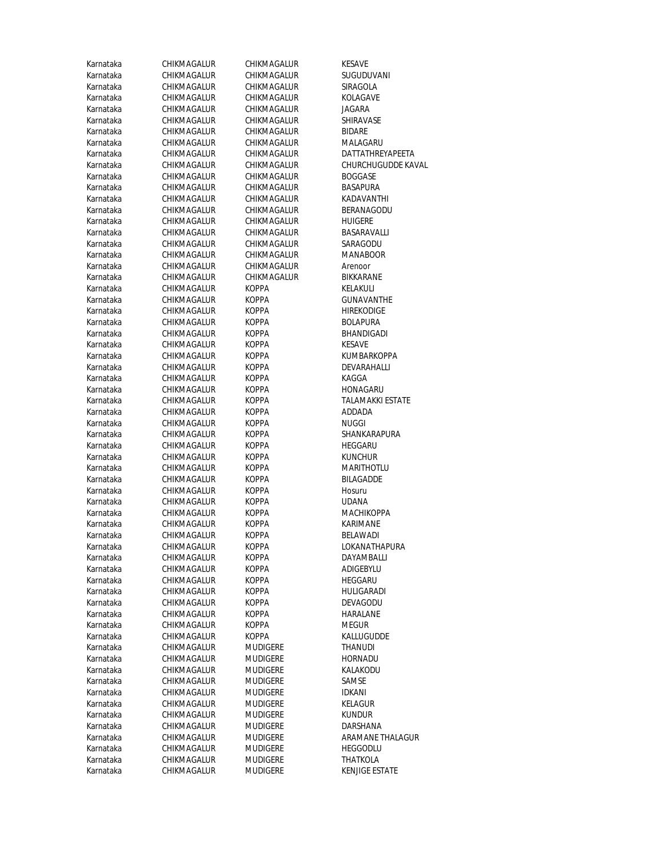| Karnataka              | CHIKMAGALUR                | CHIKMAGALUR                 | KESAVE                  |
|------------------------|----------------------------|-----------------------------|-------------------------|
| Karnataka              | CHIKMAGALUR                | CHIKMAGALUR                 | SUGUDUVANI              |
| Karnataka              | CHIKMAGALUR                | CHIKMAGALUR                 | SIRAGOLA                |
| Karnataka              | CHIKMAGALUR                | CHIKMAGALUR                 | <b>KOLAGAVE</b>         |
| Karnataka              | CHIKMAGALUR                | CHIKMAGALUR                 | JAGARA                  |
| Karnataka              | CHIKMAGALUR                | CHIKMAGALUR                 | SHIRAVASE               |
| Karnataka              | CHIKMAGALUR                | CHIKMAGALUR                 | <b>BIDARE</b>           |
| Karnataka              | CHIKMAGALUR                | CHIKMAGALUR                 | MALAGARU                |
| Karnataka              | CHIKMAGALUR                | CHIKMAGALUR                 | DATTATHREYAPEETA        |
| Karnataka              | CHIKMAGALUR                | CHIKMAGALUR                 | CHURCHUGUDDE KAVAL      |
| Karnataka              | CHIKMAGALUR                | CHIKMAGALUR                 | <b>BOGGASE</b>          |
| Karnataka              | CHIKMAGALUR                | CHIKMAGALUR                 | <b>BASAPURA</b>         |
| Karnataka              | CHIKMAGALUR                | CHIKMAGALUR                 | KADAVANTHI              |
| Karnataka              | CHIKMAGALUR                | CHIKMAGALUR                 | <b>BERANAGODU</b>       |
| Karnataka              | CHIKMAGALUR                | CHIKMAGALUR                 | <b>HUIGERE</b>          |
| Karnataka              | CHIKMAGALUR                | CHIKMAGALUR                 | BASARAVALLI             |
| Karnataka              | CHIKMAGALUR                | CHIKMAGALUR                 | SARAGODU                |
| Karnataka              | CHIKMAGALUR                | CHIKMAGALUR                 | <b>MANABOOR</b>         |
| Karnataka              | CHIKMAGALUR                | CHIKMAGALUR                 | Arenoor                 |
| Karnataka              | CHIKMAGALUR                | CHIKMAGALUR                 | BIKKARANE               |
| Karnataka              | CHIKMAGALUR                | <b>KOPPA</b>                | KELAKULI                |
| Karnataka              | CHIKMAGALUR                | <b>KOPPA</b>                | <b>GUNAVANTHE</b>       |
| Karnataka              | CHIKMAGALUR                | <b>KOPPA</b>                | <b>HIREKODIGE</b>       |
| Karnataka              | CHIKMAGALUR                | <b>KOPPA</b>                | <b>BOLAPURA</b>         |
| Karnataka              | CHIKMAGALUR                | KOPPA                       | BHANDIGADI              |
| Karnataka              | CHIKMAGALUR                | <b>KOPPA</b>                | <b>KESAVE</b>           |
| Karnataka              | CHIKMAGALUR                | KOPPA                       | KUMBARKOPPA             |
| Karnataka              | CHIKMAGALUR                | KOPPA                       | DEVARAHALLI             |
| Karnataka              | CHIKMAGALUR                | KOPPA                       | KAGGA                   |
| Karnataka              | CHIKMAGALUR                | KOPPA                       | HONAGARU                |
| Karnataka              | CHIKMAGALUR                | KOPPA                       | <b>TALAMAKKI ESTATE</b> |
| Karnataka              | CHIKMAGALUR                | KOPPA                       | ADDADA                  |
| Karnataka              | CHIKMAGALUR                | KOPPA                       | NUGGI                   |
| Karnataka              | CHIKMAGALUR                | KOPPA                       | SHANKARAPURA            |
| Karnataka              | CHIKMAGALUR                | KOPPA                       | HEGGARU                 |
| Karnataka              | CHIKMAGALUR                | KOPPA                       | <b>KUNCHUR</b>          |
| Karnataka              | CHIKMAGALUR                | KOPPA                       | MARITHOTLU              |
| Karnataka              | CHIKMAGALUR                | KOPPA                       | <b>BILAGADDE</b>        |
| Karnataka              | CHIKMAGALUR                | <b>KOPPA</b>                | Hosuru                  |
| Karnataka              | CHIKMAGALUR                | <b>KOPPA</b>                | UDANA                   |
| Karnataka              | CHIKMAGALUR                | KOPPA                       | <b>MACHIKOPPA</b>       |
| Karnataka              | CHIKMAGALUR                | KOPPA                       | KARIMANE                |
| Karnataka              | CHIKMAGALUR                | <b>KOPPA</b>                | BELAWADI                |
| Karnataka              | CHIKMAGALUR                | <b>KOPPA</b>                | LOKANATHAPURA           |
| Karnataka              | CHIKMAGALUR                | <b>KOPPA</b>                | DAYAMBALLI              |
| Karnataka              | CHIKMAGALUR                | KOPPA                       | ADIGEBYLU               |
| Karnataka<br>Karnataka | CHIKMAGALUR                | KOPPA                       | HEGGARU                 |
|                        | CHIKMAGALUR                | KOPPA                       | HULIGARADI              |
| Karnataka              | CHIKMAGALUR                | KOPPA                       | DEVAGODU                |
| Karnataka              | CHIKMAGALUR<br>CHIKMAGALUR | <b>KOPPA</b>                | <b>HARALANE</b>         |
| Karnataka              | CHIKMAGALUR                | KOPPA                       | Megur                   |
| Karnataka<br>Karnataka | CHIKMAGALUR                | KOPPA                       | KALLUGUDDE              |
| Karnataka              | CHIKMAGALUR                | MUDIGERE<br><b>MUDIGERE</b> | THANUDI<br>HORNADU      |
| Karnataka              | CHIKMAGALUR                | Mudigere                    | KALAKODU                |
| Karnataka              | CHIKMAGALUR                | MUDIGERE                    | SAMSE                   |
| Karnataka              | CHIKMAGALUR                | MUDIGERE                    | IDKANI                  |
| Karnataka              | CHIKMAGALUR                | MUDIGERE                    | KELAGUR                 |
| Karnataka              | CHIKMAGALUR                | Mudigere                    | <b>KUNDUR</b>           |
| Karnataka              | CHIKMAGALUR                | Mudigere                    | DARSHANA                |
| Karnataka              | CHIKMAGALUR                | Mudigere                    | ARAMANE THALAGUR        |
| Karnataka              | CHIKMAGALUR                | Mudigere                    | <b>HEGGODLU</b>         |
| Karnataka              | CHIKMAGALUR                | MUDIGERE                    | THATKOLA                |
| Karnataka              | CHIKMAGALUR                | Mudigere                    | <b>KENJIGE ESTATE</b>   |
|                        |                            |                             |                         |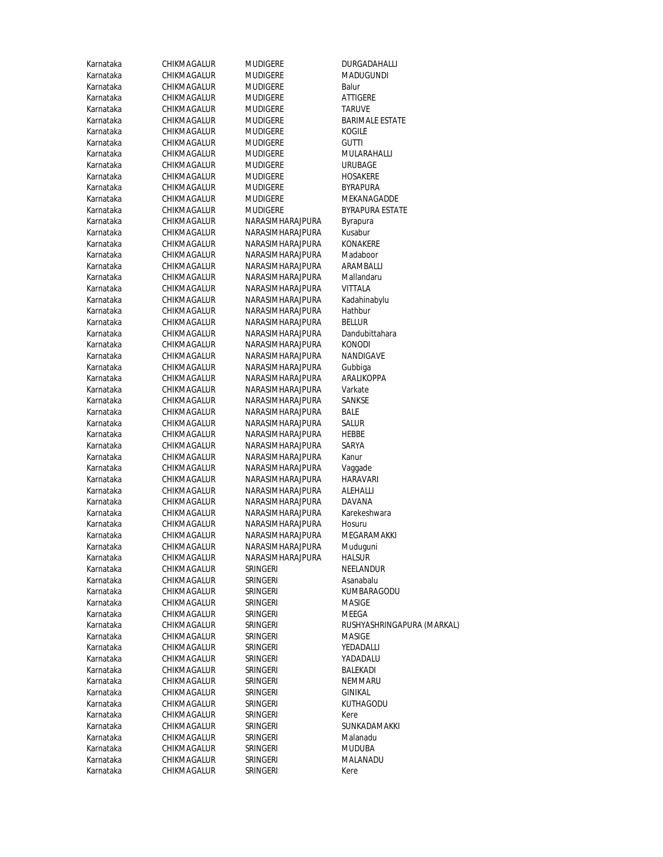| Karnataka              | CHIKMAGALUR                | MUDIGERE                             | DURGADAHALLI              |
|------------------------|----------------------------|--------------------------------------|---------------------------|
| Karnataka              | CHIKMAGALUR                | MUDIGERE                             | MADUGUNDI                 |
| Karnataka              | CHIKMAGALUR                | <b>MUDIGERE</b>                      | Balur                     |
| Karnataka              | CHIKMAGALUR                | MUDIGERE                             | <b>ATTIGERE</b>           |
| Karnataka              | CHIKMAGALUR                | MUDIGERE                             | TARUVE                    |
| Karnataka              | CHIKMAGALUR                | <b>MUDIGERE</b>                      | <b>BARIMALE ESTA</b>      |
| Karnataka              | CHIKMAGALUR                | MUDIGERE                             | KOGILE                    |
| Karnataka              | CHIKMAGALUR                | MUDIGERE                             | <b>GUTTI</b>              |
| Karnataka              | CHIKMAGALUR                | MUDIGERE                             | MULARAHALLI               |
| Karnataka              | CHIKMAGALUR                | <b>MUDIGERE</b>                      | <b>URUBAGE</b>            |
| Karnataka              | CHIKMAGALUR                | MUDIGERE                             | HOSAKERE                  |
| Karnataka              | CHIKMAGALUR                | <b>MUDIGERE</b>                      | BYRAPURA                  |
| Karnataka              | CHIKMAGALUR                | MUDIGERE                             | MEKANAGADDE               |
| Karnataka              | CHIKMAGALUR                | MUDIGERE                             | BYRAPURA ESTA             |
| Karnataka              | CHIKMAGALUR                | NARASIMHARAJPURA                     | Byrapura                  |
| Karnataka              | CHIKMAGALUR                | NARASIMHARAJPURA                     | Kusabur                   |
| Karnataka              | CHIKMAGALUR                | NARASIMHARAJPURA                     | KONAKERE                  |
| Karnataka              | CHIKMAGALUR                | NARASIMHARAJPURA                     | Madaboor                  |
| Karnataka              | CHIKMAGALUR                | NARASIMHARAJPURA                     | ARAMBALLI                 |
| Karnataka              | CHIKMAGALUR                | NARASIMHARAJPURA                     | Mallandaru                |
| Karnataka              | CHIKMAGALUR                | NARASIMHARAJPURA                     | <b>VITTALA</b>            |
| Karnataka              | CHIKMAGALUR                | NARASIMHARAJPURA                     | Kadahinabylu              |
| Karnataka              | CHIKMAGALUR                | NARASIMHARAJPURA                     | Hathbur                   |
| Karnataka              | CHIKMAGALUR                | NARASIMHARAJPURA                     | <b>BELLUR</b>             |
| Karnataka              | CHIKMAGALUR                | NARASIMHARAJPURA                     | Dandubittahara            |
| Karnataka              | CHIKMAGALUR                | NARASIMHARAJPURA                     | konodi                    |
| Karnataka              | CHIKMAGALUR                | NARASIMHARAJPURA                     | NANDIGAVE                 |
| Karnataka              | CHIKMAGALUR                | NARASIMHARAJPURA                     | Gubbiga                   |
| Karnataka              | CHIKMAGALUR                | NARASIMHARAJPURA                     | ARALIKOPPA                |
| Karnataka              | CHIKMAGALUR                | NARASIMHARAJPURA                     | Varkate                   |
| Karnataka              | CHIKMAGALUR                | NARASIMHARAJPURA                     | SANKSE                    |
| Karnataka              | CHIKMAGALUR                | NARASIMHARAJPURA                     | <b>BALE</b>               |
| Karnataka              | CHIKMAGALUR                | NARASIMHARAJPURA                     | salur                     |
| Karnataka              | CHIKMAGALUR                | NARASIMHARAJPURA                     | HEBBE                     |
| Karnataka              | CHIKMAGALUR                | NARASIMHARAJPURA                     | SARYA                     |
| Karnataka              | CHIKMAGALUR                | NARASIMHARAJPURA                     | Kanur                     |
| Karnataka              | CHIKMAGALUR                | NARASIMHARAJPURA                     | Vaggade                   |
| Karnataka              | CHIKMAGALUR                | NARASIMHARAJPURA                     | HARAVARI                  |
| Karnataka              | CHIKMAGALUR                | NARASIMHARAJPURA                     | ALEHALLI                  |
| Karnataka              | CHIKMAGALUR                | NARASIMHARAJPURA                     | DAVANA                    |
| Karnataka              | CHIKMAGALUR                | NARASIMHARAJPURA                     | Karekeshwara              |
| Karnataka              | CHIKMAGALUR                | NARASIMHARAJPURA<br>NARASIMHARAJPURA | Hosuru<br>MEGARAMAKKI     |
| Karnataka              | CHIKMAGALUR<br>CHIKMAGALUR |                                      |                           |
| Karnataka<br>Karnataka | CHIKMAGALUR                | NARASIMHARAJPURA<br>NARASIMHARAJPURA | Muduguni<br><b>HALSUR</b> |
| Karnataka              | CHIKMAGALUR                | SRINGERI                             | NEELANDUR                 |
| Karnataka              | CHIKMAGALUR                | SRINGERI                             | Asanabalu                 |
| Karnataka              | CHIKMAGALUR                | <b>SRINGERI</b>                      | KUMBARAGODL               |
| Karnataka              | CHIKMAGALUR                | SRINGERI                             | MASIGE                    |
| Karnataka              | CHIKMAGALUR                | SRINGERI                             | MEEGA                     |
| Karnataka              | CHIKMAGALUR                | <b>SRINGERI</b>                      | RUSHYASHRING.             |
| Karnataka              | CHIKMAGALUR                | SRINGERI                             | MASIGE                    |
| Karnataka              | CHIKMAGALUR                | SRINGERI                             | YEDADALLI                 |
| Karnataka              | CHIKMAGALUR                | SRINGERI                             | YADADALU                  |
| Karnataka              | CHIKMAGALUR                | <b>SRINGERI</b>                      | BALEKADI                  |
| Karnataka              | CHIKMAGALUR                | SRINGERI                             | NEMMARU                   |
| Karnataka              | CHIKMAGALUR                | SRINGERI                             | GINIKAL                   |
| Karnataka              | CHIKMAGALUR                | SRINGERI                             | KUTHAGODU                 |
| Karnataka              | CHIKMAGALUR                | SRINGERI                             | Kere                      |
| Karnataka              | CHIKMAGALUR                | SRINGERI                             | SUNKADAMAKK               |
| Karnataka              | CHIKMAGALUR                | SRINGERI                             | Malanadu                  |
| Karnataka              | CHIKMAGALUR                | SRINGERI                             | MUDUBA                    |
| Karnataka              | CHIKMAGALUR                | SRINGERI                             | MALANADU                  |
| Karnataka              | CHIKMAGALUR                | <b>SRINGERI</b>                      | Kere                      |
|                        |                            |                                      |                           |

MADUGUNDI<br>Balur BARIMALE ESTATE MULARAHALLI URUBAGE HOSAKERE **BYRAPURA** MEKANAGADDE BYRAPURA ESTATE Byrapura<br>Kusabur KONAKERE Madaboor ARAMBALLI Mallandaru<br>VITTALA Kadahinabylu<br>Hathbur Dandubittahara<br>KONODI NANDIGAVE Gubbiga ARALIKOPPA<br>Varkate Vaggade HARAVARI<br>ALEHALLI Karekeshwara<br>Hosuru MEGARAMAKKI Muduguni<br>HALSUR **NEELANDUR** Asanabalu KUMBARAGODU<br>MASIGE RUSHYASHRINGAPURA (MARKAL) MASIGE YEDADALLI YADADALU<br>BALEKADI NEMMARU<br>GINIKAL KUTHAGODU<br>Kere SUNKADAMAKKI Malanadu **MUDUBA MALANADU**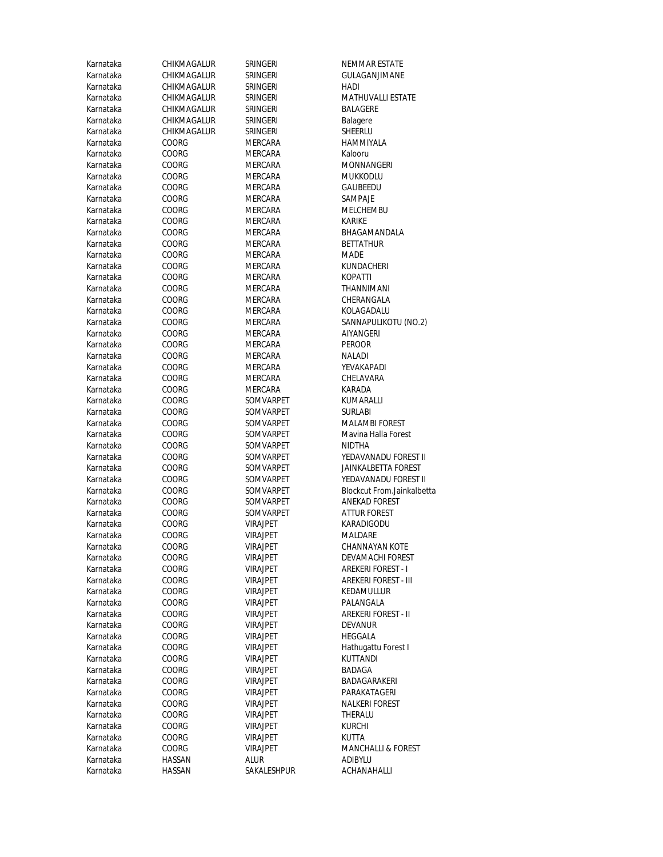| Karnataka | CHIKMAGALUR | SRINGERI        | NEMMAR ESTATE                 |
|-----------|-------------|-----------------|-------------------------------|
| Karnataka | CHIKMAGALUR | <b>SRINGERI</b> | GULAGANJIMANE                 |
| Karnataka | CHIKMAGALUR | SRINGERI        | HADI                          |
| Karnataka | CHIKMAGALUR | <b>SRINGERI</b> | <b>MATHUVALLI ESTATE</b>      |
| Karnataka | CHIKMAGALUR | <b>SRINGERI</b> | BALAGERE                      |
| Karnataka | CHIKMAGALUR | <b>SRINGERI</b> | Balagere                      |
| Karnataka | CHIKMAGALUR | SRINGERI        | SHEERLU                       |
| Karnataka | COORG       | MERCARA         | HAMMIYALA                     |
| Karnataka | COORG       | MERCARA         | Kalooru                       |
| Karnataka | COORG       | MERCARA         | MONNANGERI                    |
| Karnataka | COORG       | <b>MERCARA</b>  | <b>MUKKODLU</b>               |
| Karnataka | COORG       | <b>MERCARA</b>  | GALIBEEDU                     |
| Karnataka | COORG       | <b>MERCARA</b>  | SAMPAJE                       |
| Karnataka | COORG       | MERCARA         | MELCHEMBU                     |
| Karnataka | COORG       | MERCARA         | KARIKE                        |
| Karnataka | COORG       | MERCARA         | BHAGAMANDALA                  |
| Karnataka | COORG       | MERCARA         | <b>BETTATHUR</b>              |
|           | COORG       | MERCARA         | MADE                          |
| Karnataka |             |                 |                               |
| Karnataka | COORG       | MERCARA         | KUNDACHERI                    |
| Karnataka | COORG       | MERCARA         | KOPATTI                       |
| Karnataka | COORG       | MERCARA         | <b>THANNIMANI</b>             |
| Karnataka | COORG       | MERCARA         | CHERANGALA                    |
| Karnataka | COORG       | MERCARA         | KOLAGADALU                    |
| Karnataka | COORG       | MERCARA         | SANNAPULIKOTU (NO.2)          |
| Karnataka | COORG       | MERCARA         | <b>AIYANGERI</b>              |
| Karnataka | COORG       | MERCARA         | PEROOR                        |
| Karnataka | COORG       | MERCARA         | NALADI                        |
| Karnataka | COORG       | MERCARA         | YEVAKAPADI                    |
| Karnataka | COORG       | MERCARA         | CHELAVARA                     |
| Karnataka | COORG       | MERCARA         | KARADA                        |
| Karnataka | COORG       | SOMVARPET       | KUMARALLI                     |
| Karnataka | COORG       | SOMVARPET       | SURLABI                       |
| Karnataka | COORG       | SOMVARPET       | <b>MALAMBI FOREST</b>         |
| Karnataka | COORG       | SOMVARPET       | Mavina Halla Forest           |
| Karnataka | COORG       | SOMVARPET       | NIDTHA                        |
| Karnataka | COORG       | SOMVARPET       | YEDAVANADU FOREST II          |
| Karnataka | COORG       | SOMVARPET       | JAINKALBETTA FOREST           |
| Karnataka | COORG       | SOMVARPET       | YEDAVANADU FOREST II          |
| Karnataka | COORG       | SOMVARPET       | Blockcut From.Jainkalbetta    |
| Karnataka | COORG       | SOMVARPET       | ANEKAD FOREST                 |
| Karnataka | COORG       | SOMVARPET       | ATTUR FOREST                  |
| Karnataka | COORG       | <b>VIRAJPET</b> | KARADIGODU                    |
| Karnataka | COORG       | <b>VIRAJPET</b> | Maldare                       |
| Karnataka | COORG       | <b>VIRAJPET</b> | CHANNAYAN KOTE                |
| Karnataka | COORG       | VIRAJPET        | <b>DEVAMACHI FOREST</b>       |
| Karnataka | COORG       | <b>VIRAJPET</b> | <b>AREKERI FOREST - I</b>     |
| Karnataka | COORG       | <b>VIRAJPET</b> | <b>AREKERI FOREST - III</b>   |
| Karnataka | COORG       | VIRAJPET        | KEDAMULLUR                    |
| Karnataka | COORG       | VIRAJPET        | PALANGALA                     |
| Karnataka | COORG       | <b>VIRAJPET</b> | AREKERI FOREST - II           |
| Karnataka | COORG       | <b>VIRAJPET</b> | <b>DEVANUR</b>                |
| Karnataka | COORG       | <b>VIRAJPET</b> | HEGGALA                       |
| Karnataka | COORG       | <b>VIRAJPET</b> | Hathugattu Forest I           |
| Karnataka | COORG       | <b>VIRAJPET</b> | KUTTANDI                      |
| Karnataka | COORG       | VIRAJPET        | BADAGA                        |
| Karnataka | COORG       | <b>VIRAJPET</b> | BADAGARAKERI                  |
| Karnataka | COORG       | <b>VIRAJPET</b> | PARAKATAGERI                  |
| Karnataka | COORG       | <b>VIRAJPET</b> | NALKERI FOREST                |
| Karnataka | COORG       | VIRAJPET        | THERALU                       |
| Karnataka | COORG       | VIRAJPET        | KURCHI                        |
| Karnataka | COORG       | <b>VIRAJPET</b> | KUTTA                         |
| Karnataka | COORG       | VIRAJPET        | <b>MANCHALLI &amp; FOREST</b> |
| Karnataka | HASSAN      | alur            | ADIBYLU                       |
| Karnataka | HASSAN      | SAKALESHPUR     | ACHANAHALLI                   |
|           |             |                 |                               |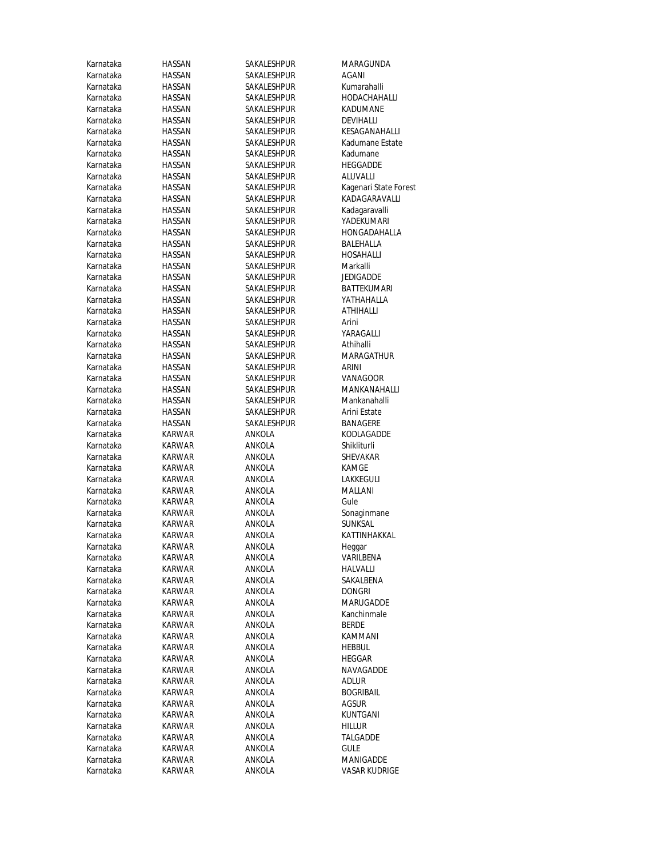| Karnataka              | HASSAN           | SAKALESHPUR      | MARAGUNDA             |
|------------------------|------------------|------------------|-----------------------|
| Karnataka              | HASSAN           | SAKALESHPUR      | AGANI                 |
| Karnataka              | HASSAN           | SAKALESHPUR      | Kumarahalli           |
| Karnataka              | HASSAN           | SAKALESHPUR      | HODACHAHALLI          |
| Karnataka              | HASSAN           | SAKALESHPUR      | KADUMANE              |
| Karnataka              | HASSAN           | SAKALESHPUR      | DEVIHALLI             |
| Karnataka              | HASSAN           | SAKALESHPUR      | KESAGANAHALLI         |
| Karnataka              | HASSAN           | SAKALESHPUR      | Kadumane Estate       |
| Karnataka              | HASSAN           | SAKALESHPUR      | Kadumane              |
| Karnataka              | HASSAN           | SAKALESHPUR      | HEGGADDE              |
| Karnataka              | HASSAN           | SAKALESHPUR      | ALUVALLI              |
| Karnataka              | HASSAN           | SAKALESHPUR      | Kagenari State Forest |
| Karnataka              | HASSAN           | SAKALESHPUR      | KADAGARAVALLI         |
| Karnataka              | HASSAN           | SAKALESHPUR      | Kadagaravalli         |
| Karnataka              | HASSAN           | SAKALESHPUR      | YADEKUMARI            |
| Karnataka              | HASSAN           | SAKALESHPUR      | HONGADAHALLA          |
| Karnataka              | HASSAN           | SAKALESHPUR      | BALEHALLA             |
| Karnataka              | HASSAN           | SAKALESHPUR      | HOSAHALLI             |
| Karnataka              | HASSAN           | SAKALESHPUR      | Markalli              |
| Karnataka              | <b>HASSAN</b>    | SAKALESHPUR      | <b>JEDIGADDE</b>      |
| Karnataka              | <b>HASSAN</b>    | SAKALESHPUR      | BATTEKUMARI           |
| Karnataka              | HASSAN           | SAKALESHPUR      | YATHAHALLA            |
| Karnataka              | HASSAN           | SAKALESHPUR      | ATHIHALLI             |
| Karnataka              | HASSAN           | SAKALESHPUR      | Arini                 |
| Karnataka              | HASSAN           | SAKALESHPUR      | YARAGALLI             |
| Karnataka              | HASSAN           | SAKALESHPUR      | Athihalli             |
| Karnataka              | HASSAN           | SAKALESHPUR      | MARAGATHUR            |
| Karnataka              | <b>HASSAN</b>    | SAKALESHPUR      | ARINI                 |
| Karnataka              | HASSAN           | SAKALESHPUR      | VANAGOOR              |
| Karnataka              | HASSAN           | SAKALESHPUR      | MANKANAHALLI          |
| Karnataka              | HASSAN           | SAKALESHPUR      | Mankanahalli          |
| Karnataka              | HASSAN           | SAKALESHPUR      | Arini Estate          |
| Karnataka              | HASSAN           | SAKALESHPUR      | BANAGERE              |
| Karnataka              | KARWAR           | ANKOLA           | KODLAGADDE            |
| Karnataka              | KARWAR           | ANKOLA           | Shikliturli           |
| Karnataka              | KARWAR           | ANKOLA           | SHEVAKAR              |
| Karnataka              | KARWAR           | ANKOLA           | KAMGE                 |
| Karnataka              | <b>KARWAR</b>    | ANKOLA           | LAKKEGULI             |
| Karnataka              | <b>KARWAR</b>    | ANKOLA           | MALLANI               |
| Karnataka              | KARWAR           | ANKOLA           | Gule                  |
| Karnataka              | KARWAR           | ANKOLA           | Sonaginmane           |
| Karnataka              | KARWAR           | ANKOLA           | SUNKSAL               |
| Karnataka              | <b>KARWAR</b>    | ANKOLA           | KATTINHAKKAL          |
| Karnataka              | KARWAR           | ANKOLA           | Heggar                |
| Karnataka              | KARWAR           | ANKOLA           | VARILBENA             |
| Karnataka              | KARWAR           | ANKOLA           | HALVALLI              |
| Karnataka              | KARWAR           | ANKOLA           | SAKALBENA             |
| Karnataka              | KARWAR           | ANKOLA           | Dongri                |
| Karnataka              | KARWAR           | ANKOLA           | MARUGADDE             |
| Karnataka              | KARWAR           | ANKOLA           | Kanchinmale           |
| Karnataka              | KARWAR           | ANKOLA           | BERDE                 |
| Karnataka              | KARWAR           | ANKOLA           | KAMMANI               |
| Karnataka              | KARWAR           | ANKOLA           | <b>HEBBUL</b>         |
| Karnataka              | KARWAR           | ANKOLA           | HEGGAR                |
| Karnataka              | KARWAR           | ANKOLA<br>ANKOLA | NAVAGADDE             |
| Karnataka              | KARWAR           |                  | adlur                 |
| Karnataka<br>Karnataka | KARWAR           | ANKOLA           | BOGRIBAIL<br>agsur    |
| Karnataka              | KARWAR<br>KARWAR | ANKOLA<br>ANKOLA | KUNTGANI              |
| Karnataka              |                  |                  |                       |
| Karnataka              | KARWAR           | ANKOLA           | Hillur<br>TALGADDE    |
| Karnataka              | KARWAR<br>KARWAR | ANKOLA<br>ANKOLA | gule                  |
| Karnataka              | KARWAR           | ANKOLA           | MANIGADDE             |
|                        | <b>KARWAR</b>    | ANKOLA           | VASAR KUDRIGE         |
| Karnataka              |                  |                  |                       |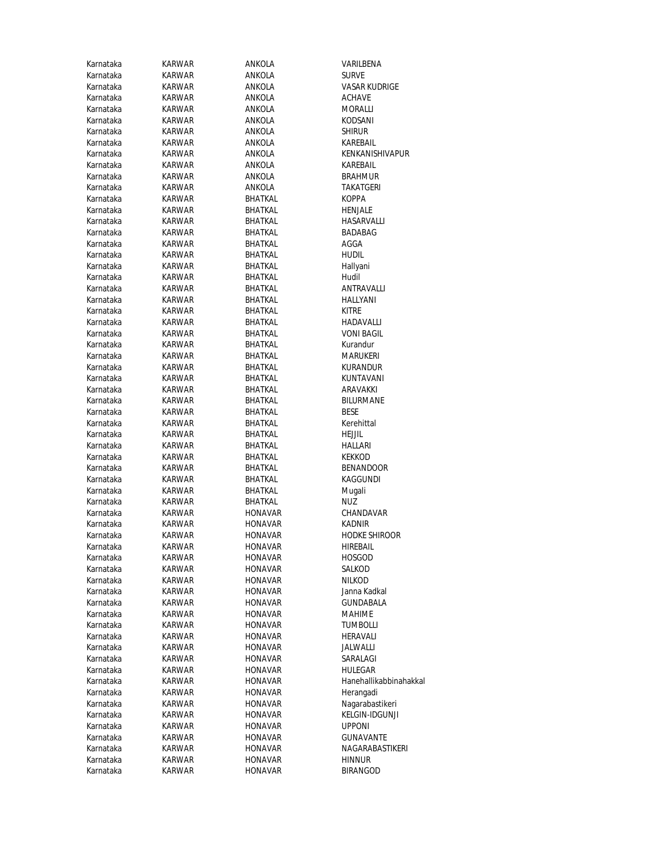| Karnataka              | KARWAR                  | ANKOLA                           | VARILBENA                 |
|------------------------|-------------------------|----------------------------------|---------------------------|
| Karnataka              | KARWAR                  | ANKOLA                           | <b>SURVE</b>              |
| Karnataka              | KARWAR                  | ANKOLA                           | VASAR KUDRIGE             |
| Karnataka              | KARWAR                  | ANKOLA                           | <b>ACHAVE</b>             |
| Karnataka              | KARWAR                  | ANKOLA                           | MORALLI                   |
| Karnataka              | <b>KARWAR</b>           | ANKOLA                           | KODSANI                   |
| Karnataka              | KARWAR                  | ANKOLA                           | <b>SHIRUR</b>             |
| Karnataka              | KARWAR                  | ANKOLA                           | KAREBAIL                  |
| Karnataka              | KARWAR                  | ANKOLA                           | KENKANISHIVAPUR           |
| Karnataka              | KARWAR                  | ANKOLA                           | KAREBAIL                  |
| Karnataka              | KARWAR                  | ANKOLA                           | <b>BRAHMUR</b>            |
| Karnataka              | KARWAR                  | ANKOLA                           | TAKATGERI                 |
| Karnataka              | KARWAR                  | BHATKAL                          | KOPPA                     |
| Karnataka              | KARWAR                  | BHATKAL                          | HENJALE                   |
| Karnataka              | KARWAR                  | BHATKAL                          | HASARVALLI                |
| Karnataka              | KARWAR                  | BHATKAL                          | BADABAG                   |
| Karnataka              | KARWAR                  | BHATKAL                          | AGGA                      |
| Karnataka              | KARWAR                  | BHATKAL                          | <b>HUDIL</b>              |
| Karnataka              | <b>KARWAR</b>           | BHATKAL                          | Hallyani                  |
| Karnataka              | KARWAR                  | BHATKAL                          | Hudil                     |
| Karnataka              | KARWAR                  | BHATKAL                          | ANTRAVALLI                |
| Karnataka              | KARWAR                  | BHATKAL                          | HALLYANI                  |
| Karnataka              | KARWAR                  | BHATKAL                          | <b>KITRE</b>              |
| Karnataka              | KARWAR                  | BHATKAL                          | HADAVALLI                 |
| Karnataka              | KARWAR                  | <b>BHATKAL</b>                   | <b>VONI BAGIL</b>         |
| Karnataka              | KARWAR                  | <b>BHATKAL</b>                   | Kurandur                  |
| Karnataka              | KARWAR                  | BHATKAL                          | Marukeri                  |
| Karnataka              | KARWAR                  | <b>BHATKAL</b>                   | KURANDUR                  |
| Karnataka              | KARWAR                  | BHATKAL                          | KUNTAVANI                 |
| Karnataka              | <b>KARWAR</b>           | BHATKAL                          | ARAVAKKI                  |
| Karnataka              | KARWAR                  | BHATKAL                          | <b>BILURMANE</b>          |
| Karnataka              | KARWAR                  | BHATKAL                          | <b>BESE</b>               |
| Karnataka              | KARWAR                  | BHATKAL                          | Kerehittal                |
| Karnataka              | KARWAR                  | BHATKAL                          | HEJJIL                    |
| Karnataka              | KARWAR                  | BHATKAL                          | HALLARI                   |
| Karnataka              | KARWAR                  | BHATKAL                          | KEKKOD                    |
| Karnataka              | KARWAR                  | BHATKAL                          | <b>BENANDOOR</b>          |
| Karnataka              | KARWAR                  | BHATKAL                          | KAGGUNDI                  |
| Karnataka              | KARWAR                  | BHATKAL                          | Mugali                    |
| Karnataka              | KARWAR                  | BHATKAL                          | NUZ                       |
| Karnataka<br>Karnataka | <b>KARWAR</b>           | <b>HONAVAR</b>                   | CHANDAVAR                 |
| Karnataka              | KARWAR                  | <b>HONAVAR</b>                   | KADNIR                    |
|                        | KARWAR                  | <b>HONAVAR</b><br><b>HONAVAR</b> | HODKE SHIROOR             |
| Karnataka<br>Karnataka | <b>KARWAR</b><br>KARWAR | <b>HONAVAR</b>                   | HIREBAIL<br><b>HOSGOD</b> |
| Karnataka              | KARWAR                  | <b>HONAVAR</b>                   | SALKOD                    |
| Karnataka              | KARWAR                  | <b>HONAVAR</b>                   | Nilkod                    |
| Karnataka              | KARWAR                  | <b>HONAVAR</b>                   | Janna Kadkal              |
| Karnataka              | KARWAR                  | <b>HONAVAR</b>                   | <b>GUNDABALA</b>          |
| Karnataka              | KARWAR                  | <b>HONAVAR</b>                   | <b>MAHIME</b>             |
| Karnataka              | <b>KARWAR</b>           | <b>HONAVAR</b>                   | TUMBOLLI                  |
| Karnataka              | KARWAR                  | <b>HONAVAR</b>                   | HERAVALI                  |
| Karnataka              | KARWAR                  | <b>HONAVAR</b>                   | JALWALLI                  |
| Karnataka              | <b>KARWAR</b>           | <b>HONAVAR</b>                   | SARALAGI                  |
| Karnataka              | KARWAR                  | <b>HONAVAR</b>                   | HULEGAR                   |
| Karnataka              | KARWAR                  | <b>HONAVAR</b>                   | Hanehallikabbinahakkal    |
| Karnataka              | KARWAR                  | <b>HONAVAR</b>                   | Herangadi                 |
| Karnataka              | KARWAR                  | <b>HONAVAR</b>                   | Nagarabastikeri           |
| Karnataka              | KARWAR                  | <b>HONAVAR</b>                   | KELGIN-IDGUNJI            |
| Karnataka              | KARWAR                  | HONAVAR                          | <b>UPPONI</b>             |
| Karnataka              | KARWAR                  | <b>HONAVAR</b>                   | GUNAVANTE                 |
| Karnataka              | KARWAR                  | <b>HONAVAR</b>                   | NAGARABASTIKERI           |
| Karnataka              | KARWAR                  | <b>HONAVAR</b>                   | <b>HINNUR</b>             |
| Karnataka              | KARWAR                  | <b>HONAVAR</b>                   | <b>BIRANGOD</b>           |
|                        |                         |                                  |                           |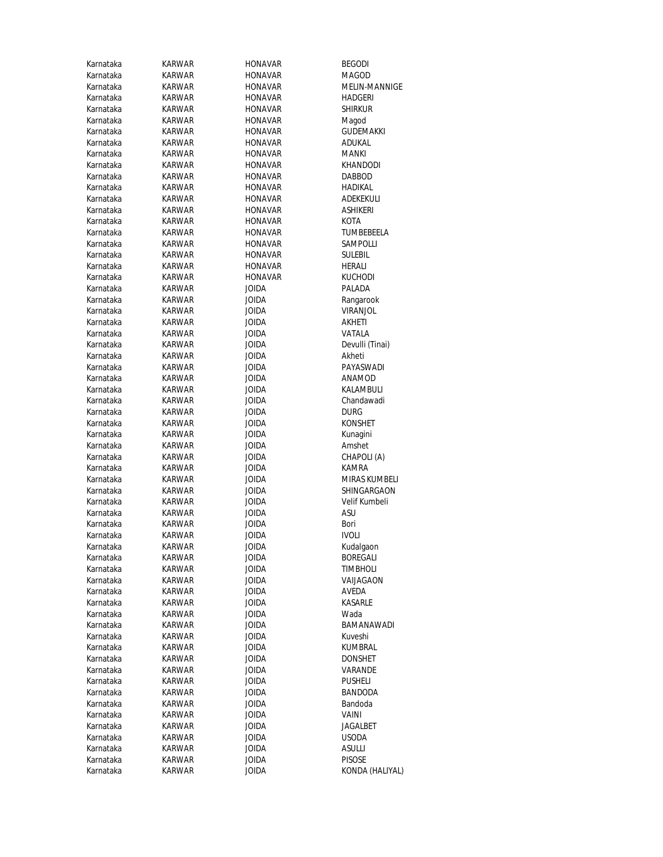| Karnataka              | KARWAR                  | <b>HONAVAR</b>        | <b>BEGODI</b>             |
|------------------------|-------------------------|-----------------------|---------------------------|
| Karnataka              | <b>KARWAR</b>           | <b>HONAVAR</b>        | MAGOD                     |
| Karnataka              | KARWAR                  | <b>HONAVAR</b>        | MELIN-MANNIGE             |
| Karnataka              | KARWAR                  | <b>HONAVAR</b>        | HADGERI                   |
| Karnataka              | KARWAR                  | <b>HONAVAR</b>        | <b>SHIRKUR</b>            |
| Karnataka              | KARWAR                  | <b>HONAVAR</b>        | Magod                     |
| Karnataka              | KARWAR                  | <b>HONAVAR</b>        | <b>GUDEMAKKI</b>          |
| Karnataka              | KARWAR                  | <b>HONAVAR</b>        | ADUKAL                    |
| Karnataka              | KARWAR                  | <b>HONAVAR</b>        | MANKI                     |
| Karnataka              | KARWAR                  | <b>HONAVAR</b>        | KHANDODI                  |
| Karnataka              | KARWAR                  | <b>HONAVAR</b>        | <b>DABBOD</b>             |
| Karnataka              | KARWAR                  | <b>HONAVAR</b>        | HADIKAL                   |
| Karnataka              | KARWAR                  | <b>HONAVAR</b>        | ADEKEKULI                 |
| Karnataka              | KARWAR                  | <b>HONAVAR</b>        | ASHIKERI                  |
| Karnataka              | KARWAR                  | <b>HONAVAR</b>        | KOTA                      |
| Karnataka              | KARWAR                  | <b>HONAVAR</b>        | TUMBEBEELA                |
| Karnataka              | KARWAR                  | <b>HONAVAR</b>        | SAMPOLLI                  |
| Karnataka              | KARWAR                  | <b>HONAVAR</b>        | <b>SULEBIL</b>            |
| Karnataka              | KARWAR                  | <b>HONAVAR</b>        | HERALI                    |
| Karnataka              | <b>KARWAR</b>           | <b>HONAVAR</b>        | KUCHODI                   |
| Karnataka              | KARWAR                  | JOIDA                 | PALADA                    |
| Karnataka              | KARWAR                  | JOIDA                 | Rangarook                 |
| Karnataka              | KARWAR<br><b>KARWAR</b> | JOIDA                 | VIRANJOL                  |
| Karnataka<br>Karnataka | KARWAR                  | JOIDA<br><b>JOIDA</b> | AKHETI<br>VATALA          |
| Karnataka              | KARWAR                  | JOIDA                 |                           |
| Karnataka              | KARWAR                  | JOIDA                 | Devulli (Tinai)<br>Akheti |
| Karnataka              | <b>KARWAR</b>           | <b>JOIDA</b>          | PAYASWADI                 |
| Karnataka              | KARWAR                  | JOIDA                 | ANAMOD                    |
| Karnataka              | KARWAR                  | JOIDA                 | KALAMBULI                 |
| Karnataka              | KARWAR                  | JOIDA                 | Chandawadi                |
| Karnataka              | KARWAR                  | <b>JOIDA</b>          | <b>DURG</b>               |
| Karnataka              | KARWAR                  | JOIDA                 | <b>KONSHET</b>            |
| Karnataka              | KARWAR                  | JOIDA                 | Kunagini                  |
| Karnataka              | KARWAR                  | JOIDA                 | Amshet                    |
| Karnataka              | KARWAR                  | JOIDA                 | CHAPOLI (A)               |
| Karnataka              | KARWAR                  | JOIDA                 | KAMRA                     |
| Karnataka              | KARWAR                  | <b>JOIDA</b>          | <b>MIRAS KUMBELI</b>      |
| Karnataka              | KARWAR                  | JOIDA                 | SHINGARGAON               |
| Karnataka              | KARWAR                  | JOIDA                 | Velif Kumbeli             |
| Karnataka              | KARWAR                  | JOIDA                 | ASU                       |
| Karnataka              | KARWAR                  | <b>JOIDA</b>          | Bori                      |
| Karnataka              | KARWAR                  | JOIDA                 | <b>IVOLI</b>              |
| Karnataka              | KARWAR                  | <b>JOIDA</b>          | Kudalgaon                 |
| Karnataka              | <b>KARWAR</b>           | <b>JOIDA</b>          | <b>BOREGALI</b>           |
| Karnataka              | KARWAR                  | <b>JOIDA</b>          | <b>TIMBHOLI</b>           |
| Karnataka              | KARWAR                  | JOIDA                 | VAIJAGAON                 |
| Karnataka              | KARWAR                  | <b>JOIDA</b>          | AVEDA                     |
| Karnataka              | KARWAR                  | <b>JOIDA</b>          | KASARLE                   |
| Karnataka              | KARWAR                  | <b>JOIDA</b>          | Wada                      |
| Karnataka              | KARWAR                  | JOIDA                 | BAMANAWADI                |
| Karnataka              | KARWAR                  | JOIDA                 | Kuveshi                   |
| Karnataka              | KARWAR                  | JOIDA                 | KUMBRAL                   |
| Karnataka              | <b>KARWAR</b>           | <b>JOIDA</b>          | DONSHET                   |
| Karnataka              | KARWAR                  | JOIDA                 | VARANDE                   |
| Karnataka              | KARWAR                  | JOIDA                 | <b>PUSHELI</b>            |
| Karnataka              | KARWAR                  | JOIDA                 | BANDODA                   |
| Karnataka              | KARWAR                  | JOIDA                 | Bandoda                   |
| Karnataka              | KARWAR                  | JOIDA                 | VAINI                     |
| Karnataka              | KARWAR                  | JOIDA                 | JAGALBET                  |
| Karnataka              | KARWAR                  | <b>JOIDA</b>          | <b>USODA</b>              |
| Karnataka              | KARWAR                  | JOIDA                 | <b>ASULLI</b>             |
| Karnataka              | KARWAR                  | <b>JOIDA</b>          | <b>PISOSE</b>             |
| Karnataka              | KARWAR                  | <b>JOIDA</b>          | KONDA (HALIYAL)           |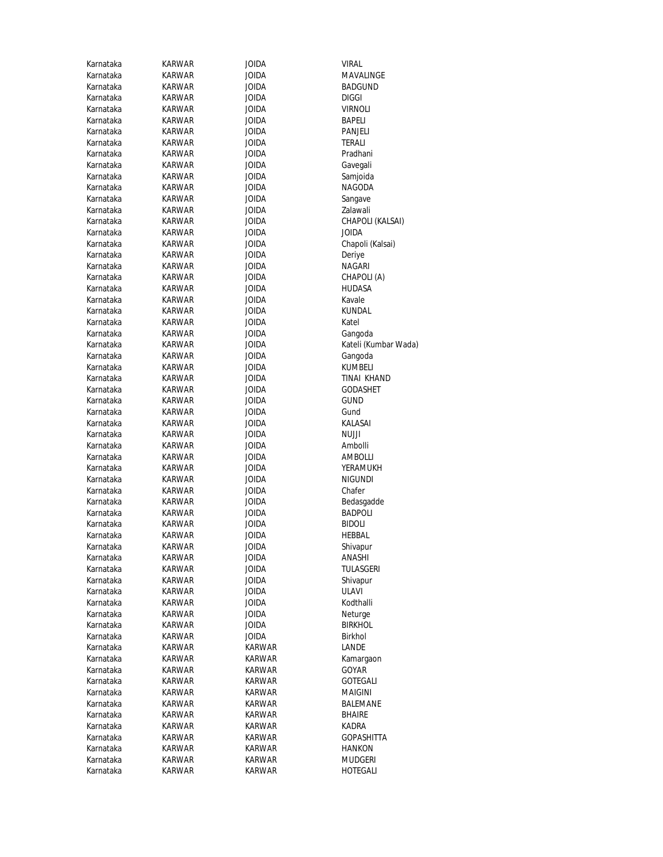| Karnataka | KARWAR        | JOIDA        | VIRAL                |
|-----------|---------------|--------------|----------------------|
| Karnataka | KARWAR        | JOIDA        | MAVALINGE            |
| Karnataka | KARWAR        | JOIDA        | <b>BADGUND</b>       |
| Karnataka | KARWAR        | JOIDA        | <b>DIGGI</b>         |
| Karnataka | KARWAR        | JOIDA        | VIRNOLI              |
| Karnataka | KARWAR        | JOIDA        | BAPELI               |
| Karnataka | <b>KARWAR</b> | <b>JOIDA</b> | PANJELI              |
| Karnataka | KARWAR        | JOIDA        | TERALI               |
| Karnataka | KARWAR        | JOIDA        | Pradhani             |
| Karnataka | KARWAR        | <b>JOIDA</b> | Gavegali             |
| Karnataka | KARWAR        | JOIDA        | Samjoida             |
| Karnataka | KARWAR        | <b>JOIDA</b> | NAGODA               |
| Karnataka | KARWAR        | JOIDA        | Sangave              |
| Karnataka | KARWAR        | JOIDA        | Zalawali             |
| Karnataka | KARWAR        | JOIDA        | CHAPOLI (KALSAI)     |
| Karnataka | KARWAR        | JOIDA        | JOIDA                |
| Karnataka | KARWAR        | JOIDA        | Chapoli (Kalsai)     |
| Karnataka | KARWAR        | JOIDA        | Deriye               |
| Karnataka | KARWAR        | JOIDA        | NAGARI               |
| Karnataka | <b>KARWAR</b> | JOIDA        | CHAPOLI (A)          |
| Karnataka | KARWAR        | JOIDA        | HUDASA               |
| Karnataka | KARWAR        | JOIDA        | Kavale               |
| Karnataka | KARWAR        | JOIDA        | <b>KUNDAL</b>        |
| Karnataka | KARWAR        | JOIDA        | Katel                |
| Karnataka | KARWAR        | JOIDA        | Gangoda              |
| Karnataka | KARWAR        | JOIDA        | Kateli (Kumbar Wada) |
| Karnataka | KARWAR        | JOIDA        | Gangoda              |
| Karnataka | KARWAR        | JOIDA        | KUMBELI              |
| Karnataka | KARWAR        | JOIDA        | TINAI KHAND          |
| Karnataka | KARWAR        | JOIDA        | <b>GODASHET</b>      |
| Karnataka | KARWAR        | JOIDA        | GUND                 |
| Karnataka | KARWAR        | JOIDA        | Gund                 |
| Karnataka | KARWAR        | JOIDA        | KALASAI              |
| Karnataka | KARWAR        | JOIDA        | NUJJI                |
| Karnataka | KARWAR        | JOIDA        | Ambolli              |
| Karnataka | KARWAR        | JOIDA        | AMBOLLI              |
| Karnataka | KARWAR        | JOIDA        | YERAMUKH             |
| Karnataka | <b>KARWAR</b> | JOIDA        | <b>NIGUNDI</b>       |
| Karnataka | KARWAR        | JOIDA        | Chafer               |
| Karnataka | KARWAR        | JOIDA        | Bedasgadde           |
| Karnataka | KARWAR        | JOIDA        | <b>BADPOLI</b>       |
| Karnataka | KARWAR        | JOIDA        | <b>BIDOLI</b>        |
| Karnataka | KARWAR        | JOIDA        | HEBBAL               |
| Karnataka | KARWAR        | JOIDA        | Shivapur             |
| Karnataka | KARWAR        | JOIDA        | ANASHI               |
| Karnataka | KARWAR        | <b>JOIDA</b> | <b>TULASGERI</b>     |
| Karnataka | KARWAR        | JOIDA        | Shivapur             |
| Karnataka | KARWAR        | JOIDA        | <b>ULAVI</b>         |
| Karnataka | KARWAR        | JOIDA        | Kodthalli            |
| Karnataka | <b>KARWAR</b> | <b>ACIOL</b> | Neturge              |
| Karnataka | KARWAR        | JOIDA        | <b>BIRKHOL</b>       |
| Karnataka | KARWAR        | JOIDA        | Birkhol              |
| Karnataka | KARWAR        | KARWAR       | LANDE                |
| Karnataka | <b>KARWAR</b> | KARWAR       | Kamargaon            |
| Karnataka | KARWAR        | KARWAR       | GOYAR                |
| Karnataka | KARWAR        | KARWAR       | GOTEGALI             |
| Karnataka | KARWAR        | KARWAR       | MAIGINI              |
| Karnataka | KARWAR        | KARWAR       | BALEMANE             |
| Karnataka | KARWAR        | KARWAR       | BHAIRE               |
| Karnataka | KARWAR        | KARWAR       | KADRA                |
| Karnataka | KARWAR        | KARWAR       | GOPASHITTA           |
| Karnataka | KARWAR        | KARWAR       | HANKON               |
| Karnataka | KARWAR        | KARWAR       | MUDGERI              |
| Karnataka | KARWAR        | KARWAR       | HOTEGALI             |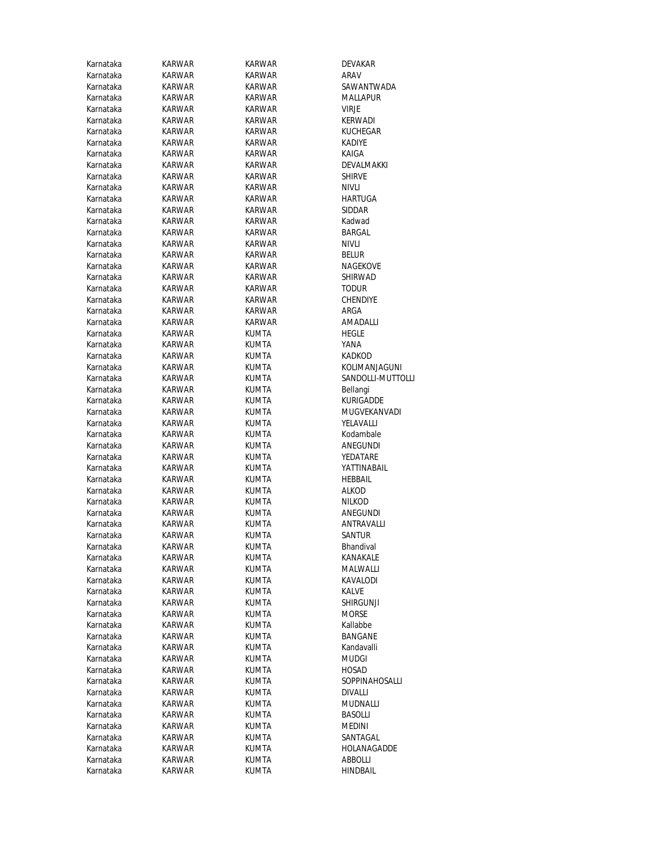| Karnataka | <b>KARWAR</b> | KARWAR        | DEVAKAR           |
|-----------|---------------|---------------|-------------------|
| Karnataka | KARWAR        | KARWAR        | ARAV              |
| Karnataka | KARWAR        | KARWAR        | SAWANTWADA        |
| Karnataka | KARWAR        | KARWAR        | MALLAPUR          |
| Karnataka | KARWAR        | KARWAR        | VIRJE             |
| Karnataka | KARWAR        | KARWAR        | <b>KERWADI</b>    |
| Karnataka | <b>KARWAR</b> | KARWAR        | <b>KUCHEGAR</b>   |
| Karnataka | KARWAR        | KARWAR        | <b>KADIYE</b>     |
| Karnataka | KARWAR        | KARWAR        | KAIGA             |
| Karnataka | KARWAR        | KARWAR        | DEVALMAKKI        |
| Karnataka | KARWAR        | KARWAR        | <b>SHIRVE</b>     |
| Karnataka | KARWAR        | KARWAR        | <b>NIVLI</b>      |
| Karnataka | KARWAR        | KARWAR        | HARTUGA           |
| Karnataka | KARWAR        | KARWAR        | SIDDAR            |
| Karnataka | KARWAR        | <b>KARWAR</b> | Kadwad            |
| Karnataka | KARWAR        | KARWAR        | BARGAL            |
| Karnataka | KARWAR        | KARWAR        | Nivli             |
| Karnataka | KARWAR        | KARWAR        | Belur             |
| Karnataka | KARWAR        | KARWAR        | NAGEKOVE          |
| Karnataka | <b>KARWAR</b> | KARWAR        | SHIRWAD           |
| Karnataka | KARWAR        | KARWAR        | <b>TODUR</b>      |
| Karnataka | KARWAR        | KARWAR        | CHENDIYE          |
| Karnataka | KARWAR        | KARWAR        | ARGA              |
| Karnataka | <b>KARWAR</b> | KARWAR        | AMADALLI          |
| Karnataka | KARWAR        | <b>KUMTA</b>  | HEGLE             |
| Karnataka | KARWAR        | KUMTA         | YANA              |
| Karnataka | KARWAR        | KUMTA         | KADKOD            |
| Karnataka | KARWAR        | KUMTA         | KOLIMANJAGUNI     |
| Karnataka | KARWAR        | KUMTA         | SANDOLLI-MUTTOLLI |
| Karnataka | KARWAR        | KUMTA         | Bellangi          |
| Karnataka | KARWAR        | KUMTA         | KURIGADDE         |
| Karnataka | KARWAR        | KUMTA         | MUGVEKANVADI      |
| Karnataka | KARWAR        | KUMTA         | YELAVALLI         |
| Karnataka | KARWAR        | KUMTA         | Kodambale         |
| Karnataka | KARWAR        | KUMTA         | ANEGUNDI          |
| Karnataka | KARWAR        | KUMTA         | YEDATARE          |
| Karnataka | KARWAR        | KUMTA         | YATTINABAIL       |
| Karnataka | KARWAR        | KUMTA         | <b>HEBBAIL</b>    |
| Karnataka | KARWAR        | KUMTA         | alkod             |
| Karnataka | KARWAR        | KUMTA         | <b>NILKOD</b>     |
| Karnataka | KARWAR        | KUMTA         | ANEGUNDI          |
| Karnataka | KARWAR        | <b>KUMTA</b>  | ANTRAVALLI        |
| Karnataka | KARWAR        | KUMTA         | Santur            |
| Karnataka | <b>KARWAR</b> | KUMTA         | Bhandival         |
| Karnataka | <b>KARWAR</b> | KUMTA         | <b>KANAKALE</b>   |
| Karnataka | KARWAR        | KUMTA         | MALWALLI          |
| Karnataka | <b>KARWAR</b> | KUMTA         | KAVALODI          |
| Karnataka | KARWAR        | <b>KUMTA</b>  | KALVE             |
| Karnataka | KARWAR        | KUMTA         | SHIRGUNJI         |
| Karnataka | KARWAR        | KUMTA         | <b>MORSE</b>      |
| Karnataka | KARWAR        | KUMTA         | Kallabbe          |
| Karnataka | KARWAR        | KUMTA         | BANGANE           |
| Karnataka | KARWAR        | KUMTA         | Kandavalli        |
| Karnataka | <b>KARWAR</b> | KUMTA         | MUDGI             |
| Karnataka | KARWAR        | KUMTA         | HOSAD             |
| Karnataka | KARWAR        | KUMTA         | SOPPINAHOSALLI    |
| Karnataka | KARWAR        | KUMTA         | DIVALLI           |
| Karnataka | KARWAR        | KUMTA         | MUDNALLI          |
| Karnataka | KARWAR        | KUMTA         | <b>BASOLLI</b>    |
| Karnataka | KARWAR        | KUMTA         | MEDINI            |
| Karnataka | KARWAR        | KUMTA         | SANTAGAL          |
| Karnataka | KARWAR        | KUMTA         | HOLANAGADDE       |
| Karnataka | KARWAR        | KUMTA         | ABBOLLI           |
| Karnataka | KARWAR        | <b>KUMTA</b>  | <b>HINDBAIL</b>   |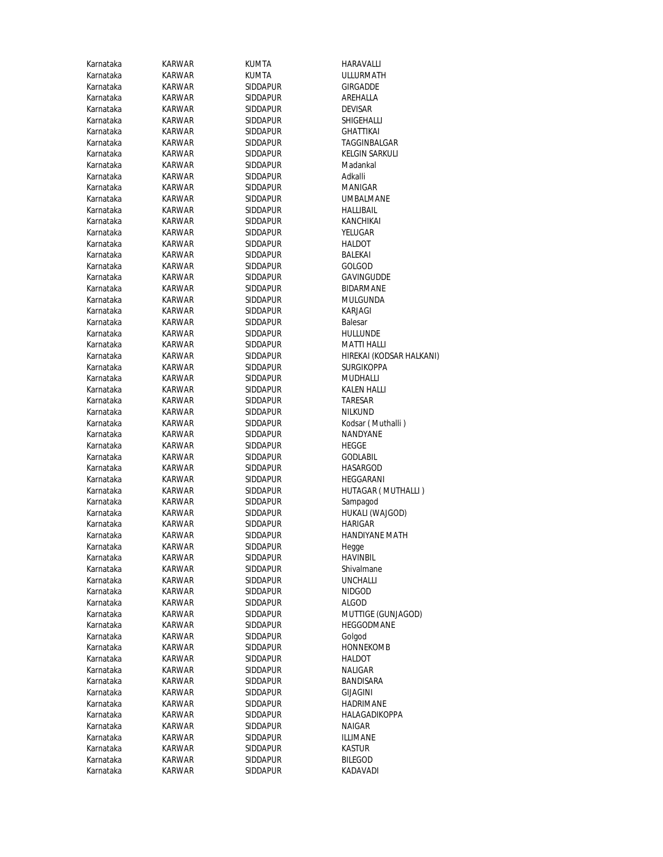| Karnataka | KARWAR        | KUMTA                       | HARAVALLI                |
|-----------|---------------|-----------------------------|--------------------------|
| Karnataka | KARWAR        | KUMTA                       | ULLURMATH                |
| Karnataka | KARWAR        | SIDDAPUR                    | <b>GIRGADDE</b>          |
| Karnataka | KARWAR        | SIDDAPUR                    | AREHALLA                 |
| Karnataka | KARWAR        | SIDDAPUR                    | <b>DEVISAR</b>           |
| Karnataka | KARWAR        | SIDDAPUR                    | SHIGEHALLI               |
| Karnataka | KARWAR        | SIDDAPUR                    | <b>GHATTIKAI</b>         |
| Karnataka | KARWAR        | <b>SIDDAPUR</b>             | TAGGINBALGAR             |
| Karnataka | KARWAR        | SIDDAPUR                    | <b>KELGIN SARKULI</b>    |
|           |               |                             |                          |
| Karnataka | KARWAR        | SIDDAPUR<br><b>SIDDAPUR</b> | Madankal                 |
| Karnataka | KARWAR        |                             | Adkalli                  |
| Karnataka | KARWAR        | SIDDAPUR                    | MANIGAR                  |
| Karnataka | KARWAR        | <b>SIDDAPUR</b>             | UMBALMANE                |
| Karnataka | KARWAR        | <b>SIDDAPUR</b>             | <b>HALLIBAIL</b>         |
| Karnataka | KARWAR        | <b>SIDDAPUR</b>             | KANCHIKAI                |
| Karnataka | KARWAR        | SIDDAPUR                    | YELUGAR                  |
| Karnataka | KARWAR        | SIDDAPUR                    | HALDOT                   |
| Karnataka | KARWAR        | SIDDAPUR                    | BALEKAI                  |
| Karnataka | KARWAR        | SIDDAPUR                    | GOLGOD                   |
| Karnataka | <b>KARWAR</b> | SIDDAPUR                    | GAVINGUDDE               |
| Karnataka | KARWAR        | SIDDAPUR                    | <b>BIDARMANE</b>         |
| Karnataka | KARWAR        | <b>SIDDAPUR</b>             | MULGUNDA                 |
| Karnataka | KARWAR        | SIDDAPUR                    | KARJAGI                  |
| Karnataka | KARWAR        | <b>SIDDAPUR</b>             | Balesar                  |
| Karnataka | <b>KARWAR</b> | SIDDAPUR                    | HULLUNDE                 |
| Karnataka | KARWAR        | <b>SIDDAPUR</b>             | MATTI HALLI              |
| Karnataka | KARWAR        | SIDDAPUR                    | HIREKAI (KODSAR HALKANI) |
| Karnataka | KARWAR        | SIDDAPUR                    | SURGIKOPPA               |
| Karnataka | KARWAR        | SIDDAPUR                    | <b>MUDHALLI</b>          |
| Karnataka | KARWAR        | <b>SIDDAPUR</b>             | <b>KALEN HALLI</b>       |
| Karnataka | KARWAR        | SIDDAPUR                    | TARESAR                  |
| Karnataka | KARWAR        | SIDDAPUR                    | <b>NILKUND</b>           |
| Karnataka | KARWAR        | SIDDAPUR                    | Kodsar (Muthalli)        |
| Karnataka | KARWAR        | SIDDAPUR                    | <b>NANDYANE</b>          |
| Karnataka | KARWAR        | SIDDAPUR                    | HEGGE                    |
| Karnataka | KARWAR        | SIDDAPUR                    | <b>GODLABIL</b>          |
| Karnataka | KARWAR        | <b>SIDDAPUR</b>             | HASARGOD                 |
| Karnataka | KARWAR        | SIDDAPUR                    | HEGGARANI                |
| Karnataka | <b>KARWAR</b> | SIDDAPUR                    | HUTAGAR (MUTHALLI)       |
| Karnataka | <b>KARWAR</b> | SIDDAPUR                    | Sampagod                 |
| Karnataka | KARWAR        | <b>SIDDAPUR</b>             | HUKALI (WAJGOD)          |
| Karnataka | KARWAR        | SIDDAPUR                    | HARIGAR                  |
| Karnataka | <b>KARWAR</b> | SIDDAPUR                    | <b>HANDIYANE MATH</b>    |
| Karnataka | <b>KARWAR</b> | <b>SIDDAPUR</b>             | Hegge                    |
| Karnataka | KARWAR        | Siddapur                    | <b>HAVINBIL</b>          |
| Karnataka | KARWAR        | SIDDAPUR                    | Shivalmane               |
| Karnataka | KARWAR        | SIDDAPUR                    | <b>UNCHALLI</b>          |
| Karnataka | KARWAR        | SIDDAPUR                    | <b>NIDGOD</b>            |
| Karnataka | KARWAR        | SIDDAPUR                    | <b>ALGOD</b>             |
| Karnataka | KARWAR        | SIDDAPUR                    | MUTTIGE (GUNJAGOD)       |
| Karnataka | KARWAR        | SIDDAPUR                    | HEGGODMANE               |
| Karnataka | KARWAR        | SIDDAPUR                    | Golgod                   |
| Karnataka | KARWAR        | SIDDAPUR                    | <b>HONNEKOMB</b>         |
|           |               |                             |                          |
| Karnataka | KARWAR        | SIDDAPUR                    | HALDOT                   |
| Karnataka | KARWAR        | SIDDAPUR                    | NALIGAR                  |
| Karnataka | KARWAR        | SIDDAPUR                    | BANDISARA                |
| Karnataka | KARWAR        | SIDDAPUR                    | <b>GIJAGINI</b>          |
| Karnataka | KARWAR        | SIDDAPUR                    | HADRIMANE                |
| Karnataka | KARWAR        | SIDDAPUR                    | HALAGADIKOPPA            |
| Karnataka | KARWAR        | SIDDAPUR                    | NAIGAR                   |
| Karnataka | KARWAR        | SIDDAPUR                    | ILLIMANE                 |
| Karnataka | KARWAR        | SIDDAPUR                    | KASTUR                   |
| Karnataka | KARWAR        | SIDDAPUR                    | <b>BILEGOD</b>           |
| Karnataka | KARWAR        | SIDDAPUR                    | KADAVADI                 |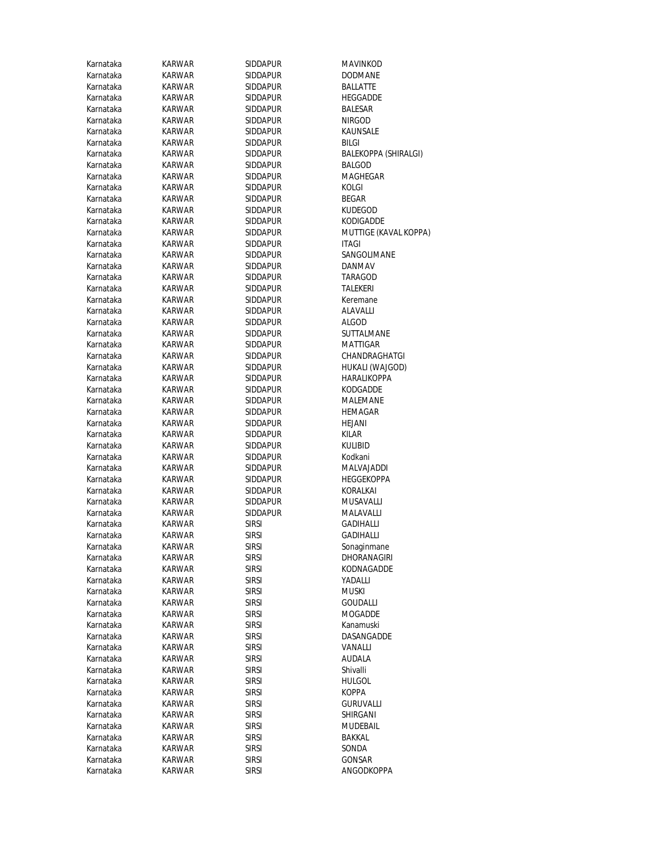| Karnataka | <b>KARWAR</b> | SIDDAPUR        | MAVINKO          |
|-----------|---------------|-----------------|------------------|
| Karnataka | <b>KARWAR</b> | SIDDAPUR        | <b>DODMAN</b>    |
| Karnataka | <b>KARWAR</b> | SIDDAPUR        | BALLATTE         |
| Karnataka | <b>KARWAR</b> | <b>SIDDAPUR</b> | HEGGADD          |
| Karnataka | KARWAR        | SIDDAPUR        | BALESAR          |
| Karnataka | KARWAR        | SIDDAPUR        | NIRGOD           |
| Karnataka | <b>KARWAR</b> | <b>SIDDAPUR</b> | KAUNSALI         |
| Karnataka | <b>KARWAR</b> | SIDDAPUR        | <b>BILGI</b>     |
| Karnataka | <b>KARWAR</b> | SIDDAPUR        | <b>BALEKOPF</b>  |
| Karnataka | <b>KARWAR</b> | <b>SIDDAPUR</b> | BALGOD           |
| Karnataka | <b>KARWAR</b> | SIDDAPUR        | <b>MAGHEG</b>    |
| Karnataka | <b>KARWAR</b> | SIDDAPUR        | KOLGI            |
| Karnataka | <b>KARWAR</b> | SIDDAPUR        | BEGAR            |
| Karnataka | KARWAR        | SIDDAPUR        | Kudegod          |
| Karnataka | <b>KARWAR</b> | SIDDAPUR        | KODIGADI         |
| Karnataka | KARWAR        | <b>SIDDAPUR</b> | <b>MUTTIGE</b>   |
| Karnataka | KARWAR        | SIDDAPUR        | <b>ITAGI</b>     |
| Karnataka | KARWAR        | SIDDAPUR        | SANGOLIN         |
| Karnataka | <b>KARWAR</b> | SIDDAPUR        | DANMAV           |
| Karnataka | KARWAR        | <b>SIDDAPUR</b> | TARAGOD          |
| Karnataka | <b>KARWAR</b> | <b>SIDDAPUR</b> | TALEKERI         |
| Karnataka | <b>KARWAR</b> | SIDDAPUR        | Keremane         |
| Karnataka | <b>KARWAR</b> | SIDDAPUR        | ALAVALLI         |
| Karnataka | <b>KARWAR</b> | SIDDAPUR        | <b>ALGOD</b>     |
| Karnataka | <b>KARWAR</b> | SIDDAPUR        | <b>SUTTALM</b>   |
| Karnataka | <b>KARWAR</b> | SIDDAPUR        | MATTIGAI         |
| Karnataka | KARWAR        | SIDDAPUR        | CHANDRA          |
| Karnataka | KARWAR        | <b>SIDDAPUR</b> | <b>HUKALI (V</b> |
| Karnataka | KARWAR        | SIDDAPUR        | HARALIKC         |
| Karnataka | <b>KARWAR</b> | SIDDAPUR        | KODGADD          |
| Karnataka | KARWAR        | SIDDAPUR        | MALEMAN          |
| Karnataka | <b>KARWAR</b> | SIDDAPUR        | HEMAGAF          |
| Karnataka | <b>KARWAR</b> | SIDDAPUR        | HEJANI           |
| Karnataka | KARWAR        | SIDDAPUR        | KILAR            |
| Karnataka | KARWAR        | SIDDAPUR        | Kulibid          |
| Karnataka | <b>KARWAR</b> | <b>SIDDAPUR</b> | Kodkani          |
| Karnataka | <b>KARWAR</b> | SIDDAPUR        | MALVAJAI         |
| Karnataka | <b>KARWAR</b> | SIDDAPUR        | <b>HEGGEKO</b>   |
| Karnataka | <b>KARWAR</b> | SIDDAPUR        | KORALKAI         |
| Karnataka | <b>KARWAR</b> | SIDDAPUR        | MUSAVAL          |
| Karnataka | <b>KARWAR</b> | SIDDAPUR        | MALAVAL          |
| Karnataka | <b>KARWAR</b> | <b>SIRSI</b>    | GADIHALL         |
| Karnataka | <b>KARWAR</b> | <b>SIRSI</b>    | GADIHALL         |
| Karnataka | KARWAR        | SIRSI           | Sonaginm         |
| Karnataka | KARWAR        | sirsi           | <b>DHORANA</b>   |
| Karnataka | <b>KARWAR</b> | <b>SIRSI</b>    | <b>KODNAGA</b>   |
| Karnataka | <b>KARWAR</b> | sirsi           | YADALLI          |
| Karnataka | KARWAR        | <b>SIRSI</b>    | muski            |
| Karnataka | KARWAR        | <b>SIRSI</b>    | GOUDALL          |
| Karnataka | KARWAR        | <b>SIRSI</b>    | <b>MOGADD</b>    |
| Karnataka | KARWAR        | <b>SIRSI</b>    | Kanamusk         |
| Karnataka | KARWAR        | <b>SIRSI</b>    | DASANGA          |
| Karnataka | KARWAR        | <b>SIRSI</b>    | VANALLI          |
| Karnataka | KARWAR        | <b>SIRSI</b>    | AUDALA           |
| Karnataka | <b>KARWAR</b> | <b>SIRSI</b>    | Shivalli         |
| Karnataka | <b>KARWAR</b> | <b>SIRSI</b>    | <b>HULGOL</b>    |
| Karnataka | KARWAR        | <b>SIRSI</b>    | <b>KOPPA</b>     |
| Karnataka | KARWAR        | sirsi           | Guruval          |
| Karnataka | <b>KARWAR</b> | sirsi           | SHIRGANI         |
| Karnataka | KARWAR        | sirsi           | MUDEBAI          |
| Karnataka | KARWAR        | <b>SIRSI</b>    | BAKKAL           |
| Karnataka | KARWAR        | sirsi           | SONDA            |
| Karnataka | <b>KARWAR</b> | <b>SIRSI</b>    | GONSAR           |
| Karnataka | <b>KARWAR</b> | <b>SIRSI</b>    | ANGODKC          |

**MAVINKOD** DODMANE BALLATTE HEGGADDE<br>BALESAR KAUNSALE BALEKOPPA (SHIRALGI) BALGOD MAGHEGAR<br>KOLGI KUDEGOD KODIGADDE MUTTIGE (KAVAL KOPPA)<br>ITAGI SANGOLIMANE TARAGOD<br>TALEKERI Keremane ALAVALLI<br>ALGOD SUTTALMANE **MATTIGAR** CHANDRAGHATGI HUKALI (WAJGOD) HARALIKOPPA KODGADDE **MALEMANE** HEMAGAR<br>HEJANI MALVAJADDI HEGGEKOPPA<br>KORALKAI MUSAVALLI MALAVALLI GADIHALLI GADIHALLI Sonaginmane DHORANAGIRI KODNAGADDE GOUDALLI **MOGADDE** Kanamuski DASANGADDE VANALLI AUDALA<br>Shivalli GURUVALLI SHIRGANI MUDEBAIL<br>BAKKAL ANGODKOPPA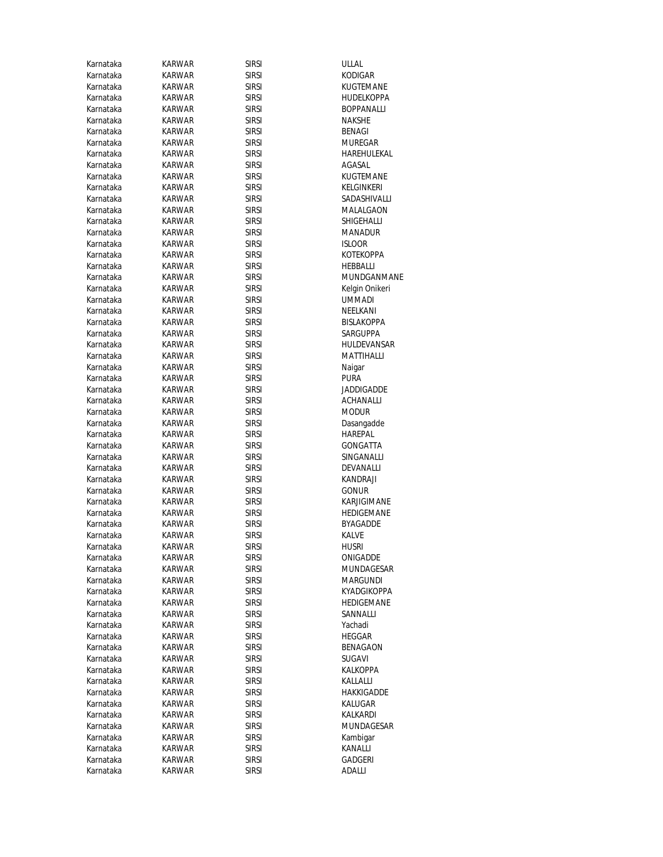| Karnataka | <b>KARWAR</b> | <b>SIRSI</b> | ULLAL             |
|-----------|---------------|--------------|-------------------|
| Karnataka | <b>KARWAR</b> | <b>SIRSI</b> | <b>KODIGAR</b>    |
| Karnataka | KARWAR        | sirsi        | KUGTEMANE         |
| Karnataka | KARWAR        | <b>SIRSI</b> | HUDELKOPPA        |
| Karnataka | KARWAR        | sirsi        | BOPPANALLI        |
| Karnataka | KARWAR        | sirsi        | NAKSHE            |
| Karnataka | KARWAR        | sirsi        | BENAGI            |
| Karnataka | KARWAR        | <b>SIRSI</b> | MUREGAR           |
| Karnataka | KARWAR        | <b>SIRSI</b> | HAREHULEKAL       |
| Karnataka | KARWAR        | <b>SIRSI</b> | AGASAL            |
| Karnataka | KARWAR        | sirsi        | KUGTEMANE         |
| Karnataka | KARWAR        | sirsi        | KELGINKERI        |
| Karnataka | KARWAR        | sirsi        | SADASHIVALLI      |
| Karnataka | <b>KARWAR</b> | sirsi        | MALALGAON         |
| Karnataka | KARWAR        | sirsi        | SHIGEHALLI        |
| Karnataka | KARWAR        | sirsi        | MANADUR           |
| Karnataka | KARWAR        | sirsi        | <b>ISLOOR</b>     |
| Karnataka | KARWAR        | <b>SIRSI</b> | KOTEKOPPA         |
| Karnataka | KARWAR        | sirsi        | HEBBALLI          |
| Karnataka | KARWAR        | sirsi        | MUNDGANMANE       |
| Karnataka | KARWAR        | <b>SIRSI</b> | Kelgin Onikeri    |
| Karnataka | KARWAR        | sirsi        | UMMADI            |
| Karnataka | KARWAR        | <b>SIRSI</b> | NEELKANI          |
| Karnataka | KARWAR        | <b>SIRSI</b> | <b>BISLAKOPPA</b> |
| Karnataka | <b>KARWAR</b> | sirsi        | SARGUPPA          |
| Karnataka | KARWAR        | sirsi        | HULDEVANSAR       |
| Karnataka | KARWAR        | sirsi        | MATTIHALLI        |
| Karnataka | KARWAR        | sirsi        | Naigar            |
| Karnataka | KARWAR        | <b>SIRSI</b> | <b>PURA</b>       |
| Karnataka | KARWAR        | sirsi        | JADDIGADDE        |
| Karnataka | KARWAR        | <b>SIRSI</b> | ACHANALLI         |
| Karnataka | KARWAR        | <b>SIRSI</b> | <b>MODUR</b>      |
| Karnataka | KARWAR        | <b>SIRSI</b> | Dasangadde        |
| Karnataka | KARWAR        | sirsi        | HAREPAL           |
| Karnataka | KARWAR        | sirsi        | GONGATTA          |
| Karnataka | KARWAR        | sirsi        | SINGANALLI        |
| Karnataka | KARWAR        | sirsi        | DEVANALLI         |
| Karnataka | KARWAR        | sirsi        | <b>KANDRAJI</b>   |
| Karnataka | KARWAR        | sirsi        | <b>GONUR</b>      |
| Karnataka | KARWAR        | sirsi        | KARJIGIMANE       |
| Karnataka | <b>KARWAR</b> | sirsi        | <b>HEDIGEMANE</b> |
| Karnataka | KARWAR        | sirsi        | BYAGADDE          |
| Karnataka | KARWAR        | <b>SIRSI</b> | KALVE             |
| Karnataka | <b>KARWAR</b> | <b>SIRSI</b> | <b>HUSRI</b>      |
| Karnataka | KARWAR        | <b>SIRSI</b> | ONIGADDE          |
| Karnataka | KARWAR        | <b>SIRSI</b> | MUNDAGESAR        |
| Karnataka | KARWAR        | <b>SIRSI</b> | MARGUNDI          |
| Karnataka | KARWAR        | sirsi        | KYADGIKOPPA       |
| Karnataka | KARWAR        | <b>SIRSI</b> | HEDIGEMANE        |
| Karnataka | KARWAR        | <b>SIRSI</b> | SANNALLI          |
| Karnataka | KARWAR        | sirsi        | Yachadi           |
| Karnataka | <b>KARWAR</b> | sirsi        | HEGGAR            |
| Karnataka | KARWAR        | <b>SIRSI</b> | BENAGAON          |
| Karnataka | KARWAR        | sirsi        | SUGAVI            |
| Karnataka | KARWAR        | sirsi        | KALKOPPA          |
| Karnataka | KARWAR        | <b>SIRSI</b> | KALLALLI          |
| Karnataka | KARWAR        | sirsi        | HAKKIGADDE        |
| Karnataka | KARWAR        | sirsi        | KALUGAR           |
| Karnataka | KARWAR        | sirsi        | KALKARDI          |
| Karnataka | KARWAR        | sirsi        | MUNDAGESAR        |
| Karnataka | KARWAR        | sirsi        | Kambigar          |
| Karnataka | KARWAR        | sirsi        | KANALLI           |
| Karnataka | KARWAR        | <b>SIRSI</b> | GADGERI           |
| Karnataka | KARWAR        | sirsi        | adalli            |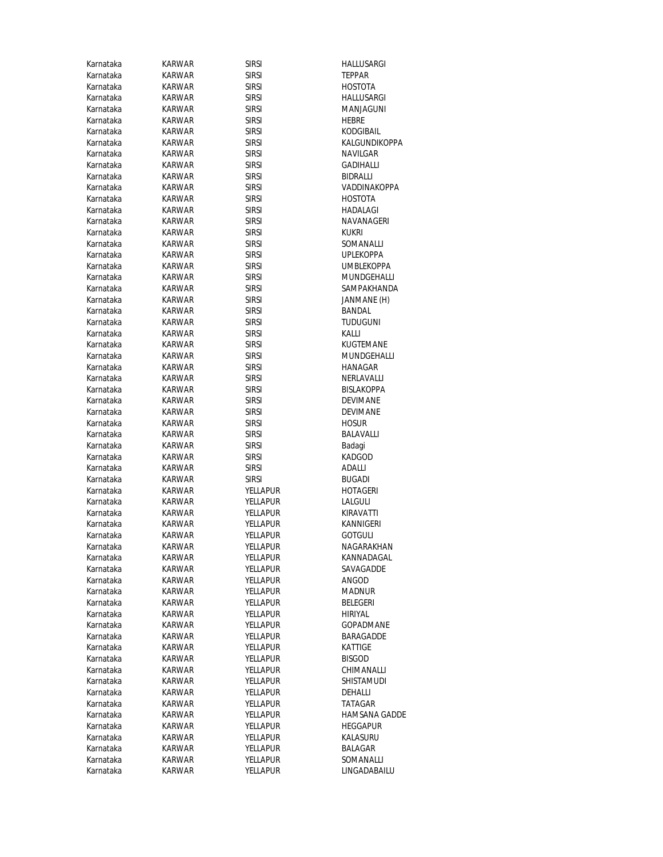| Karnataka | KARWAR        | <b>SIRSI</b>    | HALLUSARGI        |
|-----------|---------------|-----------------|-------------------|
| Karnataka | KARWAR        | <b>SIRSI</b>    | <b>TEPPAR</b>     |
| Karnataka | KARWAR        | <b>SIRSI</b>    | HOSTOTA           |
| Karnataka | KARWAR        | <b>SIRSI</b>    | HALLUSARGI        |
| Karnataka | KARWAR        | <b>SIRSI</b>    | MANJAGUNI         |
| Karnataka | KARWAR        | <b>SIRSI</b>    | HEBRE             |
| Karnataka | KARWAR        | <b>SIRSI</b>    | KODGIBAIL         |
| Karnataka | KARWAR        | <b>SIRSI</b>    | KALGUNDIKOPPA     |
| Karnataka | KARWAR        | <b>SIRSI</b>    | NAVILGAR          |
| Karnataka | KARWAR        | <b>SIRSI</b>    | GADIHALLI         |
| Karnataka | KARWAR        | <b>SIRSI</b>    | BIDRALLI          |
| Karnataka | KARWAR        | <b>SIRSI</b>    | VADDINAKOPPA      |
| Karnataka | KARWAR        | <b>SIRSI</b>    | HOSTOTA           |
| Karnataka | KARWAR        | <b>SIRSI</b>    | HADALAGI          |
| Karnataka | KARWAR        | <b>SIRSI</b>    | NAVANAGERI        |
| Karnataka | KARWAR        | <b>SIRSI</b>    | KUKRI             |
| Karnataka | KARWAR        | <b>SIRSI</b>    | SOMANALLI         |
| Karnataka | KARWAR        | <b>SIRSI</b>    | <b>UPLEKOPPA</b>  |
| Karnataka | KARWAR        | <b>SIRSI</b>    | <b>UMBLEKOPPA</b> |
| Karnataka | <b>KARWAR</b> | <b>SIRSI</b>    | MUNDGEHALLI       |
| Karnataka | <b>KARWAR</b> | <b>SIRSI</b>    | SAMPAKHANDA       |
| Karnataka | KARWAR        | <b>SIRSI</b>    | JANMANE (H)       |
| Karnataka | <b>KARWAR</b> | <b>SIRSI</b>    | BANDAL            |
| Karnataka | KARWAR        | <b>SIRSI</b>    | <b>TUDUGUNI</b>   |
| Karnataka | KARWAR        | <b>SIRSI</b>    | KALLI             |
| Karnataka | KARWAR        | <b>SIRSI</b>    | KUGTEMANE         |
| Karnataka | KARWAR        | <b>SIRSI</b>    | MUNDGEHALLI       |
| Karnataka | KARWAR        | <b>SIRSI</b>    | HANAGAR           |
| Karnataka | KARWAR        | <b>SIRSI</b>    | NERLAVALLI        |
| Karnataka | KARWAR        | <b>SIRSI</b>    | BISLAKOPPA        |
| Karnataka | KARWAR        | <b>SIRSI</b>    | DEVIMANE          |
| Karnataka | KARWAR        | <b>SIRSI</b>    | DEVIMANE          |
| Karnataka | KARWAR        | <b>SIRSI</b>    | <b>HOSUR</b>      |
| Karnataka | KARWAR        | <b>SIRSI</b>    | BALAVALLI         |
| Karnataka | KARWAR        | <b>SIRSI</b>    | Badagi            |
| Karnataka | KARWAR        | <b>SIRSI</b>    | KADGOD            |
| Karnataka | KARWAR        | <b>SIRSI</b>    | adalli            |
| Karnataka | KARWAR        | <b>SIRSI</b>    | <b>BUGADI</b>     |
| Karnataka | KARWAR        | YELLAPUR        | HOTAGERI          |
| Karnataka | <b>KARWAR</b> | YELLAPUR        | LALGULI           |
| Karnataka | KARWAR        | YELLAPUR        | KIRAVATTI         |
| Karnataka | KARWAR        | YELLAPUR        | KANNIGERI         |
| Karnataka | KARWAR        | YELLAPUR        | <b>GOTGULI</b>    |
| Karnataka | KARWAR        | YELLAPUR        | NAGARAKHAN        |
| Karnataka | KARWAR        | YELLAPUR        | KANNADAGAL        |
| Karnataka | KARWAR        | <b>YELLAPUR</b> | SAVAGADDE         |
| Karnataka | KARWAR        | <b>YELLAPUR</b> | ANGOD             |
| Karnataka | <b>KARWAR</b> | YELLAPUR        | MADNUR            |
| Karnataka | KARWAR        | <b>YELLAPUR</b> | BELEGERI          |
| Karnataka | KARWAR        | <b>YELLAPUR</b> | HIRIYAL           |
| Karnataka | KARWAR        | YELLAPUR        | <b>GOPADMANE</b>  |
| Karnataka | KARWAR        | <b>YELLAPUR</b> | BARAGADDE         |
| Karnataka | <b>KARWAR</b> | YELLAPUR        | KATTIGE           |
| Karnataka | KARWAR        | YELLAPUR        | <b>BISGOD</b>     |
| Karnataka | KARWAR        | YELLAPUR        | CHIMANALLI        |
| Karnataka | KARWAR        | <b>YELLAPUR</b> | SHISTAMUDI        |
| Karnataka | KARWAR        | YELLAPUR        | DEHALLI           |
| Karnataka | KARWAR        | YELLAPUR        | TATAGAR           |
| Karnataka | KARWAR        | YELLAPUR        | HAMSANA GADDE     |
| Karnataka | KARWAR        | YELLAPUR        | <b>HEGGAPUR</b>   |
| Karnataka | KARWAR        | YELLAPUR        | KALASURU          |
| Karnataka | KARWAR        | YELLAPUR        | BALAGAR           |
| Karnataka | KARWAR        | YELLAPUR        | SOMANALLI         |
| Karnataka | KARWAR        | YELLAPUR        | LINGADABAILU      |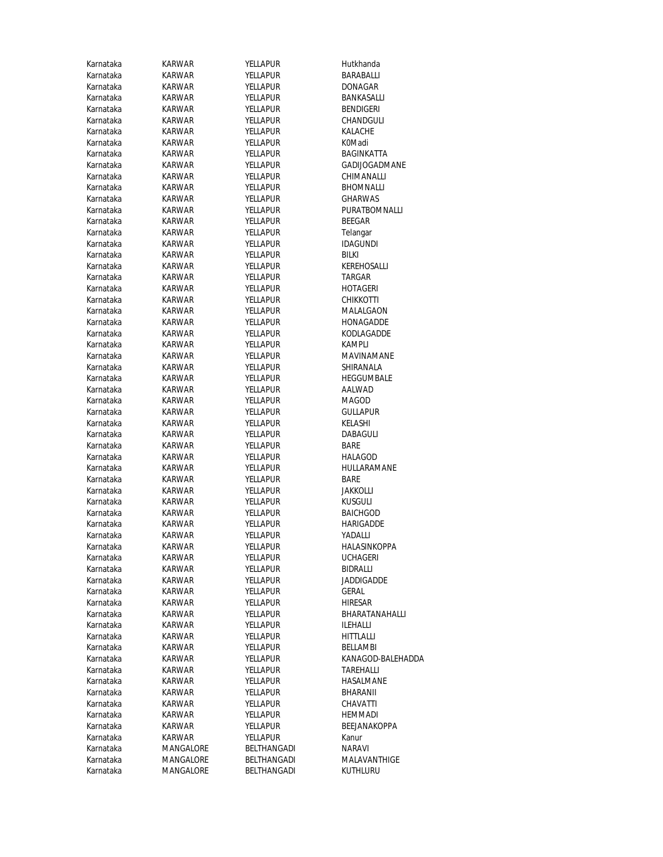| Karnataka              | <b>KARWAR</b>    | YELLAPUR                    | Hutkhanda            |
|------------------------|------------------|-----------------------------|----------------------|
| Karnataka              | KARWAR           | YELLAPUR                    | BARABALLI            |
| Karnataka              | KARWAR           | YELLAPUR                    | DONAGAR              |
| Karnataka              | <b>KARWAR</b>    | YELLAPUR                    | BANKASALLI           |
| Karnataka              | KARWAR           | YELLAPUR                    | BENDIGERI            |
| Karnataka              | <b>KARWAR</b>    | YELLAPUR                    | CHANDGULI            |
| Karnataka              | KARWAR           | <b>YELLAPUR</b>             | KALACHE              |
| Karnataka              | KARWAR           | <b>YELLAPUR</b>             | K0Madi               |
| Karnataka              | KARWAR           | YELLAPUR                    | <b>BAGINKATTA</b>    |
| Karnataka              | KARWAR           | <b>YELLAPUR</b>             | <b>GADIJOGADMANE</b> |
| Karnataka              | KARWAR           | YELLAPUR                    | CHIMANALLI           |
| Karnataka              | KARWAR           | <b>YELLAPUR</b>             | <b>BHOMNALLI</b>     |
| Karnataka              | KARWAR           | YELLAPUR                    | <b>GHARWAS</b>       |
| Karnataka              | <b>KARWAR</b>    | YELLAPUR                    | PURATBOMNALLI        |
| Karnataka              | KARWAR           | <b>YELLAPUR</b>             | <b>BEEGAR</b>        |
| Karnataka              | KARWAR           | YELLAPUR                    | Telangar             |
| Karnataka              | KARWAR           | YELLAPUR                    | <b>IDAGUNDI</b>      |
| Karnataka              | KARWAR           | YELLAPUR                    | BILKI                |
| Karnataka              | <b>KARWAR</b>    | <b>YELLAPUR</b>             | KEREHOSALLI          |
| Karnataka              | <b>KARWAR</b>    | YELLAPUR                    | TARGAR               |
| Karnataka              | KARWAR           | YELLAPUR                    | HOTAGERI             |
| Karnataka              | KARWAR           | <b>YELLAPUR</b>             | CHIKKOTTI            |
| Karnataka              | KARWAR           | <b>YELLAPUR</b>             | MALALGAON            |
| Karnataka              | <b>KARWAR</b>    | YELLAPUR                    | HONAGADDE            |
| Karnataka              | <b>KARWAR</b>    | YELLAPUR                    | KODLAGADDE           |
| Karnataka              | <b>KARWAR</b>    | <b>YELLAPUR</b>             | KAMPLI               |
| Karnataka              | <b>KARWAR</b>    | YELLAPUR                    | MAVINAMANE           |
| Karnataka              | KARWAR           | YELLAPUR                    | SHIRANALA            |
| Karnataka              | KARWAR           | YELLAPUR                    | HEGGUMBALE           |
| Karnataka<br>Karnataka | <b>KARWAR</b>    | <b>YELLAPUR</b>             | AALWAD<br>MAGOD      |
| Karnataka              | KARWAR<br>KARWAR | YELLAPUR<br><b>YELLAPUR</b> | <b>GULLAPUR</b>      |
| Karnataka              | <b>KARWAR</b>    | <b>YELLAPUR</b>             | KELASHI              |
| Karnataka              | KARWAR           | YELLAPUR                    | DABAGULI             |
| Karnataka              | KARWAR           | YELLAPUR                    | BARE                 |
| Karnataka              | KARWAR           | YELLAPUR                    | HALAGOD              |
| Karnataka              | KARWAR           | YELLAPUR                    | HULLARAMANE          |
| Karnataka              | <b>KARWAR</b>    | YELLAPUR                    | <b>BARE</b>          |
| Karnataka              | KARWAR           | YELLAPUR                    | JAKKOLLI             |
| Karnataka              | KARWAR           | YELLAPUR                    | <b>KUSGULI</b>       |
| Karnataka              | KARWAR           | <b>YELLAPUR</b>             | <b>BAICHGOD</b>      |
| Karnataka              | KARWAR           | YELLAPUR                    | HARIGADDE            |
| Karnataka              | KARWAR           | YELLAPUR                    | YADALLI              |
| Karnataka              | KARWAR           | YELLAPUR                    | HALASINKOPPA         |
| Karnataka              | KARWAR           | YELLAPUR                    | <b>UCHAGERI</b>      |
| Karnataka              | KARWAR           | <b>YELLAPUR</b>             | BIDRALLI             |
| Karnataka              | KARWAR           | YELLAPUR                    | JADDIGADDE           |
| Karnataka              | <b>KARWAR</b>    | <b>YELLAPUR</b>             | GERAL                |
| Karnataka              | KARWAR           | <b>YELLAPUR</b>             | HIRESAR              |
| Karnataka              | KARWAR           | YELLAPUR                    | BHARATANAHALLI       |
| Karnataka              | KARWAR           | <b>YELLAPUR</b>             | ILEHALLI             |
| Karnataka              | KARWAR           | YELLAPUR                    | HITTLALLI            |
| Karnataka              | <b>KARWAR</b>    | YELLAPUR                    | BELLAMBI             |
| Karnataka              | KARWAR           | YELLAPUR                    | KANAGOD-BALEHADDA    |
| Karnataka              | KARWAR           | <b>YELLAPUR</b>             | <b>TAREHALLI</b>     |
| Karnataka              | <b>KARWAR</b>    | <b>YELLAPUR</b>             | HASALMANE            |
| Karnataka              | KARWAR           | YELLAPUR                    | BHARANII             |
| Karnataka              | KARWAR           | YELLAPUR                    | CHAVATTI             |
| Karnataka              | KARWAR           | YELLAPUR                    | HEMMADI              |
| Karnataka              | KARWAR           | YELLAPUR                    | BEEJANAKOPPA         |
| Karnataka              | KARWAR           | <b>YELLAPUR</b>             | Kanur                |
| Karnataka              | MANGALORE        | BELTHANGADI                 | NARAVI               |
| Karnataka              | MANGALORE        | BELTHANGADI                 | MALAVANTHIGE         |
| Karnataka              | MANGALORE        | BELTHANGADI                 | KUTHLURU             |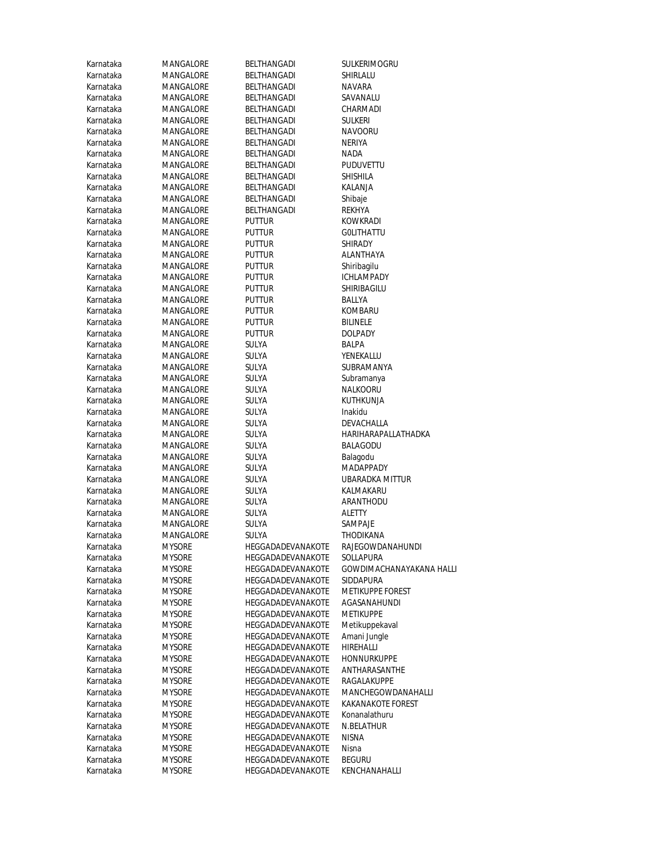| Karnataka | MANGALORE        | BELTHANGADI       | SULKERIMOGRU             |
|-----------|------------------|-------------------|--------------------------|
| Karnataka | MANGALORE        | BELTHANGADI       | SHIRLALU                 |
|           |                  | BELTHANGADI       |                          |
| Karnataka | MANGALORE        |                   | NAVARA                   |
| Karnataka | MANGALORE        | BELTHANGADI       | SAVANALU                 |
| Karnataka | MANGALORE        | BELTHANGADI       | CHARMADI                 |
| Karnataka | MANGALORE        | BELTHANGADI       | <b>SULKERI</b>           |
| Karnataka | <b>MANGALORE</b> | BELTHANGADI       | <b>NAVOORU</b>           |
| Karnataka | MANGALORE        | BELTHANGADI       | NERIYA                   |
| Karnataka | MANGALORE        | BELTHANGADI       | NADA                     |
| Karnataka | <b>MANGALORE</b> | BELTHANGADI       | <b>PUDUVETTU</b>         |
| Karnataka | MANGALORE        | BELTHANGADI       | SHISHILA                 |
| Karnataka | MANGALORE        | BELTHANGADI       | KALANJA                  |
| Karnataka | <b>MANGALORE</b> | BELTHANGADI       | Shibaje                  |
| Karnataka | MANGALORE        | BELTHANGADI       | REKHYA                   |
|           |                  |                   |                          |
| Karnataka | MANGALORE        | Puttur            | KOWKRADI                 |
| Karnataka | MANGALORE        | puttur            | <b>GOLITHATTU</b>        |
| Karnataka | MANGALORE        | puttur            | <b>SHIRADY</b>           |
| Karnataka | MANGALORE        | puttur            | ALANTHAYA                |
| Karnataka | MANGALORE        | puttur            | Shiribagilu              |
| Karnataka | MANGALORE        | Puttur            | ICHLAMPADY               |
| Karnataka | MANGALORE        | puttur            | SHIRIBAGILU              |
| Karnataka | MANGALORE        | Puttur            | BALLYA                   |
| Karnataka | MANGALORE        | puttur            | KOMBARU                  |
| Karnataka | MANGALORE        | puttur            | <b>BILINELE</b>          |
| Karnataka | MANGALORE        | puttur            | <b>DOLPADY</b>           |
| Karnataka | MANGALORE        | SULYA             | BALPA                    |
| Karnataka | MANGALORE        | SULYA             | YENEKALLU                |
| Karnataka | MANGALORE        | SULYA             | SUBRAMANYA               |
| Karnataka | MANGALORE        | SULYA             | Subramanya               |
| Karnataka | MANGALORE        | SULYA             | NALKOORU                 |
| Karnataka | MANGALORE        | SULYA             | KUTHKUNJA                |
| Karnataka | MANGALORE        | SULYA             | Inakidu                  |
| Karnataka | MANGALORE        | SULYA             | DEVACHALLA               |
| Karnataka | MANGALORE        | SULYA             | HARIHARAPALLATHADKA      |
| Karnataka | MANGALORE        | SULYA             | BALAGODU                 |
| Karnataka | MANGALORE        | SULYA             |                          |
| Karnataka |                  |                   | Balagodu<br>MADAPPADY    |
| Karnataka | MANGALORE        | SULYA             |                          |
|           | MANGALORE        | SULYA             | UBARADKA MITTUR          |
| Karnataka | MANGALORE        | SULYA             | KALMAKARU                |
| Karnataka | MANGALORE        | SULYA             | ARANTHODU                |
| Karnataka | MANGALORE        | SULYA             | <b>ALETTY</b>            |
| Karnataka | MANGALORE        | SULYA             | SAMPAJE                  |
| Karnataka | <b>MANGALORE</b> | SULYA             | THODIKANA                |
| Karnataka | <b>MYSORE</b>    | HEGGADADEVANAKOTE | RAJEGOWDANAHUNDI         |
| Karnataka | <b>MYSORE</b>    | HEGGADADEVANAKOTE | SOLLAPURA                |
| Karnataka | <b>MYSORE</b>    | HEGGADADEVANAKOTE | GOWDIMACHANAYAKANA HALLI |
| Karnataka | <b>MYSORE</b>    | HEGGADADEVANAKOTE | SIDDAPURA                |
| Karnataka | <b>MYSORE</b>    | HEGGADADEVANAKOTE | METIKUPPE FOREST         |
| Karnataka | <b>MYSORE</b>    | HEGGADADEVANAKOTE | AGASANAHUNDI             |
| Karnataka | <b>MYSORE</b>    | HEGGADADEVANAKOTE | <b>METIKUPPE</b>         |
| Karnataka | <b>MYSORE</b>    | HEGGADADEVANAKOTE | Metikuppekaval           |
| Karnataka | <b>MYSORE</b>    | HEGGADADEVANAKOTE | Amani Jungle             |
| Karnataka | <b>MYSORE</b>    | HEGGADADEVANAKOTE | <b>HIREHALLI</b>         |
| Karnataka | <b>MYSORE</b>    | HEGGADADEVANAKOTE | <b>HONNURKUPPE</b>       |
| Karnataka | <b>MYSORE</b>    | HEGGADADEVANAKOTE | ANTHARASANTHE            |
| Karnataka | <b>MYSORE</b>    | HEGGADADEVANAKOTE | RAGALAKUPPE              |
| Karnataka | <b>MYSORE</b>    | HEGGADADEVANAKOTE | MANCHEGOWDANAHALLI       |
| Karnataka | <b>MYSORE</b>    | HEGGADADEVANAKOTE | <b>KAKANAKOTE FOREST</b> |
| Karnataka | <b>MYSORE</b>    | HEGGADADEVANAKOTE | Konanalathuru            |
| Karnataka | <b>MYSORE</b>    | HEGGADADEVANAKOTE | N.BELATHUR               |
| Karnataka | <b>MYSORE</b>    | HEGGADADEVANAKOTE | NISNA                    |
| Karnataka | <b>MYSORE</b>    | HEGGADADEVANAKOTE | Nisna                    |
| Karnataka | <b>MYSORE</b>    | HEGGADADEVANAKOTE | <b>BEGURU</b>            |
|           | <b>MYSORE</b>    | HEGGADADEVANAKOTE | KENCHANAHALLI            |
| Karnataka |                  |                   |                          |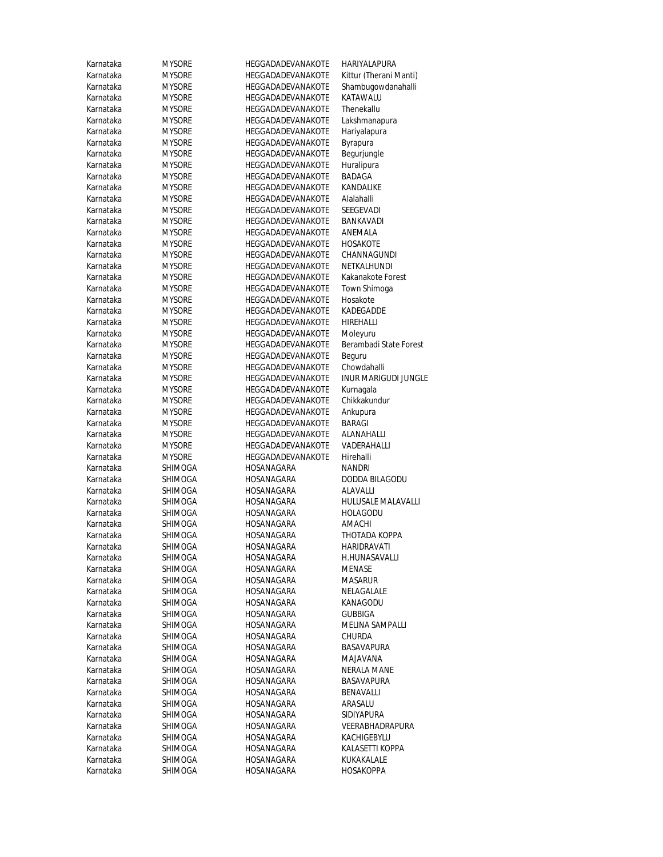| Karnataka              | <b>MYSORE</b>                  | HEGGADADEVANAKOTE                      | HARIYALAPURA                               |
|------------------------|--------------------------------|----------------------------------------|--------------------------------------------|
| Karnataka              | <b>MYSORE</b>                  | HEGGADADEVANAKOTE                      | Kittur (Therani Manti)                     |
| Karnataka              | <b>MYSORE</b>                  | HEGGADADEVANAKOTE                      | Shambugowdanahalli                         |
| Karnataka              | <b>MYSORE</b>                  | HEGGADADEVANAKOTE                      | KATAWALU                                   |
| Karnataka              | <b>MYSORE</b>                  | HEGGADADEVANAKOTE                      | Thenekallu                                 |
| Karnataka              | <b>MYSORE</b>                  | HEGGADADEVANAKOTE                      | Lakshmanapura                              |
| Karnataka              | <b>MYSORE</b>                  | HEGGADADEVANAKOTE                      | Hariyalapura                               |
| Karnataka              | <b>MYSORE</b>                  | HEGGADADEVANAKOTE                      | Byrapura                                   |
| Karnataka              | <b>MYSORE</b>                  | HEGGADADEVANAKOTE                      | Begurjungle                                |
| Karnataka              | <b>MYSORE</b>                  | HEGGADADEVANAKOTE                      | Huralipura                                 |
| Karnataka              | <b>MYSORE</b>                  | HEGGADADEVANAKOTE                      | BADAGA                                     |
| Karnataka              | <b>MYSORE</b>                  | HEGGADADEVANAKOTE                      | KANDALIKE                                  |
| Karnataka              | <b>MYSORE</b>                  | HEGGADADEVANAKOTE                      | Alalahalli                                 |
| Karnataka              | <b>MYSORE</b>                  | HEGGADADEVANAKOTE                      | SEEGEVADI                                  |
| Karnataka              | <b>MYSORE</b>                  | HEGGADADEVANAKOTE                      | BANKAVADI                                  |
| Karnataka              | <b>MYSORE</b>                  | HEGGADADEVANAKOTE                      | ANEMALA                                    |
| Karnataka              | <b>MYSORE</b>                  | HEGGADADEVANAKOTE                      | HOSAKOTE                                   |
| Karnataka              | <b>MYSORE</b>                  | HEGGADADEVANAKOTE                      | CHANNAGUNDI                                |
| Karnataka              | <b>MYSORE</b>                  | HEGGADADEVANAKOTE                      | NETKALHUNDI                                |
| Karnataka              | MYSORE                         | HEGGADADEVANAKOTE                      | Kakanakote Forest                          |
| Karnataka              | <b>MYSORE</b>                  | HEGGADADEVANAKOTE                      | Town Shimoga                               |
| Karnataka              | <b>MYSORE</b>                  | HEGGADADEVANAKOTE                      | Hosakote                                   |
| Karnataka              | <b>MYSORE</b>                  | HEGGADADEVANAKOTE                      | <b>KADEGADDE</b>                           |
| Karnataka              | <b>MYSORE</b>                  | <b>HEGGADADEVANAKOTE</b>               | <b>HIREHALLI</b>                           |
| Karnataka              | <b>MYSORE</b>                  | HEGGADADEVANAKOTE                      | Moleyuru                                   |
| Karnataka              | <b>MYSORE</b>                  | HEGGADADEVANAKOTE                      | Berambadi State Forest                     |
| Karnataka              | <b>MYSORE</b>                  | HEGGADADEVANAKOTE                      | Beguru                                     |
| Karnataka              | <b>MYSORE</b>                  | HEGGADADEVANAKOTE                      | Chowdahalli<br><b>INUR MARIGUDI JUNGLE</b> |
| Karnataka              | <b>MYSORE</b>                  | HEGGADADEVANAKOTE                      |                                            |
| Karnataka<br>Karnataka | <b>MYSORE</b><br><b>MYSORE</b> | HEGGADADEVANAKOTE<br>HEGGADADEVANAKOTE | Kurnagala<br>Chikkakundur                  |
| Karnataka              | <b>MYSORE</b>                  | HEGGADADEVANAKOTE                      | Ankupura                                   |
| Karnataka              | <b>MYSORE</b>                  | HEGGADADEVANAKOTE                      | <b>BARAGI</b>                              |
| Karnataka              | <b>MYSORE</b>                  | HEGGADADEVANAKOTE                      | ALANAHALLI                                 |
| Karnataka              | <b>MYSORE</b>                  | HEGGADADEVANAKOTE                      | VADERAHALLI                                |
| Karnataka              | <b>MYSORE</b>                  | HEGGADADEVANAKOTE                      | Hirehalli                                  |
| Karnataka              | SHIMOGA                        | HOSANAGARA                             | NANDRI                                     |
| Karnataka              | SHIMOGA                        | HOSANAGARA                             | <b>DODDA BILAGODU</b>                      |
| Karnataka              | SHIMOGA                        | HOSANAGARA                             | ALAVALLI                                   |
| Karnataka              | SHIMOGA                        | HOSANAGARA                             | HULUSALE MALAVALLI                         |
| Karnataka              | SHIMOGA                        | HOSANAGARA                             | HOLAGODU                                   |
| Karnataka              | SHIMOGA                        | HOSANAGARA                             | AMACHI                                     |
| Karnataka              | SHIMOGA                        | HOSANAGARA                             | THOTADA KOPPA                              |
| Karnataka              | SHIMOGA                        | HOSANAGARA                             | <b>HARIDRAVATI</b>                         |
| Karnataka              | SHIMOGA                        | HOSANAGARA                             | H.HUNASAVALLI                              |
| Karnataka              | SHIMOGA                        | HOSANAGARA                             | MENASE                                     |
| Karnataka              | <b>SHIMOGA</b>                 | HOSANAGARA                             | Masarur                                    |
| Karnataka              | SHIMOGA                        | HOSANAGARA                             | NELAGALALE                                 |
| Karnataka              | <b>SHIMOGA</b>                 | HOSANAGARA                             | KANAGODU                                   |
| Karnataka              | SHIMOGA                        | HOSANAGARA                             | GUBBIGA                                    |
| Karnataka              | SHIMOGA                        | HOSANAGARA                             | MELINA SAMPALLI                            |
| Karnataka              | SHIMOGA                        | HOSANAGARA                             | CHURDA                                     |
| Karnataka              | <b>SHIMOGA</b>                 | HOSANAGARA                             | <b>BASAVAPURA</b>                          |
| Karnataka              | SHIMOGA                        | HOSANAGARA                             | MAJAVANA                                   |
| Karnataka              | SHIMOGA                        | HOSANAGARA                             | NERALA MANE                                |
| Karnataka              | SHIMOGA                        | HOSANAGARA                             | BASAVAPURA                                 |
| Karnataka              | SHIMOGA                        | HOSANAGARA                             | BENAVALLI                                  |
| Karnataka              | SHIMOGA                        | HOSANAGARA                             | ARASALU                                    |
| Karnataka              | SHIMOGA                        | HOSANAGARA                             | SIDIYAPURA                                 |
| Karnataka              | SHIMOGA                        | HOSANAGARA                             | VEERABHADRAPURA                            |
| Karnataka              | SHIMOGA                        | HOSANAGARA                             | KACHIGEBYLU                                |
| Karnataka              | SHIMOGA                        | HOSANAGARA                             | KALASETTI KOPPA                            |
| Karnataka              | SHIMOGA                        | HOSANAGARA                             | KUKAKALALE                                 |
| Karnataka              | SHIMOGA                        | HOSANAGARA                             | HOSAKOPPA                                  |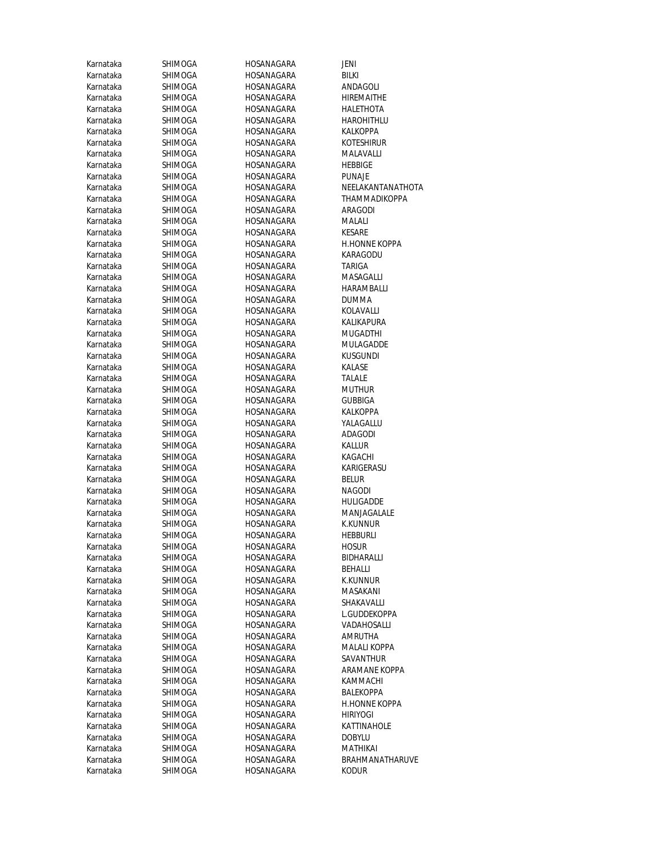| Karnataka | SHIMOGA        | HOSANAGARA | JENI            |
|-----------|----------------|------------|-----------------|
| Karnataka | SHIMOGA        | HOSANAGARA | BILKI           |
| Karnataka | SHIMOGA        | HOSANAGARA | ANDAGOL         |
| Karnataka | SHIMOGA        | HOSANAGARA | <b>HIREMAIT</b> |
| Karnataka | SHIMOGA        | HOSANAGARA | <b>HALETHO</b>  |
| Karnataka | SHIMOGA        | HOSANAGARA | HAROHITI        |
| Karnataka | SHIMOGA        | HOSANAGARA | <b>KALKOPP</b>  |
| Karnataka | SHIMOGA        | HOSANAGARA | <b>KOTESHIR</b> |
| Karnataka | SHIMOGA        | HOSANAGARA | MALAVAL         |
| Karnataka | SHIMOGA        | HOSANAGARA | <b>HEBBIGE</b>  |
| Karnataka | SHIMOGA        | HOSANAGARA | PUNAJE          |
| Karnataka | SHIMOGA        | HOSANAGARA | NEELAKAI        |
| Karnataka | SHIMOGA        | HOSANAGARA | THAMMA          |
| Karnataka | SHIMOGA        | HOSANAGARA | ARAGODI         |
| Karnataka | SHIMOGA        | HOSANAGARA | MALALI          |
| Karnataka | SHIMOGA        | HOSANAGARA | KESARE          |
| Karnataka | SHIMOGA        | HOSANAGARA | <b>H.HONNE</b>  |
| Karnataka | SHIMOGA        | HOSANAGARA | KARAGOD         |
| Karnataka | SHIMOGA        | HOSANAGARA | <b>TARIGA</b>   |
| Karnataka | SHIMOGA        | HOSANAGARA | MASAGAL         |
| Karnataka | SHIMOGA        | HOSANAGARA | <b>HARAMBA</b>  |
| Karnataka | <b>SHIMOGA</b> | HOSANAGARA | <b>DUMMA</b>    |
| Karnataka | SHIMOGA        | HOSANAGARA | KOLAVALI        |
| Karnataka | SHIMOGA        | HOSANAGARA | KALIKAPU        |
| Karnataka | SHIMOGA        | HOSANAGARA | MUGADTI         |
| Karnataka | SHIMOGA        | HOSANAGARA | MULAGAL         |
| Karnataka | SHIMOGA        | HOSANAGARA | <b>KUSGUND</b>  |
| Karnataka | SHIMOGA        | HOSANAGARA | <b>KALASE</b>   |
| Karnataka | SHIMOGA        | HOSANAGARA | TALALE          |
| Karnataka | SHIMOGA        | HOSANAGARA | <b>MUTHUR</b>   |
| Karnataka | SHIMOGA        | HOSANAGARA | <b>GUBBIGA</b>  |
| Karnataka | SHIMOGA        | HOSANAGARA | <b>KALKOPP</b>  |
| Karnataka | SHIMOGA        | HOSANAGARA | YALAGALL        |
| Karnataka | SHIMOGA        | HOSANAGARA | ADAGODI         |
| Karnataka | SHIMOGA        | HOSANAGARA | KALLUR          |
| Karnataka | SHIMOGA        | HOSANAGARA | KAGACHI         |
| Karnataka | SHIMOGA        | HOSANAGARA | KARIGERA        |
| Karnataka | <b>SHIMOGA</b> | HOSANAGARA | Belur           |
| Karnataka | <b>SHIMOGA</b> | HOSANAGARA | NAGODI          |
| Karnataka | SHIMOGA        | HOSANAGARA | HULIGADI        |
| Karnataka | SHIMOGA        | HOSANAGARA | <b>MANJAGA</b>  |
| Karnataka | SHIMOGA        | HOSANAGARA | <b>K.KUNNU</b>  |
| Karnataka | SHIMOGA        | HOSANAGARA | <b>HEBBURLI</b> |
| Karnataka | SHIMOGA        | HOSANAGARA | <b>HOSUR</b>    |
| Karnataka | SHIMOGA        | HOSANAGARA | BIDHARAL        |
| Karnataka | <b>SHIMOGA</b> | HOSANAGARA | BEHALLI         |
| Karnataka | <b>SHIMOGA</b> | HOSANAGARA | <b>K.KUNNU</b>  |
| Karnataka | <b>SHIMOGA</b> | HOSANAGARA | <b>MASAKAN</b>  |
| Karnataka | SHIMOGA        | HOSANAGARA | SHAKAVA         |
| Karnataka | SHIMOGA        | HOSANAGARA | <b>L.GUDDEK</b> |
| Karnataka | SHIMOGA        | HOSANAGARA | VADAHOS         |
| Karnataka | SHIMOGA        | HOSANAGARA | AMRUTH/         |
| Karnataka | SHIMOGA        | HOSANAGARA | <b>MALALIK</b>  |
| Karnataka | SHIMOGA        | HOSANAGARA | SAVANTH         |
| Karnataka | SHIMOGA        | HOSANAGARA | ARAMANI         |
| Karnataka | SHIMOGA        | HOSANAGARA | <b>KAMMAC</b>   |
| Karnataka | SHIMOGA        | HOSANAGARA | <b>BALEKOPF</b> |
| Karnataka | SHIMOGA        | HOSANAGARA | <b>H.HONNE</b>  |
| Karnataka | SHIMOGA        | HOSANAGARA | HIRIYOGI        |
| Karnataka | SHIMOGA        | HOSANAGARA | KATTINAF        |
| Karnataka | SHIMOGA        | HOSANAGARA | <b>DOBYLU</b>   |
| Karnataka | SHIMOGA        | HOSANAGARA | MATHIKA         |
| Karnataka | SHIMOGA        | HOSANAGARA | <b>BRAHMAI</b>  |
| Karnataka | SHIMOGA        | HOSANAGARA | <b>KODUR</b>    |

ANDAGOLI **HIREMAITHE** HALETHOTA HAROHITHLU KALKOPPA KOTESHIRUR MALAVALLI<br>HEBBIGE NEELAKANTANATHOTA THAMMADIKOPPA aragodi<br>Malali H.HONNE KOPPA KARAGODU MASAGALLI HARAMBALLI<br>DUMMA KOLAVALLI KALIKAPURA MUGADTHI **MULAGADDE** KUSGUNDI<br>KALASE KALKOPPA YALAGALLU ADAGODI KARIGERASU<br>BELUR HULIGADDE MANJAGALALE K.KUNNUR<br>HEBBURLI **BIDHARALLI** K.KUNNUR MASAKANI SHAKAVALLI L.GUDDEKOPPA VADAHOSALLI AMRUTHA MALALI KOPPA SAVANTHUR ARAMANE KOPPA KAMMACHI BALEKOPPA H.HONNE KOPPA HIRIYOGI KATTINAHOLE<br>DOBYLU MATHIKAI BRAHMANATHARUVE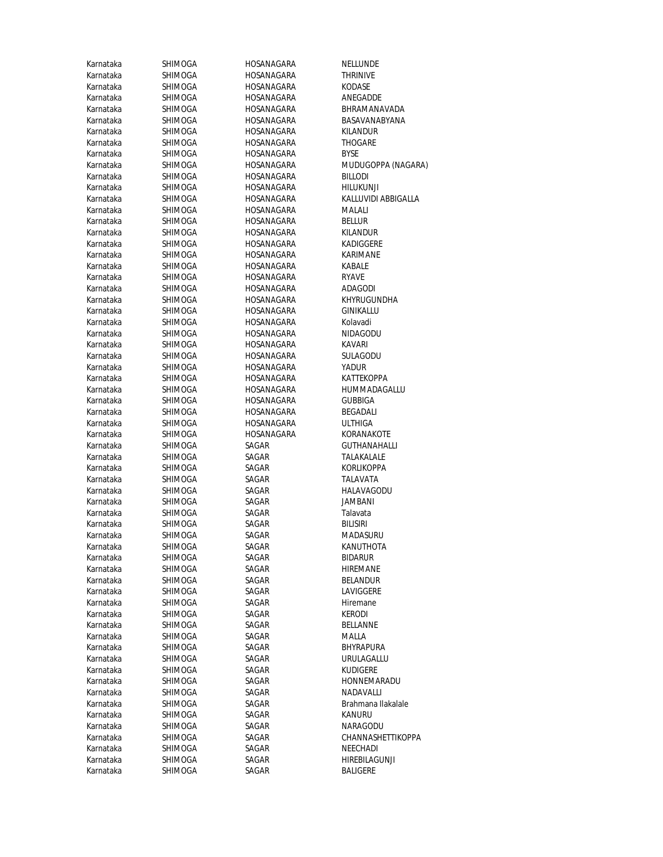| Karnataka | SHIMOGA        | HOSANAGARA | NELLUNDE        |
|-----------|----------------|------------|-----------------|
| Karnataka | SHIMOGA        | HOSANAGARA | <b>THRINIVE</b> |
| Karnataka | SHIMOGA        | HOSANAGARA | KODASE          |
| Karnataka | SHIMOGA        | HOSANAGARA | ANEGADD         |
| Karnataka | SHIMOGA        | HOSANAGARA | BHRAMAN         |
| Karnataka | SHIMOGA        | HOSANAGARA | BASAVAN/        |
| Karnataka | SHIMOGA        | HOSANAGARA | <b>KILANDUR</b> |
| Karnataka | SHIMOGA        | HOSANAGARA | THOGARE         |
| Karnataka | SHIMOGA        | HOSANAGARA | BYSE            |
| Karnataka | SHIMOGA        | HOSANAGARA | <b>MUDUGOI</b>  |
| Karnataka | SHIMOGA        | HOSANAGARA | BILLODI         |
| Karnataka | SHIMOGA        | HOSANAGARA | hilukunji       |
| Karnataka | SHIMOGA        | HOSANAGARA | KALLUVIDI       |
| Karnataka | SHIMOGA        | HOSANAGARA | MALALI          |
| Karnataka | SHIMOGA        | HOSANAGARA | <b>BELLUR</b>   |
| Karnataka | SHIMOGA        | HOSANAGARA | KILANDUR        |
| Karnataka | SHIMOGA        | HOSANAGARA | KADIGGER        |
| Karnataka | SHIMOGA        | HOSANAGARA | KARIMANI        |
| Karnataka | SHIMOGA        | HOSANAGARA | KABALE          |
| Karnataka | <b>SHIMOGA</b> | HOSANAGARA | RYAVE           |
| Karnataka | SHIMOGA        | HOSANAGARA | ADAGODI         |
| Karnataka | SHIMOGA        | HOSANAGARA | khyrugui        |
| Karnataka | SHIMOGA        | HOSANAGARA | GINIKALLL       |
| Karnataka | SHIMOGA        | HOSANAGARA | Kolavadi        |
| Karnataka | SHIMOGA        | HOSANAGARA | NIDAGODI        |
| Karnataka | SHIMOGA        | HOSANAGARA | KAVARI          |
| Karnataka | SHIMOGA        | HOSANAGARA | sulagodi        |
| Karnataka | SHIMOGA        | HOSANAGARA | YADUR           |
| Karnataka | SHIMOGA        | HOSANAGARA | KATTEKOP        |
| Karnataka | SHIMOGA        | HOSANAGARA | HUMMAD          |
| Karnataka | SHIMOGA        | HOSANAGARA | GUBBIGA         |
| Karnataka | SHIMOGA        | HOSANAGARA | BEGADALI        |
| Karnataka | SHIMOGA        | HOSANAGARA | <b>ULTHIGA</b>  |
| Karnataka | SHIMOGA        | HOSANAGARA | <b>KORANAK</b>  |
| Karnataka | SHIMOGA        | SAGAR      | GUTHANA         |
| Karnataka | SHIMOGA        | SAGAR      | TALAKALA        |
| Karnataka | SHIMOGA        | SAGAR      | <b>KORLIKOP</b> |
| Karnataka | SHIMOGA        | SAGAR      | <b>TALAVATA</b> |
| Karnataka | <b>SHIMOGA</b> | SAGAR      | <b>HALAVAG</b>  |
| Karnataka | SHIMOGA        | SAGAR      | JAMBANI         |
| Karnataka | SHIMOGA        | SAGAR      | Talavata        |
| Karnataka | <b>SHIMOGA</b> | SAGAR      | BILISIRI        |
| Karnataka | SHIMOGA        | SAGAR      | MADASUR         |
| Karnataka | SHIMOGA        | SAGAR      | KANUTHO         |
| Karnataka | SHIMOGA        | SAGAR      | BIDARUR         |
| Karnataka | SHIMOGA        | SAGAR      | HIREMANI        |
| Karnataka | SHIMOGA        | SAGAR      | BELANDUF        |
| Karnataka | SHIMOGA        | SAGAR      | LAVIGGER        |
| Karnataka | SHIMOGA        | SAGAR      | <b>Hiremane</b> |
| Karnataka | <b>SHIMOGA</b> | SAGAR      | kerodi          |
| Karnataka | SHIMOGA        | SAGAR      | <b>BELLANNE</b> |
| Karnataka | SHIMOGA        | SAGAR      | MALLA           |
| Karnataka | SHIMOGA        | SAGAR      | <b>BHYRAPUF</b> |
| Karnataka | SHIMOGA        | SAGAR      | URULAGAI        |
| Karnataka | SHIMOGA        | SAGAR      | <b>KUDIGERE</b> |
| Karnataka | <b>SHIMOGA</b> | SAGAR      | <b>HONNEMA</b>  |
| Karnataka | SHIMOGA        | SAGAR      | NADAVALI        |
| Karnataka | SHIMOGA        | SAGAR      | Brahmana        |
| Karnataka | <b>SHIMOGA</b> | SAGAR      | KANURU          |
| Karnataka | SHIMOGA        | SAGAR      | NARAGOD         |
| Karnataka | <b>SHIMOGA</b> | SAGAR      | CHANNAS         |
| Karnataka | SHIMOGA        | SAGAR      | NEECHADI        |
| Karnataka | SHIMOGA        | SAGAR      | HIREBILAG       |
| Karnataka | SHIMOGA        | SAGAR      | BALIGERE        |

NELLUNDE<br>THRINIVE ANEGADDE BHRAMANAVADA BASAVANABYANA KILANDUR THOGARE<br>BYSE MUDUGOPPA (NAGARA)<br>BILLODI HILUKUNJI KALLUVIDI ABBIGALLA<br>MALALI KADIGGERE KARIMANE ADAGODI KHYRUGUNDHA GINIKALLU Kolavadi NIDAGODU KAVARI SULAGODU<br>YADUR KATTEKOPPA HUMMADAGALLU<br>GUBBIGA BEGADALI<br>ULTHIGA KORANAKOTE GUTHANAHALLI TALAKALALE KORLIKOPPA TALAVATA HALAVAGODU JAMBANI<br>Talavata MADASURU KANUTHOTA<br>BIDARUR HIREMANE **BELANDUR** LAVIGGERE Hiremane<br>KERODI BELLANNE<br>MALLA BHYRAPURA URULAGALLU<br>KUDIGERE HONNEMARADU NADAVALLI Brahmana Ilakalale<br>KANURU NARAGODU CHANNASHETTIKOPPA NEECHADI HIREBILAGUNJI BALIGERE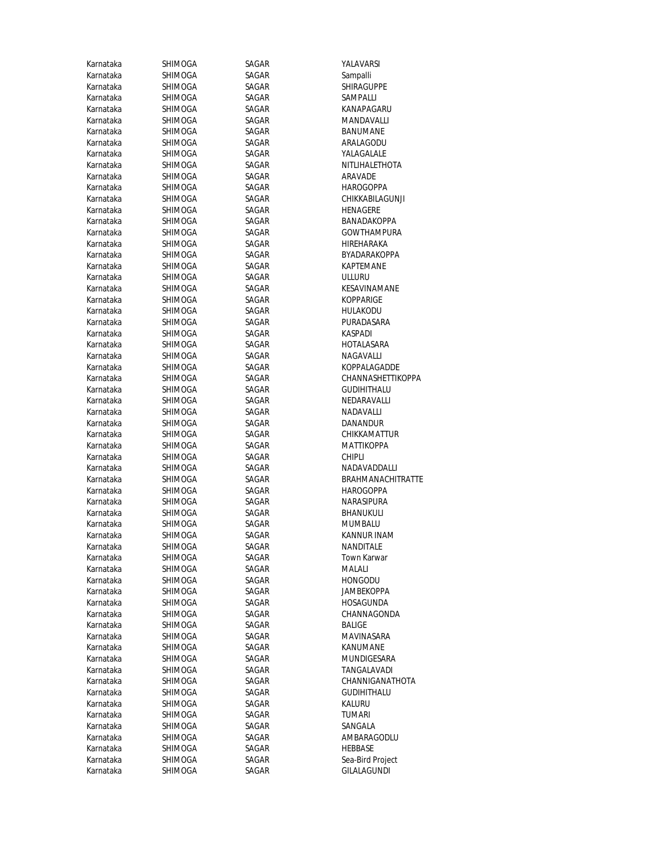| Karnataka | SHIMOGA        | SAGAR | YALAVARSI          |
|-----------|----------------|-------|--------------------|
| Karnataka | SHIMOGA        | SAGAR | Sampalli           |
| Karnataka | SHIMOGA        | SAGAR | SHIRAGUPPE         |
| Karnataka | SHIMOGA        | SAGAR | SAMPALLI           |
| Karnataka | SHIMOGA        | SAGAR | KANAPAGARU         |
| Karnataka | SHIMOGA        | SAGAR | MANDAVALLI         |
| Karnataka | SHIMOGA        | SAGAR | <b>BANUMANE</b>    |
| Karnataka | SHIMOGA        | SAGAR | ARALAGODU          |
| Karnataka | SHIMOGA        | SAGAR | YALAGALALE         |
| Karnataka | SHIMOGA        | SAGAR | NITLIHALETHOTA     |
| Karnataka | SHIMOGA        | SAGAR | ARAVADE            |
| Karnataka | SHIMOGA        | SAGAR | HAROGOPPA          |
| Karnataka | SHIMOGA        | SAGAR | CHIKKABILAGUNJI    |
| Karnataka | SHIMOGA        | SAGAR | HENAGERE           |
| Karnataka | SHIMOGA        | SAGAR | BANADAKOPPA        |
| Karnataka | <b>SHIMOGA</b> | SAGAR | <b>GOWTHAMPURA</b> |
| Karnataka | SHIMOGA        | SAGAR | HIREHARAKA         |
| Karnataka | SHIMOGA        | SAGAR | BYADARAKOPPA       |
| Karnataka | SHIMOGA        | SAGAR | <b>KAPTEMANE</b>   |
| Karnataka | SHIMOGA        | SAGAR | <b>ULLURU</b>      |
| Karnataka | SHIMOGA        | SAGAR | KESAVINAMANE       |
| Karnataka | <b>SHIMOGA</b> | SAGAR | <b>KOPPARIGE</b>   |
| Karnataka | SHIMOGA        | SAGAR | <b>HULAKODU</b>    |
| Karnataka | SHIMOGA        | SAGAR | PURADASARA         |
| Karnataka | SHIMOGA        | SAGAR | <b>KASPADI</b>     |
| Karnataka | SHIMOGA        | SAGAR | HOTALASARA         |
| Karnataka | <b>SHIMOGA</b> | SAGAR | NAGAVALLI          |
| Karnataka | SHIMOGA        | SAGAR | KOPPALAGADDE       |
| Karnataka | SHIMOGA        | SAGAR | CHANNASHETTIKOPPA  |
| Karnataka | SHIMOGA        | SAGAR | <b>GUDIHITHALU</b> |
| Karnataka | SHIMOGA        | SAGAR | NEDARAVALLI        |
| Karnataka | SHIMOGA        | SAGAR | NADAVALLI          |
| Karnataka | SHIMOGA        | SAGAR | DANANDUR           |
| Karnataka | SHIMOGA        | SAGAR | CHIKKAMATTUR       |
| Karnataka | SHIMOGA        | SAGAR | <b>MATTIKOPPA</b>  |
| Karnataka | SHIMOGA        | SAGAR | <b>CHIPLI</b>      |
| Karnataka | SHIMOGA        | SAGAR | NADAVADDALLI       |
| Karnataka | <b>SHIMOGA</b> | SAGAR | BRAHMANACHITRATTE  |
| Karnataka | SHIMOGA        | SAGAR | <b>HAROGOPPA</b>   |
| Karnataka | SHIMOGA        | SAGAR | NARASIPURA         |
| Karnataka | SHIMOGA        | SAGAR | BHANUKULI          |
| Karnataka | SHIMOGA        | SAGAR | MUMBALU            |
| Karnataka | SHIMOGA        | SAGAR | KANNUR INAM        |
| Karnataka | SHIMOGA        | SAGAR | NANDITALE          |
| Karnataka | SHIMOGA        | SAGAR | Town Karwar        |
| Karnataka | SHIMOGA        | SAGAR | MALALI             |
| Karnataka | <b>SHIMOGA</b> | SAGAR | <b>HONGODU</b>     |
| Karnataka | <b>SHIMOGA</b> | SAGAR | JAMBEKOPPA         |
| Karnataka | <b>SHIMOGA</b> | SAGAR | HOSAGUNDA          |
| Karnataka | SHIMOGA        | SAGAR | CHANNAGONDA        |
| Karnataka | SHIMOGA        | SAGAR | BALIGE             |
| Karnataka | SHIMOGA        | SAGAR | MAVINASARA         |
| Karnataka | SHIMOGA        | SAGAR | KANUMANE           |
| Karnataka | SHIMOGA        | SAGAR | MUNDIGESARA        |
| Karnataka | SHIMOGA        | SAGAR | TANGALAVADI        |
| Karnataka | SHIMOGA        | SAGAR | CHANNIGANATHOTA    |
| Karnataka | SHIMOGA        | SAGAR | <b>GUDIHITHALU</b> |
| Karnataka | SHIMOGA        | SAGAR | KALURU             |
| Karnataka | SHIMOGA        | SAGAR | TUMARI             |
| Karnataka | SHIMOGA        | SAGAR | SANGALA            |
| Karnataka | SHIMOGA        | SAGAR | AMBARAGODLU        |
| Karnataka | SHIMOGA        | SAGAR | HEBBASE            |
| Karnataka | SHIMOGA        | SAGAR | Sea-Bird Project   |
| Karnataka | SHIMOGA        | SAGAR | GILALAGUNDI        |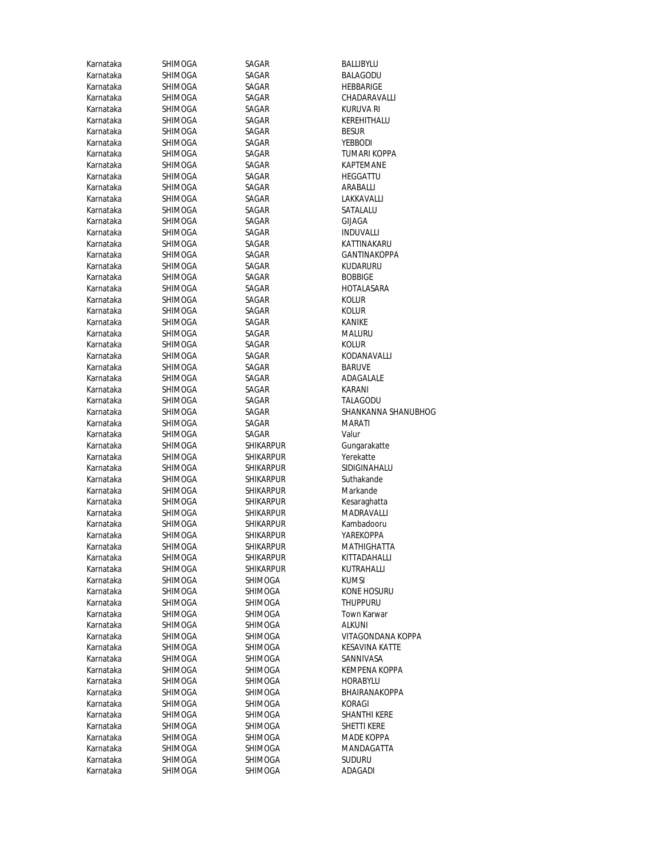| Karnataka              | SHIMOGA            | SAGAR              | BALLIBYLU                          |
|------------------------|--------------------|--------------------|------------------------------------|
| Karnataka              | SHIMOGA            | SAGAR              | BALAGODU                           |
| Karnataka              | SHIMOGA            | SAGAR              | HEBBARIGE                          |
| Karnataka              | SHIMOGA            | SAGAR              | CHADARAVALLI                       |
| Karnataka              | SHIMOGA            | SAGAR              | KURUVA RI                          |
| Karnataka              | SHIMOGA            | SAGAR              | KEREHITHALU                        |
| Karnataka              | SHIMOGA            | SAGAR              | <b>BESUR</b>                       |
| Karnataka              | SHIMOGA            | SAGAR              | YEBBODI                            |
| Karnataka              | SHIMOGA            | SAGAR              | TUMARI KOPPA                       |
| Karnataka              | SHIMOGA            | SAGAR              | <b>KAPTEMANE</b>                   |
| Karnataka              | SHIMOGA            | SAGAR              | HEGGATTU                           |
| Karnataka              | SHIMOGA            | SAGAR              | ARABALLI                           |
| Karnataka              | SHIMOGA            | SAGAR              | LAKKAVALLI                         |
| Karnataka              | SHIMOGA            | SAGAR              | SATALALU                           |
| Karnataka              | SHIMOGA            | SAGAR              | GIJAGA                             |
| Karnataka              | SHIMOGA            | SAGAR              | <b>INDUVALLI</b>                   |
| Karnataka              | SHIMOGA            | SAGAR              | KATTINAKARU                        |
| Karnataka              | SHIMOGA            | SAGAR              | GANTINAKOPPA                       |
| Karnataka              | SHIMOGA            | SAGAR              | KUDARURU                           |
| Karnataka              | SHIMOGA            | SAGAR              | <b>BOBBIGE</b>                     |
| Karnataka              | SHIMOGA            | SAGAR              | HOTALASARA                         |
| Karnataka              | SHIMOGA            | SAGAR              | Kolur                              |
| Karnataka              | SHIMOGA            | SAGAR              | Kolur                              |
| Karnataka              | SHIMOGA            | SAGAR              | KANIKE                             |
| Karnataka              | SHIMOGA            | SAGAR              | MALURU                             |
| Karnataka              | SHIMOGA            | SAGAR              | Kolur                              |
| Karnataka              | SHIMOGA            | SAGAR              | KODANAVALLI                        |
| Karnataka              | SHIMOGA            | SAGAR              | <b>BARUVE</b>                      |
| Karnataka              | SHIMOGA            | SAGAR              | ADAGALALE                          |
| Karnataka              | SHIMOGA            | SAGAR              | KARANI                             |
| Karnataka              | SHIMOGA            | SAGAR              | TALAGODU                           |
| Karnataka              | SHIMOGA            | SAGAR              | SHANKANNA SHANUBHOG                |
| Karnataka              | SHIMOGA            | SAGAR              | MARATI                             |
| Karnataka              | SHIMOGA            | SAGAR              | Valur                              |
| Karnataka              | SHIMOGA            | <b>SHIKARPUR</b>   | Gungarakatte                       |
| Karnataka              | SHIMOGA            | <b>SHIKARPUR</b>   | Yerekatte                          |
| Karnataka              | SHIMOGA            | <b>SHIKARPUR</b>   | SIDIGINAHALU                       |
| Karnataka              | SHIMOGA            | <b>SHIKARPUR</b>   | Suthakande                         |
| Karnataka              | SHIMOGA            | <b>SHIKARPUR</b>   | Markande                           |
| Karnataka              | SHIMOGA            | <b>SHIKARPUR</b>   | Kesaraghatta                       |
| Karnataka              | SHIMOGA            | <b>SHIKARPUR</b>   | MADRAVALLI                         |
| Karnataka              | SHIMOGA            | <b>SHIKARPUR</b>   | Kambadooru                         |
| Karnataka              | SHIMOGA            | <b>SHIKARPUR</b>   | YAREKOPPA                          |
| Karnataka              | SHIMOGA            | SHIKARPUR          | MATHIGHATTA                        |
| Karnataka              | SHIMOGA            | <b>SHIKARPUR</b>   | KITTADAHALLI                       |
| Karnataka              | SHIMOGA            | <b>SHIKARPUR</b>   | KUTRAHALLI                         |
| Karnataka              | SHIMOGA            | SHIMOGA            | KUMSI                              |
| Karnataka              | SHIMOGA            | SHIMOGA            | KONE HOSURU                        |
| Karnataka              | SHIMOGA            | SHIMOGA            | <b>THUPPURU</b>                    |
| Karnataka              | SHIMOGA            | <b>SHIMOGA</b>     | Town Karwar                        |
| Karnataka              | SHIMOGA            | SHIMOGA            | alkuni                             |
| Karnataka              | SHIMOGA            | SHIMOGA            | VITAGONDANA KOPPA                  |
| Karnataka<br>Karnataka | SHIMOGA<br>SHIMOGA | SHIMOGA<br>SHIMOGA | <b>KESAVINA KATTE</b><br>SANNIVASA |
| Karnataka              |                    | SHIMOGA            | <b>KEMPENA KOPPA</b>               |
| Karnataka              | SHIMOGA            |                    |                                    |
|                        | SHIMOGA            | SHIMOGA            | <b>HORABYLU</b>                    |
| Karnataka              | SHIMOGA            | SHIMOGA<br>SHIMOGA | BHAIRANAKOPPA                      |
| Karnataka<br>Karnataka | SHIMOGA<br>SHIMOGA | SHIMOGA            | KORAGI<br>SHANTHI KERE             |
| Karnataka              |                    |                    |                                    |
| Karnataka              | SHIMOGA            | SHIMOGA<br>SHIMOGA | SHETTI KERE<br>MADE KOPPA          |
| Karnataka              | SHIMOGA<br>SHIMOGA | SHIMOGA            | MANDAGATTA                         |
| Karnataka              | SHIMOGA            | SHIMOGA            | <b>SUDURU</b>                      |
| Karnataka              | SHIMOGA            | SHIMOGA            | ADAGADI                            |
|                        |                    |                    |                                    |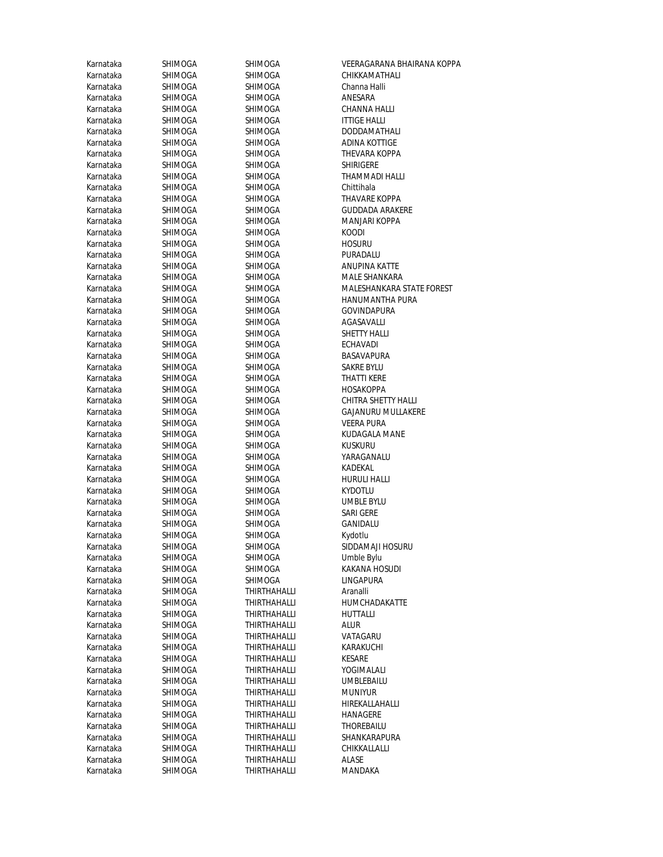| Karnataka | SHIMOGA        | SHIMOGA             | VEERAGARANA BHAIRANA KOPPA |
|-----------|----------------|---------------------|----------------------------|
| Karnataka | SHIMOGA        | SHIMOGA             | CHIKKAMATHALI              |
| Karnataka | SHIMOGA        | SHIMOGA             | Channa Halli               |
| Karnataka | SHIMOGA        | SHIMOGA             | ANESARA                    |
| Karnataka | SHIMOGA        | SHIMOGA             | CHANNA HALLI               |
| Karnataka | SHIMOGA        | <b>SHIMOGA</b>      | <b>ITTIGE HALLI</b>        |
| Karnataka | SHIMOGA        | SHIMOGA             | DODDAMATHALI               |
| Karnataka | SHIMOGA        | SHIMOGA             | ADINA KOTTIGE              |
| Karnataka | SHIMOGA        | SHIMOGA             | THEVARA KOPPA              |
| Karnataka | SHIMOGA        | SHIMOGA             | <b>SHIRIGERE</b>           |
| Karnataka | SHIMOGA        | SHIMOGA             | THAMMADI HALLI             |
| Karnataka | SHIMOGA        | SHIMOGA             | Chittihala                 |
| Karnataka | <b>SHIMOGA</b> | SHIMOGA             | <b>THAVARE KOPPA</b>       |
| Karnataka | SHIMOGA        | SHIMOGA             | <b>GUDDADA ARAKERE</b>     |
| Karnataka | SHIMOGA        | SHIMOGA             | MANJARI KOPPA              |
| Karnataka | SHIMOGA        | SHIMOGA             | <b>KOODI</b>               |
| Karnataka | SHIMOGA        | SHIMOGA             | <b>HOSURU</b>              |
| Karnataka | SHIMOGA        | SHIMOGA             | PURADALU                   |
| Karnataka | SHIMOGA        | SHIMOGA             | ANUPINA KATTE              |
| Karnataka | SHIMOGA        | SHIMOGA             | MALE SHANKARA              |
| Karnataka | SHIMOGA        | SHIMOGA             | MALESHANKARA STATE FOREST  |
| Karnataka | <b>SHIMOGA</b> | SHIMOGA             | HANUMANTHA PURA            |
| Karnataka | SHIMOGA        | SHIMOGA             | GOVINDAPURA                |
| Karnataka | SHIMOGA        | SHIMOGA             | AGASAVALLI                 |
| Karnataka | SHIMOGA        | SHIMOGA             | <b>SHETTY HALLI</b>        |
| Karnataka | SHIMOGA        | SHIMOGA             | <b>ECHAVADI</b>            |
| Karnataka | SHIMOGA        | <b>SHIMOGA</b>      | <b>BASAVAPURA</b>          |
| Karnataka | SHIMOGA        | SHIMOGA             | SAKRE BYLU                 |
| Karnataka | SHIMOGA        | SHIMOGA             | THATTI KERE                |
| Karnataka | SHIMOGA        | SHIMOGA             | HOSAKOPPA                  |
| Karnataka | SHIMOGA        | SHIMOGA             | CHITRA SHETTY HALLI        |
| Karnataka | SHIMOGA        | SHIMOGA             | <b>GAJANURU MULLAKERE</b>  |
| Karnataka | SHIMOGA        | SHIMOGA             | <b>VEERA PURA</b>          |
| Karnataka | SHIMOGA        | SHIMOGA             | KUDAGALA MANE              |
| Karnataka | SHIMOGA        | SHIMOGA             | KUSKURU                    |
| Karnataka | SHIMOGA        | <b>SHIMOGA</b>      | YARAGANALU                 |
| Karnataka | SHIMOGA        | SHIMOGA             | KADEKAL                    |
| Karnataka | SHIMOGA        | SHIMOGA             | <b>HURULI HALLI</b>        |
| Karnataka | SHIMOGA        | SHIMOGA             | <b>KYDOTLU</b>             |
| Karnataka | SHIMOGA        | SHIMOGA             | <b>UMBLE BYLU</b>          |
| Karnataka | SHIMOGA        | SHIMOGA             | <b>SARI GERE</b>           |
| Karnataka | SHIMOGA        | SHIMOGA             | GANIDALU                   |
| Karnataka | SHIMOGA        | SHIMOGA             | Kydotlu                    |
| Karnataka | SHIMOGA        | SHIMOGA             | SIDDAMAJI HOSURU           |
| Karnataka | SHIMOGA        | SHIMOGA             | Umble Bylu                 |
| Karnataka | SHIMOGA        | SHIMOGA             | KAKANA HOSUDI              |
| Karnataka | SHIMOGA        | SHIMOGA             | <b>LINGAPURA</b>           |
| Karnataka | SHIMOGA        | <b>THIRTHAHALLI</b> | Aranalli                   |
| Karnataka | SHIMOGA        | <b>THIRTHAHALLI</b> | <b>HUMCHADAKATTE</b>       |
| Karnataka | SHIMOGA        | THIRTHAHALLI        | HUTTALLI                   |
| Karnataka | SHIMOGA        | THIRTHAHALLI        | alur                       |
| Karnataka | SHIMOGA        | THIRTHAHALLI        | VATAGARU                   |
| Karnataka | SHIMOGA        | <b>THIRTHAHALLI</b> | KARAKUCHI                  |
| Karnataka | SHIMOGA        | THIRTHAHALLI        | <b>KESARE</b>              |
| Karnataka | SHIMOGA        | <b>THIRTHAHALLI</b> | YOGIMALALI                 |
| Karnataka | SHIMOGA        | THIRTHAHALLI        | UMBLEBAILU                 |
| Karnataka | SHIMOGA        | THIRTHAHALLI        | <b>MUNIYUR</b>             |
| Karnataka | SHIMOGA        | <b>THIRTHAHALLI</b> | HIREKALLAHALLI             |
| Karnataka | SHIMOGA        | THIRTHAHALLI        | HANAGERE                   |
| Karnataka | SHIMOGA        | THIRTHAHALLI        | THOREBAILU                 |
| Karnataka | SHIMOGA        | THIRTHAHALLI        | SHANKARAPURA               |
| Karnataka | SHIMOGA        | THIRTHAHALLI        | CHIKKALLALLI               |
| Karnataka | SHIMOGA        | THIRTHAHALLI        | ALASE                      |
| Karnataka | SHIMOGA        | <b>THIRTHAHALLI</b> | MANDAKA                    |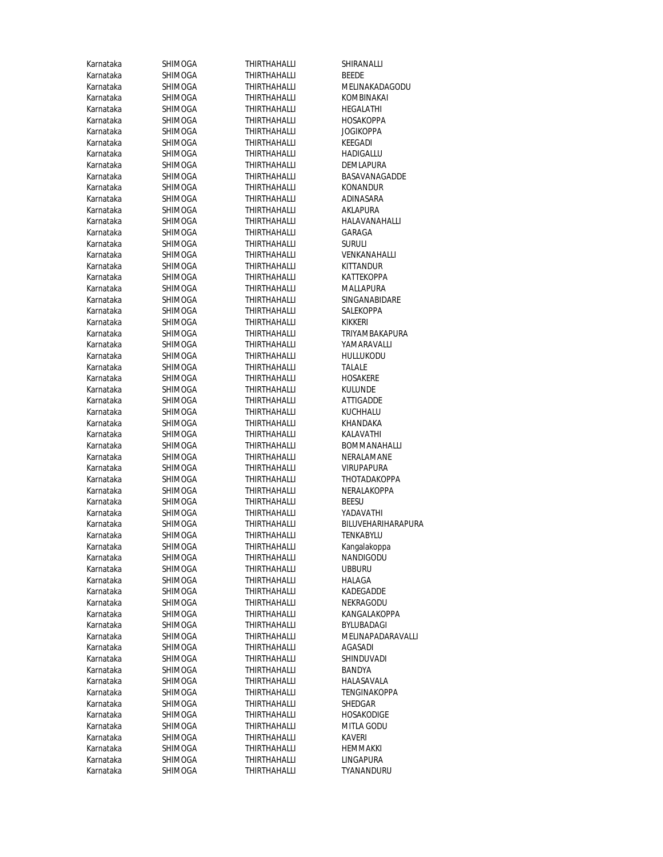| Karnataka              | SHIMOGA            | THIRTHAHALLI                 | SHIRANALLI                 |
|------------------------|--------------------|------------------------------|----------------------------|
| Karnataka              | SHIMOGA            | THIRTHAHALLI                 | <b>BEEDE</b>               |
| Karnataka              | SHIMOGA            | THIRTHAHALLI                 | MELINAKADAGODU             |
| Karnataka              | SHIMOGA            | <b>THIRTHAHALLI</b>          | KOMBINAKAI                 |
| Karnataka              | SHIMOGA            | THIRTHAHALLI                 | HEGALATHI                  |
| Karnataka              | SHIMOGA            | THIRTHAHALLI                 | <b>HOSAKOPPA</b>           |
| Karnataka              | SHIMOGA            | THIRTHAHALLI                 | <b>JOGIKOPPA</b>           |
| Karnataka              | SHIMOGA            | THIRTHAHALLI                 | KEEGADI                    |
| Karnataka              | SHIMOGA            | THIRTHAHALLI                 | HADIGALLU                  |
| Karnataka              | SHIMOGA            | <b>THIRTHAHALLI</b>          | DEMLAPURA                  |
| Karnataka              | SHIMOGA            | <b>THIRTHAHALLI</b>          | BASAVANAGADDE              |
| Karnataka              | SHIMOGA            | <b>THIRTHAHALLI</b>          | <b>KONANDUR</b>            |
| Karnataka              | SHIMOGA            | THIRTHAHALLI                 | ADINASARA                  |
| Karnataka              | <b>SHIMOGA</b>     | <b>THIRTHAHALLI</b>          | AKLAPURA                   |
| Karnataka              | SHIMOGA            | THIRTHAHALLI                 | HALAVANAHALLI              |
| Karnataka              | SHIMOGA            | THIRTHAHALLI                 | GARAGA                     |
| Karnataka              | SHIMOGA            | THIRTHAHALLI                 | SURULI                     |
| Karnataka              | SHIMOGA            | THIRTHAHALLI                 | VENKANAHALLI               |
| Karnataka              | SHIMOGA            | <b>THIRTHAHALLI</b>          | <b>KITTANDUR</b>           |
| Karnataka              | <b>SHIMOGA</b>     | THIRTHAHALLI                 | KATTEKOPPA                 |
| Karnataka              | SHIMOGA            | THIRTHAHALLI                 | MALLAPURA                  |
| Karnataka              | SHIMOGA            | <b>THIRTHAHALLI</b>          | SINGANABIDARE              |
| Karnataka              | SHIMOGA            | THIRTHAHALLI                 | SALEKOPPA                  |
| Karnataka              | SHIMOGA            | <b>THIRTHAHALLI</b>          | KIKKERI                    |
| Karnataka              | SHIMOGA            | <b>THIRTHAHALLI</b>          | TRIYAMBAKAPURA             |
| Karnataka              | SHIMOGA            | <b>THIRTHAHALLI</b>          | YAMARAVALLI                |
| Karnataka              | SHIMOGA            | THIRTHAHALLI                 | <b>HULLUKODU</b>           |
| Karnataka              | <b>SHIMOGA</b>     | <b>THIRTHAHALLI</b>          | <b>TALALE</b>              |
| Karnataka              | SHIMOGA            | THIRTHAHALLI                 | <b>HOSAKERE</b>            |
| Karnataka              | SHIMOGA            | <b>THIRTHAHALLI</b>          | <b>KULUNDE</b>             |
| Karnataka              | SHIMOGA            | THIRTHAHALLI                 | ATTIGADDE                  |
| Karnataka              | SHIMOGA            | THIRTHAHALLI                 | KUCHHALU                   |
| Karnataka              | SHIMOGA            | THIRTHAHALLI                 | KHANDAKA                   |
| Karnataka              | SHIMOGA            | THIRTHAHALLI                 | KALAVATHI                  |
| Karnataka              | SHIMOGA            | THIRTHAHALLI                 | <b>BOMMANAHALLI</b>        |
| Karnataka              | SHIMOGA            | THIRTHAHALLI                 | NERALAMANE                 |
| Karnataka              | SHIMOGA            | THIRTHAHALLI                 | <b>VIRUPAPURA</b>          |
| Karnataka              | SHIMOGA            | THIRTHAHALLI                 | THOTADAKOPPA               |
| Karnataka              | SHIMOGA            | <b>THIRTHAHALLI</b>          | NERALAKOPPA                |
| Karnataka              | SHIMOGA            | <b>THIRTHAHALLI</b>          | <b>BEESU</b>               |
| Karnataka              | SHIMOGA            | THIRTHAHALLI                 | YADAVATHI                  |
| Karnataka              | <b>SHIMOGA</b>     | <b>THIRTHAHALLI</b>          | BILUVEHARIHARAPURA         |
| Karnataka              | SHIMOGA            | THIRTHAHALLI                 | <b>TENKABYLU</b>           |
| Karnataka              | SHIMOGA            | THIRTHAHALLI                 | Kangalakoppa               |
| Karnataka              | SHIMOGA            | THIRTHAHALLI                 | NANDIGODU<br><b>UBBURU</b> |
| Karnataka<br>Karnataka | SHIMOGA            | THIRTHAHALLI                 |                            |
| Karnataka              | SHIMOGA            | THIRTHAHALLI<br>THIRTHAHALLI | HALAGA<br>KADEGADDE        |
| Karnataka              | SHIMOGA<br>SHIMOGA | <b>THIRTHAHALLI</b>          | NEKRAGODU                  |
| Karnataka              | SHIMOGA            | <b>THIRTHAHALLI</b>          | KANGALAKOPPA               |
| Karnataka              | SHIMOGA            | <b>THIRTHAHALLI</b>          | BYLUBADAGI                 |
| Karnataka              | <b>SHIMOGA</b>     | <b>THIRTHAHALLI</b>          | MELINAPADARAVALLI          |
| Karnataka              | SHIMOGA            | THIRTHAHALLI                 | <b>AGASADI</b>             |
| Karnataka              | SHIMOGA            | THIRTHAHALLI                 | SHINDUVADI                 |
| Karnataka              | SHIMOGA            | THIRTHAHALLI                 | BANDYA                     |
| Karnataka              | <b>SHIMOGA</b>     | THIRTHAHALLI                 | HALASAVALA                 |
| Karnataka              | SHIMOGA            | THIRTHAHALLI                 | TENGINAKOPPA               |
| Karnataka              | SHIMOGA            | <b>THIRTHAHALLI</b>          | SHEDGAR                    |
| Karnataka              | SHIMOGA            | THIRTHAHALLI                 | HOSAKODIGE                 |
| Karnataka              | SHIMOGA            | THIRTHAHALLI                 | MITLA GODU                 |
| Karnataka              | SHIMOGA            | <b>THIRTHAHALLI</b>          | KAVERI                     |
| Karnataka              | SHIMOGA            | THIRTHAHALLI                 | HEMMAKKI                   |
| Karnataka              | SHIMOGA            | THIRTHAHALLI                 | LINGAPURA                  |
| Karnataka              | SHIMOGA            | THIRTHAHALLI                 | TYANANDURU                 |
|                        |                    |                              |                            |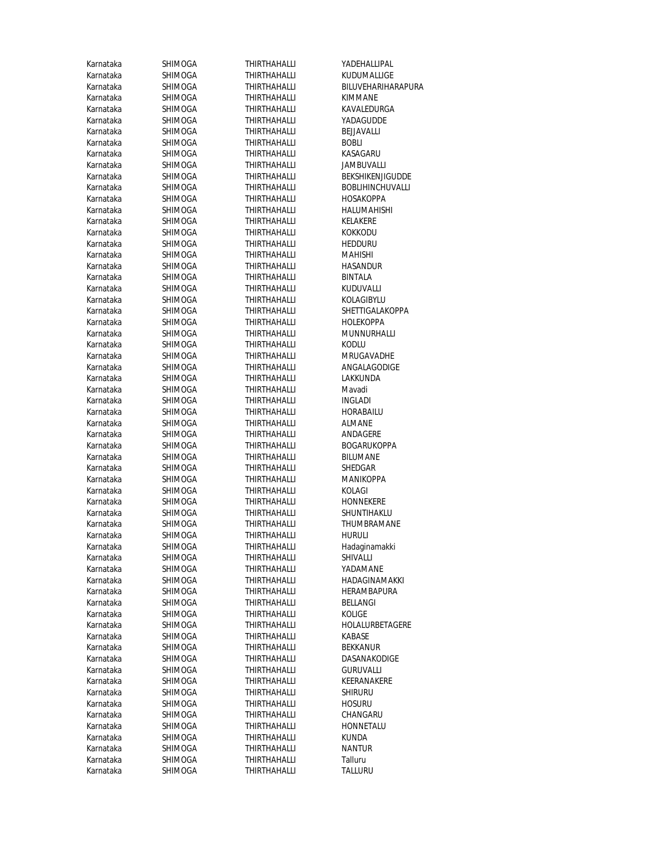| Karnataka              | SHIMOGA            | THIRTHAHALLI                 | YADEHALLIPAL                  |
|------------------------|--------------------|------------------------------|-------------------------------|
| Karnataka              | <b>SHIMOGA</b>     | THIRTHAHALLI                 | KUDUMALLIGE                   |
| Karnataka              | SHIMOGA            | THIRTHAHALLI                 | BILUVEHARIHARAPURA            |
| Karnataka              | SHIMOGA            | THIRTHAHALLI                 | <b>KIMMANE</b>                |
| Karnataka              | SHIMOGA            | THIRTHAHALLI                 | KAVALEDURGA                   |
| Karnataka              | SHIMOGA            | <b>THIRTHAHALLI</b>          | YADAGUDDE                     |
| Karnataka              | <b>SHIMOGA</b>     | <b>THIRTHAHALLI</b>          | <b>BEJJAVALLI</b>             |
| Karnataka              | SHIMOGA            | THIRTHAHALLI                 | <b>BOBLI</b>                  |
| Karnataka              | SHIMOGA            | THIRTHAHALLI                 | KASAGARU                      |
| Karnataka              | SHIMOGA            | <b>THIRTHAHALLI</b>          | <b>JAMBUVALLI</b>             |
| Karnataka              | SHIMOGA            | <b>THIRTHAHALLI</b>          | BEKSHIKENJIGUDDE              |
| Karnataka              | SHIMOGA            | THIRTHAHALLI                 | <b>BOBLIHINCHUVALLI</b>       |
| Karnataka              | SHIMOGA            | <b>THIRTHAHALLI</b>          | <b>HOSAKOPPA</b>              |
| Karnataka              | SHIMOGA            | <b>THIRTHAHALLI</b>          | HALUMAHISHI                   |
| Karnataka              | SHIMOGA            | THIRTHAHALLI                 | KELAKERE                      |
| Karnataka              | SHIMOGA            | <b>THIRTHAHALLI</b>          | <b>KOKKODU</b>                |
| Karnataka              | SHIMOGA            | THIRTHAHALLI                 | <b>HEDDURU</b>                |
| Karnataka              | SHIMOGA            | <b>THIRTHAHALLI</b>          | MAHISHI                       |
| Karnataka              | SHIMOGA            | <b>THIRTHAHALLI</b>          | <b>HASANDUR</b>               |
| Karnataka              | SHIMOGA            | THIRTHAHALLI                 | <b>BINTALA</b>                |
| Karnataka              | SHIMOGA            | THIRTHAHALLI                 | KUDUVALLI                     |
| Karnataka              | SHIMOGA            | <b>THIRTHAHALLI</b>          | KOLAGIBYLU                    |
| Karnataka              | SHIMOGA            | <b>THIRTHAHALLI</b>          | SHETTIGALAKOPPA               |
| Karnataka              | SHIMOGA            | <b>THIRTHAHALLI</b>          | <b>HOLEKOPPA</b>              |
| Karnataka              | <b>SHIMOGA</b>     | <b>THIRTHAHALLI</b>          | MUNNURHALLI                   |
| Karnataka              | SHIMOGA            | THIRTHAHALLI                 | KODLU                         |
| Karnataka              | SHIMOGA            | THIRTHAHALLI                 | MRUGAVADHE                    |
| Karnataka              | SHIMOGA            | <b>THIRTHAHALLI</b>          | ANGALAGODIGE                  |
| Karnataka              | SHIMOGA            | <b>THIRTHAHALLI</b>          | LAKKUNDA                      |
| Karnataka              | SHIMOGA            | <b>THIRTHAHALLI</b>          | Mavadi                        |
| Karnataka              | SHIMOGA            | THIRTHAHALLI                 | <b>INGLADI</b>                |
| Karnataka              | SHIMOGA            | THIRTHAHALLI                 | HORABAILU                     |
| Karnataka              | SHIMOGA            | THIRTHAHALLI                 | <b>ALMANE</b>                 |
| Karnataka              | SHIMOGA            | THIRTHAHALLI                 | ANDAGERE                      |
| Karnataka              | SHIMOGA            | THIRTHAHALLI                 | <b>BOGARUKOPPA</b>            |
| Karnataka              | SHIMOGA            | THIRTHAHALLI                 | <b>BILUMANE</b>               |
| Karnataka              | SHIMOGA            | THIRTHAHALLI                 | SHEDGAR                       |
| Karnataka              | SHIMOGA            | <b>THIRTHAHALLI</b>          | <b>MANIKOPPA</b>              |
| Karnataka              | SHIMOGA            | THIRTHAHALLI                 | KOLAGI                        |
| Karnataka              | SHIMOGA            | THIRTHAHALLI                 | HONNEKERE                     |
| Karnataka              | SHIMOGA            | THIRTHAHALLI                 | SHUNTIHAKLU                   |
| Karnataka              | <b>SHIMOGA</b>     | <b>THIRTHAHALLI</b>          | THUMBRAMANE                   |
| Karnataka              | SHIMOGA            | THIRTHAHALLI                 | <b>HURULI</b>                 |
| Karnataka              | SHIMOGA            | THIRTHAHALLI                 | Hadaginamakki                 |
| Karnataka              | SHIMOGA            | THIRTHAHALLI                 | SHIVALLI                      |
| Karnataka              | SHIMOGA            | <b>THIRTHAHALLI</b>          | YADAMANE                      |
| Karnataka              | SHIMOGA            | THIRTHAHALLI                 | HADAGINAMAKKI                 |
| Karnataka              | SHIMOGA            | THIRTHAHALLI                 | HERAMBAPURA                   |
| Karnataka              | SHIMOGA            | THIRTHAHALLI                 | BELLANGI                      |
| Karnataka              | SHIMOGA            | THIRTHAHALLI                 | KOLIGE                        |
| Karnataka              | SHIMOGA            | <b>THIRTHAHALLI</b>          | HOLALURBETAGERE               |
| Karnataka              | SHIMOGA            | THIRTHAHALLI                 | KABASE                        |
| Karnataka              | SHIMOGA            | <b>THIRTHAHALLI</b>          | <b>BEKKANUR</b>               |
| Karnataka              | SHIMOGA            | <b>THIRTHAHALLI</b>          | DASANAKODIGE                  |
| Karnataka              | SHIMOGA            | THIRTHAHALLI                 | <b>GURUVALLI</b>              |
| Karnataka              | SHIMOGA            | <b>THIRTHAHALLI</b>          | KEERANAKERE                   |
| Karnataka              | SHIMOGA            | THIRTHAHALLI                 | <b>SHIRURU</b>                |
| Karnataka              | SHIMOGA            | THIRTHAHALLI                 | <b>HOSURU</b>                 |
| Karnataka              | SHIMOGA            | THIRTHAHALLI                 | CHANGARU                      |
| Karnataka              | SHIMOGA            | THIRTHAHALLI                 | HONNETALU                     |
| Karnataka<br>Karnataka | SHIMOGA<br>SHIMOGA | THIRTHAHALLI<br>THIRTHAHALLI | <b>KUNDA</b><br><b>NANTUR</b> |
| Karnataka              | SHIMOGA            | THIRTHAHALLI                 | Talluru                       |
| Karnataka              | SHIMOGA            | <b>THIRTHAHALLI</b>          | TALLURU                       |
|                        |                    |                              |                               |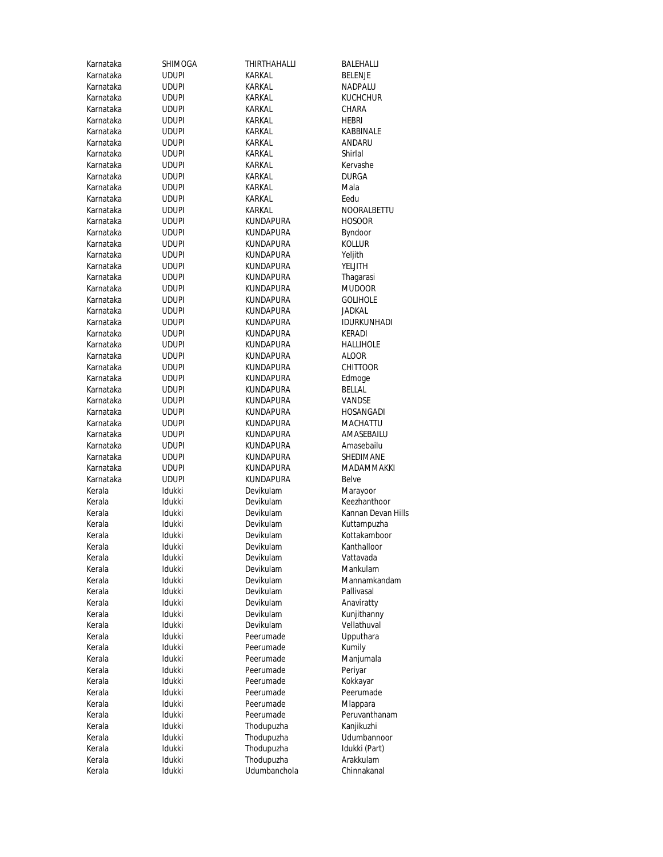| Karnataka        | SHIMOGA          | THIRTHAHALLI           | BALEHALLI                   |
|------------------|------------------|------------------------|-----------------------------|
| Karnataka        | <b>UDUPI</b>     | KARKAL                 | <b>BELENJE</b>              |
| Karnataka        | <b>UDUPI</b>     | KARKAL                 | NADPALU                     |
| Karnataka        | <b>UDUPI</b>     | KARKAL                 | KUCHCHUR                    |
| Karnataka        | <b>UDUPI</b>     | KARKAL                 | CHARA                       |
| Karnataka        | <b>UDUPI</b>     | KARKAL                 | HEBRI                       |
| Karnataka        | <b>UDUPI</b>     | KARKAL                 | KABBINALE                   |
| Karnataka        | <b>UDUPI</b>     | KARKAL                 | ANDARU                      |
| Karnataka        | <b>UDUPI</b>     | KARKAL                 | Shirlal                     |
| Karnataka        | <b>UDUPI</b>     | KARKAL                 | Kervashe                    |
| Karnataka        | <b>UDUPI</b>     | KARKAL                 | DURGA                       |
| Karnataka        | <b>UDUPI</b>     | KARKAL                 | Mala                        |
| Karnataka        | <b>UDUPI</b>     | KARKAL                 | Eedu                        |
| Karnataka        | <b>UDUPI</b>     | KARKAL                 | NOORALBETTU                 |
| Karnataka        | <b>UDUPI</b>     | KUNDAPURA              | HOSOOR                      |
| Karnataka        | <b>UDUPI</b>     | KUNDAPURA              | Byndoor                     |
| Karnataka        | <b>UDUPI</b>     | KUNDAPURA              | kollur                      |
| Karnataka        | <b>UDUPI</b>     | KUNDAPURA              | Yeljith                     |
| Karnataka        | <b>UDUPI</b>     | KUNDAPURA              | YELJITH                     |
| Karnataka        | <b>UDUPI</b>     | KUNDAPURA              | Thagarasi                   |
| Karnataka        | <b>UDUPI</b>     | KUNDAPURA              | Mudoor                      |
| Karnataka        | <b>UDUPI</b>     | KUNDAPURA              | <b>GOLIHOLE</b>             |
| Karnataka        | <b>UDUPI</b>     | KUNDAPURA              | <b>JADKAL</b>               |
| Karnataka        | <b>UDUPI</b>     | KUNDAPURA              | <b>IDURKUNHADI</b>          |
| Karnataka        | <b>UDUPI</b>     | KUNDAPURA              | KERADI                      |
| Karnataka        | <b>UDUPI</b>     | KUNDAPURA              | <b>HALLIHOLE</b>            |
| Karnataka        | <b>UDUPI</b>     | KUNDAPURA              | <b>ALOOR</b>                |
| Karnataka        | <b>UDUPI</b>     | KUNDAPURA              | CHITTOOR                    |
| Karnataka        | <b>UDUPI</b>     | KUNDAPURA              | Edmoge                      |
| Karnataka        | <b>UDUPI</b>     | KUNDAPURA              | BELLAL                      |
| Karnataka        | <b>UDUPI</b>     | KUNDAPURA              | VANDSE                      |
| Karnataka        | <b>UDUPI</b>     | KUNDAPURA              | HOSANGADI                   |
| Karnataka        | <b>UDUPI</b>     | KUNDAPURA              | MACHATTU                    |
| Karnataka        | <b>UDUPI</b>     | KUNDAPURA              | AMASEBAILU                  |
| Karnataka        | <b>UDUPI</b>     | KUNDAPURA              | Amasebailu                  |
| Karnataka        | <b>UDUPI</b>     | KUNDAPURA              | SHEDIMANE                   |
| Karnataka        | <b>UDUPI</b>     | KUNDAPURA              | MADAMMAKKI                  |
| Karnataka        | <b>UDUPI</b>     | KUNDAPURA              | Belve                       |
| Kerala           | Idukki           | Devikulam              | Marayoor                    |
| Kerala           | Idukki           | Devikulam              | Keezhanthoor                |
| Kerala           | Idukki           | Devikulam              | Kannan Devan Hills          |
| Kerala           | Idukki           | Devikulam              | Kuttampuzha<br>Kottakamboor |
| Kerala           | Idukki<br>Idukki | Devikulam              | Kanthalloor                 |
| Kerala           | Idukki           | Devikulam              |                             |
| Kerala<br>Kerala | Idukki           | Devikulam<br>Devikulam | Vattavada<br>Mankulam       |
| Kerala           |                  | Devikulam              | Mannamkandam                |
| Kerala           | Idukki<br>Idukki | Devikulam              | Pallivasal                  |
| Kerala           | Idukki           | Devikulam              | Anaviratty                  |
| Kerala           | Idukki           | Devikulam              | Kunjithanny                 |
| Kerala           | Idukki           | Devikulam              | Vellathuval                 |
| Kerala           | Idukki           | Peerumade              | Upputhara                   |
| Kerala           | Idukki           | Peerumade              | Kumily                      |
| Kerala           | Idukki           | Peerumade              | Manjumala                   |
| Kerala           | Idukki           | Peerumade              | Periyar                     |
| Kerala           | Idukki           | Peerumade              | Kokkayar                    |
| Kerala           | Idukki           | Peerumade              | Peerumade                   |
| Kerala           | Idukki           | Peerumade              | Mlappara                    |
| Kerala           | Idukki           | Peerumade              | Peruvanthanam               |
| Kerala           | Idukki           | Thodupuzha             | Kanjikuzhi                  |
| Kerala           | Idukki           | Thodupuzha             | Udumbannoor                 |
| Kerala           | Idukki           | Thodupuzha             | Idukki (Part)               |
| Kerala           | Idukki           | Thodupuzha             | Arakkulam                   |
| Kerala           | Idukki           | Udumbanchola           | Chinnakanal                 |
|                  |                  |                        |                             |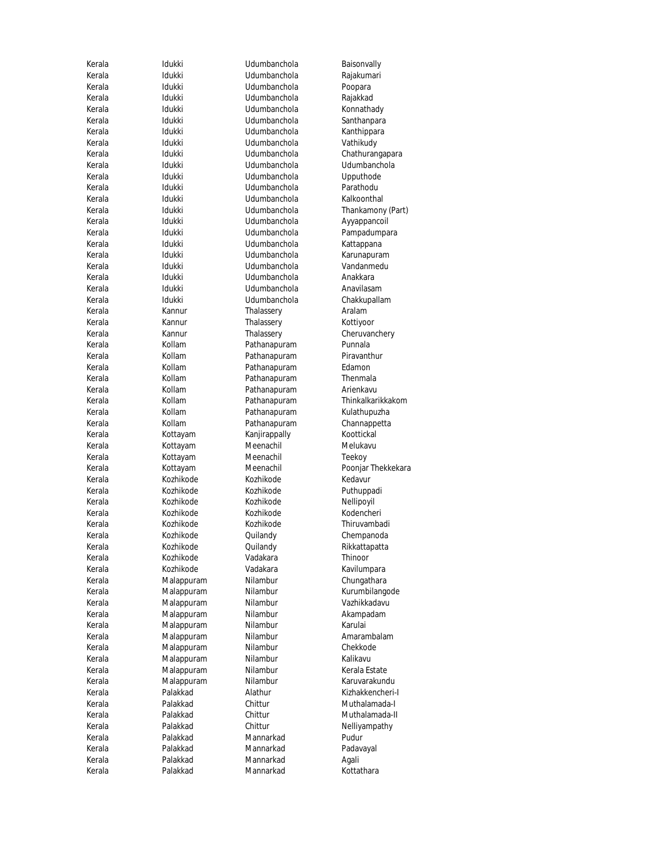| Kerala | Idukki     | Udumbanchola  | Baisonvall |
|--------|------------|---------------|------------|
| Kerala | Idukki     | Udumbanchola  | Rajakuma   |
| Kerala | Idukki     | Udumbanchola  | Poopara    |
| Kerala | Idukki     | Udumbanchola  | Rajakkad   |
| Kerala | Idukki     | Udumbanchola  | Konnatha   |
| Kerala | Idukki     | Udumbanchola  | Santhanpa  |
| Kerala | Idukki     | Udumbanchola  | Kanthippa  |
| Kerala | Idukki     | Udumbanchola  | Vathikudy  |
| Kerala | Idukki     | Udumbanchola  | Chathurar  |
| Kerala | Idukki     | Udumbanchola  | Udumban    |
| Kerala | Idukki     | Udumbanchola  | Upputhod   |
| Kerala | Idukki     | Udumbanchola  | Parathodu  |
| Kerala | Idukki     | Udumbanchola  | Kalkoonth  |
| Kerala | Idukki     | Udumbanchola  | Thankamo   |
| Kerala | Idukki     | Udumbanchola  | Ayyappan   |
| Kerala | Idukki     | Udumbanchola  | Pampadur   |
| Kerala | Idukki     | Udumbanchola  | Kattappan  |
| Kerala | Idukki     | Udumbanchola  | Karunapur  |
| Kerala | Idukki     | Udumbanchola  | Vandanme   |
| Kerala | Idukki     | Udumbanchola  | Anakkara   |
| Kerala | Idukki     | Udumbanchola  | Anavilasar |
| Kerala | Idukki     | Udumbanchola  | Chakkupal  |
| Kerala | Kannur     | Thalassery    | Aralam     |
| Kerala | Kannur     | Thalassery    | Kottiyoor  |
| Kerala | Kannur     | Thalassery    | Cheruvano  |
| Kerala | Kollam     | Pathanapuram  | Punnala    |
| Kerala | Kollam     | Pathanapuram  | Piravanth  |
| Kerala | Kollam     | Pathanapuram  | Edamon     |
| Kerala | Kollam     | Pathanapuram  | Thenmala   |
| Kerala | Kollam     | Pathanapuram  | Arienkavu  |
| Kerala | Kollam     | Pathanapuram  | Thinkalkar |
| Kerala | Kollam     | Pathanapuram  | Kulathupu  |
| Kerala | Kollam     | Pathanapuram  | Channapp   |
| Kerala | Kottayam   | Kanjirappally | Koottickal |
| Kerala | Kottayam   | Meenachil     | Melukavu   |
| Kerala | Kottayam   | Meenachil     | Teekoy     |
| Kerala | Kottayam   | Meenachil     | Poonjar Th |
| Kerala | Kozhikode  | Kozhikode     | Kedavur    |
| Kerala | Kozhikode  | Kozhikode     | Puthuppa   |
| Kerala | Kozhikode  | Kozhikode     | Nellipoyil |
| Kerala | Kozhikode  | Kozhikode     | Kodenche   |
| Kerala | Kozhikode  | Kozhikode     | Thiruvaml  |
| Kerala | Kozhikode  | Quilandy      | Chempano   |
| Kerala | Kozhikode  | Quilandy      | Rikkattapa |
| Kerala | Kozhikode  | Vadakara      | Thinoor    |
| Kerala | Kozhikode  | Vadakara      | Kavilumpa  |
| Kerala | Malappuram | Nilambur      | Chungatha  |
| Kerala | Malappuram | Nilambur      | Kurumbila  |
| Kerala | Malappuram | Nilambur      | Vazhikkad  |
| Kerala | Malappuram | Nilambur      | Akampada   |
| Kerala | Malappuram | Nilambur      | Karulai    |
| Kerala | Malappuram | Nilambur      | Amaramb    |
| Kerala | Malappuram | Nilambur      | Chekkode   |
| Kerala | Malappuram | Nilambur      | Kalikavu   |
| Kerala | Malappuram | Nilambur      | Kerala Est |
| Kerala | Malappuram | Nilambur      | Karuvarak  |
| Kerala | Palakkad   | Alathur       | Kizhakken  |
| Kerala | Palakkad   | Chittur       | Muthalam   |
| Kerala | Palakkad   | Chittur       | Muthalam   |
| Kerala | Palakkad   | Chittur       | Nelliyamp  |
| Kerala | Palakkad   | Mannarkad     | Pudur      |
| Kerala | Palakkad   | Mannarkad     | Padavayal  |
| Kerala | Palakkad   | Mannarkad     | Agali      |
| Kerala | Palakkad   | Mannarkad     | Kottathara |

Baisonvally Rajakumari Poopara Rajakkad Konnathady Santhanpara Kanthippara Vathikudy Chathurangapara Udumbanchola Upputhode Parathodu Kalkoonthal Thankamony (Part) Ayyappancoil Pampadumpara Kattappana Karunapuram Vandanmedu Anavilasam Chakkupallam Kottiyoor Cheruvanchery Punnala Piravanthur<br>Edamon Thinkalkarikkakom Kulathupuzha Channappetta Koottickal Melukavu Poonjar Thekkekara<br>Kedavur Puthuppadi Nellipoyil Kodencheri Thiruvambadi Chempanoda Rikkattapatta<br>Thinoor Kavilumpara Chungathara Kurumbilangode Vazhikkadavu Akampadam<br>Karulai Amarambalam Chekkode<br>Kalikavu Kerala Estate Karuvarakundu Kizhakkencheri-I Muthalamada-I Muthalamada-II Nelliyampathy<br>Pudur Padavayal Kottathara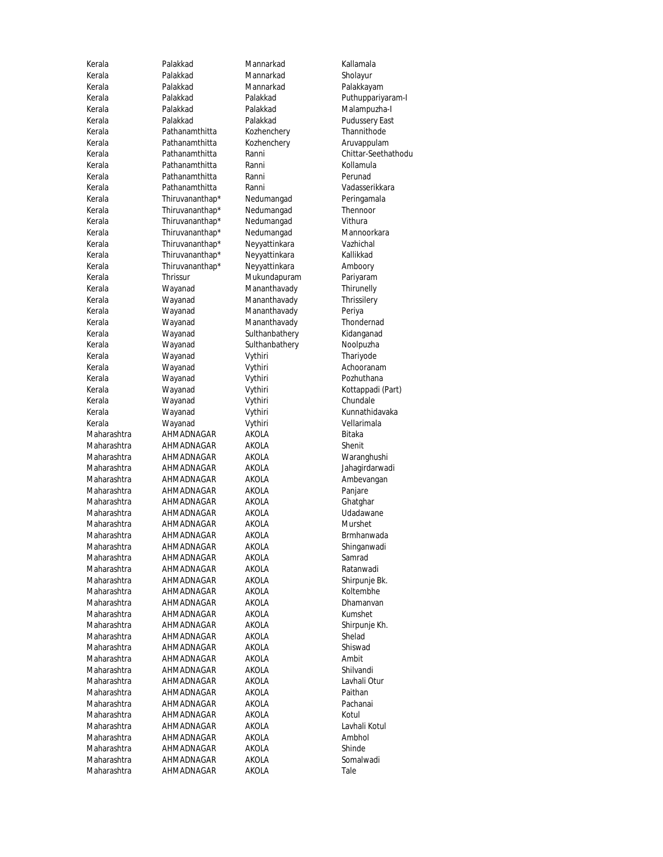Kerala Palakkad Mannarkad Kallamala Kerala Palakkad Mannarkad Sholayur Kerala Palakkad Mannarkad Palakkayam Kerala Palakkad Palakkad Pudussery East Kerala Pathanamthitta Kozhenchery Thannithode Kerala Pathanamthitta Kozhenchery Aruvappulam Kerala **Pathanamthitta** Ranni Kollamula Kerala Pathanamthitta Ranni Perunad Kerala Pathanamthitta Ranni Vadasserikkara Kerala Thiruvananthap\* Nedumangad Peringamala Kerala Thiruvananthap<sup>\*</sup> Nedumangad Thennoor<br>Kerala Thiruvananthap<sup>\*</sup> Nedumangad Vithura Kerala Thiruvananthap\* Nedumangad Vithura Thiruvananthap\* Kerala Thiruvananthap\* Neyyattinkara Vazhichal Kerala Thiruvananthap\* Neyyattinkara Kallikkad Kerala Thiruvananthap\* Neyyattinkara Amboory Kerala Thrissur Mukundapuram Pariyaram Kerala Wayanad Mananthavady Thirunelly Kerala **Wayanad** Mananthavady Thrissilery Kerala **Wayanad** Mananthavady Periya Kerala **Wayanad** Mananthavady Thondernad Kerala **Wayanad** Sulthanbathery Kidanganad Kerala Mayanad Sulthanbathery Noolpuzha Kerala **Wayanad** Vythiri Thariyode Kerala **Wayanad** Vythiri **Achooranam** Kerala **Wayanad** Vythiri Pozhuthana Kerala **Wayanad** Vythiri Kottappadi (Part) Kerala Wayanad Vythiri Chundale Kerala Wayanad Vythiri Kunnathidavaka Kerala Wayanad Vythiri Vellarimala Maharashtra AHMADNAGAR AKOLA Bitaka Maharashtra AHMADNAGAR AKOLA Shenit Maharashtra AHMADNAGAR AKOLA Waranghushi Maharashtra AHMADNAGAR AKOLA Jahagirdarwadi Maharashtra AHMADNAGAR AKOLA Ambevangan<br>Maharashtra AHMADNAGAR AKOLA Panjare AHMADNAGAR AKOLA Panjare Maharashtra AHMADNAGAR AKOLA Ghatghar Maharashtra AHMADNAGAR AKOLA Udadawane Maharashtra AHMADNAGAR AKOLA Murshet Maharashtra AHMADNAGAR AKOLA Brmhanwada<br>Maharashtra AHMADNAGAR AKOLA Shinganwadi Maharashtra AHMADNAGAR AKOLA Samrad Maharashtra AHMADNAGAR AKOLA Ratanwadi Maharashtra AHMADNAGAR AKOLA Shirpunje Bk. Maharashtra AHMADNAGAR AKOLA Koltembhe Maharashtra AHMADNAGAR AKOLA Dhamanvan Maharashtra AHMADNAGAR AKOLA Kumshet Maharashtra AHMADNAGAR AKOLA Shirpunje Kh. Maharashtra AHMADNAGAR AKOLA Shelad Maharashtra AHMADNAGAR AKOLA Shiswad Maharashtra AHMADNAGAR AKOLA Ambit<br>Maharashtra AHMADNAGAR AKOLA Shilvandi Maharashtra AHMADNAGAR AKOLA Shilvandi AHMADNAGAR Maharashtra AHMADNAGAR AKOLA Paithan Maharashtra AHMADNAGAR AKOLA Pachanai Maharashtra AHMADNAGAR AKOLA Kotul Maharashtra AHMADNAGAR AKOLA Lavhali Kotul<br>Maharashtra AHMADNAGAR AKOLA Ambhol Maharashtra AHMADNAGAR AKOLA Ambho<br>Maharashtra AHMADNAGAR AKOLA Shinde AHMADNAGAR Maharashtra AHMADNAGAR AKOLA Somalwadi Maharashtra AHMADNAGAR AKOLA Tale

Kerala Palakkad Palakkad Puthuppariyaram-I Malampuzha-I Kerala Pathanamthitta Ranni Chittar-Seethathodu Shinganwadi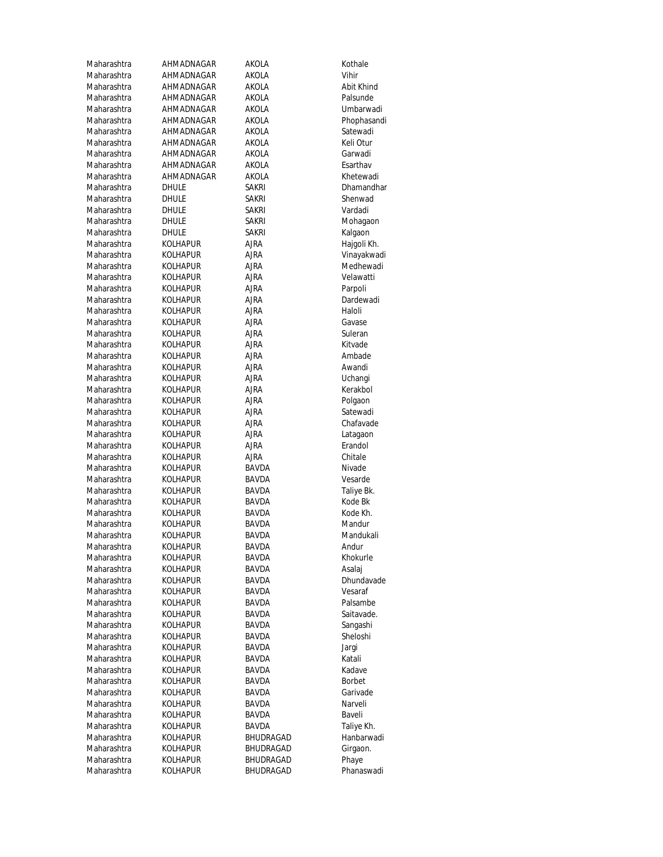| Maharashtra                | AHMADNAGAR                         | AKOLA        | Kothale             |
|----------------------------|------------------------------------|--------------|---------------------|
| Maharashtra                | AHMADNAGAR                         | AKOLA        | Vihir               |
| Maharashtra                | AHMADNAGAR                         | AKOLA        | Abit Khind          |
| Maharashtra                | AHMADNAGAR                         | AKOLA        | Palsunde            |
| Maharashtra                | AHMADNAGAR                         | AKOLA        | Umbarwadi           |
| Maharashtra                | AHMADNAGAR                         | AKOLA        | Phophasandi         |
| Maharashtra                | AHMADNAGAR                         | AKOLA        | Satewadi            |
| Maharashtra                | AHMADNAGAR                         | AKOLA        | Keli Otur           |
| Maharashtra                | AHMADNAGAR                         | AKOLA        | Garwadi             |
| Maharashtra                | AHMADNAGAR                         | AKOLA        | Esarthav            |
| Maharashtra                | AHMADNAGAR                         | AKOLA        | Khetewadi           |
| Maharashtra                | DHULE                              | sakri        | Dhamandhar          |
| Maharashtra                | DHULE                              | sakri        | Shenwad             |
| Maharashtra                | DHULE                              | sakri        | Vardadi             |
| Maharashtra                | DHULE                              | sakri        | Mohagaon            |
| Maharashtra                | DHULE                              | SAKRI        | Kalgaon             |
| Maharashtra                | KOLHAPUR                           | ajra         | Hajgoli Kh.         |
| Maharashtra                | KOLHAPUR                           | ajra         | Vinayakwadi         |
| Maharashtra                | KOLHAPUR                           | ajra         | Medhewadi           |
| Maharashtra                | KOLHAPUR                           | ajra         | Velawatti           |
| Maharashtra<br>Maharashtra | KOLHAPUR                           | ajra         | Parpoli             |
| Maharashtra                | <b>KOLHAPUR</b>                    | ajra         | Dardewadi<br>Haloli |
|                            | <b>KOLHAPUR</b><br><b>KOLHAPUR</b> | ajra<br>AJRA |                     |
| Maharashtra<br>Maharashtra | KOLHAPUR                           | ajra         | Gavase<br>Suleran   |
| Maharashtra                | KOLHAPUR                           | ajra         | Kitvade             |
| Maharashtra                | KOLHAPUR                           | AJRA         | Ambade              |
| Maharashtra                | KOLHAPUR                           | AJRA         | Awandi              |
| Maharashtra                | KOLHAPUR                           | ajra         | Uchangi             |
| Maharashtra                | KOLHAPUR                           | ajra         | Kerakbol            |
| Maharashtra                | KOLHAPUR                           | AJRA         | Polgaon             |
| Maharashtra                | KOLHAPUR                           | AJRA         | Satewadi            |
| Maharashtra                | KOLHAPUR                           | ajra         | Chafavade           |
| Maharashtra                | KOLHAPUR                           | ajra         | Latagaon            |
| Maharashtra                | KOLHAPUR                           | AJRA         | Erandol             |
| Maharashtra                | <b>KOLHAPUR</b>                    | ajra         | Chitale             |
| Maharashtra                | KOLHAPUR                           | BAVDA        | Nivade              |
| Maharashtra                | <b>KOLHAPUR</b>                    | <b>BAVDA</b> | Vesarde             |
| Maharashtra                | <b>KOLHAPUR</b>                    | BAVDA        | Taliye Bk.          |
| Maharashtra                | KOLHAPUR                           | BAVDA        | Kode Bk             |
| Maharashtra                | <b>KOLHAPUR</b>                    | BAVDA        | Kode Kh.            |
| Maharashtra                | KOLHAPUR                           | <b>BAVDA</b> | Mandur              |
| Maharashtra                | <b>KOLHAPUR</b>                    | BAVDA        | Mandukali           |
| Maharashtra                | KOLHAPUR                           | BAVDA        | Andur               |
| Maharashtra                | KOLHAPUR                           | BAVDA        | Khokurle            |
| Maharashtra                | <b>KOLHAPUR</b>                    | BAVDA        | Asalaj              |
| Maharashtra                | <b>KOLHAPUR</b>                    | BAVDA        | Dhundavade          |
| Maharashtra                | <b>KOLHAPUR</b>                    | BAVDA        | Vesaraf             |
| Maharashtra                | <b>KOLHAPUR</b>                    | BAVDA        | Palsambe            |
| Maharashtra                | KOLHAPUR                           | BAVDA        | Saitavade.          |
| Maharashtra                | KOLHAPUR                           | <b>BAVDA</b> | Sangashi            |
| Maharashtra                | <b>KOLHAPUR</b>                    | BAVDA        | Sheloshi            |
| Maharashtra                | KOLHAPUR                           | BAVDA        | Jargi               |
| Maharashtra                | KOLHAPUR                           | BAVDA        | Katali              |
| Maharashtra                | KOLHAPUR                           | BAVDA        | Kadave              |
| Maharashtra                | <b>KOLHAPUR</b>                    | BAVDA        | Borbet              |
| Maharashtra                | KOLHAPUR                           | BAVDA        | Garivade            |
| Maharashtra                | <b>KOLHAPUR</b>                    | BAVDA        | Narveli             |
| Maharashtra                | KOLHAPUR                           | BAVDA        | Baveli              |
| Maharashtra                | KOLHAPUR                           | BAVDA        | Taliye Kh.          |
| Maharashtra                | KOLHAPUR                           | BHUDRAGAD    | Hanbarwadi          |
| Maharashtra                | KOLHAPUR                           | BHUDRAGAD    | Girgaon.            |
| Maharashtra                | <b>KOLHAPUR</b>                    | BHUDRAGAD    | Phaye               |
| Maharashtra                | KOLHAPUR                           | BHUDRAGAD    | Phanaswadi          |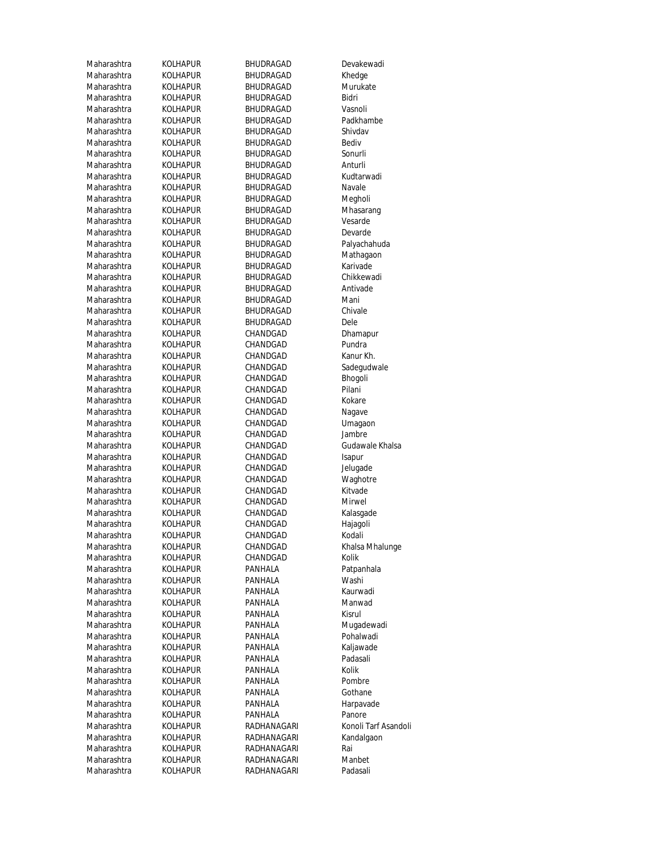| Maharashtra | KOLHAPUR        | BHUDRAGAD   | Devakewadi           |
|-------------|-----------------|-------------|----------------------|
| Maharashtra | KOLHAPUR        | BHUDRAGAD   | Khedge               |
| Maharashtra | KOLHAPUR        | BHUDRAGAD   | Murukate             |
| Maharashtra | KOLHAPUR        | BHUDRAGAD   | Bidri                |
| Maharashtra | KOLHAPUR        | BHUDRAGAD   | Vasnoli              |
| Maharashtra | <b>KOLHAPUR</b> | BHUDRAGAD   | Padkhambe            |
| Maharashtra | KOLHAPUR        | BHUDRAGAD   | Shivdav              |
| Maharashtra | KOLHAPUR        | BHUDRAGAD   | Bediv                |
| Maharashtra | KOLHAPUR        | BHUDRAGAD   | Sonurli              |
| Maharashtra | KOLHAPUR        | BHUDRAGAD   | Anturli              |
| Maharashtra | KOLHAPUR        | BHUDRAGAD   | Kudtarwadi           |
| Maharashtra | KOLHAPUR        | BHUDRAGAD   | Navale               |
| Maharashtra | <b>KOLHAPUR</b> | BHUDRAGAD   | Megholi              |
| Maharashtra | KOLHAPUR        | BHUDRAGAD   |                      |
|             |                 |             | Mhasarang<br>Vesarde |
| Maharashtra | KOLHAPUR        | BHUDRAGAD   |                      |
| Maharashtra | <b>KOLHAPUR</b> | BHUDRAGAD   | Devarde              |
| Maharashtra | KOLHAPUR        | BHUDRAGAD   | Palyachahuda         |
| Maharashtra | KOLHAPUR        | BHUDRAGAD   | Mathagaon            |
| Maharashtra | KOLHAPUR        | BHUDRAGAD   | Karivade             |
| Maharashtra | KOLHAPUR        | BHUDRAGAD   | Chikkewadi           |
| Maharashtra | KOLHAPUR        | BHUDRAGAD   | Antivade             |
| Maharashtra | KOLHAPUR        | BHUDRAGAD   | Mani                 |
| Maharashtra | <b>KOLHAPUR</b> | BHUDRAGAD   | Chivale              |
| Maharashtra | <b>KOLHAPUR</b> | BHUDRAGAD   | Dele                 |
| Maharashtra | KOLHAPUR        | CHANDGAD    | Dhamapur             |
| Maharashtra | <b>KOLHAPUR</b> | CHANDGAD    | Pundra               |
| Maharashtra | <b>KOLHAPUR</b> | CHANDGAD    | Kanur Kh.            |
| Maharashtra | KOLHAPUR        | CHANDGAD    | Sadegudwale          |
| Maharashtra | KOLHAPUR        | CHANDGAD    | Bhogoli              |
| Maharashtra | KOLHAPUR        | CHANDGAD    | Pilani               |
| Maharashtra | KOLHAPUR        | CHANDGAD    | Kokare               |
| Maharashtra | KOLHAPUR        | CHANDGAD    | Nagave               |
| Maharashtra | KOLHAPUR        | CHANDGAD    | Umagaon              |
| Maharashtra | KOLHAPUR        | CHANDGAD    | Jambre               |
| Maharashtra | KOLHAPUR        | CHANDGAD    | Gudawale Khalsa      |
| Maharashtra | KOLHAPUR        | CHANDGAD    | Isapur               |
| Maharashtra | KOLHAPUR        | CHANDGAD    | Jelugade             |
| Maharashtra | <b>KOLHAPUR</b> | CHANDGAD    | Waghotre             |
| Maharashtra | <b>KOLHAPUR</b> | CHANDGAD    | Kitvade              |
| Maharashtra |                 |             | Mirwel               |
|             | KOLHAPUR        | CHANDGAD    |                      |
| Maharashtra | KOLHAPUR        | CHANDGAD    | Kalasgade            |
| Maharashtra | KOLHAPUR        | CHANDGAD    | Hajagoli             |
| Maharashtra | <b>KOLHAPUR</b> | CHANDGAD    | Kodali               |
| Maharashtra | <b>KOLHAPUR</b> | CHANDGAD    | Khalsa Mhalunge      |
| Maharashtra | KOLHAPUR        | CHANDGAD    | Kolik                |
| Maharashtra | KOLHAPUR        | PANHALA     | Patpanhala           |
| Maharashtra | <b>KOLHAPUR</b> | PANHALA     | Washi                |
| Maharashtra | KOLHAPUR        | PANHALA     | Kaurwadi             |
| Maharashtra | <b>KOLHAPUR</b> | PANHALA     | Manwad               |
| Maharashtra | <b>KOLHAPUR</b> | PANHALA     | Kisrul               |
| Maharashtra | KOLHAPUR        | PANHALA     | Mugadewadi           |
| Maharashtra | KOLHAPUR        | PANHALA     | Pohalwadi            |
| Maharashtra | <b>KOLHAPUR</b> | PANHALA     | Kaljawade            |
| Maharashtra | KOLHAPUR        | PANHALA     | Padasali             |
| Maharashtra | KOLHAPUR        | PANHALA     | Kolik                |
| Maharashtra | KOLHAPUR        | PANHALA     | Pombre               |
| Maharashtra | <b>KOLHAPUR</b> | PANHALA     | Gothane              |
| Maharashtra | KOLHAPUR        | PANHALA     | Harpavade            |
| Maharashtra | KOLHAPUR        | PANHALA     | Panore               |
| Maharashtra | KOLHAPUR        | RADHANAGARI | Konoli Tarf Asandoli |
| Maharashtra | <b>KOLHAPUR</b> | RADHANAGARI | Kandalgaon           |
| Maharashtra | KOLHAPUR        | RADHANAGARI | Rai                  |
|             |                 |             |                      |
| Maharashtra | KOLHAPUR        | RADHANAGARI | Manbet               |
| Maharashtra | <b>KOLHAPUR</b> | RADHANAGARI | Padasali             |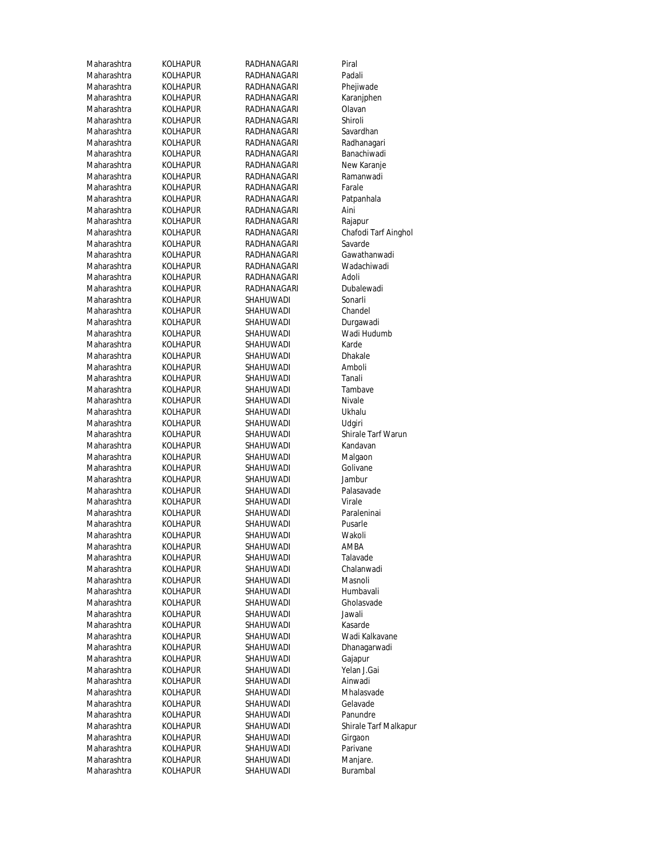| Maharashtra | KOLHAPUF        |
|-------------|-----------------|
| Maharashtra | KOLHAPUF        |
| Maharashtra | KOLHAPUF        |
| Maharashtra | KOLHAPUF        |
| Maharashtra | Kolhapuf        |
|             | KOLHAPUF        |
| Maharashtra |                 |
| Maharashtra | KOLHAPUF        |
| Maharashtra | KOLHAPUF        |
| Maharashtra | KOLHAPUF        |
| Maharashtra | KOLHAPUF        |
| Maharashtra | Kolhapuf        |
| Maharashtra | Kolhapuf        |
| Maharashtra | KOLHAPUF        |
| Maharashtra | KOLHAPUF        |
|             |                 |
| Maharashtra | Kolhapuf        |
| Maharashtra | Kolhapuf        |
| Maharashtra | KOLHAPUF        |
| Maharashtra | Kolhapuf        |
| Maharashtra | KOLHAPUF        |
| Maharashtra | KOLHAPUF        |
| Maharashtra | KOLHAPUF        |
| Maharashtra | Kolhapuf        |
| Maharashtra | KOLHAPUF        |
|             |                 |
| Maharashtra | KOLHAPUF        |
| Maharashtra | KOLHAPUF        |
| Maharashtra | Kolhapuf        |
| Maharashtra | Kolhapuf        |
| Maharashtra | Kolhapuf        |
| Maharashtra | KOLHAPUF        |
| Maharashtra | KOLHAPUF        |
| Maharashtra | KOLHAPUF        |
| Maharashtra | KOLHAPUF        |
|             |                 |
| Maharashtra | Kolhapuf        |
| Maharashtra | KOLHAPUF        |
| Maharashtra | KOLHAPUF        |
| Maharashtra | KOLHAPUF        |
| Maharashtra | Kolhapuf        |
| Maharashtra | Kolhapuf        |
| Maharashtra | KOLHAPUF        |
| Maharashtra | KOLHAPUF        |
| Maharashtra | KOLHAPUF        |
| Maharashtra | <b>KOLHAPUF</b> |
| Maharashtra | KOLHAPUF        |
|             |                 |
| Maharashtra | KOLHAPUF        |
| Maharashtra | KOLHAPUF        |
| Maharashtra | KOLHAPUF        |
| Maharashtra | KOLHAPUF        |
| Maharashtra | Kolhapuf        |
| Maharashtra | Kolhapuf        |
| Maharashtra | KOLHAPUF        |
| Maharashtra | KOLHAPUF        |
| Maharashtra | Kolhapuf        |
|             |                 |
| Maharashtra | Kolhapuf        |
| Maharashtra | KOLHAPUF        |
| Maharashtra | Kolhapuf        |
| Maharashtra | KOLHAPUF        |
| Maharashtra | KOLHAPUF        |
| Maharashtra | KOLHAPUF        |
| Maharashtra | KOLHAPUF        |
| Maharashtra | KOLHAPUF        |
| Maharashtra | KOLHAPUF        |
| Maharashtra | KOLHAPUF        |
| Maharashtra | KOLHAPUF        |
|             |                 |
| Maharashtra | Kolhapuf        |

Ranagari RADHANAGARI Piral R RADHANAGARI Padali Raharashtra KOLHANAGARI Phejiwade<br>Rananjphen RADHANAGARI Rananjphen Raharashtra Koranj<mark>i</mark><br>Randhana Radhana Radhana Karanji<br>Randa Karanja Karanja Karanja Karanja RaDHANAGARI RADHANAGARI R RADHANAGARI Shiroli R
R **Maharashtra KOLHANAGARI** Savardhan R RADHANAGARI Radhanagari RADHANAGARI Banachiwadi م RADHANAGARI New Karanje<br>RADHANAGARI Ramanwadi RADHANAGARI RADHANAGARI RADHANAGARI Farale RADHANAGARI Patpanhala न्तर सम्मा सम्राप्त स्थान स्थान स्थान स्थान स्थान स्थान स्थान स्थान स्थान स्थान स्थान स्थान स्थान स्थान स्थान<br>स्थान सम्मा सम्राप्त स्थान स्थान स्थान स्थान स्थान स्थान स्थान स्थान स्थान स्थान स्थान स्थान स्थान स्थान स्था سة RADHANAGARI<br>RADHANAGARI RADHANAGARI RADHANAGARI SAVAR RADHANAGARI RADHANAGARI Gawathanwadi R RADHANAGARI Wadachiwadi Ranamaharashtra Kole Radoli adoli Radoli adoli adoli adoli adoli adoli adoli adoli adoli adoli adoli adoli ado RADHANAGARI Dubalewadi R SHAHUWADI Sonarli R
BHAHUWADI Chandel R SHAHUWADI Durgawadi R SHAHUWADI Wadi Hudumb Maharashtra KOLHAPUR SHAHUWADI Karde Maharashtra KOLHAPUR SHAHUWADI Dhakale SHAHUWADI R SHAHUWADI Tanali R
and SHAHUWADI Tambave Maharashtra KOLHAPUR SHAHUWADI Nivale Maharashtra KOLHAPUR SHAHUWADI Ukhalu R SHAHUWADI R SHAHUWADI Kandavan R
and SHAHUWADI Malgaon Raharashtra Kolivane SHAHUWADI Golivane Maharashtra SHAHUWADI Jambur<br>Maharashtra SHAHUWADI Palasavade R<br>Maharata Shahuwadi Raharashtra Kolharashtra Koleharashtra Koleharashtra Koleharashtra Koleharashtra Koleharashtra Koleharashtra K R
analisi SHAHUWADI Paraleninai است التكتيب SHAHUWADI Pusarle<br>Ramashtra SHAHUWADI Pusarle اس SHAHUWADI Wakol<br>Ramahuwadi Wakoli AMBA Maharashtra KOLHAPUR SHAHUWADI AMBA Raharashtra Koleman Shahuwadi R SHAHUWADI Chalanwadi R SHAHUWADI Masnoli R
and SHAHUWADI Humbavali R
SHAHUWADI Gholasvade Raharashtra Koleharashtra Koleharashtra Koleharashtra Koleharashtra Shekolar Shekolar Shekolar Shekolar Shekol Raharashtra Kasarde Kasarde Kasarde R MAHARA SHAHUWADI Wadi Kalkavane R
anashtra Kolah SHAHUWADI Dhanagarwadi Maharashtra KOLHAPUR SHAHUWADI Gajapur Maharashtra Kolehapur <mark>SHAHUWADI</mark> Yelan J.G<br>Rana SHAHUWADI Yelan J.G SHAHUWADI Ainwadi<br>SHAHUWADI Mhalasvade Maharashtra KOLHAPUR SHAHUWADI Mhalasvade Raharashtra Kolavade Shahuwa<mark>Di</mark> Gelavade<br>Raharashtra ShahuwaDi Gelavade ShahuwaDi Gelavade Raharashtra Sh<mark>ahuwadi</mark><br>Raharashtra Shahuwadi Maharashtra KOLHAPUR SHAHUWADI Girgaon R SHAHUWADI R SHAHUWADI Manjare. R SHAHUWADI Burambal

Chafodi Tarf Ainghol<br>Savarde R
and SHAHUWADI Shirale Tarf Warun Maharashtra KOLHAPUR SHAHUWADI Shirale Tarf Malkapur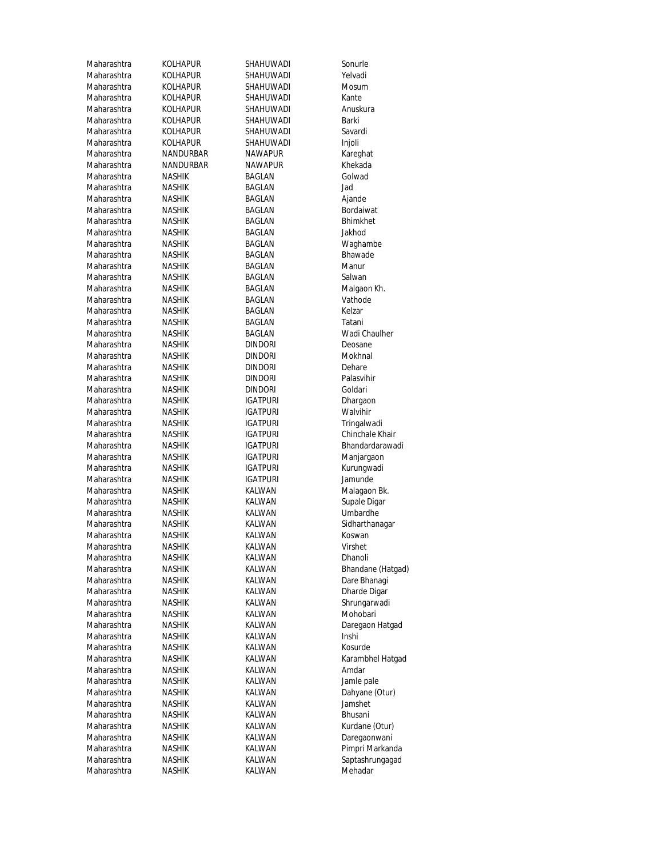| Maharashtra | KOLHAPUR        | SHAHUWADI       | Sonurle             |
|-------------|-----------------|-----------------|---------------------|
| Maharashtra | KOLHAPUR        | SHAHUWADI       | Yelvadi             |
| Maharashtra | <b>KOLHAPUR</b> | SHAHUWADI       | Mosum               |
| Maharashtra | KOLHAPUR        | SHAHUWADI       | Kante               |
| Maharashtra | KOLHAPUR        | SHAHUWADI       | Anuskura            |
| Maharashtra | <b>KOLHAPUR</b> | SHAHUWADI       | Barki               |
| Maharashtra | <b>KOLHAPUR</b> | SHAHUWADI       | Savardi             |
| Maharashtra | KOLHAPUR        | SHAHUWADI       | Injoli              |
| Maharashtra | NANDURBAR       | NAWAPUR         | Kareghat            |
| Maharashtra | NANDURBAR       | <b>NAWAPUR</b>  | Khekada             |
| Maharashtra | NASHIK          | BAGLAN          | Golwad              |
| Maharashtra | NASHIK          | BAGLAN          | Jad                 |
| Maharashtra | <b>NASHIK</b>   | BAGLAN          | Ajande              |
| Maharashtra | <b>NASHIK</b>   | BAGLAN          | Bordaiwat           |
| Maharashtra | NASHIK          | BAGLAN          | <b>Bhimkhet</b>     |
| Maharashtra | <b>NASHIK</b>   | BAGLAN          | Jakhod              |
| Maharashtra | NASHIK          | BAGLAN          |                     |
| Maharashtra |                 |                 | Waghambe<br>Bhawade |
|             | NASHIK          | BAGLAN          |                     |
| Maharashtra | NASHIK          | BAGLAN          | Manur               |
| Maharashtra | NASHIK          | BAGLAN          | Salwan              |
| Maharashtra | NASHIK          | BAGLAN          | Malgaon Kh.         |
| Maharashtra | NASHIK          | BAGLAN          | Vathode             |
| Maharashtra | NASHIK          | BAGLAN          | Kelzar              |
| Maharashtra | <b>NASHIK</b>   | BAGLAN          | Tatani              |
| Maharashtra | NASHIK          | BAGLAN          | Wadi Chaulher       |
| Maharashtra | NASHIK          | <b>DINDORI</b>  | Deosane             |
| Maharashtra | NASHIK          | <b>DINDORI</b>  | Mokhnal             |
| Maharashtra | NASHIK          | <b>DINDORI</b>  | Dehare              |
| Maharashtra | NASHIK          | <b>DINDORI</b>  | Palasvihir          |
| Maharashtra | NASHIK          | <b>DINDORI</b>  | Goldari             |
| Maharashtra | NASHIK          | IGATPURI        | Dhargaon            |
| Maharashtra | NASHIK          | IGATPURI        | Walvihir            |
| Maharashtra | NASHIK          | IGATPURI        | Tringalwadi         |
| Maharashtra | NASHIK          | IGATPURI        | Chinchale Khair     |
| Maharashtra | NASHIK          | <b>IGATPURI</b> | Bhandardarawadi     |
| Maharashtra | <b>NASHIK</b>   | <b>IGATPURI</b> | Manjargaon          |
| Maharashtra | NASHIK          | <b>IGATPURI</b> | Kurungwadi          |
| Maharashtra | <b>NASHIK</b>   | <b>IGATPURI</b> | Jamunde             |
| Maharashtra | <b>NASHIK</b>   | KALWAN          | Malagaon Bk.        |
| Maharashtra | <b>NASHIK</b>   | KALWAN          | Supale Digar        |
| Maharashtra | NASHIK          | KALWAN          | Umbardhe            |
| Maharashtra | NASHIK          | KALWAN          | Sidharthanagar      |
| Maharashtra | NASHIK          | KALWAN          | Koswan              |
| Maharashtra | <b>NASHIK</b>   | KALWAN          | Virshet             |
| Maharashtra | NASHIK          | KALWAN          | Dhanoli             |
| Maharashtra | NASHIK          | KALWAN          | Bhandane (Hatgad)   |
| Maharashtra |                 | KALWAN          | Dare Bhanagi        |
|             | NASHIK          | KALWAN          |                     |
| Maharashtra | NASHIK          |                 | Dharde Digar        |
| Maharashtra | NASHIK          | KALWAN          | Shrungarwadi        |
| Maharashtra | NASHIK          | KALWAN          | Mohobari            |
| Maharashtra | NASHIK          | KALWAN          | Daregaon Hatgad     |
| Maharashtra | NASHIK          | KALWAN          | Inshi               |
| Maharashtra | NASHIK          | KALWAN          | Kosurde             |
| Maharashtra | NASHIK          | KALWAN          | Karambhel Hatgad    |
| Maharashtra | NASHIK          | KALWAN          | Amdar               |
| Maharashtra | NASHIK          | KALWAN          | Jamle pale          |
| Maharashtra | NASHIK          | KALWAN          | Dahyane (Otur)      |
| Maharashtra | NASHIK          | KALWAN          | Jamshet             |
| Maharashtra | NASHIK          | KALWAN          | Bhusani             |
| Maharashtra | NASHIK          | KALWAN          | Kurdane (Otur)      |
| Maharashtra | <b>NASHIK</b>   | KALWAN          | Daregaonwani        |
| Maharashtra | NASHIK          | KALWAN          | Pimpri Markanda     |
| Maharashtra | NASHIK          | KALWAN          | Saptashrungagad     |
| Maharashtra | NASHIK          | KALWAN          | Mehadar             |
|             |                 |                 |                     |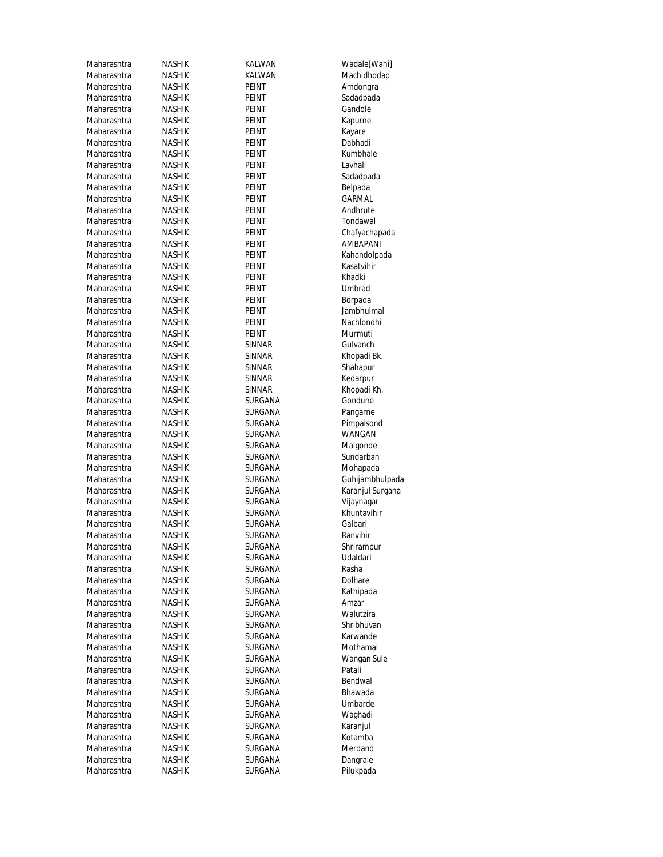| Maharashtra | NASHIK        | KALWAN         | Wadale[Wani]     |
|-------------|---------------|----------------|------------------|
| Maharashtra | NASHIK        | KALWAN         | Machidhodap      |
| Maharashtra | NASHIK        | PEINT          | Amdongra         |
| Maharashtra | NASHIK        | PEINT          | Sadadpada        |
| Maharashtra | NASHIK        | PEINT          | Gandole          |
| Maharashtra | NASHIK        | PEINT          | Kapurne          |
| Maharashtra | <b>NASHIK</b> | PEINT          | Kayare           |
| Maharashtra | NASHIK        | PEINT          | Dabhadi          |
| Maharashtra | NASHIK        | PEINT          | Kumbhale         |
| Maharashtra | <b>NASHIK</b> | PEINT          | Lavhali          |
| Maharashtra | NASHIK        | PEINT          | Sadadpada        |
| Maharashtra | <b>NASHIK</b> | <b>PEINT</b>   | Belpada          |
| Maharashtra | <b>NASHIK</b> | PEINT          | GARMAL           |
| Maharashtra | NASHIK        | PEINT          | Andhrute         |
| Maharashtra | <b>NASHIK</b> | PEINT          | Tondawal         |
| Maharashtra | NASHIK        | PEINT          | Chafyachapada    |
| Maharashtra | NASHIK        | PEINT          | <b>AMBAPANI</b>  |
| Maharashtra | <b>NASHIK</b> | PEINT          | Kahandolpada     |
| Maharashtra | NASHIK        | PEINT          | Kasatvihir       |
| Maharashtra | NASHIK        | <b>PEINT</b>   | Khadki           |
| Maharashtra | NASHIK        | PEINT          | Umbrad           |
| Maharashtra | NASHIK        | PEINT          | Borpada          |
| Maharashtra | NASHIK        | PEINT          | Jambhulmal       |
| Maharashtra | NASHIK        | <b>PEINT</b>   | Nachlondhi       |
| Maharashtra | NASHIK        | PEINT          | Murmuti          |
| Maharashtra | NASHIK        | SINNAR         | Gulvanch         |
| Maharashtra | NASHIK        | SINNAR         | Khopadi Bk.      |
| Maharashtra | NASHIK        | SINNAR         | Shahapur         |
| Maharashtra | <b>NASHIK</b> | SINNAR         | Kedarpur         |
| Maharashtra | NASHIK        | SINNAR         | Khopadi Kh.      |
| Maharashtra | NASHIK        | SURGANA        | Gondune          |
| Maharashtra | NASHIK        | SURGANA        | Pangarne         |
| Maharashtra | NASHIK        | SURGANA        | Pimpalsond       |
| Maharashtra | NASHIK        | SURGANA        | WANGAN           |
| Maharashtra | NASHIK        | SURGANA        | Malgonde         |
| Maharashtra | NASHIK        | SURGANA        | Sundarban        |
| Maharashtra | NASHIK        | SURGANA        | Mohapada         |
| Maharashtra | NASHIK        | SURGANA        | Guhijambhulpada  |
| Maharashtra | <b>NASHIK</b> | <b>SURGANA</b> | Karanjul Surgana |
| Maharashtra | NASHIK        | SURGANA        | Vijaynagar       |
| Maharashtra | NASHIK        | SURGANA        | Khuntavihir      |
| Maharashtra | NASHIK        | SURGANA        | Galbari          |
| Maharashtra | NASHIK        | SURGANA        | Ranvihir         |
| Maharashtra | <b>NASHIK</b> | SURGANA        | Shrirampur       |
| Maharashtra | NASHIK        | SURGANA        | Udaldari         |
| Maharashtra | NASHIK        | <b>SURGANA</b> | Rasha            |
| Maharashtra | NASHIK        | <b>SURGANA</b> | Dolhare          |
| Maharashtra | NASHIK        | SURGANA        | Kathipada        |
| Maharashtra | NASHIK        | SURGANA        | Amzar            |
| Maharashtra | NASHIK        | <b>SURGANA</b> | Walutzira        |
| Maharashtra | NASHIK        | SURGANA        | Shribhuvan       |
| Maharashtra | <b>NASHIK</b> | <b>SURGANA</b> | Karwande         |
| Maharashtra | NASHIK        | <b>SURGANA</b> | Mothamal         |
| Maharashtra | NASHIK        | SURGANA        | Wangan Sule      |
| Maharashtra | NASHIK        | SURGANA        | Patali           |
| Maharashtra | NASHIK        | SURGANA        | Bendwal          |
| Maharashtra | NASHIK        | SURGANA        | Bhawada          |
| Maharashtra | NASHIK        | SURGANA        | Umbarde          |
| Maharashtra | NASHIK        | SURGANA        | Waghadi          |
| Maharashtra | NASHIK        | SURGANA        | Karanjul         |
| Maharashtra | NASHIK        | SURGANA        | Kotamba          |
| Maharashtra | NASHIK        | SURGANA        | Merdand          |
| Maharashtra | <b>NASHIK</b> | SURGANA        | Dangrale         |
| Maharashtra | <b>NASHIK</b> | SURGANA        | Pilukpada        |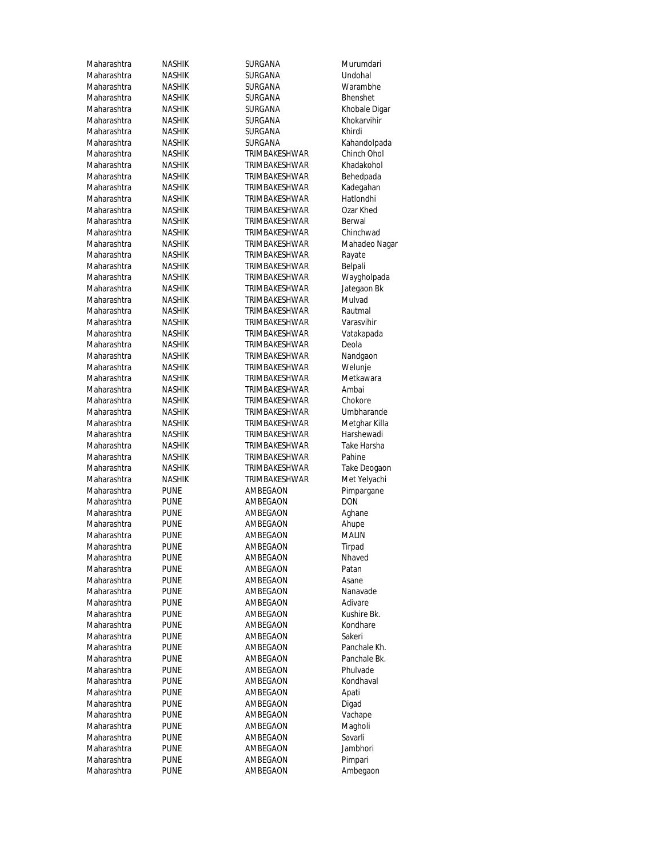Maharashtra Maharashtra Maharashtra PUNE AMBEGAON Ambegaon

Maharashtra NASHIK SURGANA Murumdari Maharashtra NASHIK SURGANA Undohal Maharashtra NASHIK SURGANA Warambhe Maharashtra NASHIK SURGANA Bhenshet NASHIK SURGANA Khobale Digar Maharashtra NASHIK SURGANA Khokarvihir Maharashtra NASHIK SURGANA Khirdi Maharashtra NASHIK SURGANA Kahandolpada Maharashtra NASHIK TRIMBAKESHWAR Chinch Ohol Maharashtra NASHIK TRIMBAKESHWAR Khadakohol Maharashtra NASHIK TRIMBAKESHWAR Behedpada Maharashtra NASHIK TRIMBAKESHWAR Kadegahan Maharashtra NASHIK TRIMBAKESHWAR Hatlondhi Maharashtra NASHIK TRIMBAKESHWAR Ozar Khed<br>Maharashtra NASHIK TRIMBAKESHWAR Berwal Maharashtra NASHIK TRIMBAKESHWAR Berwal **TRIMBAKESHWAR** Maharashtra NASHIK TRIMBAKESHWAR Mahadeo Nagar Maharashtra NASHIK TRIMBAKESHWAR Rayate Maharashtra NASHIK TRIMBAKESHWAR Belpali Maharashtra NASHIK TRIMBAKESHWAR Waygholpada Maharashtra NASHIK TRIMBAKESHWAR Jategaon Bk Maharashtra NASHIK TRIMBAKESHWAR Mulvad Maharashtra NASHIK TRIMBAKESHWAR Rautmal Maharashtra NASHIK TRIMBAKESHWAR Varasvihir Maharashtra NASHIK TRIMBAKESHWAR Vatakapada Maharashtra NASHIK TRIMBAKESHWAR Deola Maharashtra NASHIK TRIMBAKESHWAR Nandgaon<br>Maharashtra NASHIK TRIMBAKESHWAR Welunje NASHIK TRIMBAKESHWAR Welunje Maharashtra NASHIK TRIMBAKESHWAR Metkawara<br>Maharashtra NASHIK TRIMBAKESHWAR Ambai Maharashtra NASHIK TRIMBAKESHWAR Ambai Maharashtra NASHIK TRIMBAKESHWAR Chokore Maharashtra NASHIK TRIMBAKESHWAR Umbharande<br>Maharashtra NASHIK TRIMBAKESHWAR Metghar Killa TRIMBAKESHWAR Maharashtra NASHIK TRIMBAKESHWAR Harshewadi Maharashtra NASHIK TRIMBAKESHWAR Take Harsha Maharashtra NASHIK TRIMBAKESHWAR Pahine Maharashtra NASHIK TRIMBAKESHWAR Take Deogaon Maharashtra NASHIK TRIMBAKESHWAR Met Yelyachi Maharashtra PUNE AMBEGAON Pimpargane Maharashtra PUNE AMBEGAON DON Maharashtra PUNE AMBEGAON Aghane Maharashtra PUNE AMBEGAON Ahupe Maharashtra PUNE AMBEGAON MALIN<br>Maharashtra PUNE AMBEGAON Tirpad Maharashtra PUNE AMBEGAON Nhaved Maharashtra PUNE AMBEGAON Patan Maharashtra PUNE AMBEGAON Asane Maharashtra PUNE AMBEGAON Nanavade Maharashtra PUNE AMBEGAON Adivare Maharashtra PUNE AMBEGAON Kushire Bk. Maharashtra PUNE AMBEGAON Kondhare Maharashtra PUNE AMBEGAON Sakeri Maharashtra PUNE AMBEGAON Panchale Kh. Maharashtra PUNE AMBEGAON Panchale Bk. Maharashtra PUNE AMBEGAON Phulvade<br>Maharashtra PUNE AMBEGAON Kondhaval Maharashtra PUNE AMBEGAON Apati Maharashtra PUNE AMBEGAON Digad Maharashtra PUNE AMBEGAON Vachape Maharashtra PUNE AMBEGAON Magholi<br>Maharashtra PUNE AMBEGAON Savarli Maharashtra PUNE AMBEGAON Savarli<br>Maharashtra PUNE AMBEGAON Jambhori AMBEGAON Maharashtra PUNE AMBEGAON Pimpari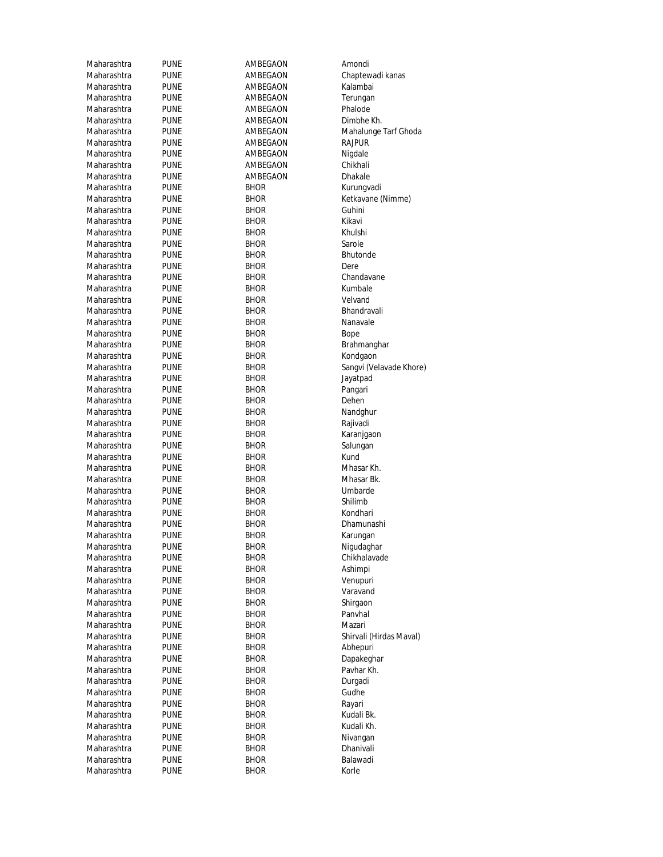| Maharashtra | PUNE        | AMBEGAON    | Amondi                  |
|-------------|-------------|-------------|-------------------------|
| Maharashtra | PUNE        | AMBEGAON    | Chaptewadi kanas        |
| Maharashtra | PUNE        | AMBEGAON    | Kalambai                |
| Maharashtra | PUNE        | AMBEGAON    | Terungan                |
| Maharashtra | PUNE        | AMBEGAON    | Phalode                 |
| Maharashtra | <b>PUNE</b> | AMBEGAON    | Dimbhe Kh.              |
| Maharashtra | PUNE        | AMBEGAON    | Mahalunge Tarf Ghoda    |
| Maharashtra | PUNE        | AMBEGAON    | Rajpur                  |
| Maharashtra | PUNE        | AMBEGAON    | Nigdale                 |
| Maharashtra | PUNE        | AMBEGAON    | Chikhali                |
| Maharashtra | PUNE        | AMBEGAON    | Dhakale                 |
| Maharashtra | PUNE        | <b>BHOR</b> | Kurungvadi              |
| Maharashtra | PUNE        | <b>BHOR</b> | Ketkavane (Nimme)       |
| Maharashtra | PUNE        | <b>BHOR</b> | Guhini                  |
| Maharashtra | PUNE        | <b>BHOR</b> | Kikavi                  |
| Maharashtra | PUNE        | <b>BHOR</b> | Khulshi                 |
| Maharashtra | PUNE        | BHOR        | Sarole                  |
| Maharashtra | PUNE        | <b>BHOR</b> | <b>Bhutonde</b>         |
| Maharashtra | PUNE        | <b>BHOR</b> | Dere                    |
| Maharashtra | PUNE        | <b>BHOR</b> | Chandavane              |
| Maharashtra | PUNE        | <b>BHOR</b> | Kumbale                 |
| Maharashtra | PUNE        | <b>BHOR</b> | Velvand                 |
| Maharashtra | PUNE        | <b>BHOR</b> | Bhandravali             |
| Maharashtra | PUNE        | <b>BHOR</b> | Nanavale                |
| Maharashtra | PUNE        | <b>BHOR</b> | Bope                    |
| Maharashtra | PUNE        | <b>BHOR</b> | Brahmanghar             |
| Maharashtra | PUNE        | <b>BHOR</b> | Kondgaon                |
| Maharashtra | PUNE        | BHOR        | Sangvi (Velavade Khore) |
| Maharashtra | PUNE        | <b>BHOR</b> | Jayatpad                |
| Maharashtra | PUNE        | <b>BHOR</b> | Pangari                 |
| Maharashtra | PUNE        | <b>BHOR</b> | Dehen                   |
| Maharashtra | <b>PUNE</b> | <b>BHOR</b> | Nandghur                |
| Maharashtra | PUNE        | <b>BHOR</b> | Rajivadi                |
| Maharashtra | PUNE        | <b>BHOR</b> | Karanjgaon              |
| Maharashtra | PUNE        | <b>BHOR</b> | Salungan                |
| Maharashtra | PUNE        | <b>BHOR</b> | Kund                    |
| Maharashtra | PUNE        | <b>BHOR</b> | Mhasar Kh.              |
| Maharashtra | PUNE        | <b>BHOR</b> | Mhasar Bk.              |
| Maharashtra | <b>PUNE</b> | <b>BHOR</b> | Umbarde                 |
| Maharashtra | <b>PUNE</b> | <b>BHOR</b> | Shilimb                 |
| Maharashtra | PUNE        | <b>BHOR</b> | Kondhari                |
| Maharashtra | PUNE        | <b>BHOR</b> | Dhamunashi              |
| Maharashtra | pune        | <b>BHOR</b> | Karungan                |
| Maharashtra | <b>PUNE</b> | <b>BHOR</b> | Nigudaghar              |
| Maharashtra | <b>PUNE</b> | BHOR        | Chikhalavade            |
| Maharashtra | <b>PUNE</b> | <b>BHOR</b> | Ashimpi                 |
| Maharashtra | <b>PUNE</b> | <b>BHOR</b> | Venupuri                |
| Maharashtra | <b>PUNE</b> | <b>BHOR</b> | Varavand                |
| Maharashtra | <b>PUNE</b> | <b>BHOR</b> | Shirgaon                |
| Maharashtra | <b>PUNE</b> | <b>BHOR</b> | Panyhal                 |
| Maharashtra | <b>PUNE</b> | BHOR        | Mazari                  |
| Maharashtra | PUNE        | BHOR        | Shirvali (Hirdas Maval) |
| Maharashtra | <b>PUNE</b> | BHOR        | Abhepuri                |
| Maharashtra | <b>PUNE</b> | <b>BHOR</b> | Dapakeghar              |
| Maharashtra | <b>PUNE</b> | BHOR        | Pavhar Kh.              |
| Maharashtra | <b>PUNE</b> | <b>BHOR</b> | Durgadi                 |
| Maharashtra | <b>PUNE</b> | <b>BHOR</b> | Gudhe                   |
| Maharashtra | <b>PUNE</b> | <b>BHOR</b> | Rayari                  |
| Maharashtra | <b>PUNE</b> | <b>BHOR</b> | Kudali Bk.              |
| Maharashtra | PUNE        | <b>BHOR</b> | Kudali Kh.              |
| Maharashtra | PUNE        | BHOR        | Nivangan                |
| Maharashtra | <b>PUNE</b> | BHOR        | Dhanivali               |
| Maharashtra | PUNE        | BHOR        | Balawadi                |
| Maharashtra | <b>PUNE</b> | <b>BHOR</b> | Korle                   |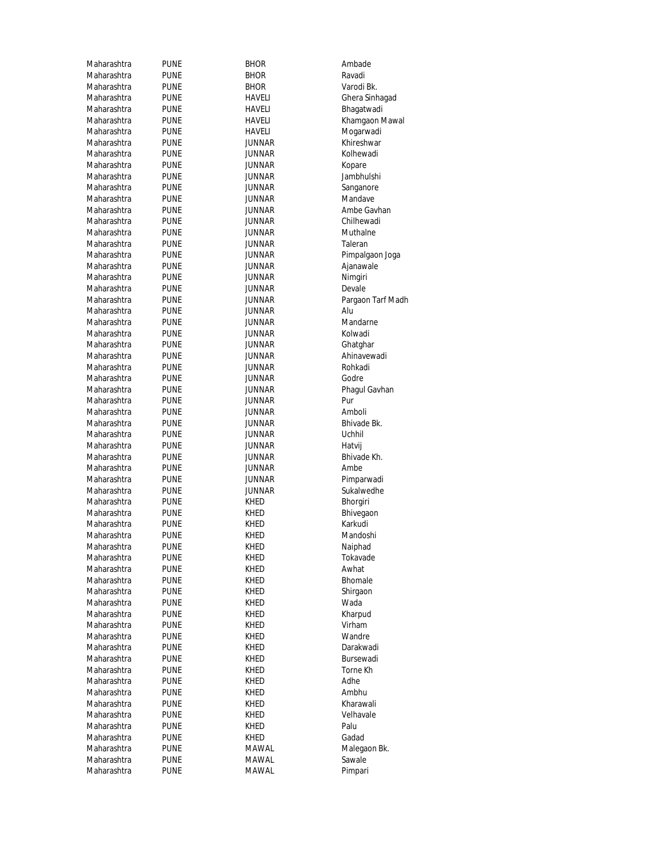| Maharashtra | <b>PUNE</b> | <b>BHOR</b>   | Ambade            |
|-------------|-------------|---------------|-------------------|
| Maharashtra | <b>PUNE</b> | <b>BHOR</b>   | Ravadi            |
| Maharashtra | <b>PUNE</b> | <b>BHOR</b>   | Varodi Bk.        |
| Maharashtra | <b>PUNE</b> | HAVELI        | Ghera Sinhagad    |
| Maharashtra | <b>PUNE</b> | HAVELI        | Bhagatwadi        |
| Maharashtra | <b>PUNE</b> | <b>HAVELI</b> | Khamgaon Mawal    |
| Maharashtra | <b>PUNE</b> | HAVELI        | Mogarwadi         |
| Maharashtra | <b>PUNE</b> | JUNNAR        | Khireshwar        |
| Maharashtra | <b>PUNE</b> | JUNNAR        | Kolhewadi         |
| Maharashtra | <b>PUNE</b> | JUNNAR        | Kopare            |
| Maharashtra | <b>PUNE</b> | JUNNAR        | Jambhulshi        |
| Maharashtra | <b>PUNE</b> | JUNNAR        | Sanganore         |
| Maharashtra | <b>PUNE</b> | <b>JUNNAR</b> | Mandave           |
| Maharashtra | <b>PUNE</b> | JUNNAR        | Ambe Gavhan       |
| Maharashtra | <b>PUNE</b> | JUNNAR        | Chilhewadi        |
| Maharashtra | <b>PUNE</b> | JUNNAR        | Muthalne          |
| Maharashtra | <b>PUNE</b> | JUNNAR        | Taleran           |
| Maharashtra | <b>PUNE</b> | JUNNAR        | Pimpalgaon Joga   |
| Maharashtra | <b>PUNE</b> | JUNNAR        | Ajanawale         |
| Maharashtra | <b>PUNE</b> | JUNNAR        | Nimgiri           |
| Maharashtra | <b>PUNE</b> | <b>JUNNAR</b> | Devale            |
| Maharashtra | <b>PUNE</b> | JUNNAR        | Pargaon Tarf Madh |
| Maharashtra | <b>PUNE</b> | JUNNAR        | Alu               |
| Maharashtra | <b>PUNE</b> | JUNNAR        | Mandarne          |
| Maharashtra | <b>PUNE</b> | JUNNAR        | Kolwadi           |
| Maharashtra | <b>PUNE</b> | JUNNAR        | Ghatghar          |
| Maharashtra | <b>PUNE</b> | JUNNAR        | Ahinavewadi       |
| Maharashtra | <b>PUNE</b> | JUNNAR        | Rohkadi           |
| Maharashtra | <b>PUNE</b> | JUNNAR        | Godre             |
| Maharashtra | <b>PUNE</b> | JUNNAR        | Phagul Gavhan     |
| Maharashtra | <b>PUNE</b> | JUNNAR        | Pur               |
| Maharashtra | <b>PUNE</b> | JUNNAR        | Amboli            |
| Maharashtra | <b>PUNE</b> | JUNNAR        | Bhivade Bk.       |
| Maharashtra | <b>PUNE</b> | JUNNAR        | Uchhil            |
| Maharashtra | <b>PUNE</b> | JUNNAR        | Hatvij            |
| Maharashtra | <b>PUNE</b> | JUNNAR        | Bhivade Kh.       |
| Maharashtra | <b>PUNE</b> | JUNNAR        | Ambe              |
| Maharashtra | <b>PUNE</b> | JUNNAR        | Pimparwadi        |
| Maharashtra | <b>PUNE</b> | JUNNAR        | Sukalwedhe        |
| Maharashtra | <b>PUNE</b> | <b>KHED</b>   | Bhorgiri          |
| Maharashtra | <b>PUNE</b> | KHED          | Bhivegaon         |
| Maharashtra | <b>PUNE</b> | KHED          | Karkudi           |
| Maharashtra | <b>PUNE</b> | <b>KHED</b>   | Mandoshi          |
| Maharashtra | <b>PUNE</b> | KHED          | Naiphad           |
| Maharashtra | <b>PUNE</b> | <b>KHED</b>   | Tokavade          |
| Maharashtra | <b>PUNE</b> | KHED          | Awhat             |
| Maharashtra | <b>PUNE</b> | KHED          | Bhomale           |
| Maharashtra | <b>PUNE</b> | KHED          | Shirgaon          |
| Maharashtra | <b>PUNE</b> | <b>KHED</b>   | Wada              |
| Maharashtra | <b>PUNE</b> | <b>KHED</b>   | Kharpud           |
| Maharashtra | <b>PUNE</b> | KHED          | Virham            |
| Maharashtra | <b>PUNE</b> | KHED          | Wandre            |
| Maharashtra | <b>PUNE</b> | <b>KHED</b>   | Darakwadi         |
| Maharashtra | <b>PUNE</b> | KHED          | Bursewadi         |
| Maharashtra | <b>PUNE</b> | KHED          | Torne Kh          |
| Maharashtra | <b>PUNE</b> | KHED          | Adhe              |
| Maharashtra | <b>PUNE</b> | KHED          | Ambhu             |
| Maharashtra | <b>PUNE</b> | KHED          | Kharawali         |
| Maharashtra | <b>PUNE</b> | KHED          | Velhavale         |
| Maharashtra | <b>PUNE</b> | KHED          | Palu              |
| Maharashtra | <b>PUNE</b> | <b>KHED</b>   | Gadad             |
| Maharashtra | <b>PUNE</b> | MAWAL         | Malegaon Bk.      |
| Maharashtra | <b>PUNE</b> | MAWAL         | Sawale            |
| Maharashtra | <b>PUNE</b> | MAWAL         | Pimpari           |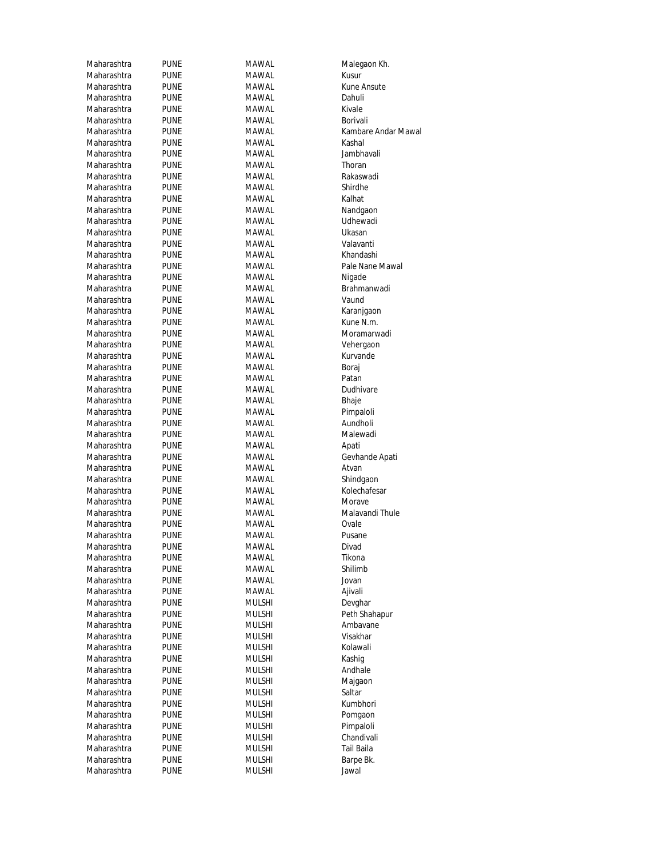| Maharashtra | <b>PUNE</b>                | MAWAL         | Malegaon Kh.        |
|-------------|----------------------------|---------------|---------------------|
| Maharashtra | <b>PUNE</b>                | MAWAL         | Kusur               |
| Maharashtra | <b>PUNE</b>                | MAWAL         | <b>Kune Ansute</b>  |
| Maharashtra | PUNE                       | MAWAL         | Dahuli              |
| Maharashtra | PUNE                       | MAWAL         | Kivale              |
| Maharashtra | <b>PUNE</b>                | MAWAL         | Borivali            |
| Maharashtra | <b>PUNE</b>                | MAWAL         | Kambare Andar Mawal |
| Maharashtra | <b>PUNE</b>                | MAWAL         | Kashal              |
| Maharashtra | <b>PUNE</b>                | MAWAL         | Jambhavali          |
| Maharashtra | <b>PUNE</b>                | MAWAL         | Thoran              |
| Maharashtra | <b>PUNE</b>                | MAWAL         | Rakaswadi           |
| Maharashtra | <b>PUNE</b>                | MAWAL         | Shirdhe             |
| Maharashtra | <b>PUNE</b>                | MAWAL         | Kalhat              |
| Maharashtra | <b>PUNE</b>                | MAWAL         | Nandgaon            |
| Maharashtra | <b>PUNE</b>                | MAWAL         | Udhewadi            |
| Maharashtra | PUNE                       | MAWAL         | Ukasan              |
| Maharashtra | <b>PUNE</b>                | MAWAL         | Valavanti           |
| Maharashtra | <b>PUNE</b>                | MAWAL         | Khandashi           |
| Maharashtra | PUNE                       | MAWAL         | Pale Nane Mawal     |
| Maharashtra | <b>PUNE</b>                | MAWAL         | Nigade              |
| Maharashtra |                            | MAWAL         | Brahmanwadi         |
| Maharashtra | <b>PUNE</b><br><b>PUNE</b> | MAWAL         | Vaund               |
|             | <b>PUNE</b>                |               |                     |
| Maharashtra |                            | MAWAL         | Karanjgaon          |
| Maharashtra | <b>PUNE</b>                | MAWAL         | Kune N.m.           |
| Maharashtra | <b>PUNE</b>                | MAWAL         | Moramarwadi         |
| Maharashtra | <b>PUNE</b>                | MAWAL         | Vehergaon           |
| Maharashtra | PUNE                       | MAWAL         | Kurvande            |
| Maharashtra | <b>PUNE</b>                | MAWAL         | Boraj               |
| Maharashtra | <b>PUNE</b>                | MAWAL         | Patan               |
| Maharashtra | <b>PUNE</b>                | MAWAL         | Dudhivare           |
| Maharashtra | <b>PUNE</b>                | MAWAL         | Bhaje               |
| Maharashtra | <b>PUNE</b>                | MAWAL         | Pimpaloli           |
| Maharashtra | PUNE                       | MAWAL         | Aundholi            |
| Maharashtra | <b>PUNE</b>                | MAWAL         | Malewadi            |
| Maharashtra | <b>PUNE</b>                | MAWAL         | Apati               |
| Maharashtra | <b>PUNE</b>                | MAWAL         | Gevhande Apati      |
| Maharashtra | <b>PUNE</b>                | MAWAL         | Atvan               |
| Maharashtra | <b>PUNE</b>                | MAWAL         | Shindgaon           |
| Maharashtra | <b>PUNE</b>                | MAWAL         | Kolechafesar        |
| Maharashtra | <b>PUNE</b>                | MAWAL         | Morave              |
| Maharashtra | <b>PUNE</b>                | MAWAL         | Malavandi Thule     |
| Maharashtra | <b>PUNE</b>                | MAWAL         | Ovale               |
| Maharashtra | pune                       | MAWAL         | Pusane              |
| Maharashtra | <b>PUNE</b>                | MAWAL         | Divad               |
| Maharashtra | <b>PUNE</b>                | MAWAL         | Tikona              |
| Maharashtra | <b>PUNE</b>                | MAWAL         | Shilimb             |
| Maharashtra | <b>PUNE</b>                | <b>MAWAL</b>  | Jovan               |
| Maharashtra | <b>PUNE</b>                | MAWAL         | Ajivali             |
| Maharashtra | <b>PUNE</b>                | <b>MULSHI</b> | Devghar             |
| Maharashtra | <b>PUNE</b>                | MULSHI        | Peth Shahapur       |
| Maharashtra | <b>PUNE</b>                | MULSHI        | Ambavane            |
| Maharashtra | PUNE                       | MULSHI        | Visakhar            |
| Maharashtra | <b>PUNE</b>                | MULSHI        | Kolawali            |
| Maharashtra | <b>PUNE</b>                | <b>MULSHI</b> | Kashig              |
| Maharashtra | PUNE                       | MULSHI        | Andhale             |
| Maharashtra | PUNE                       | MULSHI        | Majgaon             |
| Maharashtra | PUNE                       | MULSHI        | Saltar              |
| Maharashtra | <b>PUNE</b>                | <b>MULSHI</b> | Kumbhori            |
| Maharashtra |                            |               |                     |
|             | <b>PUNE</b>                | MULSHI        | Pomgaon             |
| Maharashtra | <b>PUNE</b>                | MULSHI        | Pimpaloli           |
| Maharashtra | <b>PUNE</b>                | MULSHI        | Chandivali          |
| Maharashtra | <b>PUNE</b>                | MULSHI        | Tail Baila          |
| Maharashtra | PUNE                       | MULSHI        | Barpe Bk.           |
| Maharashtra | <b>PUNE</b>                | <b>MULSHI</b> | Jawal               |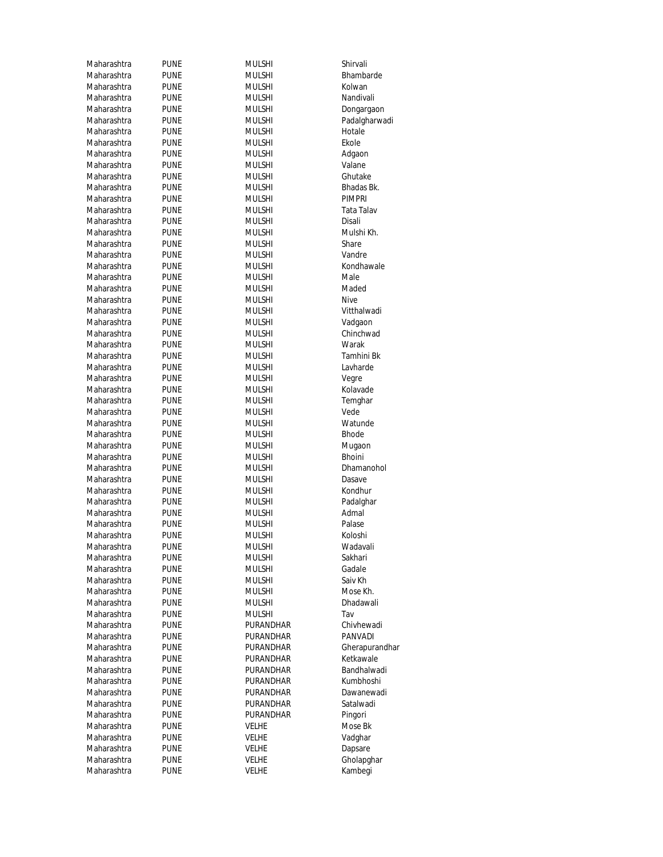| Maharashtra | <b>PUNE</b> | <b>MULSHI</b> | Shirvali       |
|-------------|-------------|---------------|----------------|
| Maharashtra | <b>PUNE</b> | <b>MULSHI</b> | Bhambarde      |
| Maharashtra | <b>PUNE</b> | Mulshi        | Kolwan         |
| Maharashtra | PUNE        | Mulshi        | Nandivali      |
| Maharashtra | PUNE        | <b>MULSHI</b> | Dongargaon     |
| Maharashtra | PUNE        | <b>MULSHI</b> | Padalgharwadi  |
| Maharashtra | PUNE        | <b>MULSHI</b> | Hotale         |
| Maharashtra | PUNE        | <b>MULSHI</b> | Ekole          |
| Maharashtra | PUNE        | <b>MULSHI</b> | Adgaon         |
| Maharashtra | PUNE        | <b>MULSHI</b> | Valane         |
| Maharashtra | <b>PUNE</b> | MULSHI        | Ghutake        |
| Maharashtra | <b>PUNE</b> | MULSHI        | Bhadas Bk.     |
| Maharashtra | PUNE        | Mulshi        | <b>PIMPRI</b>  |
| Maharashtra | PUNE        | <b>MULSHI</b> | Tata Talav     |
| Maharashtra | <b>PUNE</b> | <b>MULSHI</b> | Disali         |
| Maharashtra | <b>PUNE</b> | <b>MULSHI</b> | Mulshi Kh.     |
| Maharashtra | PUNE        | <b>MULSHI</b> | Share          |
| Maharashtra | <b>PUNE</b> | MULSHI        | Vandre         |
| Maharashtra | PUNE        | MULSHI        | Kondhawale     |
| Maharashtra | <b>PUNE</b> | MULSHI        | Male           |
| Maharashtra | PUNE        | <b>MULSHI</b> | Maded          |
| Maharashtra | <b>PUNE</b> | Mulshi        | <b>Nive</b>    |
| Maharashtra | PUNE        | MULSHI        | Vitthalwadi    |
| Maharashtra | PUNE        | MULSHI        | Vadgaon        |
| Maharashtra | <b>PUNE</b> | <b>MULSHI</b> | Chinchwad      |
| Maharashtra | PUNE        | MULSHI        | Warak          |
| Maharashtra | <b>PUNE</b> | MULSHI        | Tamhini Bk     |
| Maharashtra | PUNE        | <b>MULSHI</b> | Lavharde       |
| Maharashtra | PUNE        | <b>MULSHI</b> | Vegre          |
| Maharashtra | PUNE        | MULSHI        | Kolavade       |
| Maharashtra | PUNE        | MULSHI        | Temghar        |
| Maharashtra | PUNE        | <b>MULSHI</b> | Vede           |
| Maharashtra | PUNE        | MULSHI        | Watunde        |
| Maharashtra | <b>PUNE</b> | MULSHI        | <b>Bhode</b>   |
| Maharashtra | PUNE        | MULSHI        | Mugaon         |
| Maharashtra | <b>PUNE</b> | <b>MULSHI</b> | <b>Bhoini</b>  |
| Maharashtra | PUNE        | Mulshi        | Dhamanohol     |
| Maharashtra | <b>PUNE</b> | MULSHI        | Dasave         |
| Maharashtra | <b>PUNE</b> | <b>MULSHI</b> | Kondhur        |
| Maharashtra | <b>PUNE</b> | <b>MULSHI</b> | Padalghar      |
| Maharashtra | <b>PUNE</b> | MULSHI        | Admal          |
| Maharashtra | <b>PUNE</b> | <b>MULSHI</b> | Palase         |
| Maharashtra | <b>PUNE</b> | MULSHI        | Koloshi        |
| Maharashtra | <b>PUNE</b> | <b>MULSHI</b> | Wadavali       |
| Maharashtra | <b>PUNE</b> | MULSHI        | Sakhari        |
| Maharashtra | <b>PUNE</b> | MULSHI        | Gadale         |
| Maharashtra | <b>PUNE</b> | MULSHI        | Saiv Kh        |
| Maharashtra | <b>PUNE</b> | MULSHI        | Mose Kh.       |
| Maharashtra | <b>PUNE</b> | MULSHI        | Dhadawali      |
| Maharashtra | <b>PUNE</b> | <b>MULSHI</b> | Tav            |
| Maharashtra | <b>PUNE</b> | PURANDHAR     | Chivhewadi     |
| Maharashtra | <b>PUNE</b> | PURANDHAR     | <b>PANVADI</b> |
| Maharashtra | <b>PUNE</b> | PURANDHAR     | Gherapurandhar |
| Maharashtra | <b>PUNE</b> | PURANDHAR     | Ketkawale      |
| Maharashtra | <b>PUNE</b> | PURANDHAR     | Bandhalwadi    |
| Maharashtra | <b>PUNE</b> | PURANDHAR     | Kumbhoshi      |
| Maharashtra | <b>PUNE</b> | PURANDHAR     | Dawanewadi     |
| Maharashtra | <b>PUNE</b> | PURANDHAR     | Satalwadi      |
| Maharashtra | <b>PUNE</b> | PURANDHAR     | Pingori        |
| Maharashtra | <b>PUNE</b> | <b>VELHE</b>  | Mose Bk        |
| Maharashtra | <b>PUNE</b> | <b>VELHE</b>  | Vadghar        |
| Maharashtra | <b>PUNE</b> | <b>VELHE</b>  | Dapsare        |
| Maharashtra | <b>PUNE</b> | <b>VELHE</b>  | Gholapghar     |
| Maharashtra | <b>PUNE</b> | <b>VELHE</b>  | Kambegi        |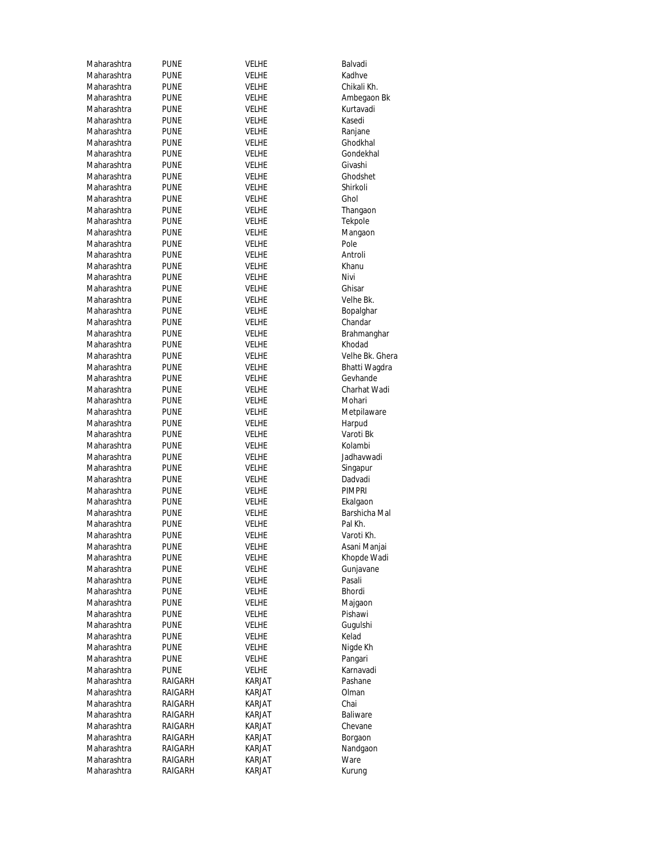| Maharashtra | PUNE        | Velhe        | Balvadi         |
|-------------|-------------|--------------|-----------------|
| Maharashtra | PUNE        | <b>VELHE</b> | Kadhve          |
| Maharashtra | <b>PUNE</b> | Velhe        | Chikali Kh.     |
| Maharashtra | PUNE        | Velhe        | Ambegaon Bk     |
| Maharashtra | PUNE        | Velhe        | Kurtavadi       |
| Maharashtra | PUNE        | Velhe        | Kasedi          |
| Maharashtra | <b>PUNE</b> | Velhe        | Ranjane         |
| Maharashtra | PUNE        | Velhe        | Ghodkhal        |
| Maharashtra | PUNE        | VELHE        | Gondekhal       |
| Maharashtra | PUNE        | Velhe        | Givashi         |
| Maharashtra | PUNE        | <b>VELHE</b> | Ghodshet        |
| Maharashtra | PUNE        | <b>VELHE</b> | Shirkoli        |
| Maharashtra | PUNE        | Velhe        | Ghol            |
| Maharashtra | <b>PUNE</b> | Velhe        | Thangaon        |
| Maharashtra | <b>PUNE</b> | Velhe        | Tekpole         |
| Maharashtra | PUNE        | VELHE        | Mangaon         |
| Maharashtra | PUNE        | Velhe        | Pole            |
| Maharashtra | <b>PUNE</b> | VELHE        | Antroli         |
| Maharashtra | PUNE        | Velhe        | Khanu           |
| Maharashtra | PUNE        | <b>VELHE</b> | Nivi            |
| Maharashtra | PUNE        | Velhe        | Ghisar          |
| Maharashtra | PUNE        | <b>VELHE</b> | Velhe Bk.       |
| Maharashtra | PUNE        | Velhe        | Bopalghar       |
| Maharashtra | PUNE        | Velhe        | Chandar         |
| Maharashtra | <b>PUNE</b> | Velhe        | Brahmanghar     |
| Maharashtra | PUNE        | Velhe        | Khodad          |
| Maharashtra | PUNE        | <b>VELHE</b> | Velhe Bk. Ghera |
| Maharashtra | PUNE        | Velhe        | Bhatti Wagdra   |
| Maharashtra | <b>PUNE</b> | VELHE        | Gevhande        |
| Maharashtra | PUNE        | Velhe        | Charhat Wadi    |
| Maharashtra | PUNE        | VELHE        | Mohari          |
| Maharashtra | PUNE        | Velhe        | Metpilaware     |
| Maharashtra | PUNE        | VELHE        | Harpud          |
| Maharashtra | PUNE        | Velhe        | Varoti Bk       |
| Maharashtra | PUNE        | Velhe        | Kolambi         |
| Maharashtra | PUNE        | Velhe        | Jadhavwadi      |
| Maharashtra | PUNE        | Velhe        | Singapur        |
| Maharashtra | <b>PUNE</b> | VELHE        | Dadvadi         |
| Maharashtra | <b>PUNE</b> | Velhe        | PIMPRI          |
| Maharashtra | <b>PUNE</b> | <b>VELHE</b> | Ekalgaon        |
| Maharashtra | PUNE        | <b>VELHE</b> | Barshicha Mal   |
| Maharashtra | PUNE        | <b>VELHE</b> | Pal Kh.         |
| Maharashtra | <b>PUNE</b> | <b>VELHE</b> | Varoti Kh.      |
| Maharashtra | <b>PUNE</b> | VELHE        | Asani Manjai    |
| Maharashtra | <b>PUNE</b> | Velhe        | Khopde Wadi     |
| Maharashtra | <b>PUNE</b> | Velhe        | Gunjavane       |
| Maharashtra | PUNE        | Velhe        | Pasali          |
| Maharashtra | PUNE        | Velhe        | Bhordi          |
| Maharashtra | PUNE        | Velhe        | Majgaon         |
| Maharashtra | <b>PUNE</b> | <b>VELHE</b> | Pishawi         |
| Maharashtra | <b>PUNE</b> | Velhe        | Gugulshi        |
| Maharashtra | <b>PUNE</b> | <b>VELHE</b> | Kelad           |
| Maharashtra | PUNE        | Velhe        | Nigde Kh        |
| Maharashtra | PUNE        | Velhe        | Pangari         |
| Maharashtra | pune        | Velhe        | Karnavadi       |
| Maharashtra | RAIGARH     | KARJAT       | Pashane         |
| Maharashtra | RAIGARH     | KARJAT       | Olman           |
| Maharashtra | RAIGARH     | KARJAT       | Chai            |
| Maharashtra | RAIGARH     | KARJAT       | Baliware        |
| Maharashtra | RAIGARH     | KARJAT       | Chevane         |
| Maharashtra | RAIGARH     | KARJAT       | Borgaon         |
| Maharashtra | RAIGARH     | KARJAT       | Nandgaon        |
| Maharashtra | RAIGARH     | KARJAT       | Ware            |
| Maharashtra | RAIGARH     | KARJAT       | Kurung          |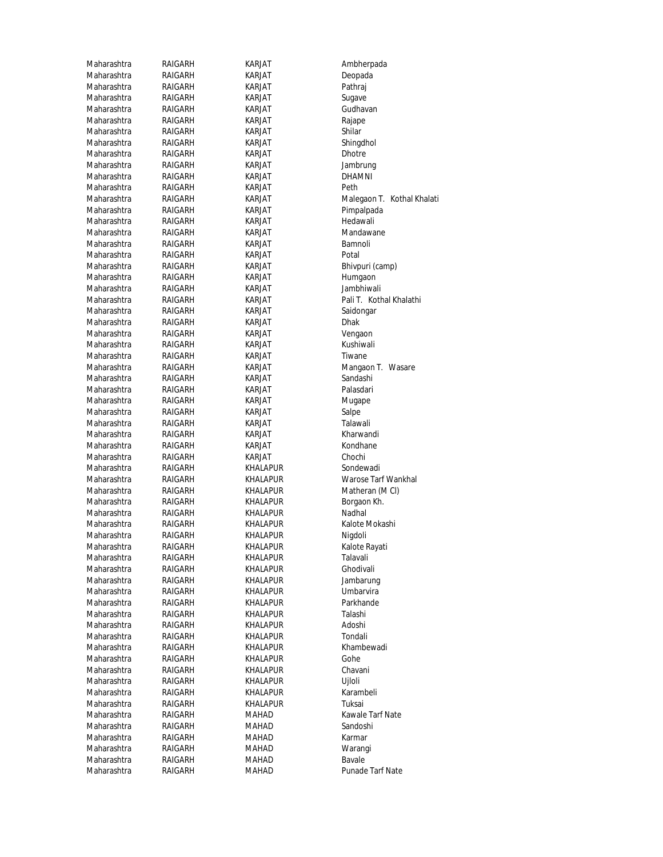| Maharashtra | RAIGARH | KARJAT          | Ambherpada                 |
|-------------|---------|-----------------|----------------------------|
| Maharashtra | RAIGARH | KARJAT          | Deopada                    |
| Maharashtra | RAIGARH | KARJAT          | Pathraj                    |
| Maharashtra | RAIGARH | KARJAT          | Sugave                     |
| Maharashtra | RAIGARH | KARJAT          | Gudhavan                   |
| Maharashtra | RAIGARH | <b>KARJAT</b>   | Rajape                     |
| Maharashtra | RAIGARH | KARJAT          | Shilar                     |
| Maharashtra | RAIGARH | KARJAT          | Shingdhol                  |
| Maharashtra | RAIGARH | KARJAT          | <b>Dhotre</b>              |
| Maharashtra | RAIGARH | KARJAT          | Jambrung                   |
| Maharashtra | RAIGARH | KARJAT          | DHAMNI                     |
| Maharashtra | RAIGARH | <b>KARJAT</b>   | Peth                       |
| Maharashtra | RAIGARH | KARJAT          | Malegaon T. Kothal Khalati |
| Maharashtra | RAIGARH | KARJAT          | Pimpalpada                 |
| Maharashtra | RAIGARH | KARJAT          | Hedawali                   |
| Maharashtra | RAIGARH | KARJAT          | Mandawane                  |
|             |         |                 |                            |
| Maharashtra | RAIGARH | KARJAT          | Bamnoli                    |
| Maharashtra | RAIGARH | KARJAT          | Potal                      |
| Maharashtra | RAIGARH | KARJAT          | Bhivpuri (camp)            |
| Maharashtra | RAIGARH | KARJAT          | Humgaon                    |
| Maharashtra | RAIGARH | KARJAT          | Jambhiwali                 |
| Maharashtra | RAIGARH | KARJAT          | Pali T. Kothal Khalathi    |
| Maharashtra | RAIGARH | <b>KARJAT</b>   | Saidongar                  |
| Maharashtra | RAIGARH | KARJAT          | <b>Dhak</b>                |
| Maharashtra | RAIGARH | KARJAT          | Vengaon                    |
| Maharashtra | RAIGARH | KARJAT          | Kushiwali                  |
| Maharashtra | RAIGARH | <b>KARJAT</b>   | Tiwane                     |
| Maharashtra | RAIGARH | KARJAT          | Mangaon T. Wasare          |
| Maharashtra | RAIGARH | KARJAT          | Sandashi                   |
| Maharashtra | RAIGARH | KARJAT          | Palasdari                  |
| Maharashtra | RAIGARH | KARJAT          | Mugape                     |
| Maharashtra | RAIGARH | KARJAT          | Salpe                      |
| Maharashtra | RAIGARH | KARJAT          | Talawali                   |
| Maharashtra | RAIGARH | KARJAT          | Kharwandi                  |
| Maharashtra | RAIGARH | KARJAT          | Kondhane                   |
| Maharashtra | RAIGARH | KARJAT          | Chochi                     |
| Maharashtra | RAIGARH | KHALAPUR        | Sondewadi                  |
| Maharashtra | RAIGARH | KHALAPUR        | Warose Tarf Wankhal        |
| Maharashtra | RAIGARH | KHALAPUR        | Matheran (M CI)            |
| Maharashtra | RAIGARH | KHALAPUR        | Borgaon Kh.                |
| Maharashtra | RAIGARH | KHALAPUR        | Nadhal                     |
| Maharashtra | RAIGARH | <b>KHALAPUR</b> | Kalote Mokashi             |
| Maharashtra | RAIGARH |                 |                            |
|             |         | KHALAPUR        | Nigdoli                    |
| Maharashtra | RAIGARH | <b>KHALAPUR</b> | Kalote Rayati              |
| Maharashtra | RAIGARH | KHALAPUR        | Talavali                   |
| Maharashtra | RAIGARH | KHALAPUR        | Ghodivali                  |
| Maharashtra | RAIGARH | KHALAPUR        | Jambarung                  |
| Maharashtra | RAIGARH | KHALAPUR        | Umbarvira                  |
| Maharashtra | RAIGARH | <b>KHALAPUR</b> | Parkhande                  |
| Maharashtra | RAIGARH | KHALAPUR        | Talashi                    |
| Maharashtra | RAIGARH | KHALAPUR        | Adoshi                     |
| Maharashtra | RAIGARH | KHALAPUR        | Tondali                    |
| Maharashtra | RAIGARH | KHALAPUR        | Khambewadi                 |
| Maharashtra | RAIGARH | KHALAPUR        | Gohe                       |
| Maharashtra | RAIGARH | KHALAPUR        | Chavani                    |
| Maharashtra | RAIGARH | KHALAPUR        | Ujloli                     |
| Maharashtra | RAIGARH | KHALAPUR        | Karambeli                  |
| Maharashtra | RAIGARH | KHALAPUR        | Tuksai                     |
| Maharashtra | RAIGARH | MAHAD           | Kawale Tarf Nate           |
| Maharashtra | RAIGARH | MAHAD           | Sandoshi                   |
| Maharashtra | RAIGARH | MAHAD           | Karmar                     |
| Maharashtra | RAIGARH | MAHAD           | Warangi                    |
| Maharashtra | RAIGARH | MAHAD           | Bavale                     |
| Maharashtra | RAIGARH | MAHAD           | Punade Tarf Nate           |
|             |         |                 |                            |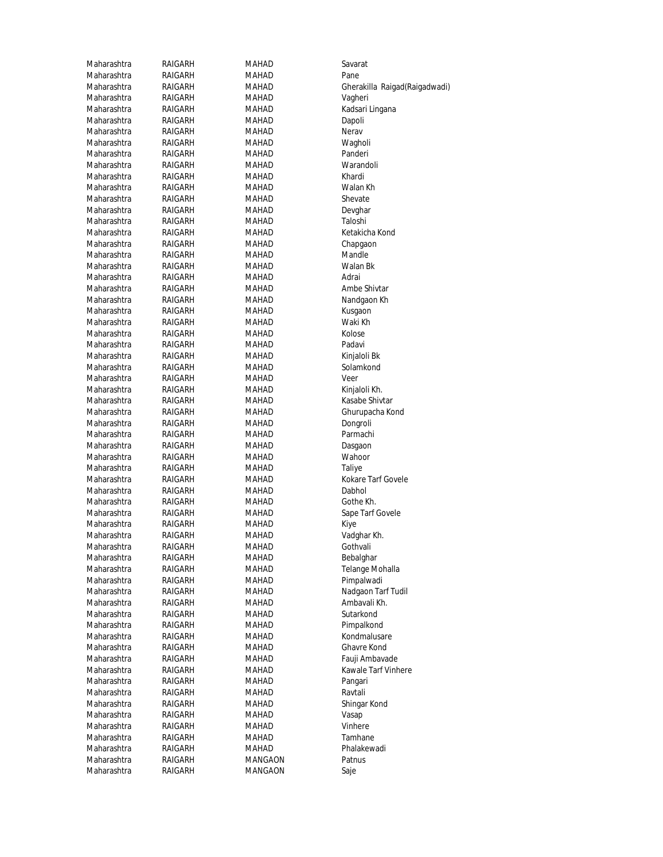| Maharashtra | RAIGARH | MAHAD   | Savarat              |
|-------------|---------|---------|----------------------|
| Maharashtra | RAIGARH | MAHAD   | Pane                 |
| Maharashtra | RAIGARH | MAHAD   | Gherakilla           |
| Maharashtra | RAIGARH | MAHAD   | Vagheri              |
| Maharashtra | RAIGARH | MAHAD   | Kadsari Liı          |
| Maharashtra | RAIGARH | MAHAD   | Dapoli               |
| Maharashtra | RAIGARH | MAHAD   | Nerav                |
| Maharashtra | RAIGARH | MAHAD   | Wagholi              |
| Maharashtra | RAIGARH | MAHAD   | Panderi              |
| Maharashtra | RAIGARH | MAHAD   | Warandol             |
| Maharashtra | RAIGARH | MAHAD   | Khardi               |
| Maharashtra | RAIGARH | MAHAD   | Walan Kh             |
| Maharashtra | RAIGARH | MAHAD   | Shevate              |
| Maharashtra | RAIGARH | MAHAD   | Devghar              |
| Maharashtra | RAIGARH | MAHAD   | Taloshi              |
| Maharashtra | RAIGARH | MAHAD   | Ketakicha            |
| Maharashtra | RAIGARH | MAHAD   |                      |
| Maharashtra |         |         | Chapgaon<br>Mandle   |
|             | RAIGARH | MAHAD   |                      |
| Maharashtra | RAIGARH | MAHAD   | Walan Bk             |
| Maharashtra | RAIGARH | MAHAD   | Adrai                |
| Maharashtra | RAIGARH | MAHAD   | Ambe Shi             |
| Maharashtra | RAIGARH | MAHAD   | Nandgaor             |
| Maharashtra | RAIGARH | MAHAD   | Kusgaon              |
| Maharashtra | RAIGARH | MAHAD   | Waki Kh              |
| Maharashtra | RAIGARH | MAHAD   | Kolose               |
| Maharashtra | RAIGARH | MAHAD   | Padavi               |
| Maharashtra | RAIGARH | MAHAD   | Kinjaloli B          |
| Maharashtra | RAIGARH | MAHAD   | Solamkon             |
| Maharashtra | RAIGARH | MAHAD   | Veer                 |
| Maharashtra | RAIGARH | MAHAD   | Kinjaloli K          |
| Maharashtra | RAIGARH | MAHAD   | Kasabe Sh            |
| Maharashtra | RAIGARH | MAHAD   | Ghurupac             |
| Maharashtra | RAIGARH | MAHAD   | Dongroli             |
| Maharashtra | RAIGARH | MAHAD   | Parmachi             |
| Maharashtra | RAIGARH | MAHAD   | Dasgaon              |
| Maharashtra | RAIGARH | MAHAD   | Wahoor               |
| Maharashtra | RAIGARH | MAHAD   | Taliye               |
| Maharashtra | RAIGARH | MAHAD   | Kokare Ta            |
| Maharashtra | RAIGARH | MAHAD   | Dabhol               |
| Maharashtra | RAIGARH | MAHAD   | Gothe Kh.            |
| Maharashtra | RAIGARH | MAHAD   | Sape Tarf            |
| Maharashtra | RAIGARH | MAHAD   | Kiye                 |
| Maharashtra | RAIGARH | MAHAD   | Vadghar K            |
| Maharashtra | RAIGARH | MAHAD   | Gothvali             |
| Maharashtra | RAIGARH | MAHAD   | Bebalghar            |
| Maharashtra | RAIGARH | MAHAD   | Telange M            |
| Maharashtra | RAIGARH | MAHAD   | Pimpalwa             |
| Maharashtra | RAIGARH | MAHAD   | Nadgaon <sup>1</sup> |
|             |         |         | Ambavali             |
| Maharashtra | RAIGARH | MAHAD   |                      |
| Maharashtra | RAIGARH | MAHAD   | Sutarkonc            |
| Maharashtra | RAIGARH | MAHAD   | Pimpalkor            |
| Maharashtra | RAIGARH | MAHAD   | Kondmalu             |
| Maharashtra | RAIGARH | MAHAD   | Ghavre Ko            |
| Maharashtra | RAIGARH | MAHAD   | Fauji Amb            |
| Maharashtra | RAIGARH | MAHAD   | Kawale Ta            |
| Maharashtra | RAIGARH | MAHAD   | Pangari              |
| Maharashtra | RAIGARH | MAHAD   | Ravtali              |
| Maharashtra | RAIGARH | MAHAD   | Shingar Ko           |
| Maharashtra | RAIGARH | MAHAD   | Vasap                |
| Maharashtra | RAIGARH | MAHAD   | Vinhere              |
| Maharashtra | RAIGARH | MAHAD   | Tamhane              |
| Maharashtra | RAIGARH | MAHAD   | Phalakew             |
| Maharashtra | RAIGARH | MANGAON | Patnus               |
| Maharashtra | RAIGARH | MANGAON | Saje                 |
|             |         |         |                      |

Maharashtra RAIGARH MAHAD Warandoli Maharashtra RAIGARH MAHAD Devghar Maharashtra RAIGARH MAHAD Ambe Shivtar H MAHAD Waki Kh MAHAD Kinjaloli Bkitaloli Baratashtra Rajarashtra Rajar<br>H MAHAD Solamkond .<br>Mahad Mahad Kinjaloli Kh.<br>Mahad Kasabe Shiv .<br>Mahad Kasabe Shivtar<br>H MAHAD (Ghurupacha Ko H MAHAD Parmachi .<br>Maham Mahad Maham Gothyali<br>Gothyali **H** MAHAD Bebalghar H MAHAD Pimpalwadi Maharashtra RAIGARH MAHAD Ambavali Kh. MAHAD Sutarkond H MAHAD Pimpalkond H MAHAD Kondmalusare H MAHAD Ghavre Kond Maharashtra RAIGARH MAHAD Shingar Kond H MAHAD Phalakewadi H MANGAON Patnus H MANGAON Saje

Maharashtra RAIGARH MAHAD Gherakilla Raigad(Raigadwadi) H MAHAD Kadsari Lingana .<br>Mahad Ketakicha Kond<br>H MAHAD Chapgaon Chapgaon MAHAD Nandgaon Kh Solamkond Maharashtra RAIGARH MAHAD Ghurupacha Kond Dongroli Maharashtra RAIGARH MAHAD Kokare Tarf Govele Maharashtra RAIGARH MAHAD Sape Tarf Govele H MAHAD Telange Mohalla H MAHAD Nadgaon Tarf Tudil Maharashtra RAIGARH MAHAD Fauji Ambavade ابية السابة MAHAD Kawale Tarf Vinhere<br>H MAHAD MAHAD Pangari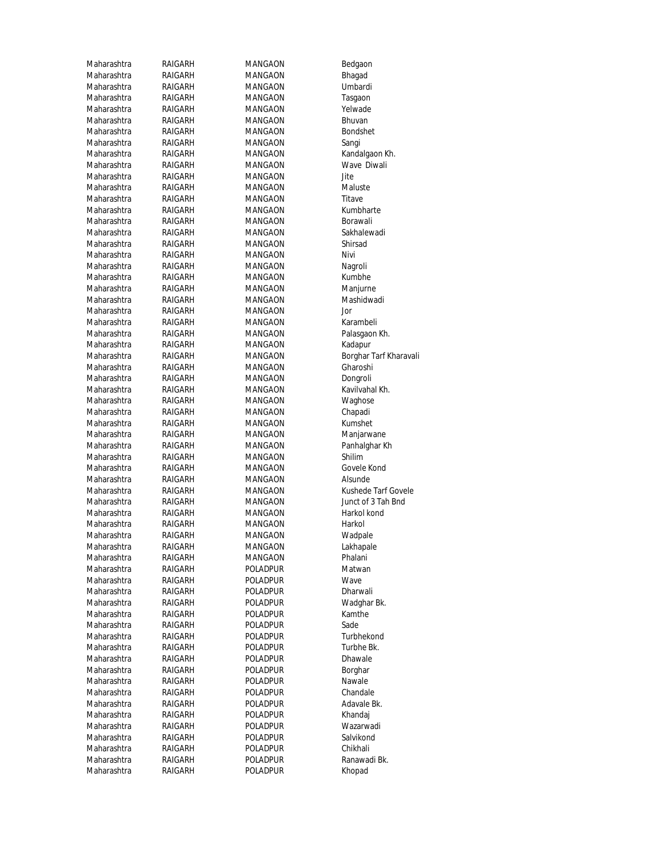| Maharashtra<br>RAIGARH<br>MANGAON<br>Maharashtra<br>RAIGARH<br>MANGAON<br>Maharashtra<br>RAIGARH<br>MANGAON<br>Maharashtra<br>RAIGARH<br>MANGAON<br>Maharashtra<br>RAIGARH<br>MANGAON<br>Maharashtra<br>MANGAON<br>RAIGARH<br>Maharashtra<br>RAIGARH<br>MANGAON<br>Sangi<br>Maharashtra<br>RAIGARH<br>MANGAON<br>Maharashtra<br>MANGAON<br>RAIGARH<br>Maharashtra<br>RAIGARH<br>MANGAON<br>Jite<br>Maharashtra<br>RAIGARH<br>MANGAON<br>Maharashtra<br>RAIGARH<br>MANGAON<br>Titave<br>Maharashtra<br>RAIGARH<br>MANGAON<br>Maharashtra<br>RAIGARH<br>MANGAON<br>Maharashtra<br>RAIGARH<br>MANGAON<br>Maharashtra<br>RAIGARH<br>MANGAON<br>Maharashtra<br>Nivi<br>RAIGARH<br>MANGAON<br>Maharashtra<br>RAIGARH<br>MANGAON<br>Maharashtra<br>RAIGARH<br>MANGAON<br>Maharashtra<br>RAIGARH<br>MANGAON<br>Maharashtra<br>RAIGARH<br>MANGAON<br>Maharashtra<br>RAIGARH<br>MANGAON<br>Jor<br>Maharashtra<br>RAIGARH<br>MANGAON<br>Maharashtra<br>RAIGARH<br>MANGAON<br>Maharashtra<br>RAIGARH<br>MANGAON<br>Maharashtra<br>RAIGARH<br>MANGAON<br>Maharashtra<br>RAIGARH<br>MANGAON<br>Maharashtra<br>RAIGARH<br>MANGAON<br>Maharashtra<br>RAIGARH<br>MANGAON<br>Maharashtra<br>RAIGARH<br>MANGAON<br>Maharashtra<br>RAIGARH<br>MANGAON<br>Maharashtra<br>MANGAON<br>RAIGARH<br>Maharashtra<br>RAIGARH<br>MANGAON<br>Maharashtra<br>RAIGARH<br>MANGAON<br>Maharashtra<br>MANGAON<br>Shilim<br>RAIGARH<br>Maharashtra<br>RAIGARH<br>MANGAON<br>Maharashtra<br>RAIGARH<br>MANGAON<br>Maharashtra<br>RAIGARH<br>MANGAON<br>Maharashtra<br>RAIGARH<br>MANGAON<br>Maharashtra<br>MANGAON<br>RAIGARH<br>Maharashtra<br>RAIGARH<br>MANGAON<br>Maharashtra<br>RAIGARH<br>MANGAON<br>Maharashtra<br>RAIGARH<br>MANGAON<br>Maharashtra<br>RAIGARH<br>MANGAON<br>Maharashtra<br>RAIGARH<br>POLADPUR<br>POLADPUR<br>Maharashtra<br>RAIGARH<br>Wave<br>Maharashtra<br>Poladpur<br>RAIGARH<br>Maharashtra<br>RAIGARH<br>Poladpur<br>Maharashtra<br>RAIGARH<br>Poladpur<br>Sade<br>Maharashtra<br>RAIGARH<br>Poladpur<br>Maharashtra<br>RAIGARH<br>Poladpur<br>Maharashtra<br>RAIGARH<br>POLADPUR<br>Maharashtra<br>RAIGARH<br>Poladpur<br>POLADPUR<br>Maharashtra<br>RAIGARH<br>POLADPUR<br>Maharashtra<br>RAIGARH<br>Maharashtra<br>RAIGARH<br>Poladpur<br>Maharashtra<br>POLADPUR<br>RAIGARH<br>Maharashtra<br>Poladpur<br>RAIGARH<br>Maharashtra<br>RAIGARH<br>Poladpur<br>Maharashtra<br>RAIGARH<br>Poladpur<br>Maharashtra<br>RAIGARH<br>Poladpur<br>Maharashtra<br>RAIGARH<br>Poladpur<br>Maharashtra<br>POLADPUR<br>RAIGARH | Maharashtra | RAIGARH | MANGAON | Bedgaor  |
|----------------------------------------------------------------------------------------------------------------------------------------------------------------------------------------------------------------------------------------------------------------------------------------------------------------------------------------------------------------------------------------------------------------------------------------------------------------------------------------------------------------------------------------------------------------------------------------------------------------------------------------------------------------------------------------------------------------------------------------------------------------------------------------------------------------------------------------------------------------------------------------------------------------------------------------------------------------------------------------------------------------------------------------------------------------------------------------------------------------------------------------------------------------------------------------------------------------------------------------------------------------------------------------------------------------------------------------------------------------------------------------------------------------------------------------------------------------------------------------------------------------------------------------------------------------------------------------------------------------------------------------------------------------------------------------------------------------------------------------------------------------------------------------------------------------------------------------------------------------------------------------------------------------------------------------------------------------------------------------------------------------------------------------------------------------------------------------------------------------------------------------------------------------------------------------------------------------------------------------------------------------------------------------------------------------------------------------------------------------------------------------------------------------------------------------------------------------------------------------------------------------|-------------|---------|---------|----------|
|                                                                                                                                                                                                                                                                                                                                                                                                                                                                                                                                                                                                                                                                                                                                                                                                                                                                                                                                                                                                                                                                                                                                                                                                                                                                                                                                                                                                                                                                                                                                                                                                                                                                                                                                                                                                                                                                                                                                                                                                                                                                                                                                                                                                                                                                                                                                                                                                                                                                                                                |             |         |         | Bhagad   |
|                                                                                                                                                                                                                                                                                                                                                                                                                                                                                                                                                                                                                                                                                                                                                                                                                                                                                                                                                                                                                                                                                                                                                                                                                                                                                                                                                                                                                                                                                                                                                                                                                                                                                                                                                                                                                                                                                                                                                                                                                                                                                                                                                                                                                                                                                                                                                                                                                                                                                                                |             |         |         | Umbardi  |
|                                                                                                                                                                                                                                                                                                                                                                                                                                                                                                                                                                                                                                                                                                                                                                                                                                                                                                                                                                                                                                                                                                                                                                                                                                                                                                                                                                                                                                                                                                                                                                                                                                                                                                                                                                                                                                                                                                                                                                                                                                                                                                                                                                                                                                                                                                                                                                                                                                                                                                                |             |         |         | Tasgaon  |
|                                                                                                                                                                                                                                                                                                                                                                                                                                                                                                                                                                                                                                                                                                                                                                                                                                                                                                                                                                                                                                                                                                                                                                                                                                                                                                                                                                                                                                                                                                                                                                                                                                                                                                                                                                                                                                                                                                                                                                                                                                                                                                                                                                                                                                                                                                                                                                                                                                                                                                                |             |         |         | Yelwade  |
|                                                                                                                                                                                                                                                                                                                                                                                                                                                                                                                                                                                                                                                                                                                                                                                                                                                                                                                                                                                                                                                                                                                                                                                                                                                                                                                                                                                                                                                                                                                                                                                                                                                                                                                                                                                                                                                                                                                                                                                                                                                                                                                                                                                                                                                                                                                                                                                                                                                                                                                |             |         |         | Bhuvan   |
|                                                                                                                                                                                                                                                                                                                                                                                                                                                                                                                                                                                                                                                                                                                                                                                                                                                                                                                                                                                                                                                                                                                                                                                                                                                                                                                                                                                                                                                                                                                                                                                                                                                                                                                                                                                                                                                                                                                                                                                                                                                                                                                                                                                                                                                                                                                                                                                                                                                                                                                |             |         |         | Bondshe  |
|                                                                                                                                                                                                                                                                                                                                                                                                                                                                                                                                                                                                                                                                                                                                                                                                                                                                                                                                                                                                                                                                                                                                                                                                                                                                                                                                                                                                                                                                                                                                                                                                                                                                                                                                                                                                                                                                                                                                                                                                                                                                                                                                                                                                                                                                                                                                                                                                                                                                                                                |             |         |         |          |
|                                                                                                                                                                                                                                                                                                                                                                                                                                                                                                                                                                                                                                                                                                                                                                                                                                                                                                                                                                                                                                                                                                                                                                                                                                                                                                                                                                                                                                                                                                                                                                                                                                                                                                                                                                                                                                                                                                                                                                                                                                                                                                                                                                                                                                                                                                                                                                                                                                                                                                                |             |         |         | Kandalga |
|                                                                                                                                                                                                                                                                                                                                                                                                                                                                                                                                                                                                                                                                                                                                                                                                                                                                                                                                                                                                                                                                                                                                                                                                                                                                                                                                                                                                                                                                                                                                                                                                                                                                                                                                                                                                                                                                                                                                                                                                                                                                                                                                                                                                                                                                                                                                                                                                                                                                                                                |             |         |         | Wave D   |
|                                                                                                                                                                                                                                                                                                                                                                                                                                                                                                                                                                                                                                                                                                                                                                                                                                                                                                                                                                                                                                                                                                                                                                                                                                                                                                                                                                                                                                                                                                                                                                                                                                                                                                                                                                                                                                                                                                                                                                                                                                                                                                                                                                                                                                                                                                                                                                                                                                                                                                                |             |         |         |          |
|                                                                                                                                                                                                                                                                                                                                                                                                                                                                                                                                                                                                                                                                                                                                                                                                                                                                                                                                                                                                                                                                                                                                                                                                                                                                                                                                                                                                                                                                                                                                                                                                                                                                                                                                                                                                                                                                                                                                                                                                                                                                                                                                                                                                                                                                                                                                                                                                                                                                                                                |             |         |         | Maluste  |
|                                                                                                                                                                                                                                                                                                                                                                                                                                                                                                                                                                                                                                                                                                                                                                                                                                                                                                                                                                                                                                                                                                                                                                                                                                                                                                                                                                                                                                                                                                                                                                                                                                                                                                                                                                                                                                                                                                                                                                                                                                                                                                                                                                                                                                                                                                                                                                                                                                                                                                                |             |         |         |          |
|                                                                                                                                                                                                                                                                                                                                                                                                                                                                                                                                                                                                                                                                                                                                                                                                                                                                                                                                                                                                                                                                                                                                                                                                                                                                                                                                                                                                                                                                                                                                                                                                                                                                                                                                                                                                                                                                                                                                                                                                                                                                                                                                                                                                                                                                                                                                                                                                                                                                                                                |             |         |         | Kumbha   |
|                                                                                                                                                                                                                                                                                                                                                                                                                                                                                                                                                                                                                                                                                                                                                                                                                                                                                                                                                                                                                                                                                                                                                                                                                                                                                                                                                                                                                                                                                                                                                                                                                                                                                                                                                                                                                                                                                                                                                                                                                                                                                                                                                                                                                                                                                                                                                                                                                                                                                                                |             |         |         | Borawali |
|                                                                                                                                                                                                                                                                                                                                                                                                                                                                                                                                                                                                                                                                                                                                                                                                                                                                                                                                                                                                                                                                                                                                                                                                                                                                                                                                                                                                                                                                                                                                                                                                                                                                                                                                                                                                                                                                                                                                                                                                                                                                                                                                                                                                                                                                                                                                                                                                                                                                                                                |             |         |         | Sakhalev |
|                                                                                                                                                                                                                                                                                                                                                                                                                                                                                                                                                                                                                                                                                                                                                                                                                                                                                                                                                                                                                                                                                                                                                                                                                                                                                                                                                                                                                                                                                                                                                                                                                                                                                                                                                                                                                                                                                                                                                                                                                                                                                                                                                                                                                                                                                                                                                                                                                                                                                                                |             |         |         | Shirsad  |
|                                                                                                                                                                                                                                                                                                                                                                                                                                                                                                                                                                                                                                                                                                                                                                                                                                                                                                                                                                                                                                                                                                                                                                                                                                                                                                                                                                                                                                                                                                                                                                                                                                                                                                                                                                                                                                                                                                                                                                                                                                                                                                                                                                                                                                                                                                                                                                                                                                                                                                                |             |         |         |          |
|                                                                                                                                                                                                                                                                                                                                                                                                                                                                                                                                                                                                                                                                                                                                                                                                                                                                                                                                                                                                                                                                                                                                                                                                                                                                                                                                                                                                                                                                                                                                                                                                                                                                                                                                                                                                                                                                                                                                                                                                                                                                                                                                                                                                                                                                                                                                                                                                                                                                                                                |             |         |         | Nagroli  |
|                                                                                                                                                                                                                                                                                                                                                                                                                                                                                                                                                                                                                                                                                                                                                                                                                                                                                                                                                                                                                                                                                                                                                                                                                                                                                                                                                                                                                                                                                                                                                                                                                                                                                                                                                                                                                                                                                                                                                                                                                                                                                                                                                                                                                                                                                                                                                                                                                                                                                                                |             |         |         | Kumbhe   |
|                                                                                                                                                                                                                                                                                                                                                                                                                                                                                                                                                                                                                                                                                                                                                                                                                                                                                                                                                                                                                                                                                                                                                                                                                                                                                                                                                                                                                                                                                                                                                                                                                                                                                                                                                                                                                                                                                                                                                                                                                                                                                                                                                                                                                                                                                                                                                                                                                                                                                                                |             |         |         | Manjurn  |
|                                                                                                                                                                                                                                                                                                                                                                                                                                                                                                                                                                                                                                                                                                                                                                                                                                                                                                                                                                                                                                                                                                                                                                                                                                                                                                                                                                                                                                                                                                                                                                                                                                                                                                                                                                                                                                                                                                                                                                                                                                                                                                                                                                                                                                                                                                                                                                                                                                                                                                                |             |         |         | Mashidv  |
|                                                                                                                                                                                                                                                                                                                                                                                                                                                                                                                                                                                                                                                                                                                                                                                                                                                                                                                                                                                                                                                                                                                                                                                                                                                                                                                                                                                                                                                                                                                                                                                                                                                                                                                                                                                                                                                                                                                                                                                                                                                                                                                                                                                                                                                                                                                                                                                                                                                                                                                |             |         |         |          |
|                                                                                                                                                                                                                                                                                                                                                                                                                                                                                                                                                                                                                                                                                                                                                                                                                                                                                                                                                                                                                                                                                                                                                                                                                                                                                                                                                                                                                                                                                                                                                                                                                                                                                                                                                                                                                                                                                                                                                                                                                                                                                                                                                                                                                                                                                                                                                                                                                                                                                                                |             |         |         | Karambe  |
|                                                                                                                                                                                                                                                                                                                                                                                                                                                                                                                                                                                                                                                                                                                                                                                                                                                                                                                                                                                                                                                                                                                                                                                                                                                                                                                                                                                                                                                                                                                                                                                                                                                                                                                                                                                                                                                                                                                                                                                                                                                                                                                                                                                                                                                                                                                                                                                                                                                                                                                |             |         |         | Palasgac |
|                                                                                                                                                                                                                                                                                                                                                                                                                                                                                                                                                                                                                                                                                                                                                                                                                                                                                                                                                                                                                                                                                                                                                                                                                                                                                                                                                                                                                                                                                                                                                                                                                                                                                                                                                                                                                                                                                                                                                                                                                                                                                                                                                                                                                                                                                                                                                                                                                                                                                                                |             |         |         | Kadapur  |
|                                                                                                                                                                                                                                                                                                                                                                                                                                                                                                                                                                                                                                                                                                                                                                                                                                                                                                                                                                                                                                                                                                                                                                                                                                                                                                                                                                                                                                                                                                                                                                                                                                                                                                                                                                                                                                                                                                                                                                                                                                                                                                                                                                                                                                                                                                                                                                                                                                                                                                                |             |         |         | Borghar  |
|                                                                                                                                                                                                                                                                                                                                                                                                                                                                                                                                                                                                                                                                                                                                                                                                                                                                                                                                                                                                                                                                                                                                                                                                                                                                                                                                                                                                                                                                                                                                                                                                                                                                                                                                                                                                                                                                                                                                                                                                                                                                                                                                                                                                                                                                                                                                                                                                                                                                                                                |             |         |         | Gharosh  |
|                                                                                                                                                                                                                                                                                                                                                                                                                                                                                                                                                                                                                                                                                                                                                                                                                                                                                                                                                                                                                                                                                                                                                                                                                                                                                                                                                                                                                                                                                                                                                                                                                                                                                                                                                                                                                                                                                                                                                                                                                                                                                                                                                                                                                                                                                                                                                                                                                                                                                                                |             |         |         | Dongroli |
|                                                                                                                                                                                                                                                                                                                                                                                                                                                                                                                                                                                                                                                                                                                                                                                                                                                                                                                                                                                                                                                                                                                                                                                                                                                                                                                                                                                                                                                                                                                                                                                                                                                                                                                                                                                                                                                                                                                                                                                                                                                                                                                                                                                                                                                                                                                                                                                                                                                                                                                |             |         |         | Kavilvah |
|                                                                                                                                                                                                                                                                                                                                                                                                                                                                                                                                                                                                                                                                                                                                                                                                                                                                                                                                                                                                                                                                                                                                                                                                                                                                                                                                                                                                                                                                                                                                                                                                                                                                                                                                                                                                                                                                                                                                                                                                                                                                                                                                                                                                                                                                                                                                                                                                                                                                                                                |             |         |         | Waghos   |
|                                                                                                                                                                                                                                                                                                                                                                                                                                                                                                                                                                                                                                                                                                                                                                                                                                                                                                                                                                                                                                                                                                                                                                                                                                                                                                                                                                                                                                                                                                                                                                                                                                                                                                                                                                                                                                                                                                                                                                                                                                                                                                                                                                                                                                                                                                                                                                                                                                                                                                                |             |         |         | Chapadi  |
|                                                                                                                                                                                                                                                                                                                                                                                                                                                                                                                                                                                                                                                                                                                                                                                                                                                                                                                                                                                                                                                                                                                                                                                                                                                                                                                                                                                                                                                                                                                                                                                                                                                                                                                                                                                                                                                                                                                                                                                                                                                                                                                                                                                                                                                                                                                                                                                                                                                                                                                |             |         |         | Kumshet  |
|                                                                                                                                                                                                                                                                                                                                                                                                                                                                                                                                                                                                                                                                                                                                                                                                                                                                                                                                                                                                                                                                                                                                                                                                                                                                                                                                                                                                                                                                                                                                                                                                                                                                                                                                                                                                                                                                                                                                                                                                                                                                                                                                                                                                                                                                                                                                                                                                                                                                                                                |             |         |         | Manjarw  |
|                                                                                                                                                                                                                                                                                                                                                                                                                                                                                                                                                                                                                                                                                                                                                                                                                                                                                                                                                                                                                                                                                                                                                                                                                                                                                                                                                                                                                                                                                                                                                                                                                                                                                                                                                                                                                                                                                                                                                                                                                                                                                                                                                                                                                                                                                                                                                                                                                                                                                                                |             |         |         | Panhalgl |
|                                                                                                                                                                                                                                                                                                                                                                                                                                                                                                                                                                                                                                                                                                                                                                                                                                                                                                                                                                                                                                                                                                                                                                                                                                                                                                                                                                                                                                                                                                                                                                                                                                                                                                                                                                                                                                                                                                                                                                                                                                                                                                                                                                                                                                                                                                                                                                                                                                                                                                                |             |         |         |          |
|                                                                                                                                                                                                                                                                                                                                                                                                                                                                                                                                                                                                                                                                                                                                                                                                                                                                                                                                                                                                                                                                                                                                                                                                                                                                                                                                                                                                                                                                                                                                                                                                                                                                                                                                                                                                                                                                                                                                                                                                                                                                                                                                                                                                                                                                                                                                                                                                                                                                                                                |             |         |         | Govele K |
|                                                                                                                                                                                                                                                                                                                                                                                                                                                                                                                                                                                                                                                                                                                                                                                                                                                                                                                                                                                                                                                                                                                                                                                                                                                                                                                                                                                                                                                                                                                                                                                                                                                                                                                                                                                                                                                                                                                                                                                                                                                                                                                                                                                                                                                                                                                                                                                                                                                                                                                |             |         |         | Alsunde  |
|                                                                                                                                                                                                                                                                                                                                                                                                                                                                                                                                                                                                                                                                                                                                                                                                                                                                                                                                                                                                                                                                                                                                                                                                                                                                                                                                                                                                                                                                                                                                                                                                                                                                                                                                                                                                                                                                                                                                                                                                                                                                                                                                                                                                                                                                                                                                                                                                                                                                                                                |             |         |         | Kushede  |
|                                                                                                                                                                                                                                                                                                                                                                                                                                                                                                                                                                                                                                                                                                                                                                                                                                                                                                                                                                                                                                                                                                                                                                                                                                                                                                                                                                                                                                                                                                                                                                                                                                                                                                                                                                                                                                                                                                                                                                                                                                                                                                                                                                                                                                                                                                                                                                                                                                                                                                                |             |         |         | Junct of |
|                                                                                                                                                                                                                                                                                                                                                                                                                                                                                                                                                                                                                                                                                                                                                                                                                                                                                                                                                                                                                                                                                                                                                                                                                                                                                                                                                                                                                                                                                                                                                                                                                                                                                                                                                                                                                                                                                                                                                                                                                                                                                                                                                                                                                                                                                                                                                                                                                                                                                                                |             |         |         | Harkol k |
|                                                                                                                                                                                                                                                                                                                                                                                                                                                                                                                                                                                                                                                                                                                                                                                                                                                                                                                                                                                                                                                                                                                                                                                                                                                                                                                                                                                                                                                                                                                                                                                                                                                                                                                                                                                                                                                                                                                                                                                                                                                                                                                                                                                                                                                                                                                                                                                                                                                                                                                |             |         |         | Harkol   |
|                                                                                                                                                                                                                                                                                                                                                                                                                                                                                                                                                                                                                                                                                                                                                                                                                                                                                                                                                                                                                                                                                                                                                                                                                                                                                                                                                                                                                                                                                                                                                                                                                                                                                                                                                                                                                                                                                                                                                                                                                                                                                                                                                                                                                                                                                                                                                                                                                                                                                                                |             |         |         | Wadpale  |
|                                                                                                                                                                                                                                                                                                                                                                                                                                                                                                                                                                                                                                                                                                                                                                                                                                                                                                                                                                                                                                                                                                                                                                                                                                                                                                                                                                                                                                                                                                                                                                                                                                                                                                                                                                                                                                                                                                                                                                                                                                                                                                                                                                                                                                                                                                                                                                                                                                                                                                                |             |         |         | Lakhapa  |
|                                                                                                                                                                                                                                                                                                                                                                                                                                                                                                                                                                                                                                                                                                                                                                                                                                                                                                                                                                                                                                                                                                                                                                                                                                                                                                                                                                                                                                                                                                                                                                                                                                                                                                                                                                                                                                                                                                                                                                                                                                                                                                                                                                                                                                                                                                                                                                                                                                                                                                                |             |         |         | Phalani  |
|                                                                                                                                                                                                                                                                                                                                                                                                                                                                                                                                                                                                                                                                                                                                                                                                                                                                                                                                                                                                                                                                                                                                                                                                                                                                                                                                                                                                                                                                                                                                                                                                                                                                                                                                                                                                                                                                                                                                                                                                                                                                                                                                                                                                                                                                                                                                                                                                                                                                                                                |             |         |         | Matwan   |
|                                                                                                                                                                                                                                                                                                                                                                                                                                                                                                                                                                                                                                                                                                                                                                                                                                                                                                                                                                                                                                                                                                                                                                                                                                                                                                                                                                                                                                                                                                                                                                                                                                                                                                                                                                                                                                                                                                                                                                                                                                                                                                                                                                                                                                                                                                                                                                                                                                                                                                                |             |         |         |          |
|                                                                                                                                                                                                                                                                                                                                                                                                                                                                                                                                                                                                                                                                                                                                                                                                                                                                                                                                                                                                                                                                                                                                                                                                                                                                                                                                                                                                                                                                                                                                                                                                                                                                                                                                                                                                                                                                                                                                                                                                                                                                                                                                                                                                                                                                                                                                                                                                                                                                                                                |             |         |         | Dharwal  |
|                                                                                                                                                                                                                                                                                                                                                                                                                                                                                                                                                                                                                                                                                                                                                                                                                                                                                                                                                                                                                                                                                                                                                                                                                                                                                                                                                                                                                                                                                                                                                                                                                                                                                                                                                                                                                                                                                                                                                                                                                                                                                                                                                                                                                                                                                                                                                                                                                                                                                                                |             |         |         | Wadgha   |
|                                                                                                                                                                                                                                                                                                                                                                                                                                                                                                                                                                                                                                                                                                                                                                                                                                                                                                                                                                                                                                                                                                                                                                                                                                                                                                                                                                                                                                                                                                                                                                                                                                                                                                                                                                                                                                                                                                                                                                                                                                                                                                                                                                                                                                                                                                                                                                                                                                                                                                                |             |         |         | Kamthe   |
|                                                                                                                                                                                                                                                                                                                                                                                                                                                                                                                                                                                                                                                                                                                                                                                                                                                                                                                                                                                                                                                                                                                                                                                                                                                                                                                                                                                                                                                                                                                                                                                                                                                                                                                                                                                                                                                                                                                                                                                                                                                                                                                                                                                                                                                                                                                                                                                                                                                                                                                |             |         |         |          |
|                                                                                                                                                                                                                                                                                                                                                                                                                                                                                                                                                                                                                                                                                                                                                                                                                                                                                                                                                                                                                                                                                                                                                                                                                                                                                                                                                                                                                                                                                                                                                                                                                                                                                                                                                                                                                                                                                                                                                                                                                                                                                                                                                                                                                                                                                                                                                                                                                                                                                                                |             |         |         | Turbhek  |
|                                                                                                                                                                                                                                                                                                                                                                                                                                                                                                                                                                                                                                                                                                                                                                                                                                                                                                                                                                                                                                                                                                                                                                                                                                                                                                                                                                                                                                                                                                                                                                                                                                                                                                                                                                                                                                                                                                                                                                                                                                                                                                                                                                                                                                                                                                                                                                                                                                                                                                                |             |         |         | Turbhe E |
|                                                                                                                                                                                                                                                                                                                                                                                                                                                                                                                                                                                                                                                                                                                                                                                                                                                                                                                                                                                                                                                                                                                                                                                                                                                                                                                                                                                                                                                                                                                                                                                                                                                                                                                                                                                                                                                                                                                                                                                                                                                                                                                                                                                                                                                                                                                                                                                                                                                                                                                |             |         |         | Dhawale  |
|                                                                                                                                                                                                                                                                                                                                                                                                                                                                                                                                                                                                                                                                                                                                                                                                                                                                                                                                                                                                                                                                                                                                                                                                                                                                                                                                                                                                                                                                                                                                                                                                                                                                                                                                                                                                                                                                                                                                                                                                                                                                                                                                                                                                                                                                                                                                                                                                                                                                                                                |             |         |         | Borghar  |
|                                                                                                                                                                                                                                                                                                                                                                                                                                                                                                                                                                                                                                                                                                                                                                                                                                                                                                                                                                                                                                                                                                                                                                                                                                                                                                                                                                                                                                                                                                                                                                                                                                                                                                                                                                                                                                                                                                                                                                                                                                                                                                                                                                                                                                                                                                                                                                                                                                                                                                                |             |         |         | Nawale   |
|                                                                                                                                                                                                                                                                                                                                                                                                                                                                                                                                                                                                                                                                                                                                                                                                                                                                                                                                                                                                                                                                                                                                                                                                                                                                                                                                                                                                                                                                                                                                                                                                                                                                                                                                                                                                                                                                                                                                                                                                                                                                                                                                                                                                                                                                                                                                                                                                                                                                                                                |             |         |         | Chandal  |
|                                                                                                                                                                                                                                                                                                                                                                                                                                                                                                                                                                                                                                                                                                                                                                                                                                                                                                                                                                                                                                                                                                                                                                                                                                                                                                                                                                                                                                                                                                                                                                                                                                                                                                                                                                                                                                                                                                                                                                                                                                                                                                                                                                                                                                                                                                                                                                                                                                                                                                                |             |         |         | Adavale  |
|                                                                                                                                                                                                                                                                                                                                                                                                                                                                                                                                                                                                                                                                                                                                                                                                                                                                                                                                                                                                                                                                                                                                                                                                                                                                                                                                                                                                                                                                                                                                                                                                                                                                                                                                                                                                                                                                                                                                                                                                                                                                                                                                                                                                                                                                                                                                                                                                                                                                                                                |             |         |         | Khandaj  |
|                                                                                                                                                                                                                                                                                                                                                                                                                                                                                                                                                                                                                                                                                                                                                                                                                                                                                                                                                                                                                                                                                                                                                                                                                                                                                                                                                                                                                                                                                                                                                                                                                                                                                                                                                                                                                                                                                                                                                                                                                                                                                                                                                                                                                                                                                                                                                                                                                                                                                                                |             |         |         | Wazarwa  |
|                                                                                                                                                                                                                                                                                                                                                                                                                                                                                                                                                                                                                                                                                                                                                                                                                                                                                                                                                                                                                                                                                                                                                                                                                                                                                                                                                                                                                                                                                                                                                                                                                                                                                                                                                                                                                                                                                                                                                                                                                                                                                                                                                                                                                                                                                                                                                                                                                                                                                                                |             |         |         | Salvikon |
|                                                                                                                                                                                                                                                                                                                                                                                                                                                                                                                                                                                                                                                                                                                                                                                                                                                                                                                                                                                                                                                                                                                                                                                                                                                                                                                                                                                                                                                                                                                                                                                                                                                                                                                                                                                                                                                                                                                                                                                                                                                                                                                                                                                                                                                                                                                                                                                                                                                                                                                |             |         |         | Chikhali |
|                                                                                                                                                                                                                                                                                                                                                                                                                                                                                                                                                                                                                                                                                                                                                                                                                                                                                                                                                                                                                                                                                                                                                                                                                                                                                                                                                                                                                                                                                                                                                                                                                                                                                                                                                                                                                                                                                                                                                                                                                                                                                                                                                                                                                                                                                                                                                                                                                                                                                                                |             |         |         | Ranawa   |
|                                                                                                                                                                                                                                                                                                                                                                                                                                                                                                                                                                                                                                                                                                                                                                                                                                                                                                                                                                                                                                                                                                                                                                                                                                                                                                                                                                                                                                                                                                                                                                                                                                                                                                                                                                                                                                                                                                                                                                                                                                                                                                                                                                                                                                                                                                                                                                                                                                                                                                                |             |         |         | Khopad   |

RAIGARH MANGAON Bedgaon RAIGARH MANGAON Bhagad RAIGARH MANGAON Umbardi<br>RAIGARH MANGAON Tasgaon RAIGARH MANGAON Tasgaon<br>RAIGARH MANGAON Yelwade MANGAON RAIGARH MANGAON Bhuvan RAIGARH MANGAON Bondshet RAIGARH MANGAON Sangi RAIGARH MANGAON Kandalgaon Kh. RAIGARH MANGAON Wave Diwali RAIGARH MANGAON Jite RAIGARH MANGAON Maluste RAIGARH MANGAON Titave RAIGARH MANGAON Kumbharte<br>RAIGARH MANGAON Borawali RAIGARH MANGAON<br>RAIGARH MANGAON RAIGARH MANGAON RAIGARH MANGAON Nivi RAIGARH MANGAON Nagroli RAIGARH MANGAON Kumbhe RAIGARH MANGAON Manjurne RAIGARH MANGAON Mashidwadi RAIGARH MANGAON Jor RAIGARH MANGAON Karambeli RAIGARH MANGAON Palasgaon Kh. RAIGARH MANGAON Kadapur<br>RAIGARH MANGAON Borghar MANGAON RAIGARH MANGAON Kavilvahal Kh. RAIGARH MANGAON Waghose<br>RAIGARH MANGAON Chapadi RAIGARH MANGAON Chapadi<br>RAIGARH MANGAON Kumshet MANGAON RAIGARH MANGAON Manjarwane RAIGARH MANGAON Panhalghar Kh RAIGARH MANGAON Shilim RAIGARH MANGAON Govele Kond RAIGARH MANGAON Alsunde RAIGARH MANGAON Harkol kond RAIGARH MANGAON Harkol<br>RAIGARH MANGAON Wadpa RAIGARH MANGAON Wadpale<br>RAIGARH MANGAON Lakhapale RAIGARH MANGAON RAIGARH POLADPUR Matwan RAIGARH POLADPUR Wave RAIGARH POLADPUR Dharwali RAIGARH POLADPUR Wadghar Bk. RAIGARH POLADPUR Kamthe RAIGARH POLADPUR Sade RAIGARH POLADPUR Turbhekond RAIGARH POLADPUR Turbhe Bk. RAIGARH POLADPUR Dhawale<br>RAIGARH POLADPUR Borghar RAIGARH POLADPUR Borghar<br>RAIGARH POLADPUR Nawale POLADPUR RAIGARH POLADPUR Chandale RAIGARH POLADPUR Adavale Bk. RAIGARH POLADPUR Khandaj<br>RAIGARH POLADPUR Wazarwadi RAIGARH POLADPUR Wazarwadi<br>RAIGARH POLADPUR Salvikond RAIGARH POLADPUR Salvikon<br>RAIGARH POLADPUR Chikhali POLADPUR RAIGARH POLADPUR Ranawadi Bk. RAIGARH POLADPUR Khopad

Sakhalewadi<br>Shirsad RAIGARH MANGAON Borghar Tarf Kharavali<br>RAIGARH MANGAON Gharoshi RAIGARH MANGAON Kushede Tarf Govele<br>RAIGARH MANGAON Junct of 3 Tah Bnd RAIGARH MANGAON Junct of 3 Tah Bnd Lakhapale<br>Phalani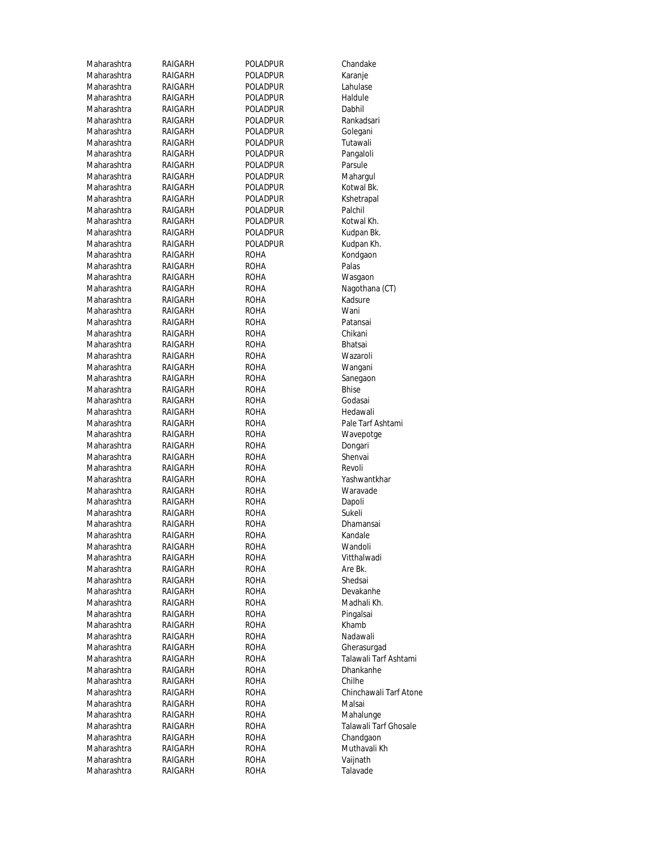| Maharashtra                | RAIGARH | Poladpur        | Chandake                                  |
|----------------------------|---------|-----------------|-------------------------------------------|
| Maharashtra                | RAIGARH | POLADPUR        | Karanje                                   |
| Maharashtra                | RAIGARH | POLADPUR        | Lahulase                                  |
| Maharashtra                | RAIGARH | POLADPUR        | Haldule                                   |
| Maharashtra                | RAIGARH | POLADPUR        | Dabhil                                    |
| Maharashtra                | RAIGARH | POLADPUR        | Rankadsari                                |
| Maharashtra                | RAIGARH | <b>POLADPUR</b> | Golegani                                  |
| Maharashtra                | RAIGARH | POLADPUR        | Tutawali                                  |
| Maharashtra                | RAIGARH | POLADPUR        | Pangaloli                                 |
| Maharashtra                | RAIGARH | POLADPUR        | Parsule                                   |
| Maharashtra                | RAIGARH | POLADPUR        | Mahargul                                  |
| Maharashtra                | RAIGARH | POLADPUR        | Kotwal Bk.                                |
| Maharashtra                | RAIGARH | POLADPUR        | Kshetrapal                                |
| Maharashtra                | RAIGARH | POLADPUR        | Palchil                                   |
| Maharashtra                | RAIGARH | POLADPUR        | Kotwal Kh.                                |
| Maharashtra                | RAIGARH | POLADPUR        | Kudpan Bk.                                |
| Maharashtra                | RAIGARH | POLADPUR        | Kudpan Kh.                                |
| Maharashtra                | RAIGARH | ROHA            | Kondgaon                                  |
| Maharashtra                | RAIGARH | ROHA            | Palas                                     |
| Maharashtra                | RAIGARH | ROHA            | Wasgaon                                   |
| Maharashtra                | RAIGARH | ROHA            | Nagothana (CT)                            |
| Maharashtra                | RAIGARH | ROHA            | Kadsure                                   |
| Maharashtra                | RAIGARH | ROHA            | Wani                                      |
| Maharashtra                | RAIGARH | ROHA            | Patansai                                  |
| Maharashtra                | RAIGARH | ROHA            | Chikani                                   |
| Maharashtra                | RAIGARH | ROHA            | <b>Bhatsai</b>                            |
| Maharashtra                | RAIGARH | ROHA            | Wazaroli                                  |
| Maharashtra                | RAIGARH | ROHA            | Wangani                                   |
| Maharashtra                | RAIGARH | roha            | Sanegaon                                  |
| Maharashtra                | RAIGARH | ROHA            | <b>Bhise</b>                              |
| Maharashtra                | RAIGARH | ROHA            | Godasai                                   |
| Maharashtra                | RAIGARH | roha            | Hedawali                                  |
| Maharashtra                | RAIGARH | ROHA            | Pale Tarf Ashtami                         |
| Maharashtra                | RAIGARH | ROHA            | Wavepotge                                 |
| Maharashtra                | RAIGARH | ROHA            | Dongari                                   |
| Maharashtra                | RAIGARH | ROHA            | Shenvai                                   |
| Maharashtra                | RAIGARH | ROHA            | Revoli                                    |
| Maharashtra                | RAIGARH | ROHA            | Yashwantkhar                              |
| Maharashtra                | RAIGARH | ROHA            | Waravade                                  |
| Maharashtra                | RAIGARH | ROHA            | Dapoli                                    |
| Maharashtra                | RAIGARH | ROHA            | Sukeli                                    |
| Maharashtra                | RAIGARH | ROHA            | Dhamansai                                 |
| Maharashtra                | RAIGARH | ROHA            | Kandale                                   |
| Maharashtra                | RAIGARH | <b>ROHA</b>     | Wandoli                                   |
| Maharashtra                | RAIGARH | roha            | Vitthalwadi                               |
| Maharashtra                | RAIGARH | roha            | Are Bk.                                   |
| Maharashtra                | RAIGARH | <b>ROHA</b>     | Shedsai                                   |
| Maharashtra                | RAIGARH | roha            | Devakanhe                                 |
| Maharashtra                | RAIGARH | roha            | Madhali Kh.                               |
| Maharashtra                | RAIGARH | <b>ROHA</b>     | Pingalsai                                 |
| Maharashtra                | RAIGARH | roha            | Khamb                                     |
| Maharashtra                | RAIGARH | roha            | Nadawali                                  |
| Maharashtra                | RAIGARH | ROHA            | Gherasurgad                               |
| Maharashtra                | RAIGARH | ROHA            | Talawali Tarf Ashtami<br><b>Dhankanhe</b> |
| Maharashtra                | RAIGARH | ROHA            |                                           |
| Maharashtra                | RAIGARH | roha            | Chilhe                                    |
| Maharashtra                | RAIGARH | roha            | Chinchawali Tarf Atone                    |
| Maharashtra                | RAIGARH | ROHA            | Malsai                                    |
| Maharashtra                | RAIGARH | roha            | Mahalunge                                 |
| Maharashtra                | RAIGARH | roha            | Talawali Tarf Ghosale                     |
| Maharashtra<br>Maharashtra | RAIGARH | roha            | Chandgaon<br>Muthavali Kh                 |
|                            | RAIGARH | roha            |                                           |
| Maharashtra                | RAIGARH | roha            | Vaijnath                                  |
| Maharashtra                | RAIGARH | roha            | Talavade                                  |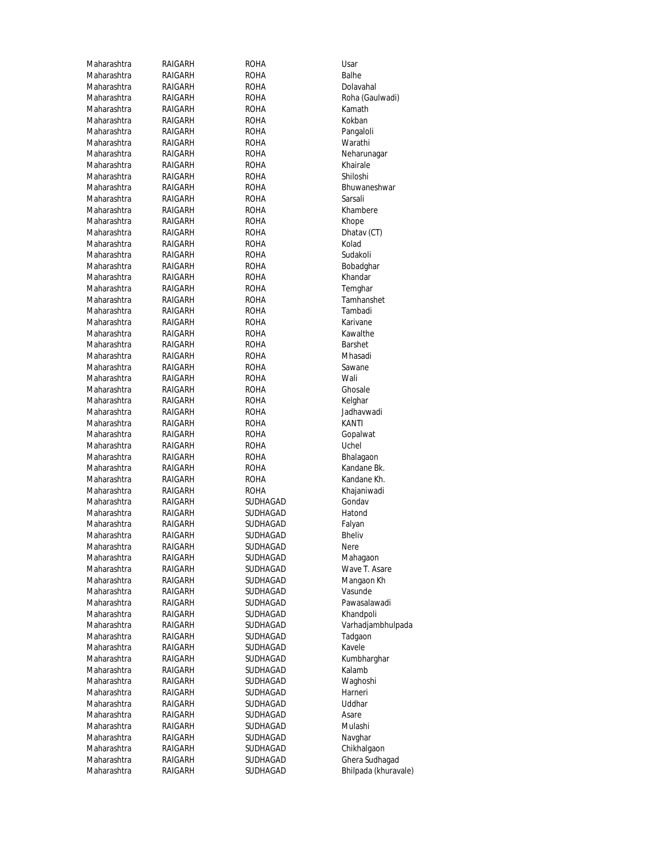| Maharashtra                | RAIGARH            | ROHA         | Usar                     |
|----------------------------|--------------------|--------------|--------------------------|
| Maharashtra                | RAIGARH            | ROHA         | Balhe                    |
| Maharashtra                | RAIGARH            | <b>ROHA</b>  | Dolavahal                |
| Maharashtra                | RAIGARH            | ROHA         | Roha (Gaulwadi)          |
| Maharashtra                | RAIGARH            | ROHA         | Kamath                   |
| Maharashtra                | RAIGARH            | ROHA         | Kokban                   |
| Maharashtra                | RAIGARH            | <b>ROHA</b>  | Pangaloli                |
| Maharashtra                | RAIGARH            | ROHA         | Warathi                  |
| Maharashtra                | RAIGARH            | ROHA         | Neharunagar              |
| Maharashtra                | RAIGARH            | ROHA         | Khairale                 |
| Maharashtra                | RAIGARH            | ROHA         | Shiloshi                 |
| Maharashtra                | RAIGARH            | ROHA         | Bhuwaneshwar             |
| Maharashtra                | RAIGARH            | ROHA         | Sarsali                  |
| Maharashtra                | RAIGARH            | <b>ROHA</b>  | Khambere                 |
| Maharashtra                | RAIGARH            | ROHA         | Khope                    |
| Maharashtra                | RAIGARH            | ROHA         | Dhatay (CT)              |
| Maharashtra                | RAIGARH            | ROHA         | Kolad                    |
| Maharashtra                | RAIGARH            | ROHA         | Sudakoli                 |
| Maharashtra                | RAIGARH            | ROHA         | Bobadghar                |
| Maharashtra                | RAIGARH            | ROHA         | Khandar                  |
| Maharashtra                | RAIGARH            | ROHA         | Temghar                  |
| Maharashtra                | RAIGARH            | ROHA         | Tamhanshet               |
| Maharashtra                | RAIGARH            | ROHA         | Tambadi                  |
| Maharashtra                | RAIGARH            | <b>ROHA</b>  | Karivane                 |
| Maharashtra                | RAIGARH            | ROHA         | Kawalthe                 |
| Maharashtra                | RAIGARH            | ROHA         | Barshet                  |
| Maharashtra                | RAIGARH            | ROHA         | Mhasadi                  |
| Maharashtra                | RAIGARH            | ROHA         | Sawane                   |
| Maharashtra                | RAIGARH            | ROHA         | Wali                     |
| Maharashtra                | RAIGARH            | <b>ROHA</b>  | Ghosale                  |
| Maharashtra                | RAIGARH            | ROHA         | Kelghar                  |
| Maharashtra                | RAIGARH            | ROHA         | Jadhavwadi               |
| Maharashtra                | RAIGARH            | ROHA         | KANTI                    |
| Maharashtra<br>Maharashtra | RAIGARH            | ROHA         | Gopalwat<br>Uchel        |
| Maharashtra                | RAIGARH<br>RAIGARH | ROHA<br>ROHA |                          |
| Maharashtra                | RAIGARH            | ROHA         | Bhalagaon<br>Kandane Bk. |
| Maharashtra                | RAIGARH            | ROHA         | Kandane Kh.              |
| Maharashtra                | RAIGARH            | ROHA         | Khajaniwadi              |
| Maharashtra                | RAIGARH            | SUDHAGAD     | Gondav                   |
| Maharashtra                | RAIGARH            | SUDHAGAD     | Hatond                   |
| Maharashtra                | RAIGARH            | SUDHAGAD     | Falyan                   |
| Maharashtra                | RAIGARH            | SUDHAGAD     | <b>Bheliv</b>            |
| Maharashtra                | RAIGARH            | SUDHAGAD     | Nere                     |
| Maharashtra                | RAIGARH            | SUDHAGAD     | Mahagaon                 |
| Maharashtra                | RAIGARH            | SUDHAGAD     | Wave T. Asare            |
| Maharashtra                | RAIGARH            | SUDHAGAD     | Mangaon Kh               |
| Maharashtra                | RAIGARH            | SUDHAGAD     | Vasunde                  |
| Maharashtra                | RAIGARH            | SUDHAGAD     | Pawasalawadi             |
| Maharashtra                | RAIGARH            | SUDHAGAD     | Khandpoli                |
| Maharashtra                | RAIGARH            | SUDHAGAD     | Varhadjambhulpada        |
| Maharashtra                | RAIGARH            | SUDHAGAD     | Tadgaon                  |
| Maharashtra                | RAIGARH            | SUDHAGAD     | Kavele                   |
| Maharashtra                | RAIGARH            | SUDHAGAD     | Kumbharghar              |
| Maharashtra                | RAIGARH            | SUDHAGAD     | Kalamb                   |
| Maharashtra                | RAIGARH            | SUDHAGAD     | Waghoshi                 |
| Maharashtra                | RAIGARH            | SUDHAGAD     | Harneri                  |
| Maharashtra                | RAIGARH            | SUDHAGAD     | Uddhar                   |
| Maharashtra                | RAIGARH            | SUDHAGAD     | Asare                    |
| Maharashtra                | RAIGARH            | SUDHAGAD     | Mulashi                  |
| Maharashtra                | RAIGARH            | SUDHAGAD     | Navghar                  |
| Maharashtra                | RAIGARH            | SUDHAGAD     | Chikhalgaon              |
| Maharashtra                | RAIGARH            | SUDHAGAD     | Ghera Sudhagad           |
| Maharashtra                | RAIGARH            | SUDHAGAD     | Bhilpada (khuravale)     |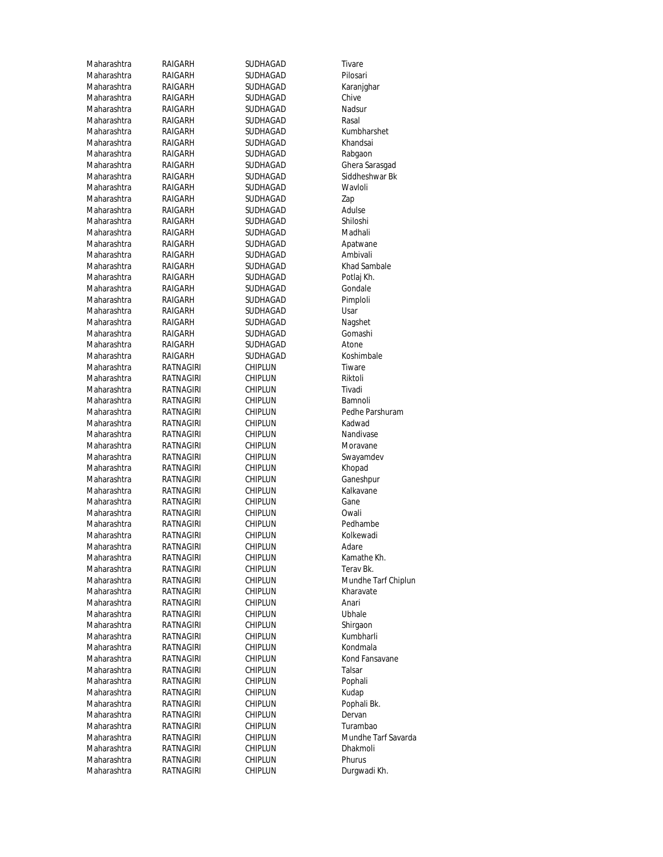Maharashtra RAIGARH SUDHAGAD Tivare Maharashtra RAIGARH SUDHAGAD Pilosari Maharashtra RAIGARH SUDHAGAD Karanjghar Maharashtra RAIGARH SUDHAGAD Chive<br>Maharashtra RAIGARH SUDHAGAD Nadsur Maharashtra RAIGARH SUDHAGAD Maharashtra RAIGARH SUDHAGAD Rasal Maharashtra RAIGARH SUDHAGAD Kumbharshet Maharashtra RAIGARH SUDHAGAD Khandsai Maharashtra RAIGARH SUDHAGAD Rabgaon Maharashtra RAIGARH SUDHAGAD Ghera Sarasgad Maharashtra RAIGARH SUDHAGAD Siddheshwar Bk Maharashtra RAIGARH SUDHAGAD Wavloli Maharashtra RAIGARH SUDHAGAD Zap Maharashtra RAIGARH SUDHAGAD Adulse<br>Maharashtra RAIGARH SUDHAGAD Shiloshi Maharashtra Maharashtra RAIGARH SUDHAGAD Apatwane Maharashtra RAIGARH SUDHAGAD Ambivali Maharashtra RAIGARH SUDHAGAD Khad Sambale Maharashtra RAIGARH SUDHAGAD Potlaj Kh. Maharashtra RAIGARH SUDHAGAD Gondale Maharashtra RAIGARH SUDHAGAD Pimploli Maharashtra RAIGARH SUDHAGAD Usar Maharashtra RAIGARH SUDHAGAD Nagshet Maharashtra RAIGARH SUDHAGAD Gomashi Maharashtra RAIGARH SUDHAGAD Atone<br>Maharashtra RAIGARH SUDHAGAD Koshir Maharashtra RATNAGIRI CHIPLUN Tiware Maharashtra RATNAGIRI CHIPLUN Riktoli Maharashtra RATNAGIRI CHIPLUN Tivadi Maharashtra RATNAGIRI CHIPLUN Bamnoli<br>Maharashtra RATNAGIRI CHIPLUN Pedhe P. Maharashtra RATNAGIRI CHIPLUN Kadwad Maharashtra RATNAGIRI CHIPLUN Nandivase Maharashtra RATNAGIRI CHIPLUN Moravane Maharashtra RATNAGIRI CHIPLUN Swayamdev Maharashtra RATNAGIRI CHIPLUN Khopad Maharashtra RATNAGIRI CHIPLUN Ganeshpur Maharashtra RATNAGIRI CHIPLUN Kalkavane Maharashtra RATNAGIRI CHIPLUN Gane Maharashtra RATNAGIRI CHIPLUN Owali Maharashtra RATNAGIRI CHIPLUN Pedhambe Maharashtra RATNAGIRI CHIPLUN Kolkewadi<br>Maharashtra RATNAGIRI CHIPLUN Adare Maharashtra RATNAGIRI CHIPLUN Kamathe Kh. Maharashtra RATNAGIRI CHIPLUN Terav Bk. Maharashtra RATNAGIRI CHIPLUN Kharavate Maharashtra RATNAGIRI CHIPLUN Anari Maharashtra RATNAGIRI CHIPLUN Ubhale Maharashtra RATNAGIRI CHIPLUN Shirgaon Maharashtra RATNAGIRI CHIPLUN Kumbharli Maharashtra RATNAGIRI CHIPLUN Kondmala Maharashtra RATNAGIRI CHIPLUN Kond Fansavane Maharashtra RATNAGIRI CHIPLUN Talsar<br>Maharashtra RATNAGIRI CHIPLUN Poohali Maharashtra RATNAGIRI CHIPLUN Maharashtra RATNAGIRI CHIPLUN Kudap Maharashtra RATNAGIRI CHIPLUN Pophali Bk. Maharashtra RATNAGIRI CHIPLUN Dervan Maharashtra RATNAGIRI CHIPLUN Turambao<br>19 Maharashtra RATNAGIRI CHIPLUN Nundhe Maharashtra RATNAGIRI CHIPLUN Phurus Maharashtra RATNAGIRI CHIPLUN Durgwadi Kh.

RAIGARH SUDHAGAD Shiloshi<br>RAIGARH SUDHAGAD Madhali RAIGARH SUDHAGAD Koshimbale

RATNAGIRI

RATNAGIRI

Maharashtra RATNAGIRI CHIPLUN Pedhe Parshuram Maharashtra RATNAGIRI CHIPLUN Mundhe Tarf Chiplun Maharashtra RATNAGIRI CHIPLUN Mundhe Tarf Savarda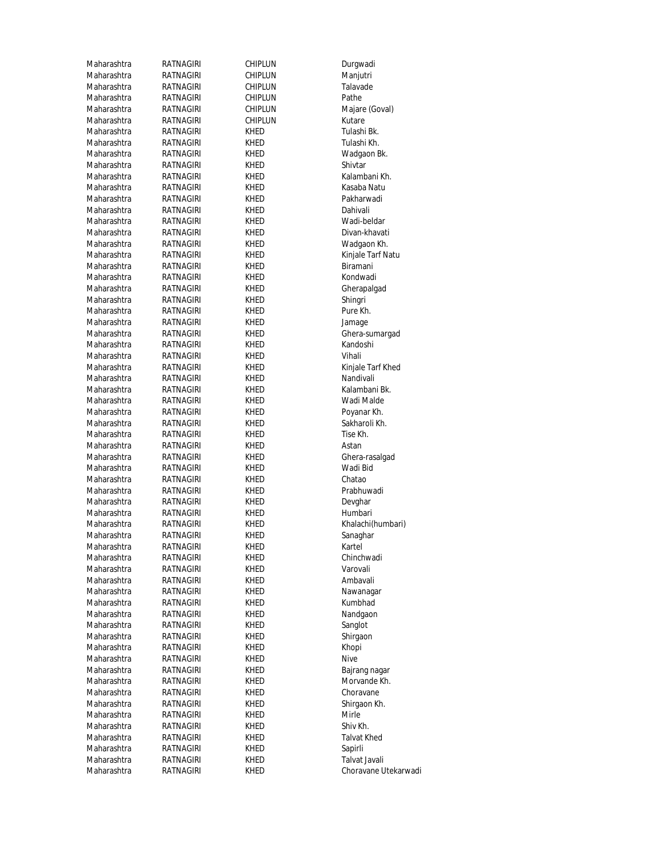| Maharashtra | RATNAGIRI        | CHIPLUN        | Durgwadi             |
|-------------|------------------|----------------|----------------------|
| Maharashtra | RATNAGIRI        | <b>CHIPLUN</b> | Manjutri             |
| Maharashtra | RATNAGIRI        | CHIPLUN        | Talavade             |
| Maharashtra | RATNAGIRI        | CHIPLUN        | Pathe                |
| Maharashtra | RATNAGIRI        | CHIPLUN        | Majare (Goval)       |
| Maharashtra | RATNAGIRI        | CHIPLUN        | Kutare               |
| Maharashtra | RATNAGIRI        | Khed           | Tulashi Bk.          |
| Maharashtra | RATNAGIRI        | Khed           | Tulashi Kh.          |
| Maharashtra | RATNAGIRI        | Khed           | Wadgaon Bk.          |
| Maharashtra | RATNAGIRI        | KHED           | Shivtar              |
| Maharashtra | RATNAGIRI        | KHED           | Kalambani Kh.        |
| Maharashtra | RATNAGIRI        | Khed           | Kasaba Natu          |
| Maharashtra | RATNAGIRI        | Khed           | Pakharwadi           |
| Maharashtra | RATNAGIRI        | KHED           | Dahivali             |
| Maharashtra | RATNAGIRI        | Khed           | Wadi-beldar          |
| Maharashtra | RATNAGIRI        | Khed           | Divan-khavati        |
| Maharashtra | RATNAGIRI        | Khed           | Wadgaon Kh.          |
| Maharashtra | RATNAGIRI        | Khed           | Kinjale Tarf Natu    |
| Maharashtra | RATNAGIRI        | Khed           | Biramani             |
| Maharashtra | RATNAGIRI        | KHED           | Kondwadi             |
| Maharashtra | RATNAGIRI        | Khed           | Gherapalgad          |
| Maharashtra | <b>RATNAGIRI</b> | Khed           | Shingri              |
| Maharashtra | RATNAGIRI        | Khed           | Pure Kh.             |
| Maharashtra | RATNAGIRI        | <b>KHED</b>    | Jamage               |
| Maharashtra | RATNAGIRI        | KHED           | Ghera-sumargad       |
| Maharashtra | RATNAGIRI        | Khed           | Kandoshi             |
| Maharashtra | <b>RATNAGIRI</b> | Khed           | Vihali               |
| Maharashtra | RATNAGIRI        | Khed           | Kinjale Tarf Khed    |
| Maharashtra | RATNAGIRI        | Khed           | Nandivali            |
| Maharashtra | RATNAGIRI        | KHED           | Kalambani Bk.        |
| Maharashtra | RATNAGIRI        | KHED           | Wadi Malde           |
| Maharashtra | RATNAGIRI        | Khed           | Poyanar Kh.          |
| Maharashtra | RATNAGIRI        | Khed           | Sakharoli Kh.        |
| Maharashtra | RATNAGIRI        | Khed           | Tise Kh.             |
| Maharashtra | RATNAGIRI        | Khed           | Astan                |
| Maharashtra | RATNAGIRI        | Khed           | Ghera-rasalgad       |
| Maharashtra | RATNAGIRI        | Khed           | Wadi Bid             |
| Maharashtra | <b>RATNAGIRI</b> | Khed           | Chatao               |
| Maharashtra | RATNAGIRI        | Khed           | Prabhuwadi           |
| Maharashtra | RATNAGIRI        | Khed           | Devghar              |
| Maharashtra | RATNAGIRI        | Khed           | Humbari              |
| Maharashtra | RATNAGIRI        | KHED           | Khalachi(humbari)    |
| Maharashtra | RATNAGIRI        | KHED           | Sanaghar             |
| Maharashtra | RATNAGIRI        | KHED           | Kartel               |
| Maharashtra | RATNAGIRI        | Khed           | Chinchwadi           |
| Maharashtra | RATNAGIRI        | KHED           | Varovali             |
| Maharashtra | RATNAGIRI        | Khed           | Ambavali             |
| Maharashtra | RATNAGIRI        | Khed           | Nawanagar            |
| Maharashtra | RATNAGIRI        | Khed           | Kumbhad              |
| Maharashtra | RATNAGIRI        | Khed           | Nandgaon             |
| Maharashtra | RATNAGIRI        | KHED           | Sanglot              |
| Maharashtra | RATNAGIRI        | Khed           | Shirgaon             |
| Maharashtra | RATNAGIRI        | Khed           | Khopi                |
| Maharashtra | RATNAGIRI        | Khed           | <b>Nive</b>          |
| Maharashtra | RATNAGIRI        | Khed           | Bajrang nagar        |
| Maharashtra | RATNAGIRI        | Khed           | Morvande Kh.         |
| Maharashtra | RATNAGIRI        | Khed           | Choravane            |
| Maharashtra | RATNAGIRI        | Khed           | Shirgaon Kh.         |
| Maharashtra | RATNAGIRI        | Khed           | Mirle                |
| Maharashtra | RATNAGIRI        | Khed           | Shiv Kh.             |
| Maharashtra | RATNAGIRI        | Khed           | Talvat Khed          |
| Maharashtra | RATNAGIRI        | Khed           | Sapirli              |
| Maharashtra | RATNAGIRI        | Khed           | Talvat Javali        |
| Maharashtra | RATNAGIRI        | KHED           | Choravane Utekarwadi |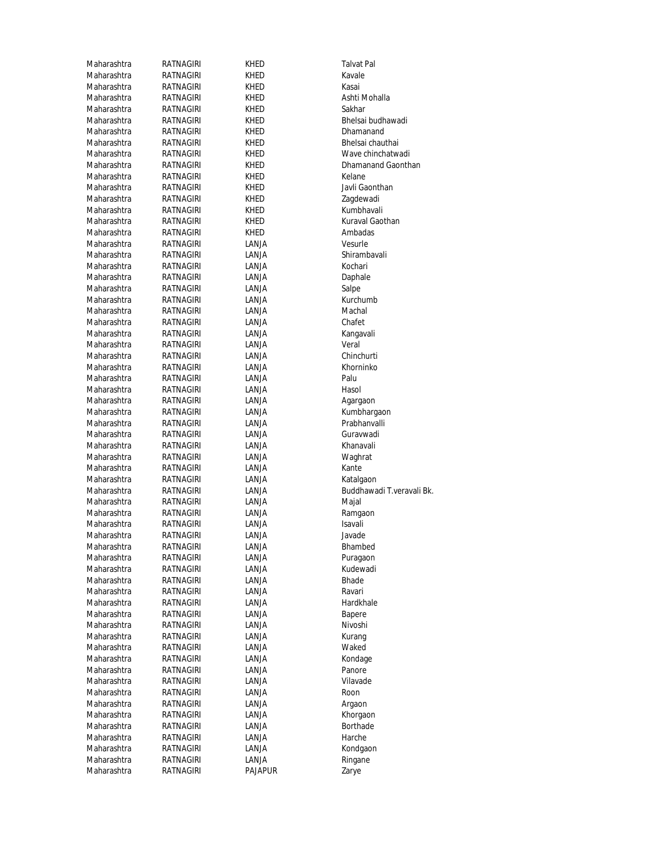| Maharashtra                | RATNAGIRI              | KHED                    | <b>Talvat Pal</b>         |
|----------------------------|------------------------|-------------------------|---------------------------|
| Maharashtra                | RATNAGIRI              | KHED                    | Kavale                    |
| Maharashtra                | RATNAGIRI              | KHED                    | Kasai                     |
| Maharashtra                | RATNAGIRI              | KHED                    | Ashti Mohalla             |
| Maharashtra                | RATNAGIRI              | KHED                    | Sakhar                    |
| Maharashtra                | RATNAGIRI              | KHED                    | Bhelsai budhawadi         |
| Maharashtra                | RATNAGIRI              | KHED                    | Dhamanand                 |
| Maharashtra                | RATNAGIRI              | KHED                    | Bhelsai chauthai          |
| Maharashtra                | RATNAGIRI              | KHED                    | Wave chinchatwadi         |
| Maharashtra                | RATNAGIRI              | KHED                    | Dhamanand Gaonthan        |
| Maharashtra                | RATNAGIRI              | KHED                    | Kelane                    |
| Maharashtra                | RATNAGIRI              | KHED                    | Javli Gaonthan            |
| Maharashtra                | RATNAGIRI              | KHED                    | Zagdewadi                 |
| Maharashtra                | RATNAGIRI              | KHED                    | Kumbhavali                |
| Maharashtra                | RATNAGIRI              | KHED                    | Kuraval Gaothan           |
| Maharashtra                | RATNAGIRI              | KHED                    | Ambadas                   |
| Maharashtra                | RATNAGIRI              | LANJA                   | Vesurle                   |
| Maharashtra                | RATNAGIRI              | LANJA                   | Shirambavali              |
|                            |                        |                         |                           |
| Maharashtra                | RATNAGIRI              | LANJA                   | Kochari                   |
| Maharashtra                | RATNAGIRI              | LANJA                   | Daphale                   |
| Maharashtra                | RATNAGIRI              | LANJA                   | Salpe                     |
| Maharashtra                | RATNAGIRI              | LANJA                   | Kurchumb                  |
| Maharashtra                | RATNAGIRI              | LANJA                   | Machal                    |
| Maharashtra                | RATNAGIRI              | LANJA                   | Chafet                    |
| Maharashtra                | RATNAGIRI              | LANJA                   | Kangavali                 |
| Maharashtra                | RATNAGIRI              | LANJA                   | Veral                     |
| Maharashtra                | RATNAGIRI              | LANJA                   | Chinchurti                |
| Maharashtra                | RATNAGIRI              | LANJA                   | Khorninko                 |
| Maharashtra                | RATNAGIRI              | LANJA                   | Palu                      |
| Maharashtra                | RATNAGIRI              | LANJA                   | Hasol                     |
| Maharashtra                | RATNAGIRI              | LANJA                   | Agargaon                  |
| Maharashtra                | RATNAGIRI              | LANJA                   | Kumbhargaon               |
| Maharashtra                | RATNAGIRI              | LANJA                   | Prabhanvalli              |
| Maharashtra                | RATNAGIRI              | LANJA                   | Guravwadi                 |
| Maharashtra                | RATNAGIRI              | LANJA                   | Khanavali                 |
| Maharashtra                | RATNAGIRI              | LANJA                   | Waghrat                   |
| Maharashtra                | RATNAGIRI              | LANJA                   | Kante                     |
| Maharashtra                | RATNAGIRI              | LANJA                   | Katalgaon                 |
| Maharashtra                | RATNAGIRI              | LANJA                   | Buddhawadi T.veravali Bk. |
| Maharashtra                | RATNAGIRI              | LANJA                   | Majal                     |
| Maharashtra                | RATNAGIRI              | LANJA                   | Ramgaon                   |
| Maharashtra                | RATNAGIRI              | LANJA                   | Isavali                   |
| Maharashtra                | <b>RATNAGIRI</b>       | LANJA                   | Javade                    |
| Maharashtra                | <b>RATNAGIRI</b>       | LANJA                   | Bhambed                   |
| Maharashtra                | RATNAGIRI              | LANJA                   | Puragaon                  |
| Maharashtra                | RATNAGIRI              | LANJA                   | Kudewadi                  |
| Maharashtra                | RATNAGIRI              | LANJA                   | Bhade                     |
| Maharashtra                | RATNAGIRI              | LANJA                   | Ravari                    |
| Maharashtra                | RATNAGIRI              | LANJA                   | Hardkhale                 |
| Maharashtra                | RATNAGIRI              | LANJA                   | Bapere                    |
| Maharashtra                | RATNAGIRI              | LANJA                   | Nivoshi                   |
| Maharashtra                | RATNAGIRI              | LANJA                   | Kurang                    |
| Maharashtra                | RATNAGIRI              | LANJA                   | Waked                     |
| Maharashtra                | RATNAGIRI              | LANJA                   | Kondage                   |
| Maharashtra                | RATNAGIRI              | LANJA                   | Panore                    |
| Maharashtra                | RATNAGIRI              | LANJA                   | Vilavade                  |
|                            |                        |                         |                           |
| Maharashtra                | RATNAGIRI              | LANJA                   | Roon                      |
| Maharashtra                | RATNAGIRI              | LANJA                   | Argaon                    |
| Maharashtra                | RATNAGIRI              | LANJA                   | Khorgaon<br>Borthade      |
| Maharashtra                |                        |                         |                           |
|                            | RATNAGIRI              | LANJA                   |                           |
| Maharashtra                | RATNAGIRI              | LANJA                   | Harche                    |
| Maharashtra                | RATNAGIRI              | LANJA                   | Kondgaon                  |
| Maharashtra<br>Maharashtra | RATNAGIRI<br>RATNAGIRI | LANJA<br><b>PAJAPUR</b> | Ringane<br>Zarye          |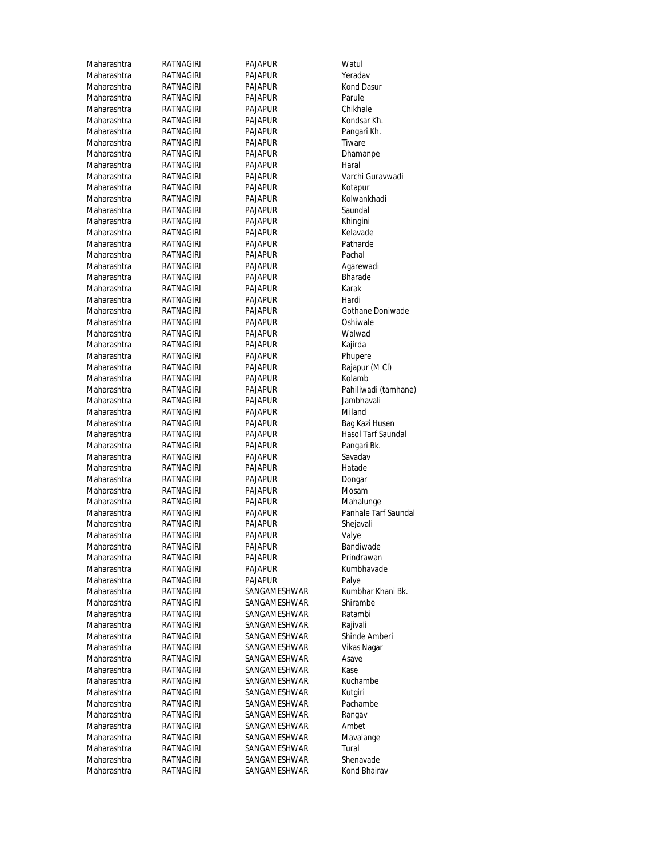| Maharashtra | RATNAGIRI        | PAJAPUR        | Watul                |
|-------------|------------------|----------------|----------------------|
| Maharashtra | RATNAGIRI        | <b>PAJAPUR</b> | Yeradav              |
| Maharashtra | RATNAGIRI        | PAJAPUR        | Kond Das             |
| Maharashtra | <b>RATNAGIRI</b> | PAJAPUR        | Parule               |
| Maharashtra | RATNAGIRI        | PAJAPUR        | Chikhale             |
| Maharashtra | RATNAGIRI        | <b>PAJAPUR</b> | Kondsar I            |
| Maharashtra | RATNAGIRI        | PAJAPUR        | Pangari K            |
| Maharashtra | RATNAGIRI        | PAJAPUR        | Tiware               |
| Maharashtra | RATNAGIRI        | PAJAPUR        | Dhamanp              |
| Maharashtra | RATNAGIRI        | PAJAPUR        | Haral                |
| Maharashtra | RATNAGIRI        | PAJAPUR        | Varchi Gu            |
| Maharashtra | RATNAGIRI        | PAJAPUR        | Kotapur              |
| Maharashtra | RATNAGIRI        | PAJAPUR        | Kolwankl             |
| Maharashtra | RATNAGIRI        | PAJAPUR        | Saundal              |
| Maharashtra | RATNAGIRI        | PAJAPUR        | Khingini             |
| Maharashtra | RATNAGIRI        | PAJAPUR        | Kelavade             |
| Maharashtra | RATNAGIRI        | PAJAPUR        | Patharde             |
| Maharashtra | RATNAGIRI        | PAJAPUR        | Pachal               |
| Maharashtra | RATNAGIRI        | PAJAPUR        | Agarewa              |
| Maharashtra | RATNAGIRI        | PAJAPUR        | <b>Bharade</b>       |
| Maharashtra | RATNAGIRI        | PAJAPUR        | Karak                |
| Maharashtra | RATNAGIRI        | PAJAPUR        | Hardi                |
| Maharashtra | RATNAGIRI        | <b>PAJAPUR</b> | Gothane              |
| Maharashtra | RATNAGIRI        | PAJAPUR        | Oshiwale             |
| Maharashtra | RATNAGIRI        | <b>PAJAPUR</b> | Walwad               |
| Maharashtra | RATNAGIRI        | <b>PAJAPUR</b> | Kajirda              |
| Maharashtra | RATNAGIRI        | PAJAPUR        | Phupere              |
| Maharashtra | RATNAGIRI        | PAJAPUR        | Rajapur (            |
| Maharashtra | RATNAGIRI        | PAJAPUR        | Kolamb               |
| Maharashtra | RATNAGIRI        | <b>PAJAPUR</b> | Pahiliwad            |
| Maharashtra | RATNAGIRI        | PAJAPUR        | Jambhav              |
| Maharashtra | RATNAGIRI        | PAJAPUR        | Miland               |
| Maharashtra | RATNAGIRI        | PAJAPUR        | Bag Kazi             |
| Maharashtra | RATNAGIRI        | PAJAPUR        | Hasol Tar            |
| Maharashtra | RATNAGIRI        | PAJAPUR        | Pangari E            |
| Maharashtra | RATNAGIRI        | PAJAPUR        | Savadav              |
| Maharashtra | RATNAGIRI        | PAJAPUR        | Hatade               |
| Maharashtra | RATNAGIRI        | PAJAPUR        | Dongar               |
| Maharashtra | RATNAGIRI        | <b>PAJAPUR</b> | Mosam                |
| Maharashtra | RATNAGIRI        | PAJAPUR        | Mahalun              |
| Maharashtra | RATNAGIRI        | PAJAPUR        | Panhale <sup>-</sup> |
| Maharashtra | <b>RATNAGIRI</b> | PAJAPUR        | Shejavali            |
| Maharashtra | <b>RATNAGIRI</b> | <b>PAJAPUR</b> | Valye                |
| Maharashtra | <b>RATNAGIRI</b> | <b>PAJAPUR</b> | <b>Bandiwa</b>       |
| Maharashtra | RATNAGIRI        | PAJAPUR        | Prindraw             |
| Maharashtra | RATNAGIRI        | PAJAPUR        | <b>Kumbhay</b>       |
| Maharashtra | <b>RATNAGIRI</b> | PAJAPUR        | Palye                |
| Maharashtra | RATNAGIRI        | SANGAMESHWAR   | Kumbhar              |
| Maharashtra | <b>RATNAGIRI</b> | SANGAMESHWAR   | Shirambe             |
| Maharashtra | <b>RATNAGIRI</b> | SANGAMESHWAR   | Ratambi              |
| Maharashtra | RATNAGIRI        | SANGAMESHWAR   | Rajivali             |
| Maharashtra | RATNAGIRI        | SANGAMESHWAR   | Shinde A             |
| Maharashtra | RATNAGIRI        | SANGAMESHWAR   | Vikas Na             |
| Maharashtra | <b>RATNAGIRI</b> | SANGAMESHWAR   | Asave                |
| Maharashtra | RATNAGIRI        | SANGAMESHWAR   | Kase                 |
| Maharashtra | <b>RATNAGIRI</b> | SANGAMESHWAR   | Kuchamb              |
| Maharashtra | RATNAGIRI        | SANGAMESHWAR   | Kutgiri              |
| Maharashtra | RATNAGIRI        | SANGAMESHWAR   | Pachamb              |
| Maharashtra | RATNAGIRI        | SANGAMESHWAR   | Rangav               |
| Maharashtra | RATNAGIRI        | SANGAMESHWAR   | Ambet                |
| Maharashtra | RATNAGIRI        | SANGAMESHWAR   | Mavalan              |
| Maharashtra | RATNAGIRI        | SANGAMESHWAR   | Tural                |
| Maharashtra | RATNAGIRI        | SANGAMESHWAR   | Shenavad             |
| Maharashtra | RATNAGIRI        | SANGAMESHWAR   | Kond Bha             |

Kond Dasur<br>Parule Kondsar Kh. Pangari Kh. Dhamanpe<br>Haral Varchi Guravwadi Kotapur Kolwankhadi<br>Saundal Agarewadi<br>Bharade Gothane Doniwade Oshiwale Walwad<br>Kajirda Phupere Rajapur (M Cl)<br>Kolamb Pahiliwadi (tamhane) Jambhavali<br>Miland Bag Kazi Husen Hasol Tarf Saundal Pangari Bk. Mahalunge Panhale Tarf Saundal Shejavali<br>Valye Bandiwade Prindrawan Kumbhavade HWAR Kumbhar Khani Bk.<br>HWAR Shirambe HWAR Shiramb<mark>e</mark><br>HWAR Ratambi .<br>HWAR Rajivali<br>I Rajivali HWAR Shinde Amberi HWAR Vikas Naga<mark>r</mark><br>HWAR Asave HWAR Kuchambe<br>HWAR Kutgiri Maharashtra Pachambe<br>Hata Rangay HWAR Mavalange<br>HWAR Tural HWAR Shenavade HWAR Kond Bhairav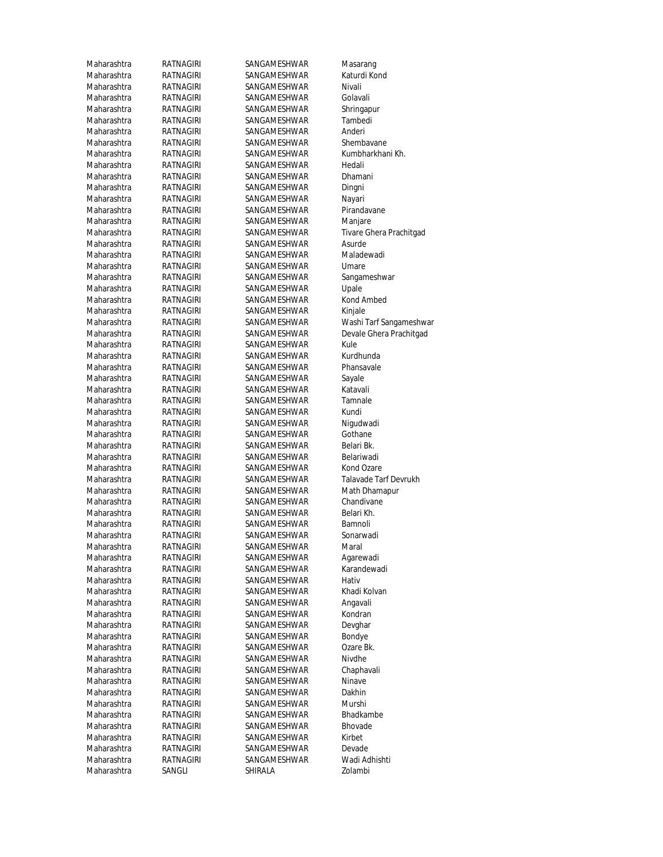Maharashtra RATNAGIRI SANGAMESHWAR Masarang Maharashtra RATNAGIRI SANGAMESHWAR Katurdi Kond Maharashtra RATNAGIRI SANGAMESHWAR Nivali Maharashtra RATNAGIRI SANGAMESHWAR Golavali<br>Maharashtra RATNAGIRI SANGAMESHWAR Shringar RATNAGIRI SANGAMESHWAR Shringapur Maharashtra RATNAGIRI SANGAMESHWAR Tambedi Maharashtra RATNAGIRI SANGAMESHWAR Anderi Maharashtra RATNAGIRI SANGAMESHWAR Shembavane Maharashtra RATNAGIRI SANGAMESHWAR Kumbharkhani Kh. Maharashtra RATNAGIRI SANGAMESHWAR Hedali Maharashtra RATNAGIRI SANGAMESHWAR Dhamani Maharashtra RATNAGIRI SANGAMESHWAR Dingni Maharashtra RATNAGIRI SANGAMESHWAR Nayari Maharashtra RATNAGIRI SANGAMESHWAR Pirandavane<br>Maharashtra RATNAGIRI SANGAMESHWAR Maniare Maharashtra RATNAGIRI SANGAMESHWAR Manjare<br>Maharashtra RATNAGIRI SANGAMESHWAR Tivare GI Maharashtra RATNAGIRI SANGAMESHWAR Asurde Maharashtra RATNAGIRI SANGAMESHWAR Maladewadi Maharashtra RATNAGIRI SANGAMESHWAR Umare Maharashtra RATNAGIRI SANGAMESHWAR Sangameshwar Maharashtra RATNAGIRI SANGAMESHWAR Upale Maharashtra RATNAGIRI SANGAMESHWAR Kond Ambed Maharashtra RATNAGIRI SANGAMESHWAR Kinjale Maharashtra RATNAGIRI SANGAMESHWAR Kule<br>Maharashtra RATNAGIRI SANGAMESHWAR Kurdhunda RATNAGIRI SANGAMESHWAR Maharashtra RATNAGIRI SANGAMESHWAR Phansavale Maharashtra RATNAGIRI SANGAMESHWAR Sayale Maharashtra RATNAGIRI SANGAMESHWAR Katavali Maharashtra RATNAGIRI SANGAMESHWAR Tamnale<br>Maharashtra RATNAGIRI SANGAMESHWAR Kundi Maharashtra RATNAGIRI SANGAMESHWAR Kundi<br>Maharashtra RATNAGIRI SANGAMESHWAR Niqudwadi RATNAGIRI SANGAMESHWAR Maharashtra RATNAGIRI SANGAMESHWAR Gothane Maharashtra RATNAGIRI SANGAMESHWAR Belari Bk. Maharashtra RATNAGIRI SANGAMESHWAR Belariwadi Maharashtra RATNAGIRI SANGAMESHWAR Kond Ozare Maharashtra RATNAGIRI SANGAMESHWAR Math Dhamapur Maharashtra RATNAGIRI SANGAMESHWAR Chandivane Maharashtra RATNAGIRI SANGAMESHWAR Belari Kh. Maharashtra RATNAGIRI SANGAMESHWAR Bamnoli Maharashtra RATNAGIRI SANGAMESHWAR Sonarwadi<br>Maharashtra RATNAGIRI SANGAMESHWAR Maral SANGAMESHWAR Maral Maharashtra RATNAGIRI SANGAMESHWAR Agarewadi Maharashtra RATNAGIRI SANGAMESHWAR Karandewadi Maharashtra RATNAGIRI SANGAMESHWAR Hativ Maharashtra RATNAGIRI SANGAMESHWAR Khadi Kolvan Maharashtra RATNAGIRI SANGAMESHWAR Angavali Maharashtra RATNAGIRI SANGAMESHWAR Kondran Maharashtra RATNAGIRI SANGAMESHWAR Devghar Maharashtra RATNAGIRI SANGAMESHWAR Bondye Maharashtra RATNAGIRI SANGAMESHWAR Ozare Bk. Maharashtra RATNAGIRI SANGAMESHWAR Nivdhe Maharashtra RATNAGIRI SANGAMESHWAR Chaphavali<br>Maharashtra RATNAGIRI SANGAMESHWAR Ninave RATNAGIRI SANGAMESHWAR Maharashtra RATNAGIRI SANGAMESHWAR Dakhin Maharashtra RATNAGIRI SANGAMESHWAR Murshi Maharashtra RATNAGIRI SANGAMESHWAR Bhadkambe Maharashtra RATNAGIRI SANGAMESHWAR Bhovade<br>Maharashtra RATNAGIRI SANGAMESHWAR Kirbet Maharashtra RATNAGIRI SANGAMESHWAR Kirbet<br>Maharashtra RATNAGIRI SANGAMESHWAR Devade SANGAMESHWAR Maharashtra RATNAGIRI SANGAMESHWAR Wadi Adhishti Maharashtra SANGLI SHIRALA Zolambi

Tivare Ghera Prachitgad Maharashtra RATNAGIRI SANGAMESHWAR Washi Tarf Sangameshwar Maharashtra RATNAGIRI SANGAMESHWAR Devale Ghera Prachitgad Maharashtra RATNAGIRI SANGAMESHWAR Talavade Tarf Devrukh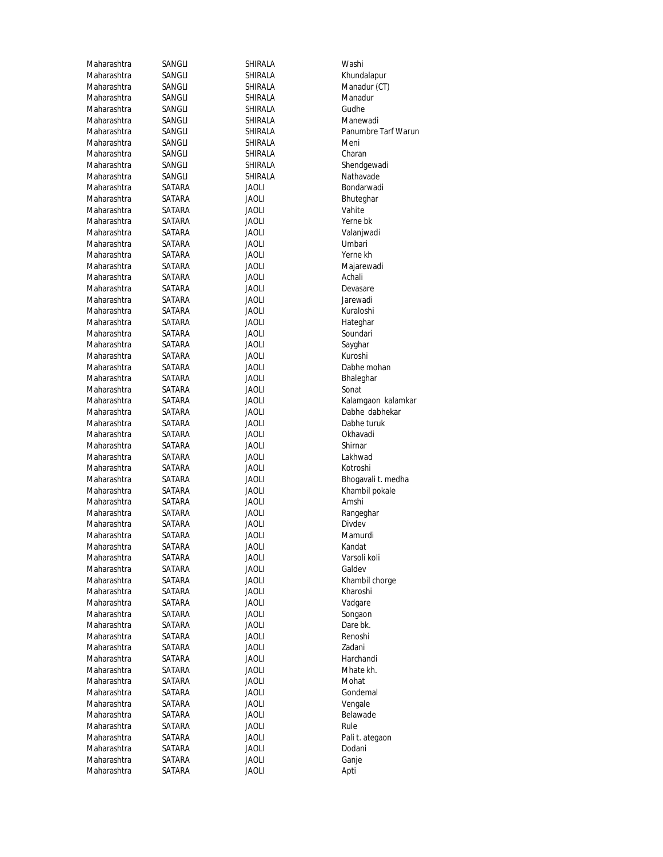| Maharashtra | SANGLI | SHIRALA        | Washi               |
|-------------|--------|----------------|---------------------|
| Maharashtra | SANGLI | SHIRALA        | Khundalapur         |
| Maharashtra | SANGLI | SHIRALA        | Manadur (CT)        |
| Maharashtra | SANGLI | SHIRALA        | Manadur             |
| Maharashtra | SANGLI | SHIRALA        | Gudhe               |
| Maharashtra | SANGLI | SHIRALA        | Manewadi            |
| Maharashtra | SANGLI | <b>SHIRALA</b> | Panumbre Tarf Warun |
| Maharashtra | SANGLI | SHIRALA        | Meni                |
| Maharashtra | SANGLI | SHIRALA        | Charan              |
| Maharashtra | SANGLI | SHIRALA        | Shendgewadi         |
| Maharashtra | SANGLI | SHIRALA        | Nathavade           |
| Maharashtra | SATARA | <b>JAOLI</b>   | Bondarwadi          |
| Maharashtra | SATARA | <b>JAOLI</b>   | Bhuteghar           |
| Maharashtra | SATARA | <b>JAOLI</b>   | Vahite              |
| Maharashtra | SATARA | JAOLI          | Yerne bk            |
| Maharashtra | SATARA | <b>JAOLI</b>   | Valanjwadi          |
| Maharashtra | SATARA | <b>JAOLI</b>   | Umbari              |
| Maharashtra | SATARA | <b>JAOLI</b>   | Yerne kh            |
| Maharashtra | SATARA | <b>JAOLI</b>   | Majarewadi          |
| Maharashtra | SATARA | <b>JAOLI</b>   | Achali              |
| Maharashtra | SATARA | <b>JAOLI</b>   | Devasare            |
| Maharashtra | SATARA | <b>JAOLI</b>   | Jarewadi            |
| Maharashtra | SATARA | <b>JAOLI</b>   | Kuraloshi           |
| Maharashtra | SATARA | <b>JAOLI</b>   | Hateghar            |
| Maharashtra | SATARA | <b>JAOLI</b>   | Soundari            |
| Maharashtra | SATARA | <b>JAOLI</b>   | Sayghar             |
| Maharashtra |        |                | Kuroshi             |
| Maharashtra | SATARA | JAOLI          |                     |
|             | SATARA | <b>JAOLI</b>   | Dabhe mohan         |
| Maharashtra | SATARA | <b>JAOLI</b>   | Bhaleghar           |
| Maharashtra | SATARA | <b>JAOLI</b>   | Sonat               |
| Maharashtra | SATARA | <b>JAOLI</b>   | Kalamgaon kalamkar  |
| Maharashtra | SATARA | <b>JAOLI</b>   | Dabhe dabhekar      |
| Maharashtra | SATARA | JAOLI          | Dabhe turuk         |
| Maharashtra | SATARA | <b>JAOLI</b>   | Okhavadi            |
| Maharashtra | SATARA | <b>JAOLI</b>   | Shirnar             |
| Maharashtra | SATARA | <b>JAOLI</b>   | Lakhwad             |
| Maharashtra | SATARA | JAOLI          | Kotroshi            |
| Maharashtra | SATARA | JAOLI          | Bhogavali t. medha  |
| Maharashtra | SATARA | <b>JAOLI</b>   | Khambil pokale      |
| Maharashtra | SATARA | <b>JAOLI</b>   | Amshi               |
| Maharashtra | SATARA | <b>JAOLI</b>   | Rangeghar           |
| Maharashtra | SATARA | Jaoli          | Divdev              |
| Maharashtra | SATARA | Jaoli          | Mamurdi             |
| Maharashtra | SATARA | <b>JAOLI</b>   | Kandat              |
| Maharashtra | SATARA | <b>JAOLI</b>   | Varsoli koli        |
| Maharashtra | SATARA | <b>JAOLI</b>   | Galdev              |
| Maharashtra | SATARA | <b>JAOLI</b>   | Khambil chorge      |
| Maharashtra | SATARA | Jaoli          | Kharoshi            |
| Maharashtra | SATARA | <b>JAOLI</b>   | Vadgare             |
| Maharashtra | SATARA | <b>JAOLI</b>   | Songaon             |
| Maharashtra | SATARA | <b>JAOLI</b>   | Dare bk.            |
| Maharashtra | SATARA | <b>JAOLI</b>   | Renoshi             |
| Maharashtra | SATARA | <b>JAOLI</b>   | Zadani              |
| Maharashtra | SATARA | <b>JAOLI</b>   | Harchandi           |
| Maharashtra | SATARA | <b>JAOLI</b>   | Mhate kh.           |
| Maharashtra | SATARA | <b>JAOLI</b>   | Mohat               |
| Maharashtra | SATARA | <b>JAOLI</b>   | Gondemal            |
| Maharashtra | SATARA | <b>JAOLI</b>   | Vengale             |
| Maharashtra | SATARA | <b>JAOLI</b>   | Belawade            |
| Maharashtra | SATARA | Jaoli          | Rule                |
| Maharashtra | SATARA | <b>JAOLI</b>   | Pali t. ategaon     |
| Maharashtra | SATARA | <b>JAOLI</b>   | Dodani              |
| Maharashtra | SATARA | <b>JAOLI</b>   | Ganje               |
| Maharashtra | SATARA | Jaoli          | Apti                |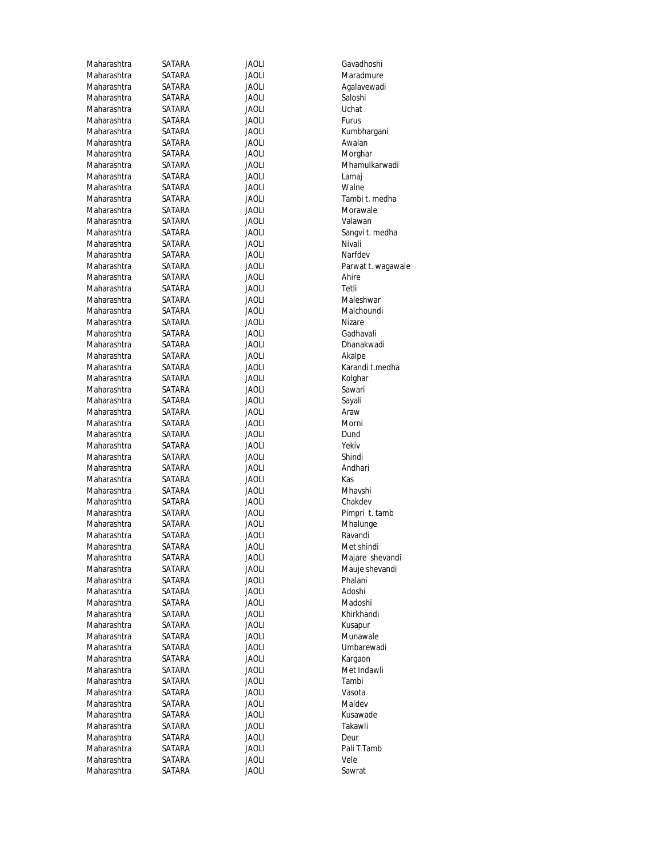| Maharashtra | SATARA | <b>JAOLI</b> | Gavadhoshi         |
|-------------|--------|--------------|--------------------|
| Maharashtra | SATARA | JAOLI        | Maradmure          |
| Maharashtra | SATARA | Jaoli        | Agalavewadi        |
| Maharashtra | SATARA | JAOLI        | Saloshi            |
| Maharashtra | SATARA | JAOLI        | Uchat              |
| Maharashtra | SATARA | JAOLI        | Furus              |
| Maharashtra | SATARA | <b>JAOLI</b> | Kumbhargani        |
| Maharashtra | SATARA | JAOLI        | Awalan             |
| Maharashtra | SATARA | <b>JAOLI</b> | Morghar            |
| Maharashtra | SATARA | JAOLI        | Mhamulkarwadi      |
| Maharashtra | SATARA | JAOLI        | Lamaj              |
| Maharashtra | SATARA | JAOLI        | Walne              |
| Maharashtra | SATARA | JAOLI        | Tambi t. medha     |
| Maharashtra | SATARA | <b>JAOLI</b> | Morawale           |
| Maharashtra | SATARA | JAOLI        | Valawan            |
| Maharashtra | SATARA | JAOLI        | Sangvi t. medha    |
| Maharashtra | SATARA | JAOLI        | Nivali             |
| Maharashtra | SATARA | JAOLI        | Narfdev            |
| Maharashtra | SATARA | JAOLI        | Parwat t. wagawale |
| Maharashtra | SATARA | JAOLI        | Ahire              |
| Maharashtra | SATARA | JAOLI        | Tetli              |
| Maharashtra | SATARA | JAOLI        | Maleshwar          |
| Maharashtra | SATARA | JAOLI        | Malchoundi         |
| Maharashtra | SATARA | <b>JAOLI</b> | Nizare             |
| Maharashtra | SATARA | JAOLI        | Gadhavali          |
| Maharashtra | SATARA | JAOLI        | Dhanakwadi         |
| Maharashtra | SATARA | JAOLI        | Akalpe             |
| Maharashtra | SATARA | JAOLI        | Karandi t.medha    |
| Maharashtra | SATARA | <b>JAOLI</b> | Kolghar            |
| Maharashtra | SATARA | JAOLI        | Sawari             |
| Maharashtra | SATARA | JAOLI        | Sayali             |
| Maharashtra | SATARA | JAOLI        | Araw               |
| Maharashtra | SATARA | JAOLI        | Morni              |
| Maharashtra | SATARA | JAOLI        | Dund               |
| Maharashtra | SATARA | JAOLI        | Yekiv              |
| Maharashtra | SATARA | JAOLI        | Shindi             |
| Maharashtra | SATARA | JAOLI        | Andhari            |
| Maharashtra | SATARA | JAOLI        | Kas                |
| Maharashtra | SATARA | JAOLI        | Mhavshi            |
| Maharashtra | SATARA | Jaoli        | Chakdev            |
| Maharashtra | SATARA | JAOLI        | Pimpri t. tamb     |
| Maharashtra | SATARA | <b>JAOLI</b> | Mhalunge           |
| Maharashtra | SATARA | Jaoli        | Ravandi            |
| Maharashtra | SATARA | <b>JAOLI</b> | Met shindi         |
| Maharashtra | SATARA | Jaoli        | Majare shevandi    |
| Maharashtra | SATARA | <b>JAOLI</b> | Mauje shevandi     |
| Maharashtra | SATARA | Jaoli        | Phalani            |
| Maharashtra | SATARA | Jaoli        | Adoshi             |
| Maharashtra | SATARA | Jaoli        | Madoshi            |
| Maharashtra | SATARA | Jaoli        | Khirkhandi         |
| Maharashtra | SATARA | Jaoli        | Kusapur            |
| Maharashtra | SATARA | Jaoli        | Munawale           |
| Maharashtra | SATARA | <b>JAOLI</b> | Umbarewadi         |
| Maharashtra | SATARA | Jaoli        | Kargaon            |
| Maharashtra | SATARA | <b>JAOLI</b> | Met Indawli        |
| Maharashtra | SATARA | JAOLI        | Tambi              |
| Maharashtra | SATARA | Jaoli        | Vasota             |
| Maharashtra | SATARA | Jaoli        | Maldev             |
| Maharashtra | SATARA | Jaoli        | Kusawade           |
| Maharashtra | SATARA | Jaoli        | Takawli            |
| Maharashtra | SATARA | Jaoli        | Deur               |
| Maharashtra | SATARA | <b>JAOLI</b> | Pali T Tamb        |
| Maharashtra | SATARA | <b>JAOLI</b> | Vele               |
| Maharashtra | SATARA | <b>JAOLI</b> | Sawrat             |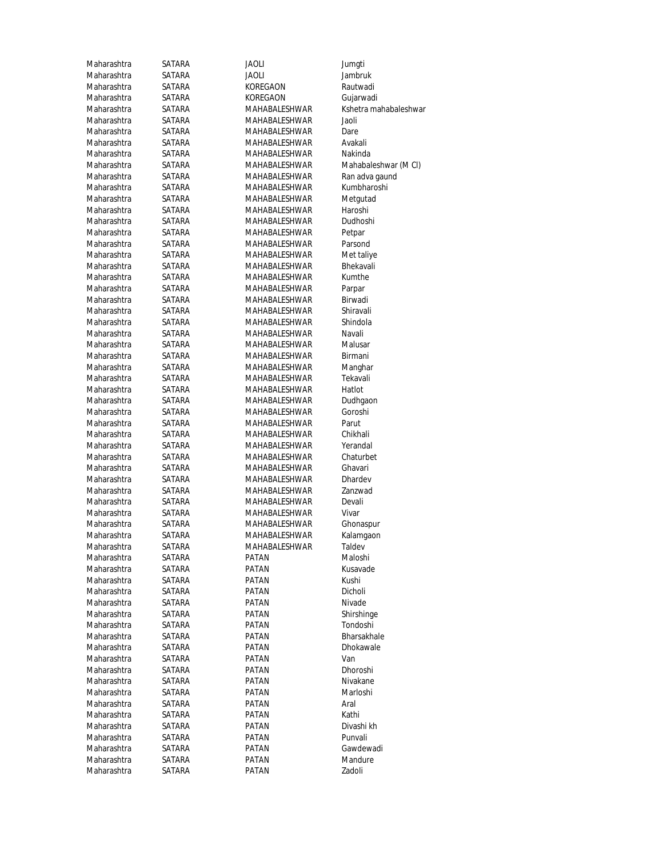| Maharashtra                | SATARA           | <b>JAOLI</b>         | Jumgti                |
|----------------------------|------------------|----------------------|-----------------------|
| Maharashtra                | SATARA           | <b>JAOLI</b>         | Jambruk               |
| Maharashtra                | SATARA           | KOREGAON             | Rautwadi              |
| Maharashtra                | SATARA           | KOREGAON             | Gujarwad              |
| Maharashtra                | SATARA           | MAHABALESHWAR        | Kshetra m             |
| Maharashtra                | SATARA           | MAHABALESHWAR        | Jaoli                 |
| Maharashtra                | SATARA           | MAHABALESHWAR        | Dare                  |
| Maharashtra                | SATARA           | MAHABALESHWAR        | Avakali               |
| Maharashtra                | SATARA           | MAHABALESHWAR        | Nakinda               |
| Maharashtra                | SATARA           | MAHABALESHWAR        | Mahabale              |
| Maharashtra                | SATARA           | MAHABALESHWAR        | Ran adva              |
| Maharashtra                | SATARA           | MAHABALESHWAR        | Kumbhar               |
| Maharashtra                | SATARA           | MAHABALESHWAR        | Metgutac              |
| Maharashtra                | SATARA           | MAHABALESHWAR        | Haroshi               |
| Maharashtra                | SATARA           | MAHABALESHWAR        | Dudhoshi              |
| Maharashtra                | SATARA           | MAHABALESHWAR        | Petpar                |
| Maharashtra                | SATARA           | MAHABALESHWAR        | Parsond               |
| Maharashtra                | SATARA           | MAHABALESHWAR        | Met taliye            |
| Maharashtra                | SATARA           | MAHABALESHWAR        | Bhekavali             |
| Maharashtra                | SATARA           | MAHABALESHWAR        | Kumthe                |
| Maharashtra                | SATARA           | MAHABALESHWAR        | Parpar                |
| Maharashtra                | SATARA           | <b>MAHABALESHWAR</b> | Birwadi               |
| Maharashtra                | SATARA           | <b>MAHABALESHWAR</b> | Shiravali             |
| Maharashtra                | SATARA           | MAHABALESHWAR        | Shindola              |
| Maharashtra                | SATARA           | MAHABALESHWAR        | Navali                |
| Maharashtra                | SATARA           | MAHABALESHWAR        | Malusar               |
| Maharashtra                | SATARA           | MAHABALESHWAR        | Birmani               |
| Maharashtra                | SATARA           | MAHABALESHWAR        | Manghar               |
| Maharashtra                | SATARA           | MAHABALESHWAR        | Tekavali              |
| Maharashtra                | SATARA           | MAHABALESHWAR        | Hatlot                |
| Maharashtra                | SATARA           | MAHABALESHWAR        | Dudhgaor              |
| Maharashtra                | SATARA           | MAHABALESHWAR        | Goroshi               |
| Maharashtra                | SATARA           | MAHABALESHWAR        | Parut                 |
| Maharashtra                | SATARA           | MAHABALESHWAR        | Chikhali              |
| Maharashtra                | SATARA           | MAHABALESHWAR        | Yerandal              |
| Maharashtra                | SATARA           | MAHABALESHWAR        | Chaturbe              |
| Maharashtra                | SATARA           | MAHABALESHWAR        | Ghavari               |
| Maharashtra                | SATARA           | MAHABALESHWAR        | Dhardev               |
| Maharashtra                | SATARA           | MAHABALESHWAR        | Zanzwad               |
| Maharashtra                | SATARA           | MAHABALESHWAR        | Devali                |
| Maharashtra                | SATARA           | MAHABALESHWAR        | Vivar                 |
| Maharashtra                | SATARA           | <b>MAHABALESHWAR</b> | Ghonaspu              |
| Maharashtra                | SATARA           | <b>MAHABALESHWAR</b> | Kalamgac              |
| Maharashtra                | SATARA           | MAHABALESHWAR        | Taldev                |
| Maharashtra                | SATARA           | PATAN                | Maloshi               |
| Maharashtra<br>Maharashtra | SATARA           | PATAN                | Kusavade<br>Kushi     |
|                            | SATARA           | PATAN<br>PATAN       |                       |
| Maharashtra<br>Maharashtra | SATARA           |                      | Dicholi               |
|                            | SATARA           | PATAN                | Nivade                |
| Maharashtra<br>Maharashtra | SATARA           | PATAN                | Shirshing<br>Tondoshi |
| Maharashtra                | SATARA           | PATAN                | Bharsakh              |
| Maharashtra                | SATARA<br>SATARA | PATAN<br>PATAN       | Dhokawa               |
| Maharashtra                | SATARA           | <b>PATAN</b>         | Van                   |
| Maharashtra                | SATARA           | PATAN                | Dhoroshi              |
| Maharashtra                | SATARA           | PATAN                | Nivakane              |
| Maharashtra                | SATARA           | PATAN                | Marloshi              |
| Maharashtra                | SATARA           | PATAN                | Aral                  |
| Maharashtra                | SATARA           | PATAN                | Kathi                 |
| Maharashtra                | SATARA           | PATAN                | Divashi kh            |
| Maharashtra                | SATARA           | PATAN                | Punvali               |
| Maharashtra                | SATARA           | PATAN                | Gawdewa               |
| Maharashtra                | SATARA           | PATAN                | Mandure               |
| Maharashtra                | SATARA           | PATAN                | Zadoli                |
|                            |                  |                      |                       |

Jambruk Rautwadi Gujarwadi<br>Rama Kshetra ma Kshetra mahabaleshwar R Mahabaleshwar (M Cl) R Ran adva gaund R Kumbharoshi R Metgutad<br>R Haroshi R Met taliye R Bhekavali R Malu<mark>sar</mark><br>R Birmani R Mangha<mark>r</mark><br>R Tekavali Raharasht<mark>a Dudhgaon</mark><br>Rana Goroshi R Chaturbet Rata Ghonaspu<mark>r</mark><br>Ratamgaon R Kalamgaon<br>R Taldev Shirshinge Tondoshi Bharsakhale Dhokawale Divashi kh<br>Punvali Gawdewadi Mandure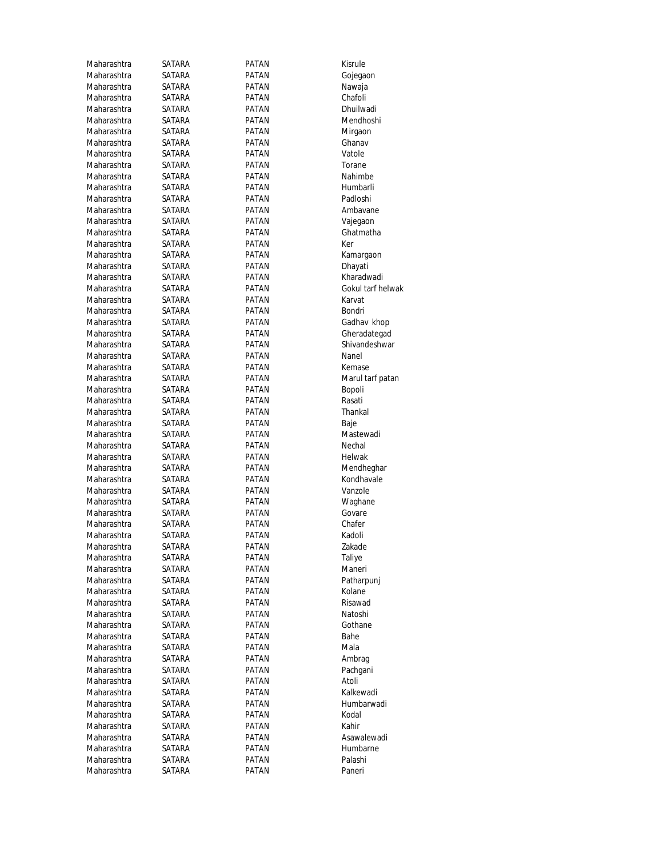| Maharashtra | SATARA | PATAN        | Kisrule           |
|-------------|--------|--------------|-------------------|
| Maharashtra | SATARA | PATAN        | Gojegaon          |
| Maharashtra | SATARA | PATAN        | Nawaja            |
| Maharashtra | SATARA | PATAN        | Chafoli           |
| Maharashtra | SATARA | PATAN        | Dhuilwadi         |
| Maharashtra | SATARA | <b>PATAN</b> | Mendhoshi         |
| Maharashtra | SATARA | <b>PATAN</b> | Mirgaon           |
| Maharashtra | SATARA | PATAN        | Ghanav            |
| Maharashtra | SATARA | PATAN        | Vatole            |
| Maharashtra | SATARA | PATAN        | Torane            |
| Maharashtra | SATARA | PATAN        | Nahimbe           |
| Maharashtra | SATARA | PATAN        | Humbarli          |
| Maharashtra |        |              | Padloshi          |
| Maharashtra | SATARA | PATAN        |                   |
|             | SATARA | PATAN        | Ambavane          |
| Maharashtra | SATARA | PATAN        | Vajegaon          |
| Maharashtra | SATARA | PATAN        | Ghatmatha         |
| Maharashtra | SATARA | PATAN        | Ker               |
| Maharashtra | SATARA | PATAN        | Kamargaon         |
| Maharashtra | SATARA | PATAN        | Dhayati           |
| Maharashtra | SATARA | PATAN        | Kharadwadi        |
| Maharashtra | SATARA | <b>PATAN</b> | Gokul tarf helwak |
| Maharashtra | SATARA | PATAN        | Karvat            |
| Maharashtra | SATARA | PATAN        | Bondri            |
| Maharashtra | SATARA | <b>PATAN</b> | Gadhav khop       |
| Maharashtra | SATARA | PATAN        | Gheradategad      |
| Maharashtra | SATARA | PATAN        | Shivandeshwar     |
| Maharashtra | SATARA | <b>PATAN</b> | Nanel             |
| Maharashtra | SATARA | PATAN        | Kemase            |
| Maharashtra | SATARA | PATAN        | Marul tarf patan  |
| Maharashtra | SATARA | PATAN        | Bopoli            |
| Maharashtra | SATARA | PATAN        | Rasati            |
| Maharashtra | SATARA | PATAN        | Thankal           |
| Maharashtra | SATARA | PATAN        | Baje              |
| Maharashtra | SATARA | PATAN        | Mastewadi         |
| Maharashtra | SATARA | PATAN        | Nechal            |
| Maharashtra | SATARA | PATAN        | Helwak            |
| Maharashtra | SATARA | PATAN        | Mendheghar        |
| Maharashtra | SATARA | PATAN        | Kondhavale        |
| Maharashtra | SATARA | PATAN        | Vanzole           |
| Maharashtra | SATARA | PATAN        | Waghane           |
| Maharashtra | SATARA | PATAN        | Govare            |
| Maharashtra | SATARA | PATAN        | Chafer            |
| Maharashtra | SATARA | PATAN        | Kadoli            |
| Maharashtra | SATARA | PATAN        | Zakade            |
| Maharashtra |        |              |                   |
|             | SATARA | PATAN        | Taliye<br>Maneri  |
| Maharashtra | SATARA | PATAN        |                   |
| Maharashtra | SATARA | PATAN        | Patharpunj        |
| Maharashtra | SATARA | PATAN        | Kolane            |
| Maharashtra | SATARA | PATAN        | Risawad           |
| Maharashtra | SATARA | PATAN        | Natoshi           |
| Maharashtra | SATARA | PATAN        | Gothane           |
| Maharashtra | SATARA | PATAN        | Bahe              |
| Maharashtra | SATARA | PATAN        | Mala              |
| Maharashtra | SATARA | PATAN        | Ambrag            |
| Maharashtra | SATARA | PATAN        | Pachgani          |
| Maharashtra | SATARA | PATAN        | Atoli             |
| Maharashtra |        |              |                   |
|             | SATARA | PATAN        | Kalkewadi         |
| Maharashtra | SATARA | PATAN        | Humbarwadi        |
| Maharashtra | SATARA | PATAN        | Kodal             |
| Maharashtra | SATARA | PATAN        | Kahir             |
| Maharashtra | SATARA | PATAN        | Asawalewadi       |
| Maharashtra | SATARA | PATAN        | Humbarne          |
| Maharashtra | SATARA | PATAN        | Palashi           |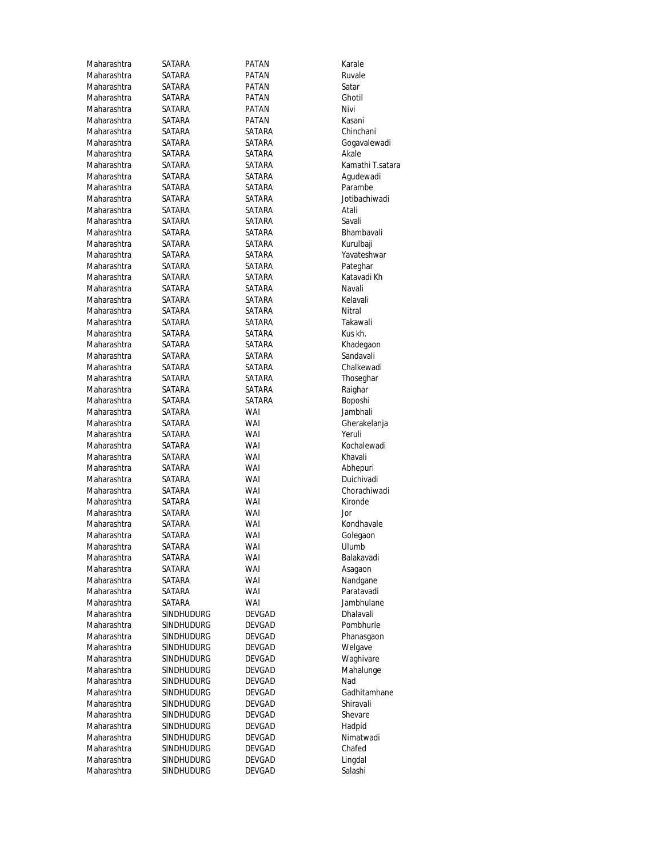| Maharashtra | SATARA            | PATAN         | Karale           |
|-------------|-------------------|---------------|------------------|
| Maharashtra | SATARA            | PATAN         | Ruvale           |
| Maharashtra | SATARA            | PATAN         | Satar            |
| Maharashtra | SATARA            | PATAN         | Ghotil           |
| Maharashtra | SATARA            | <b>PATAN</b>  | Nivi             |
| Maharashtra | SATARA            | <b>PATAN</b>  | Kasani           |
| Maharashtra | SATARA            | SATARA        | Chinchani        |
| Maharashtra | SATARA            | SATARA        | Gogavalewadi     |
| Maharashtra | SATARA            | SATARA        | Akale            |
| Maharashtra | SATARA            | SATARA        | Kamathi T.satara |
| Maharashtra | SATARA            | SATARA        | Agudewadi        |
| Maharashtra | SATARA            | SATARA        | Parambe          |
| Maharashtra | SATARA            | SATARA        | Jotibachiwadi    |
| Maharashtra | SATARA            | <b>SATARA</b> | Atali            |
| Maharashtra | SATARA            | SATARA        | Savali           |
| Maharashtra | SATARA            | SATARA        | Bhambavali       |
| Maharashtra | SATARA            | SATARA        | Kurulbaji        |
| Maharashtra | SATARA            | SATARA        | Yavateshwar      |
| Maharashtra | SATARA            | SATARA        | Pateghar         |
| Maharashtra | SATARA            | SATARA        | Katavadi Kh      |
| Maharashtra | SATARA            | SATARA        | Navali           |
| Maharashtra | SATARA            | SATARA        | Kelavali         |
| Maharashtra | SATARA            | SATARA        | Nitral           |
| Maharashtra | SATARA            | SATARA        | Takawali         |
| Maharashtra | SATARA            | SATARA        | Kus kh.          |
| Maharashtra | SATARA            | SATARA        | Khadegaon        |
| Maharashtra | SATARA            | SATARA        | Sandavali        |
| Maharashtra | SATARA            | SATARA        | Chalkewadi       |
| Maharashtra | SATARA            | SATARA        | Thoseghar        |
| Maharashtra | SATARA            | SATARA        | Raighar          |
| Maharashtra | SATARA            | SATARA        | Boposhi          |
| Maharashtra | SATARA            | WAI           | Jambhali         |
| Maharashtra | SATARA            | WAI           | Gherakelanja     |
| Maharashtra | SATARA            | WAI           | Yeruli           |
| Maharashtra | SATARA            | WAI           | Kochalewadi      |
| Maharashtra | SATARA            | WAI           | Khavali          |
| Maharashtra | SATARA            | WAI           | Abhepuri         |
| Maharashtra | SATARA            | WAI           | Duichivadi       |
| Maharashtra | SATARA            | WAI           | Chorachiwadi     |
| Maharashtra | SATARA            | WAI           | Kironde          |
| Maharashtra | SATARA            | WAI           | Jor              |
| Maharashtra | SATARA            | WAI           | Kondhavale       |
| Maharashtra | SATARA            | WAI           | Golegaon         |
| Maharashtra | SATARA            | WAI           | Ulumb            |
| Maharashtra | SATARA            | WAI           | Balakavadi       |
| Maharashtra | SATARA            | WAI           | Asagaon          |
| Maharashtra | SATARA            | WAI           | Nandgane         |
| Maharashtra | SATARA            | WAI           | Paratavadi       |
| Maharashtra | SATARA            | WAI           | Jambhulane       |
| Maharashtra | SINDHUDURG        | <b>DEVGAD</b> | Dhalavali        |
| Maharashtra | <b>SINDHUDURG</b> | <b>DEVGAD</b> | Pombhurle        |
| Maharashtra | <b>SINDHUDURG</b> | <b>DEVGAD</b> | Phanasgaon       |
| Maharashtra | <b>SINDHUDURG</b> | DEVGAD        | Welgave          |
| Maharashtra | SINDHUDURG        | <b>DEVGAD</b> | Waghivare        |
| Maharashtra | <b>SINDHUDURG</b> | DEVGAD        | Mahalunge        |
| Maharashtra | <b>SINDHUDURG</b> | DEVGAD        | Nad              |
| Maharashtra | SINDHUDURG        | DEVGAD        | Gadhitamhane     |
| Maharashtra | SINDHUDURG        | DEVGAD        | Shiravali        |
| Maharashtra | SINDHUDURG        | DEVGAD        | Shevare          |
| Maharashtra | SINDHUDURG        | DEVGAD        | Hadpid           |
| Maharashtra | SINDHUDURG        | DEVGAD        | Nimatwadi        |
| Maharashtra | <b>SINDHUDURG</b> | DEVGAD        | Chafed           |
| Maharashtra | <b>SINDHUDURG</b> | <b>DEVGAD</b> | Lingdal          |
| Maharashtra | <b>SINDHUDURG</b> | <b>DEVGAD</b> | Salashi          |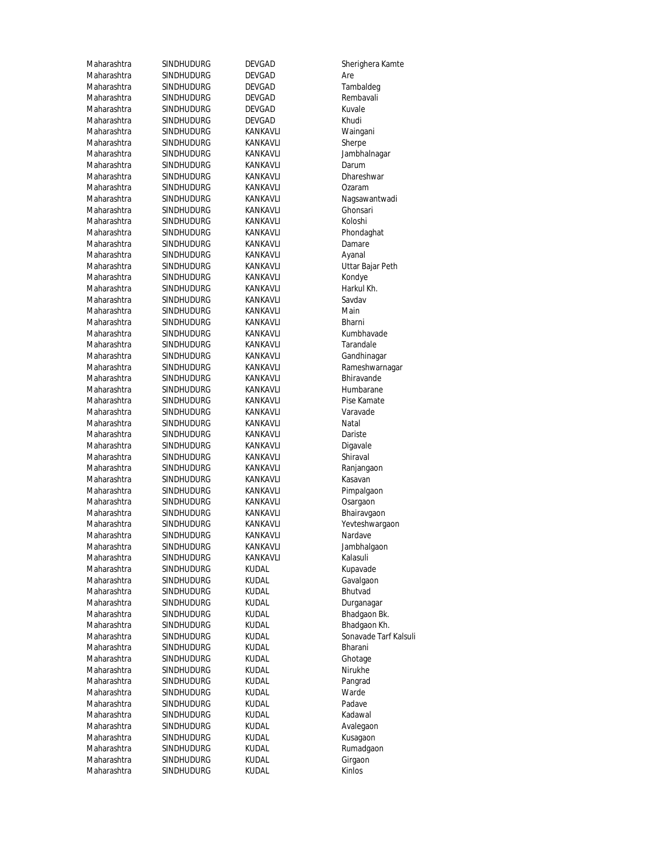| Maharashtra                | SINDHUDURG                      | <b>DEVGAD</b>        | Sherigher           |
|----------------------------|---------------------------------|----------------------|---------------------|
| Maharashtra                | <b>SINDHUDURG</b>               | <b>DEVGAD</b>        | Are                 |
| Maharashtra                | SINDHUDURG                      | <b>DEVGAD</b>        | Tambalde            |
| Maharashtra                | SINDHUDURG                      | DEVGAD               | Rembava             |
| Maharashtra                | SINDHUDURG                      | <b>DEVGAD</b>        | Kuvale              |
| Maharashtra                | SINDHUDURG                      | <b>DEVGAD</b>        | Khudi               |
| Maharashtra                | <b>SINDHUDURG</b>               | KANKAVLI             | Waingani            |
| Maharashtra                | SINDHUDURG                      | KANKAVLI             | Sherpe              |
| Maharashtra                | SINDHUDURG                      | KANKAVLI             | Jambhaln            |
| Maharashtra                | SINDHUDURG                      | KANKAVLI             | Darum               |
| Maharashtra                | <b>SINDHUDURG</b>               | KANKAVLI             | Dhareshy            |
| Maharashtra                | SINDHUDURG                      | KANKAVLI             | Ozaram              |
| Maharashtra                | SINDHUDURG                      | KANKAVLI             | Nagsawai            |
| Maharashtra                | SINDHUDURG                      | KANKAVLI             | Ghonsari            |
| Maharashtra                | <b>SINDHUDURG</b>               | KANKAVLI             | Koloshi             |
| Maharashtra                | <b>SINDHUDURG</b>               | KANKAVLI             | Phondagh            |
| Maharashtra                | SINDHUDURG                      | KANKAVLI             | Damare              |
| Maharashtra                | <b>SINDHUDURG</b>               | KANKAVLI             | Ayanal              |
| Maharashtra                | <b>SINDHUDURG</b>               | KANKAVLI             | Uttar Baja          |
| Maharashtra                | <b>SINDHUDURG</b>               | KANKAVLI             | Kondye              |
| Maharashtra                | SINDHUDURG                      | KANKAVLI             | Harkul Kh           |
| Maharashtra                | <b>SINDHUDURG</b>               | KANKAVLI             | Savdav              |
| Maharashtra                | SINDHUDURG                      | KANKAVLI             | Main                |
| Maharashtra                | <b>SINDHUDURG</b>               | KANKAVLI             | Bharni              |
| Maharashtra                | SINDHUDURG                      | KANKAVLI             | Kumbhav             |
| Maharashtra                | <b>SINDHUDURG</b>               | KANKAVLI             | Tarandale           |
| Maharashtra                | SINDHUDURG                      | KANKAVLI             | Gandhina            |
| Maharashtra                | SINDHUDURG                      | KANKAVLI             | Rameshw             |
| Maharashtra                | <b>SINDHUDURG</b>               | KANKAVLI             | Bhiravano           |
| Maharashtra                | <b>SINDHUDURG</b>               | KANKAVLI             | Humbara             |
| Maharashtra                | SINDHUDURG                      | KANKAVLI             | Pise Kama           |
| Maharashtra                | SINDHUDURG                      | KANKAVLI             | Varavade            |
| Maharashtra                | <b>SINDHUDURG</b>               | KANKAVLI             | Natal               |
| Maharashtra                | SINDHUDURG                      | KANKAVLI             | Dariste             |
| Maharashtra                | SINDHUDURG                      | KANKAVLI             | Digavale            |
| Maharashtra<br>Maharashtra | SINDHUDURG<br><b>SINDHUDURG</b> | KANKAVLI<br>KANKAVLI | Shiraval            |
| Maharashtra                | SINDHUDURG                      | KANKAVLI             | Ranjanga<br>Kasavan |
| Maharashtra                | <b>SINDHUDURG</b>               | KANKAVLI             | Pimpalga            |
| Maharashtra                | SINDHUDURG                      | KANKAVLI             | Osargaon            |
| Maharashtra                | SINDHUDURG                      | KANKAVLI             | Bhairavga           |
| Maharashtra                | <b>SINDHUDURG</b>               | KANKAVLI             | Yevteshw            |
| Maharashtra                | SINDHUDURG                      | KANKAVLI             | Nardave             |
| Maharashtra                | SINDHUDURG                      | KANKAVLI             | Jambhalg            |
| Maharashtra                | SINDHUDURG                      | KANKAVLI             | Kalasuli            |
| Maharashtra                | SINDHUDURG                      | <b>KUDAL</b>         | Kupavade            |
| Maharashtra                | SINDHUDURG                      | <b>KUDAL</b>         | Gavalgao            |
| Maharashtra                | SINDHUDURG                      | KUDAL                | Bhutvad             |
| Maharashtra                | SINDHUDURG                      | <b>KUDAL</b>         | Durganag            |
| Maharashtra                | <b>SINDHUDURG</b>               | KUDAL                | Bhadgaor            |
| Maharashtra                | SINDHUDURG                      | KUDAL                | Bhadgaor            |
| Maharashtra                | SINDHUDURG                      | KUDAL                | Sonavade            |
| Maharashtra                | SINDHUDURG                      | KUDAL                | Bharani             |
| Maharashtra                | SINDHUDURG                      | KUDAL                | Ghotage             |
| Maharashtra                | <b>SINDHUDURG</b>               | KUDAL                | Nirukhe             |
| Maharashtra                | <b>SINDHUDURG</b>               | KUDAL                | Pangrad             |
| Maharashtra                | SINDHUDURG                      | KUDAL                | Warde               |
| Maharashtra                | SINDHUDURG                      | KUDAL                | Padave              |
| Maharashtra                | SINDHUDURG                      | KUDAL                | Kadawal             |
| Maharashtra                | SINDHUDURG                      | KUDAL                | Avalegao            |
| Maharashtra                | <b>SINDHUDURG</b>               | KUDAL                | Kusagaon            |
| Maharashtra                | <b>SINDHUDURG</b>               | <b>KUDAL</b>         | Rumadga             |
| Maharashtra                | <b>SINDHUDURG</b>               | <b>KUDAL</b>         | Girgaon             |
| Maharashtra                | <b>SINDHUDURG</b>               | <b>KUDAL</b>         | Kinlos              |
|                            |                                 |                      |                     |

Sherighera Kamte Tambaldeg Rembavali<br>Kuvale Waingani<br>Sherpe Jambhalnagar<br>Darum Dhareshwar<br>Ozaram Nagsawantwadi Ghonsari<br>Koloshi Phondaghat<br>Damare Uttar Bajar Peth Harkul Kh.<br>Savdav Kumbhavade Tarandale Gandhinagar Rameshwarnagar Bhiravande Humbarane Pise Kamate<br>Varavade Ranjangaon<br>Kasavan Pimpalgaon Osargaon Bhairavgaon Yevteshwargaon Nardave Jambhalgaon<br>Kalasuli Kupavade Gavalgaon Durganagar Bhadgaon Bk. Bhadgaon Kh. Sonavade Tarf Kalsuli Ghotage<br>Nirukhe Pangrad<br>Warde Avalegaon Kusagaon Rumadgaon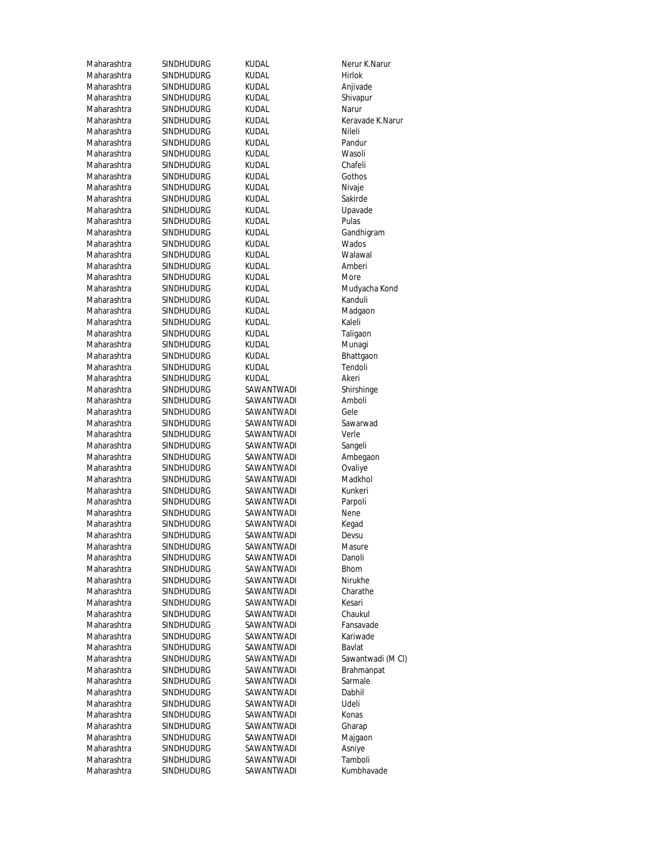| Maharashtra | SINDHUDURG        | KUDAL        | Nerur K.M      |
|-------------|-------------------|--------------|----------------|
| Maharashtra | <b>SINDHUDURG</b> | kudal        | <b>Hirlok</b>  |
| Maharashtra | SINDHUDURG        | kudal        | Anjivade       |
| Maharashtra | SINDHUDURG        | kudal        | Shivapur       |
| Maharashtra | SINDHUDURG        | kudal        | Narur          |
| Maharashtra | SINDHUDURG        | kudal        | Keravade       |
| Maharashtra | <b>SINDHUDURG</b> | kudal        | Nileli         |
| Maharashtra | SINDHUDURG        | kudal        | Pandur         |
| Maharashtra | SINDHUDURG        | kudal        | Wasoli         |
| Maharashtra | SINDHUDURG        | KUDAL        | Chafeli        |
| Maharashtra | <b>SINDHUDURG</b> | kudal        | Gothos         |
| Maharashtra | SINDHUDURG        | kudal        | Nivaje         |
| Maharashtra | SINDHUDURG        | kudal        | Sakirde        |
| Maharashtra | <b>SINDHUDURG</b> | <b>KUDAL</b> | Upavade        |
| Maharashtra | SINDHUDURG        | Kudal        | Pulas          |
| Maharashtra | SINDHUDURG        | kudal        | Gandhigr       |
| Maharashtra | SINDHUDURG        | kudal        | Wados          |
| Maharashtra | SINDHUDURG        | kudal        | Walawal        |
| Maharashtra | SINDHUDURG        | KUDAL        | Amberi         |
| Maharashtra | <b>SINDHUDURG</b> | kudal        | More           |
| Maharashtra | SINDHUDURG        | kudal        | Mudyach        |
| Maharashtra | SINDHUDURG        | kudal        | Kanduli        |
| Maharashtra |                   |              |                |
|             | SINDHUDURG        | kudal        | Madgaor        |
| Maharashtra | <b>SINDHUDURG</b> | kudal        | Kaleli         |
| Maharashtra | <b>SINDHUDURG</b> | <b>KUDAL</b> | Taligaon       |
| Maharashtra | SINDHUDURG        | Kudal        | Munagi         |
| Maharashtra | SINDHUDURG        | kudal        | Bhattgao       |
| Maharashtra | SINDHUDURG        | kudal        | Tendoli        |
| Maharashtra | SINDHUDURG        | kudal        | Akeri          |
| Maharashtra | SINDHUDURG        | SAWANTWADI   | Shirshing      |
| Maharashtra | SINDHUDURG        | SAWANTWADI   | Amboli         |
| Maharashtra | SINDHUDURG        | SAWANTWADI   | Gele           |
| Maharashtra | SINDHUDURG        | SAWANTWADI   | Sawarwa        |
| Maharashtra | SINDHUDURG        | SAWANTWADI   | Verle          |
| Maharashtra | SINDHUDURG        | SAWANTWADI   | Sangeli        |
| Maharashtra | SINDHUDURG        | SAWANTWADI   | Ambegao        |
| Maharashtra | SINDHUDURG        | SAWANTWADI   | Ovaliye        |
| Maharashtra | SINDHUDURG        | SAWANTWADI   | Madkhol        |
| Maharashtra | SINDHUDURG        | SAWANTWADI   | Kunkeri        |
| Maharashtra | <b>SINDHUDURG</b> | SAWANTWADI   | Parpoli        |
| Maharashtra | SINDHUDURG        | SAWANTWADI   | Nene           |
| Maharashtra | SINDHUDURG        | SAWANTWADI   | Kegad          |
| Maharashtra | SINDHUDURG        | SAWANTWADI   | Devsu          |
| Maharashtra | SINDHUDURG        | SAWANTWADI   | Masure         |
| Maharashtra | SINDHUDURG        | SAWANTWADI   | Danoli         |
| Maharashtra | <b>SINDHUDURG</b> | SAWANTWADI   | <b>Bhom</b>    |
| Maharashtra | SINDHUDURG        | SAWANTWADI   | Nirukhe        |
| Maharashtra | SINDHUDURG        | SAWANTWADI   | Charathe       |
| Maharashtra | <b>SINDHUDURG</b> | SAWANTWADI   | Kesari         |
|             |                   |              |                |
| Maharashtra | SINDHUDURG        | SAWANTWADI   | Chaukul        |
| Maharashtra | <b>SINDHUDURG</b> | SAWANTWADI   | Fansavad       |
| Maharashtra | SINDHUDURG        | SAWANTWADI   | Kariwade       |
| Maharashtra | SINDHUDURG        | SAWANTWADI   | Bavlat         |
| Maharashtra | SINDHUDURG        | SAWANTWADI   | Sawantw        |
| Maharashtra | SINDHUDURG        | SAWANTWADI   | <b>Brahman</b> |
| Maharashtra | SINDHUDURG        | SAWANTWADI   | Sarmale        |
| Maharashtra | SINDHUDURG        | SAWANTWADI   | Dabhil         |
| Maharashtra | SINDHUDURG        | SAWANTWADI   | Udeli          |
| Maharashtra | SINDHUDURG        | SAWANTWADI   | Konas          |
| Maharashtra | SINDHUDURG        | SAWANTWADI   | Gharap         |
| Maharashtra | SINDHUDURG        | SAWANTWADI   | Majgaon        |
| Maharashtra | SINDHUDURG        | SAWANTWADI   | Asniye         |
| Maharashtra | SINDHUDURG        | SAWANTWADI   | Tamboli        |
| Maharashtra | SINDHUDURG        | SAWANTWADI   | Kumbhav        |
|             |                   |              |                |

Nerur K.Narur<br>Hirlok Anjivade Shivapur<br>Narur Keravade K.Narur<br>Nileli Upavade<br>Pulas Gandhigram<br>Wados Mudyacha Kond<br>Kanduli Madgaon<br>Kaleli Taligaon<br>Munagi Bhattgaon<br>Tendoli Shirshinge<br>Amboli Sawarwad<br>Verle Ambegaon<br>Ovaliye Fansavade Kariwade<br>Bavlat Sawantwadi (M Cl) Brahmanpat<br>Sarmale Majgaon<br>Asniye Kumbhavade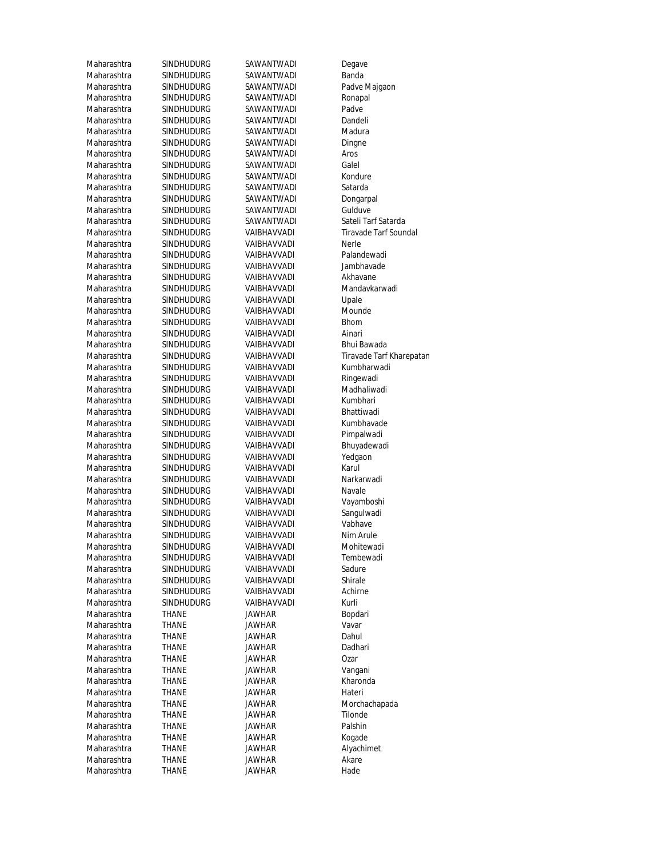Maharashtra SINDHUDURG SAWANTWADI Banda Maharashtra SINDHUDURG SAWANTWADI Padve Majgaon<br>Maharashtra SINDHUDURG SAWANTWADI Ronapal Maharashtra SINDHUDURG SAWANTWADI Ronapal<br>Maharashtra SINDHUDURG SAWANTWADI Padve Maharashtra SINDHUDURG SAWANTWADI Dandeli Maharashtra SINDHUDURG SAWANTWADI Madura Maharashtra SINDHUDURG SAWANTWADI Dingne Maharashtra SINDHUDURG SAWANTWADI Aros Maharashtra SINDHUDURG SAWANTWADI Galel Maharashtra SINDHUDURG SAWANTWADI Kondure Maharashtra SINDHUDURG SAWANTWADI Satarda Maharashtra SINDHUDURG SAWANTWADI Dongarpal<br>Maharashtra SINDHUDURG SAWANTWADI Gulduve Maharashtra SINDHUDURG SAWANTWADI<br>Maharashtra SINDHUDURG SAWANTWADI Maharashtra SINDHUDURG VAIBHAVVADI Nerle Maharashtra SINDHUDURG VAIBHAVVADI Palandewadi Maharashtra SINDHUDURG VAIBHAVVADI Jambhavade Maharashtra SINDHUDURG VAIBHAVVADI Akhavane Maharashtra SINDHUDURG VAIBHAVVADI Mandavkarwadi Maharashtra SINDHUDURG VAIBHAVVADI Upale Maharashtra SINDHUDURG VAIBHAVVADI Mounde Maharashtra SINDHUDURG VAIBHAVVADI Bhom Maharashtra SINDHUDURG VAIBHAVVADI Ainari Maharashtra SINDHUDURG VAIBHAVVADI Bhui Bawada<br>Maharashtra SINDHUDURG VAIBHAVVADI Tiravade Tarf Maharashtra SINDHUDURG VAIBHAVVADI Ringewadi Maharashtra SINDHUDURG VAIBHAVVADI Madhaliwadi Maharashtra SINDHUDURG VAIBHAVVADI Kumbhari<br>Maharashtra SINDHUDURG VAIBHAVVADI Bhattiwadi Maharashtra SINDHUDURG VAIBHAVVADI Bhattiwadi<br>Maharashtra SINDHUDURG VAIBHAVVADI Kumbhavade Maharashtra SINDHUDURG VAIBHAVVADI Pimpalwadi Maharashtra SINDHUDURG VAIBHAVVADI Bhuyadewadi Maharashtra SINDHUDURG VAIBHAVVADI Yedgaon Maharashtra SINDHUDURG VAIBHAVVADI Karul Maharashtra SINDHUDURG VAIBHAVVADI Narkarwadi Maharashtra SINDHUDURG VAIBHAVVADI Navale Maharashtra SINDHUDURG VAIBHAVVADI Vayamboshi Maharashtra SINDHUDURG VAIBHAVVADI Sangulwadi Maharashtra SINDHUDURG VAIBHAVVADI Vabhave Maharashtra SINDHUDURG VAIBHAVVADI Nim Arule<br>Maharashtra SINDHUDURG VAIBHAVVADI Mohitewadi Maharashtra SINDHUDURG VAIBHAVVADI Tembewadi Maharashtra SINDHUDURG VAIBHAVVADI Sadure Maharashtra SINDHUDURG VAIBHAVVADI Shirale Maharashtra SINDHUDURG VAIBHAVVADI Achirne Maharashtra SINDHUDURG VAIBHAVVADI Kurli Maharashtra THANE JAWHAR Bopdari Maharashtra THANE JAWHAR Vavar Maharashtra THANE JAWHAR Dahul Maharashtra THANE JAWHAR Dadhari Maharashtra THANE JAWHAR Ozar Maharashtra THANE JAWHAR Kharonda Maharashtra THANE JAWHAR Hateri Maharashtra THANE JAWHAR Morchachapada Maharashtra THANE JAWHAR Tilonde Maharashtra THANE JAWHAR Palshin<br>1991 - THANE JAWHAR Koqade Maharashtra THANE JAWHAR<br>Maharashtra THANE JAWHAR Maharashtra THANE JAWHAR Akare Maharashtra THANE JAWHAR Hade

SINDHUDURG SAWANTWADI SINDHUDURG SINDHUDURG

Maharashtra SINDHUDURG SAWANTWADI Degave Maharashtra THANE JAWHAR Vangani

Maharashtra SINDHUDURG SAWANTWADI Sateli Tarf Satarda<br>Maharashtra SINDHUDURG VAIBHAVVADI Tiravade Tarf Soun Tiravade Tarf Soundal Maharashtra SINDHUDURG VAIBHAVVADI Tiravade Tarf Kharepatan<br>Maharashtra SINDHUDURG VAIBHAVVADI Kumbharwadi Kumbharwadi Alyachimet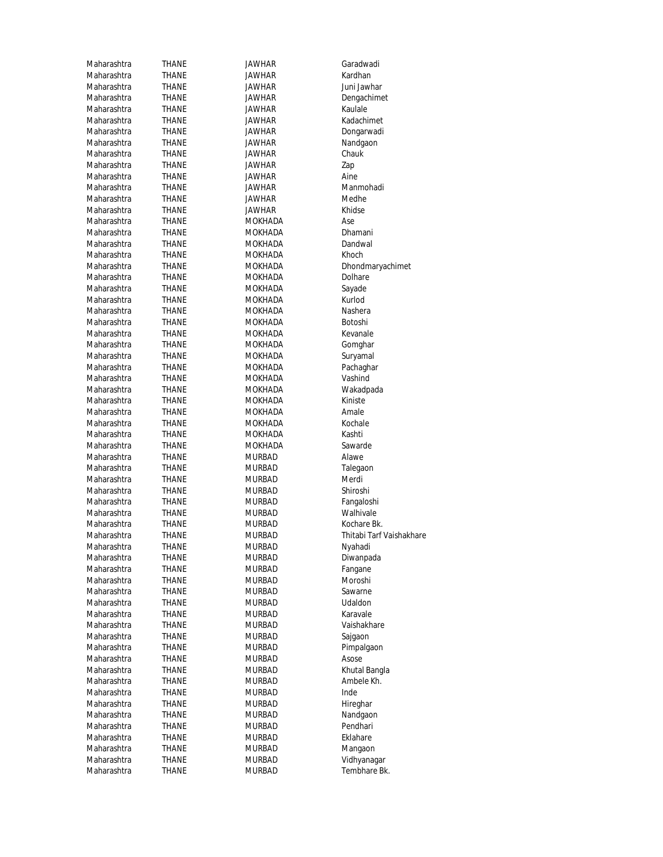| Maharashtra | <b>THANE</b>   | JAWHAR         | Garadwadi           |
|-------------|----------------|----------------|---------------------|
| Maharashtra | <b>THANE</b>   | <b>JAWHAR</b>  | Kardhan             |
| Maharashtra | THANE          | JAWHAR         | Juni Jawha          |
| Maharashtra | THANE          | JAWHAR         | Dengachim           |
| Maharashtra | THANE          | JAWHAR         | Kaulale             |
| Maharashtra | THANE          | JAWHAR         | Kadachime           |
| Maharashtra | THANE          | JAWHAR         | Dongarwad           |
| Maharashtra | THANE          | JAWHAR         | Nandgaon            |
| Maharashtra | THANE          | <b>JAWHAR</b>  | Chauk               |
| Maharashtra | <b>THANE</b>   | JAWHAR         | Zap                 |
| Maharashtra | <b>THANE</b>   | JAWHAR         | Aine                |
| Maharashtra | THANE          | JAWHAR         | Manmohao            |
| Maharashtra | THANE          | <b>JAWHAR</b>  | Medhe               |
| Maharashtra | THANE          | JAWHAR         | Khidse              |
| Maharashtra | THANE          | MOKHADA        | Ase                 |
| Maharashtra | THANE          | MOKHADA        | Dhamani             |
| Maharashtra | THANE          | MOKHADA        | Dandwal             |
| Maharashtra | THANE          | MOKHADA        | Khoch               |
| Maharashtra | THANE          | MOKHADA        | <b>Dhondmar</b>     |
| Maharashtra | THANE          | <b>MOKHADA</b> | Dolhare             |
| Maharashtra | THANE          | <b>MOKHADA</b> | Sayade              |
| Maharashtra | THANE          | MOKHADA        | Kurlod              |
| Maharashtra | THANE          | <b>MOKHADA</b> | Nashera             |
| Maharashtra | <b>THANE</b>   | <b>MOKHADA</b> | Botoshi             |
| Maharashtra | THANE          | <b>MOKHADA</b> | Kevanale            |
| Maharashtra | <b>THANE</b>   | MOKHADA        | Gomghar             |
| Maharashtra | THANE          | <b>MOKHADA</b> | Suryamal            |
| Maharashtra | THANE          | MOKHADA        | Pachaghar           |
| Maharashtra | THANE          | MOKHADA        | Vashind             |
| Maharashtra | THANE          | MOKHADA        | Wakadpad            |
| Maharashtra | THANE          | MOKHADA        | Kiniste             |
| Maharashtra | THANE          | MOKHADA        | Amale               |
| Maharashtra | THANE          | <b>MOKHADA</b> | Kochale             |
| Maharashtra | THANE          | MOKHADA        | Kashti              |
| Maharashtra | THANE          | MOKHADA        | Sawarde             |
| Maharashtra | THANE          | <b>MURBAD</b>  | Alawe               |
| Maharashtra | THANE          | <b>MURBAD</b>  | Talegaon            |
| Maharashtra | THANE          | <b>MURBAD</b>  | Merdi               |
| Maharashtra | THANE          | <b>MURBAD</b>  | Shiroshi            |
| Maharashtra | THANE          | <b>MURBAD</b>  | Fangaloshi          |
| Maharashtra | THANE          | <b>MURBAD</b>  | Walhivale           |
| Maharashtra | <b>THANE</b>   | MURBAD         | Kochare Bk          |
| Maharashtra | <b>THANE</b>   | <b>MURBAD</b>  | Thitabi Tar         |
| Maharashtra | THANE          | <b>MURBAD</b>  | Nyahadi             |
| Maharashtra | THANE          | <b>MURBAD</b>  | Diwanpada           |
| Maharashtra | THANE          | <b>MURBAD</b>  | Fangane             |
| Maharashtra | THANE          | <b>MURBAD</b>  | Moroshi             |
| Maharashtra | THANE          | <b>MURBAD</b>  | Sawarne             |
| Maharashtra | <b>THANE</b>   | <b>MURBAD</b>  | Udaldon             |
| Maharashtra | THANE          | <b>MURBAD</b>  | Karavale            |
| Maharashtra | THANE          | <b>MURBAD</b>  | Vaishakhar          |
| Maharashtra | THANE          | <b>MURBAD</b>  | Sajgaon             |
| Maharashtra |                | <b>MURBAD</b>  |                     |
| Maharashtra | THANE<br>THANE | <b>MURBAD</b>  | Pimpalgaor<br>Asose |
| Maharashtra | THANE          | <b>MURBAD</b>  | Khutal Ban          |
|             |                |                | Ambele Kh           |
| Maharashtra | THANE          | <b>MURBAD</b>  |                     |
| Maharashtra | THANE          | <b>MURBAD</b>  | Inde                |
| Maharashtra | THANE          | <b>MURBAD</b>  | Hireghar            |
| Maharashtra | THANE          | <b>MURBAD</b>  | Nandgaon            |
| Maharashtra | THANE          | <b>MURBAD</b>  | Pendhari            |
| Maharashtra | THANE          | <b>MURBAD</b>  | Eklahare            |
| Maharashtra | THANE          | <b>MURBAD</b>  | Mangaon             |
| Maharashtra | THANE          | <b>MURBAD</b>  | Vidhyanaga          |
| Maharashtra | THANE          | <b>MURBAD</b>  | Tembhare            |

Maharashtra Jawharashtra Juni Jawhar<br>Thane Jawhar Jawhar Dengachim Maharashtra THANE Dengachimet<br>THANE JAWHAR Dengachimet **THANE** JAWHAR Kadachimet THANE JAWHAR Dongarwadi THANE JAWHAR Nandgaon THANE JAWHAR Chauk Maharashtra THANE JAWHAR Zap Maharashtra THANE JAWHAR Manmohadi Maharashtra Medhe JAWHAR Medhe Medhe<br>Maharashtra JAWHAR Medhe Medhe MAHANE MOKHADA Ase Ase<br>THANE MOKHADA Ase Dhamani MAHANE MOKHADA Dhamani<br>THANE MOKHADA Dandwal **MOKHADA THANE MOKHADA** Khoch THANE MOKHADA Dolhare MAHANE MOKHADA Sayade Sayade<br>THANE MOKHADA Sayade Sayade **THANE** MOKHADA **THANE** MOKHADA Nashera **THANE** MOKHADA Botoshi THANE MOKHADA Kevanale MANE MOKHADA Gomghar<br>THANE MOKHADA Survamal MAHADA Suryamal MAHADA Suryamal<br>THANE MOKHADA Sachaqha MAHANE MOKHADA Wakadpada<br>THANE MOKHADA Kiniste MANE MOKHADA Kiniste<br>THANE MOKHADA Kiniste MANANA MAHADA Amale<br>THANE MOKHADA Amale MOKHADA MOKHADA **THANE** MOKHADA Kashti THANE MOKHADA Sawarde **THANE** MURBAD Alawe THANE MURBAD Talegaon MANE MURBAD MErdi<br>THANE MURBAD Shiroshi Maharashtra Thangaloshi (Thangaloshi Shangaloshi)<br>THANE MURBAD MURBAD Malhivale Maharashtra THANE MURBAD Walhivale<br>Murbang Murbahan Walhivale Murbahara Walang Bi MURBAD Kochare Bk.<br>THANE MURBAD Thitabi Tarf THANE MURBAD Diwanpada THANE MURBAD Vaishakhare **THANE** MURBAD Sajgaon **THANE** MURBAD Pimpalgaon MURBAD Asose (THANE Asose MURBAD Asose<br>THANE MURBAD Asose MURBAD MAHANE MAHARAN MURBAD Khutal Bangla<br>THANE MURBAD MAHARAD Ambele Kh MAHANE MURBAD Ambele Kh.<br>THANE MURBAD Ambele Kh. Maharashtra Than Murdishtra Than Nandgaon<br>Thane Murdishtra Murdishtra Nandhari THANE MURBAD Mangaon THANE MURBAD Vidhyanagar

THANE MOKHADA Dhondmaryachimet Pachaghar MURBAD Thitabi Tarf Vaishakhare<br>THANE MURBAD THANE THANE THANE MURBAD Tembhare Bk.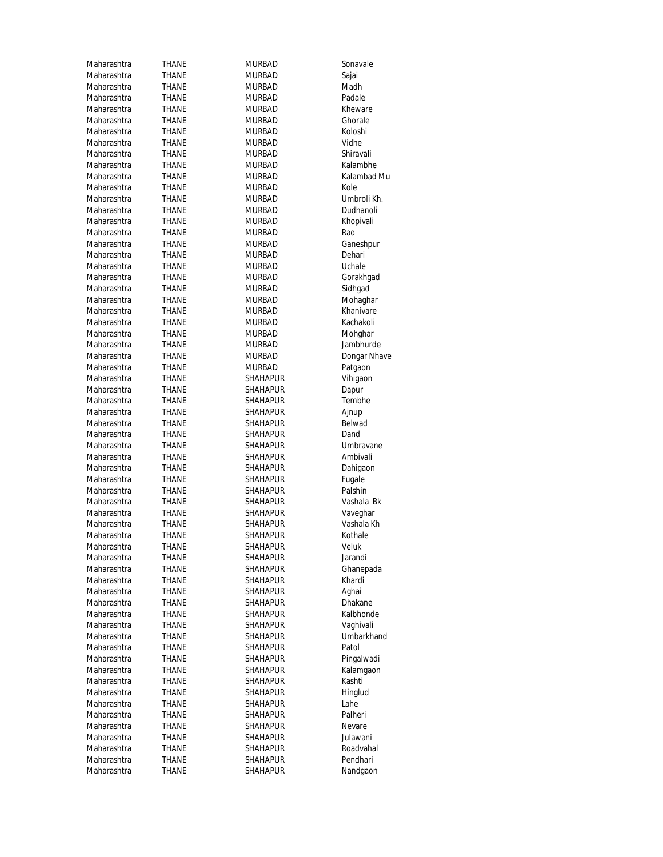| Maharashtra | THANE          | <b>MURBAD</b>   | Sonavale     |
|-------------|----------------|-----------------|--------------|
| Maharashtra | THANE          | <b>MURBAD</b>   | Sajai        |
| Maharashtra | THANE          | <b>MURBAD</b>   | Madh         |
| Maharashtra | THANE          | <b>MURBAD</b>   | Padale       |
| Maharashtra | THANE          | <b>MURBAD</b>   | Kheware      |
| Maharashtra | <b>THANE</b>   | <b>MURBAD</b>   | Ghorale      |
| Maharashtra | THANE          | <b>MURBAD</b>   | Koloshi      |
| Maharashtra | THANE          | <b>MURBAD</b>   | Vidhe        |
| Maharashtra | THANE          | <b>MURBAD</b>   | Shiravali    |
| Maharashtra | THANE          | <b>MURBAD</b>   | Kalambhe     |
| Maharashtra | THANE          | <b>MURBAD</b>   | Kalambad Mu  |
| Maharashtra | <b>THANE</b>   | <b>MURBAD</b>   | Kole         |
| Maharashtra | THANE          | <b>MURBAD</b>   | Umbroli Kh.  |
| Maharashtra | <b>THANE</b>   | <b>MURBAD</b>   | Dudhanoli    |
| Maharashtra | THANE          | <b>MURBAD</b>   | Khopivali    |
| Maharashtra | THANE          | <b>MURBAD</b>   | Rao          |
| Maharashtra | THANE          | <b>MURBAD</b>   | Ganeshpur    |
| Maharashtra | THANE          | <b>MURBAD</b>   | Dehari       |
| Maharashtra | THANE          | <b>MURBAD</b>   | Uchale       |
| Maharashtra | <b>THANE</b>   | <b>MURBAD</b>   | Gorakhgad    |
| Maharashtra | THANE          | <b>MURBAD</b>   | Sidhgad      |
| Maharashtra | THANE          | <b>MURBAD</b>   | Mohaghar     |
| Maharashtra | THANE          | <b>MURBAD</b>   | Khanivare    |
| Maharashtra | THANE          | <b>MURBAD</b>   | Kachakoli    |
| Maharashtra | THANE          | <b>MURBAD</b>   | Mohghar      |
| Maharashtra | THANE          | <b>MURBAD</b>   | Jambhurde    |
| Maharashtra | THANE          | <b>MURBAD</b>   | Dongar Nhave |
| Maharashtra | THANE          | <b>MURBAD</b>   | Patgaon      |
| Maharashtra | THANE          | <b>SHAHAPUR</b> | Vihigaon     |
| Maharashtra | THANE          | <b>SHAHAPUR</b> | Dapur        |
| Maharashtra | THANE          | <b>SHAHAPUR</b> | Tembhe       |
| Maharashtra | THANE          | SHAHAPUR        | Ajnup        |
| Maharashtra | THANE          | SHAHAPUR        | Belwad       |
| Maharashtra | THANE          | <b>SHAHAPUR</b> | Dand         |
| Maharashtra | THANE          | <b>SHAHAPUR</b> | Umbravane    |
| Maharashtra | THANE          | <b>SHAHAPUR</b> | Ambivali     |
| Maharashtra | THANE          | <b>SHAHAPUR</b> | Dahigaon     |
| Maharashtra | THANE          | <b>SHAHAPUR</b> | Fugale       |
| Maharashtra | THANE          | <b>SHAHAPUR</b> | Palshin      |
| Maharashtra | THANE          | <b>SHAHAPUR</b> | Vashala Bk   |
| Maharashtra | THANE          | <b>SHAHAPUR</b> | Vaveghar     |
| Maharashtra | THANE          | SHAHAPUR        | Vashala Kh   |
| Maharashtra | THANE          | SHAHAPUR        | Kothale      |
| Maharashtra | <b>THANE</b>   | SHAHAPUR        | Veluk        |
| Maharashtra | THANE          | <b>SHAHAPUR</b> | Jarandi      |
| Maharashtra | THANE          | <b>SHAHAPUR</b> | Ghanepada    |
| Maharashtra | THANE          | SHAHAPUR        | Khardi       |
| Maharashtra | THANE          | <b>SHAHAPUR</b> | Aghai        |
| Maharashtra | THANE          | <b>SHAHAPUR</b> | Dhakane      |
| Maharashtra |                | <b>SHAHAPUR</b> | Kalbhonde    |
| Maharashtra | THANE<br>THANE | SHAHAPUR        | Vaghivali    |
| Maharashtra |                | <b>SHAHAPUR</b> | Umbarkhand   |
| Maharashtra | THANE          | <b>SHAHAPUR</b> | Patol        |
|             | THANE          | <b>SHAHAPUR</b> |              |
| Maharashtra | THANE          |                 | Pingalwadi   |
| Maharashtra | THANE          | <b>SHAHAPUR</b> | Kalamgaon    |
| Maharashtra | <b>THANE</b>   | <b>SHAHAPUR</b> | Kashti       |
| Maharashtra | THANE          | SHAHAPUR        | Hinglud      |
| Maharashtra | THANE          | SHAHAPUR        | Lahe         |
| Maharashtra | THANE          | SHAHAPUR        | Palheri      |
| Maharashtra | THANE          | <b>SHAHAPUR</b> | Nevare       |
| Maharashtra | THANE          | <b>SHAHAPUR</b> | Julawani     |
| Maharashtra | THANE          | SHAHAPUR        | Roadvahal    |
| Maharashtra | THANE          | <b>SHAHAPUR</b> | Pendhari     |
| Maharashtra | THANE          | SHAHAPUR        | Nandgaon     |

| Sonavale                                            |
|-----------------------------------------------------|
| Sajai                                               |
| Vladh                                               |
| Padale                                              |
|                                                     |
| heware                                              |
| <b>Shorale</b>                                      |
| oloshi                                              |
| /idhe                                               |
| <b>Shiravali</b>                                    |
| alambhe                                             |
| Alambad M                                           |
| ole)                                                |
| Jmbroli Kh.                                         |
| <b>Judhanoli</b>                                    |
| hopivali                                            |
| , ка                                                |
| <b>Ganeshpur</b>                                    |
| <b>Dehari</b>                                       |
|                                                     |
| Jchale<br>Gorakhgad                                 |
| Sidhgad                                             |
|                                                     |
| Vlohaghar                                           |
| hanivare                                            |
| achakoli                                            |
| Mohghar                                             |
| ambhurde                                            |
| Dongar Nhav<br>Patgaon                              |
|                                                     |
| /ihigaon                                            |
| <b>Dapur</b>                                        |
| Tembhe                                              |
| <b>\jnup</b>                                        |
| <b>Belwad</b>                                       |
| <b>Dand</b>                                         |
| Jmbravane                                           |
| Ambivali                                            |
| )ahigaon                                            |
|                                                     |
| <sup>-</sup> ugale<br><sup>&gt;</sup> alshin        |
| /ashala Bk                                          |
| aveghar                                             |
| /ashala Kh                                          |
| <b>Cothale</b>                                      |
|                                                     |
| /eluk                                               |
| arandi                                              |
| <b>Ghanepada</b>                                    |
| hardi                                               |
| <mark>\ghai</mark><br>)hakane                       |
|                                                     |
| albhonde                                            |
| /aghivali                                           |
| <b>Jmbarkhand</b>                                   |
| Patol                                               |
| <sup>2</sup> ingalwadi                              |
| alamgaon                                            |
| ashti                                               |
| <b>linglud</b>                                      |
| .ahe                                                |
| Palheri                                             |
|                                                     |
|                                                     |
| Vevare                                              |
|                                                     |
|                                                     |
| ulawani<br><b>Roadvahal</b><br>Pendhari<br>Vandgaon |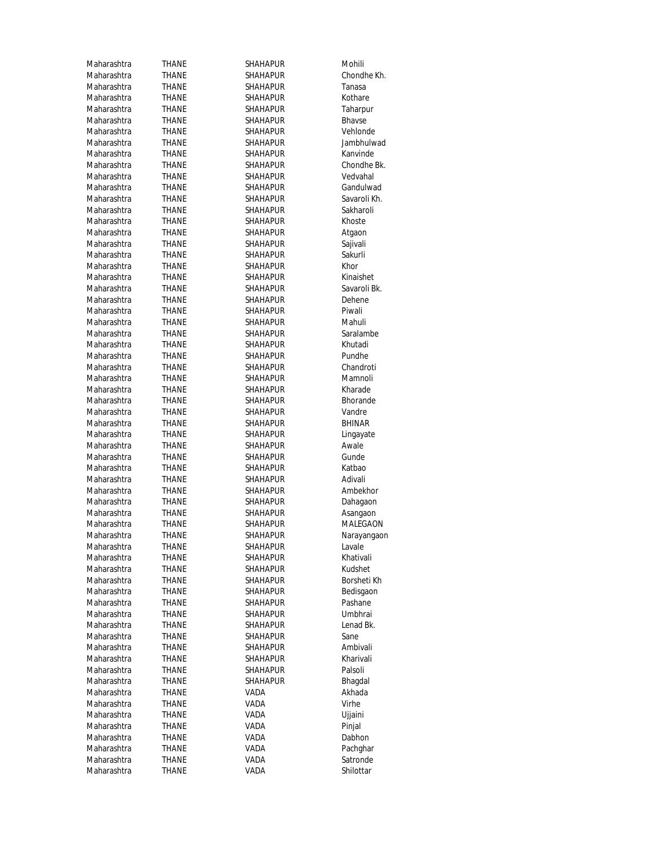| Maharashtra | THANE        | SHAHAPUR        | Mohili        |
|-------------|--------------|-----------------|---------------|
| Maharashtra | THANE        | <b>SHAHAPUR</b> | Chondhe Kh.   |
| Maharashtra | THANE        | SHAHAPUR        | Tanasa        |
| Maharashtra | THANE        | <b>SHAHAPUR</b> | Kothare       |
| Maharashtra | THANE        | <b>SHAHAPUR</b> | Taharpur      |
| Maharashtra | THANE        | <b>SHAHAPUR</b> | <b>Bhavse</b> |
| Maharashtra | <b>THANE</b> | <b>SHAHAPUR</b> | Vehlonde      |
| Maharashtra | THANE        | <b>SHAHAPUR</b> | Jambhulwad    |
| Maharashtra | THANE        | SHAHAPUR        | Kanvinde      |
| Maharashtra | THANE        | <b>SHAHAPUR</b> | Chondhe Bk.   |
| Maharashtra | <b>THANE</b> | SHAHAPUR        | Vedvahal      |
| Maharashtra | THANE        | <b>SHAHAPUR</b> | Gandulwad     |
| Maharashtra | THANE        | SHAHAPUR        | Savaroli Kh.  |
| Maharashtra | THANE        | <b>SHAHAPUR</b> | Sakharoli     |
| Maharashtra | THANE        | <b>SHAHAPUR</b> | Khoste        |
| Maharashtra | THANE        | <b>SHAHAPUR</b> | Atgaon        |
| Maharashtra | THANE        | <b>SHAHAPUR</b> | Sajivali      |
| Maharashtra | THANE        | <b>SHAHAPUR</b> | Sakurli       |
| Maharashtra |              | <b>SHAHAPUR</b> | Khor          |
|             | THANE        |                 | Kinaishet     |
| Maharashtra | THANE        | SHAHAPUR        |               |
| Maharashtra | THANE        | <b>SHAHAPUR</b> | Savaroli Bk.  |
| Maharashtra | <b>THANE</b> | <b>SHAHAPUR</b> | Dehene        |
| Maharashtra | THANE        | <b>SHAHAPUR</b> | Piwali        |
| Maharashtra | THANE        | SHAHAPUR        | Mahuli        |
| Maharashtra | THANE        | <b>SHAHAPUR</b> | Saralambe     |
| Maharashtra | THANE        | <b>SHAHAPUR</b> | Khutadi       |
| Maharashtra | THANE        | <b>SHAHAPUR</b> | Pundhe        |
| Maharashtra | THANE        | <b>SHAHAPUR</b> | Chandroti     |
| Maharashtra | <b>THANE</b> | <b>SHAHAPUR</b> | Mamnoli       |
| Maharashtra | THANE        | <b>SHAHAPUR</b> | Kharade       |
| Maharashtra | THANE        | SHAHAPUR        | Bhorande      |
| Maharashtra | THANE        | <b>SHAHAPUR</b> | Vandre        |
| Maharashtra | THANE        | SHAHAPUR        | <b>BHINAR</b> |
| Maharashtra | THANE        | <b>SHAHAPUR</b> | Lingayate     |
| Maharashtra | THANE        | SHAHAPUR        | Awale         |
| Maharashtra | THANE        | <b>SHAHAPUR</b> | Gunde         |
| Maharashtra | THANE        | <b>SHAHAPUR</b> | Katbao        |
| Maharashtra | THANE        | <b>SHAHAPUR</b> | Adivali       |
| Maharashtra | THANE        | <b>SHAHAPUR</b> | Ambekhor      |
| Maharashtra | THANE        | SHAHAPUR        | Dahagaon      |
| Maharashtra | THANE        | <b>SHAHAPUR</b> | Asangaon      |
| Maharashtra | THANE        | SHAHAPUR        | MALEGAON      |
| Maharashtra | THANE        | <b>SHAHAPUR</b> | Narayangaon   |
| Maharashtra | <b>THANE</b> | SHAHAPUR        | Lavale        |
| Maharashtra | THANE        | SHAHAPUR        | Khativali     |
| Maharashtra | THANE        | SHAHAPUR        | Kudshet       |
| Maharashtra | THANE        | SHAHAPUR        | Borsheti Kh   |
| Maharashtra | THANE        | <b>SHAHAPUR</b> | Bedisgaon     |
| Maharashtra | THANE        | SHAHAPUR        | Pashane       |
| Maharashtra | THANE        | <b>SHAHAPUR</b> | Umbhrai       |
| Maharashtra | THANE        | SHAHAPUR        | Lenad Bk.     |
| Maharashtra | THANE        | <b>SHAHAPUR</b> | Sane          |
| Maharashtra | THANE        | SHAHAPUR        | Ambivali      |
| Maharashtra | THANE        | SHAHAPUR        | Kharivali     |
| Maharashtra | THANE        | <b>SHAHAPUR</b> | Palsoli       |
| Maharashtra | THANE        | <b>SHAHAPUR</b> | Bhagdal       |
| Maharashtra | THANE        | VADA            | Akhada        |
| Maharashtra | THANE        | VADA            | Virhe         |
| Maharashtra | THANE        | VADA            | Ujjaini       |
| Maharashtra |              |                 | Pinjal        |
|             | THANE        | VADA            |               |
| Maharashtra | THANE        | VADA            | Dabhon        |
| Maharashtra | THANE        | VADA            | Pachghar      |
| Maharashtra | THANE        | VADA            | Satronde      |
| Maharashtra | THANE        | VADA            | Shilottar     |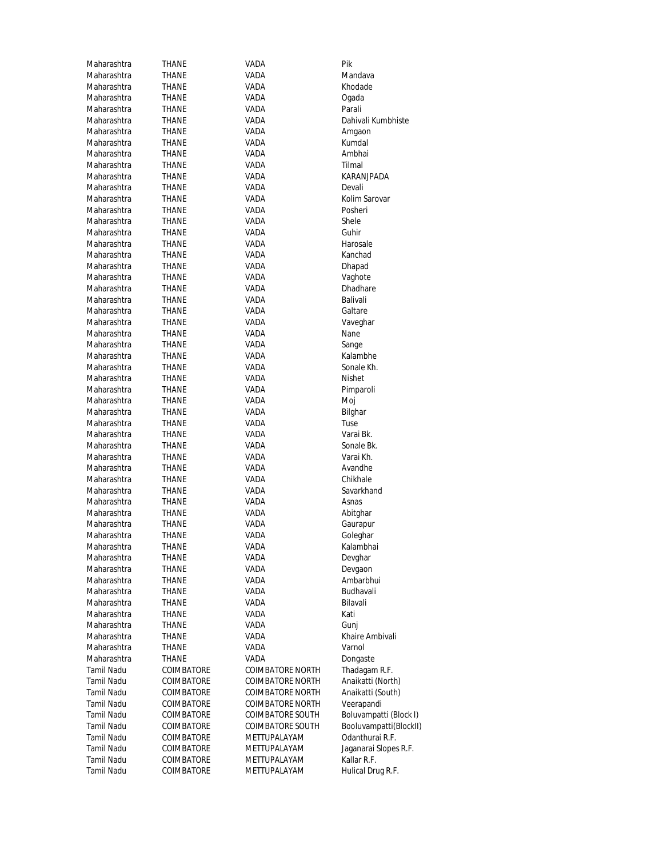| Maharashtra       | THANE        | VADA                    | Pik                    |
|-------------------|--------------|-------------------------|------------------------|
| Maharashtra       | THANE        | VADA                    | Mandava                |
| Maharashtra       | THANE        | VADA                    | Khodade                |
| Maharashtra       | THANE        | VADA                    | Ogada                  |
| Maharashtra       | THANE        | VADA                    | Parali                 |
| Maharashtra       | THANE        | VADA                    | Dahivali Kumbhiste     |
| Maharashtra       | THANE        | VADA                    | Amgaon                 |
| Maharashtra       | THANE        | VADA                    | Kumdal                 |
|                   |              |                         |                        |
| Maharashtra       | THANE        | VADA                    | Ambhai                 |
| Maharashtra       | THANE        | VADA                    | Tilmal                 |
| Maharashtra       | THANE        | VADA                    | <b>KARANJPADA</b>      |
| Maharashtra       | THANE        | VADA                    | Devali                 |
| Maharashtra       | THANE        | VADA                    | Kolim Sarovar          |
| Maharashtra       | THANE        | VADA                    | Posheri                |
| Maharashtra       | THANE        | VADA                    | Shele                  |
| Maharashtra       | THANE        | VADA                    | Guhir                  |
| Maharashtra       | THANE        | VADA                    | Harosale               |
| Maharashtra       | THANE        | VADA                    | Kanchad                |
| Maharashtra       | THANE        | VADA                    | Dhapad                 |
| Maharashtra       | THANE        | VADA                    | Vaghote                |
| Maharashtra       | THANE        | VADA                    | <b>Dhadhare</b>        |
| Maharashtra       |              | VADA                    | Balivali               |
|                   | THANE        |                         |                        |
| Maharashtra       | THANE        | VADA                    | Galtare                |
| Maharashtra       | THANE        | VADA                    | Vaveghar               |
| Maharashtra       | <b>THANE</b> | VADA                    | Nane                   |
| Maharashtra       | THANE        | VADA                    | Sange                  |
| Maharashtra       | THANE        | VADA                    | Kalambhe               |
| Maharashtra       | THANE        | VADA                    | Sonale Kh.             |
| Maharashtra       | THANE        | VADA                    | Nishet                 |
| Maharashtra       | THANE        | VADA                    | Pimparoli              |
| Maharashtra       | THANE        | VADA                    | Moj                    |
| Maharashtra       | THANE        | VADA                    | Bilghar                |
| Maharashtra       | THANE        | VADA                    | Tuse                   |
| Maharashtra       | THANE        | VADA                    | Varai Bk.              |
| Maharashtra       | THANE        | VADA                    | Sonale Bk.             |
| Maharashtra       | THANE        | VADA                    | Varai Kh.              |
| Maharashtra       | THANE        | VADA                    | Avandhe                |
| Maharashtra       | <b>THANE</b> | VADA                    | Chikhale               |
| Maharashtra       | THANE        | VADA                    | Savarkhand             |
| Maharashtra       | THANE        | VADA                    | Asnas                  |
| Maharashtra       |              |                         |                        |
|                   | THANE        | VADA                    | Abitghar               |
| Maharashtra       | THANE        | VADA                    | Gaurapur               |
| Maharashtra       | THANE        | VADA                    | Goleghar               |
| Maharashtra       | THANE        | VADA                    | Kalambhai              |
| Maharashtra       | THANE        | VADA                    | Devghar                |
| Maharashtra       | THANE        | VADA                    | Devgaon                |
| Maharashtra       | THANE        | VADA                    | Ambarbhui              |
| Maharashtra       | THANE        | VADA                    | Budhavali              |
| Maharashtra       | THANE        | <b>VADA</b>             | Bilavali               |
| Maharashtra       | THANE        | VADA                    | Kati                   |
| Maharashtra       | THANE        | VADA                    | Gunj                   |
| Maharashtra       | THANE        | VADA                    | Khaire Ambivali        |
| Maharashtra       | THANE        | VADA                    | Varnol                 |
| Maharashtra       | THANE        | VADA                    | Dongaste               |
| Tamil Nadu        | COIMBATORE   | <b>COIMBATORE NORTH</b> | Thadagam R.F.          |
| Tamil Nadu        | COIMBATORE   | <b>COIMBATORE NORTH</b> | Anaikatti (North)      |
|                   |              |                         |                        |
| Tamil Nadu        | COIMBATORE   | <b>COIMBATORE NORTH</b> | Anaikatti (South)      |
| <b>Tamil Nadu</b> | COIMBATORE   | <b>COIMBATORE NORTH</b> | Veerapandi             |
| Tamil Nadu        | COIMBATORE   | <b>COIMBATORE SOUTH</b> | Boluvampatti (Block I) |
| Tamil Nadu        | COIMBATORE   | <b>COIMBATORE SOUTH</b> | Booluvampatti(BlockII) |
| Tamil Nadu        | COIMBATORE   | METTUPALAYAM            | Odanthurai R.F.        |
| Tamil Nadu        | COIMBATORE   | METTUPALAYAM            | Jaganarai Slopes R.F.  |
| <b>Tamil Nadu</b> | COIMBATORE   | METTUPALAYAM            | Kallar R.F.            |
| <b>Tamil Nadu</b> | COIMBATORE   | METTUPALAYAM            | Hulical Drug R.F.      |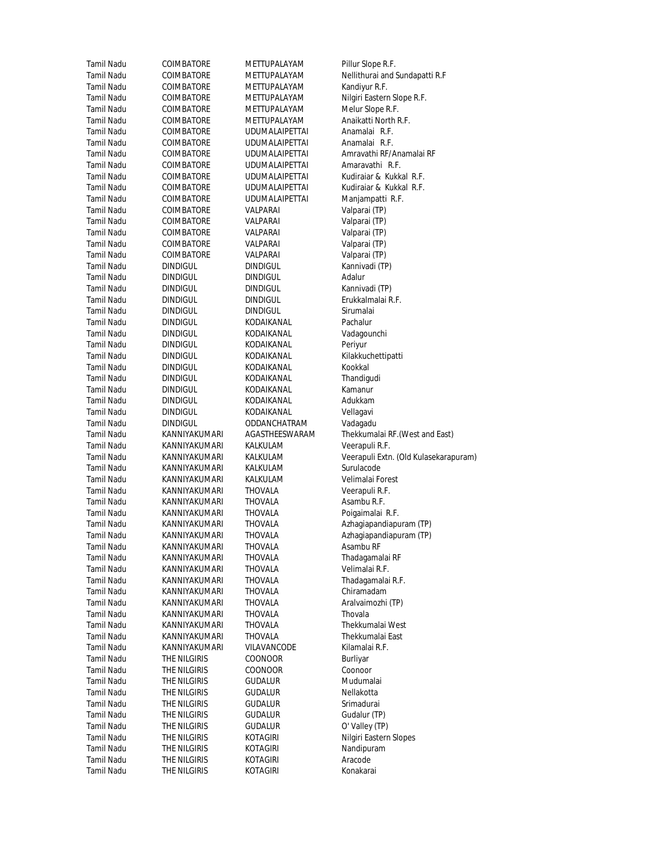| Tamil Nadu        | COIMBATORE        | METTUPALAYAM          | Pillur Slope R.F.  |
|-------------------|-------------------|-----------------------|--------------------|
| Tamil Nadu        | COIMBATORE        | METTUPALAYAM          | Nellithurai and S  |
| Tamil Nadu        | COIMBATORE        | METTUPALAYAM          | Kandiyur R.F.      |
| Tamil Nadu        | COIMBATORE        | METTUPALAYAM          | Nilgiri Eastern SI |
| Tamil Nadu        | COIMBATORE        | METTUPALAYAM          | Melur Slope R.F.   |
| Tamil Nadu        | COIMBATORE        | METTUPALAYAM          | Anaikatti North I  |
| Tamil Nadu        | COIMBATORE        | <b>UDUMALAIPETTAI</b> | Anamalai R.F.      |
| Tamil Nadu        | COIMBATORE        | <b>UDUMALAIPETTAI</b> | Anamalai R.F.      |
| Tamil Nadu        | COIMBATORE        | <b>UDUMALAIPETTAI</b> | Amravathi RF/Ar    |
| Tamil Nadu        | COIMBATORE        | <b>UDUMALAIPETTAI</b> | Amaravathi R.F     |
| Tamil Nadu        | COIMBATORE        | UDUMALAIPETTAI        | Kudiraiar & Kukl   |
| Tamil Nadu        | <b>COIMBATORE</b> | <b>UDUMALAIPETTAI</b> | Kudiraiar & Kukl   |
| Tamil Nadu        | COIMBATORE        | <b>UDUMALAIPETTAI</b> | Manjampatti R.I    |
| Tamil Nadu        | <b>COIMBATORE</b> | VALPARAI              | Valparai (TP)      |
| Tamil Nadu        | COIMBATORE        | VALPARAI              | Valparai (TP)      |
| Tamil Nadu        | COIMBATORE        | VALPARAI              | Valparai (TP)      |
| Tamil Nadu        | COIMBATORE        | VALPARAI              | Valparai (TP)      |
| Tamil Nadu        | COIMBATORE        | VALPARAI              | Valparai (TP)      |
| Tamil Nadu        | <b>DINDIGUL</b>   | DINDIGUL              | Kannivadi (TP)     |
| Tamil Nadu        | <b>DINDIGUL</b>   | <b>DINDIGUL</b>       | Adalur             |
| Tamil Nadu        | <b>DINDIGUL</b>   | DINDIGUL              | Kannivadi (TP)     |
| <b>Tamil Nadu</b> | <b>DINDIGUL</b>   | <b>DINDIGUL</b>       | Erukkalmalai R.F   |
| Tamil Nadu        | <b>DINDIGUL</b>   | <b>DINDIGUL</b>       | Sirumalai          |
| Tamil Nadu        | <b>DINDIGUL</b>   | KODAIKANAL            | Pachalur           |
| Tamil Nadu        | <b>DINDIGUL</b>   | KODAIKANAL            | Vadagounchi        |
| Tamil Nadu        | <b>DINDIGUL</b>   | KODAIKANAL            | Periyur            |
| Tamil Nadu        | <b>DINDIGUL</b>   | KODAIKANAL            | Kilakkuchettipat   |
| Tamil Nadu        | <b>DINDIGUL</b>   | KODAIKANAL            | Kookkal            |
| Tamil Nadu        | <b>DINDIGUL</b>   | KODAIKANAL            | Thandigudi         |
| Tamil Nadu        | <b>DINDIGUL</b>   | KODAIKANAL            | Kamanur            |
| Tamil Nadu        | <b>DINDIGUL</b>   | KODAIKANAL            | Adukkam            |
| Tamil Nadu        | <b>DINDIGUL</b>   | KODAIKANAL            | Vellagavi          |
| Tamil Nadu        | <b>DINDIGUL</b>   | ODDANCHATRAM          | Vadagadu           |
| Tamil Nadu        | KANNIYAKUMARI     | AGASTHEESWARAM        | Thekkumalai RF.    |
| Tamil Nadu        | KANNIYAKUMARI     | KALKULAM              | Veerapuli R.F.     |
| Tamil Nadu        | KANNIYAKUMARI     | KALKULAM              | Veerapuli Extn. (  |
| Tamil Nadu        | KANNIYAKUMARI     | KALKULAM              | Surulacode         |
| Tamil Nadu        | KANNIYAKUMARI     | KALKULAM              | Velimalai Forest   |
| Tamil Nadu        | KANNIYAKUMARI     | THOVALA               | Veerapuli R.F.     |
| Tamil Nadu        | KANNIYAKUMARI     | THOVALA               | Asambu R.F.        |
| Tamil Nadu        | KANNIYAKUMARI     | THOVALA               | Poigaimalai R.F.   |
| <b>Tamil Nadu</b> | KANNIYAKUMARI     | THOVALA               | Azhagiapandiapı    |
| Tamil Nadu        | KANNIYAKUMARI     | THOVALA               | Azhagiapandiapı    |
| Tamil Nadu        | KANNIYAKUMARI     | THOVALA               | Asambu RF          |
| Tamil Nadu        | KANNIYAKUMARI     | THOVALA               | Thadagamalai RI    |
| Tamil Nadu        | KANNIYAKUMARI     | <b>THOVALA</b>        | Velimalai R.F.     |
| Tamil Nadu        | KANNIYAKUMARI     | THOVALA               | Thadagamalai R.    |
| Tamil Nadu        | KANNIYAKUMARI     | THOVALA               | Chiramadam         |
| Tamil Nadu        | KANNIYAKUMARI     | THOVALA               | Aralvaimozhi (TF   |
| <b>Tamil Nadu</b> | KANNIYAKUMARI     | <b>THOVALA</b>        | Thovala            |
| Tamil Nadu        | KANNIYAKUMARI     | THOVALA               | Thekkumalai We     |
| Tamil Nadu        | KANNIYAKUMARI     | THOVALA               | Thekkumalai Eas    |
| <b>Tamil Nadu</b> | KANNIYAKUMARI     | VILAVANCODE           | Kilamalai R.F.     |
| Tamil Nadu        | THE NILGIRIS      | COONOOR               | Burliyar           |
| Tamil Nadu        | THE NILGIRIS      | COONOOR               | Coonoor            |
| <b>Tamil Nadu</b> | THE NILGIRIS      | <b>GUDALUR</b>        | Mudumalai          |
| Tamil Nadu        | THE NILGIRIS      | GUDALUR               | Nellakotta         |
| Tamil Nadu        | THE NILGIRIS      | GUDALUR               | Srimadurai         |
| Tamil Nadu        | THE NILGIRIS      | GUDALUR               | Gudalur (TP)       |
| Tamil Nadu        | THE NILGIRIS      | GUDALUR               | O' Valley (TP)     |
| <b>Tamil Nadu</b> | THE NILGIRIS      | KOTAGIRI              | Nilgiri Eastern SI |
| Tamil Nadu        | THE NILGIRIS      | KOTAGIRI              | Nandipuram         |
| Tamil Nadu        | THE NILGIRIS      | KOTAGIRI              | Aracode            |
| Tamil Nadu        | THE NILGIRIS      | KOTAGIRI              | Konakarai          |
|                   |                   |                       |                    |

Slope R.F. nurai and Sundapatti R.F<br><sub>/</sub>ur R.F. Eastern Slope R.F.<br>Slope R.F. atti North R.F.<br>alai R.F. athi RF/Anamalai RF avathi R.F. iar & Kukkal R.F. iar & Kukkal R.F. mpatti R.F<mark>.</mark><br>ai (TP) almalai R.F. uchettipatt<mark>i</mark><br>al umalai RF.(West and East<mark>)</mark><br>puli R.F. puli Extn. (Old Kulasekarapuram) malai R.F. iapandiapuram (TP) iapandiapuram (TP)<br>วน RF gamalai RF gamalai R.F<mark>.</mark><br>nadam imozhi (TP) umalai West umalai East<br>alai R.F. Eastern Slopes<br>puram